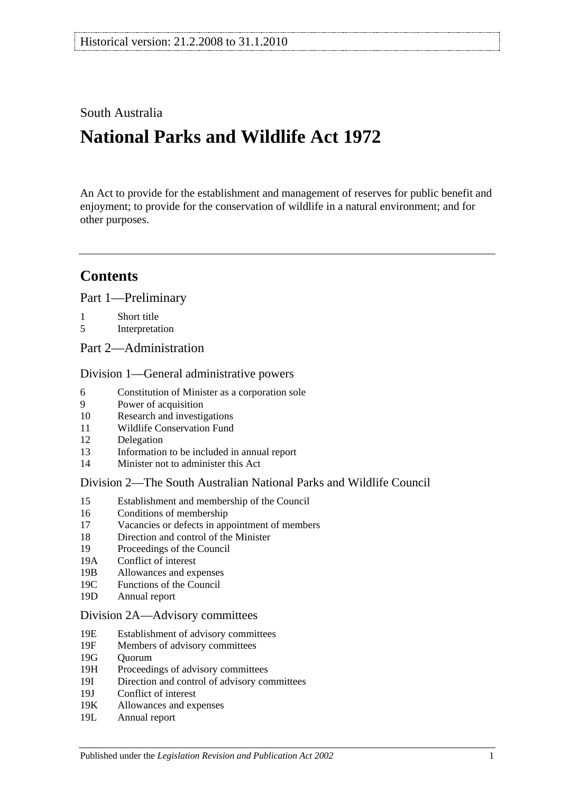# South Australia

# **National Parks and Wildlife Act 1972**

An Act to provide for the establishment and management of reserves for public benefit and enjoyment; to provide for the conservation of wildlife in a natural environment; and for other purposes.

# **Contents**

[Part 1—Preliminary](#page-6-0)

- 1 [Short title](#page-6-1)
- 5 [Interpretation](#page-6-2)
- [Part 2—Administration](#page-10-0)

#### [Division 1—General administrative powers](#page-10-1)

- 6 [Constitution of Minister as a corporation sole](#page-10-2)
- 9 [Power of acquisition](#page-10-3)
- 10 [Research and investigations](#page-10-4)
- 11 [Wildlife Conservation Fund](#page-10-5)
- 12 [Delegation](#page-11-0)
- 13 [Information to be included in annual report](#page-11-1)
- 14 [Minister not to administer this Act](#page-12-0)

#### [Division 2—The South Australian National Parks and Wildlife Council](#page-12-1)

- 15 [Establishment and membership of the Council](#page-12-2)
- 16 [Conditions of membership](#page-13-0)
- 17 [Vacancies or defects in appointment of members](#page-13-1)
- 18 [Direction and control of the Minister](#page-13-2)
- 19 [Proceedings of the Council](#page-13-3)
- 19A [Conflict of interest](#page-14-0)
- 19B [Allowances and expenses](#page-14-1)
- 19C [Functions of the Council](#page-14-2)
- 19D [Annual report](#page-15-0)

#### [Division 2A—Advisory committees](#page-15-1)

- 19E [Establishment of advisory committees](#page-15-2)
- 19F [Members of advisory committees](#page-16-0)
- 19G [Quorum](#page-16-1)
- 19H [Proceedings of advisory committees](#page-16-2)
- 19I [Direction and control of advisory committees](#page-16-3)
- 19J [Conflict of interest](#page-17-0)
- 19K [Allowances and expenses](#page-17-1)
- 19L [Annual report](#page-17-2)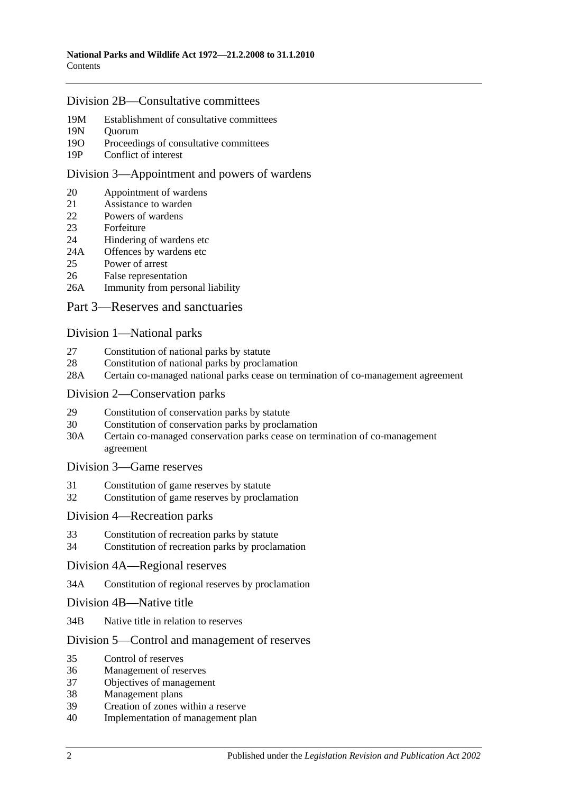#### [Division 2B—Consultative committees](#page-17-3)

- 19M [Establishment of consultative committees](#page-17-4)
- 19N [Quorum](#page-17-5)
- 19O Proceedings of [consultative committees](#page-17-6)
- 19P [Conflict of interest](#page-18-0)

#### [Division 3—Appointment and powers of wardens](#page-18-1)

- 20 [Appointment of wardens](#page-18-2)
- 21 [Assistance to warden](#page-18-3)<br>22 Powers of wardens
- [Powers of wardens](#page-19-0)
- 23 [Forfeiture](#page-20-0)
- 24 [Hindering of wardens etc](#page-21-0)
- 24A [Offences by wardens etc](#page-22-0)<br>25 Power of arrest
- [Power of arrest](#page-22-1)
- 26 [False representation](#page-22-2)
- 26A [Immunity from personal liability](#page-22-3)

#### [Part 3—Reserves and sanctuaries](#page-24-0)

#### [Division 1—National parks](#page-24-1)

- 27 [Constitution of national parks by statute](#page-24-2)
- 28 [Constitution of national parks by proclamation](#page-24-3)
- 28A [Certain co-managed national parks cease on termination of co-management agreement](#page-25-0)

#### [Division 2—Conservation parks](#page-25-1)

- 29 [Constitution of conservation parks by statute](#page-25-2)
- 30 [Constitution of conservation parks by proclamation](#page-25-3)
- 30A [Certain co-managed conservation parks cease on termination of co-management](#page-26-0)  [agreement](#page-26-0)

#### [Division 3—Game reserves](#page-26-1)

- 31 [Constitution of game reserves by statute](#page-26-2)
- 32 [Constitution of game reserves by proclamation](#page-27-0)

#### [Division 4—Recreation parks](#page-27-1)

- 33 [Constitution of recreation parks by statute](#page-27-2)
- 34 [Constitution of recreation parks by proclamation](#page-27-3)

#### [Division 4A—Regional reserves](#page-28-0)

- 34A [Constitution of regional reserves by proclamation](#page-28-1)
- [Division 4B—Native title](#page-28-2)
- 34B [Native title in relation to reserves](#page-28-3)

#### Division [5—Control and management of reserves](#page-29-0)

- 35 [Control of reserves](#page-29-1)
- 36 [Management of reserves](#page-30-0)
- 37 [Objectives of management](#page-30-1)
- 38 [Management plans](#page-31-0)
- 39 [Creation of zones within a reserve](#page-33-0)
- 40 [Implementation of management plan](#page-33-1)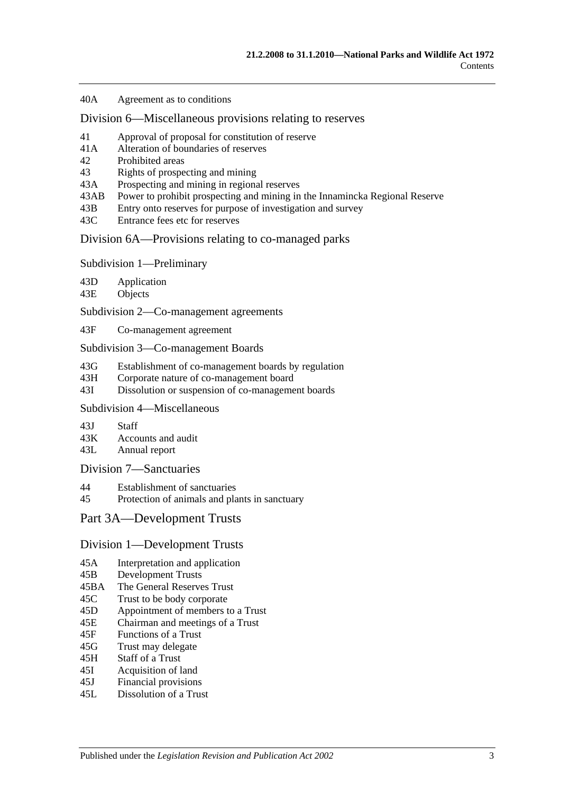40A [Agreement as to conditions](#page-33-2)

[Division 6—Miscellaneous provisions relating to reserves](#page-33-3)

- 41 [Approval of proposal for constitution of reserve](#page-33-4)
- 41A [Alteration of boundaries of reserves](#page-34-0)
- 42 [Prohibited areas](#page-34-1)
- 43 [Rights of prospecting and mining](#page-35-0)
- 43A [Prospecting and mining in regional reserves](#page-36-0)
- 43AB [Power to prohibit prospecting and mining in the Innamincka Regional Reserve](#page-36-1)
- 43B [Entry onto reserves for purpose of investigation and survey](#page-37-0)
- 43C [Entrance fees etc for reserves](#page-37-1)

[Division 6A—Provisions relating to co-managed parks](#page-37-2)

[Subdivision 1—Preliminary](#page-37-3)

43D [Application](#page-37-4)

43E [Objects](#page-37-5)

[Subdivision 2—Co-management agreements](#page-38-0)

43F [Co-management agreement](#page-38-1)

[Subdivision 3—Co-management Boards](#page-39-0)

43G [Establishment of co-management boards by regulation](#page-39-1)

- 43H [Corporate nature of co-management board](#page-40-0)
- 43I [Dissolution or suspension of co-management boards](#page-40-1)

## [Subdivision 4—Miscellaneous](#page-41-0)

43J [Staff](#page-41-1)<br>43K Accor

[Accounts and audit](#page-41-2)

43L [Annual report](#page-41-3)

#### [Division 7—Sanctuaries](#page-42-0)

- 44 [Establishment of sanctuaries](#page-42-1)
- 45 [Protection of animals and plants in sanctuary](#page-42-2)

#### [Part 3A—Development Trusts](#page-44-0)

#### [Division 1—Development Trusts](#page-44-1)

- 45A [Interpretation and application](#page-44-2)
- 45B [Development Trusts](#page-44-3)
- 45BA [The General Reserves Trust](#page-44-4)
- 45C [Trust to be body corporate](#page-44-5)
- 45D [Appointment of members to a Trust](#page-45-0)
- 45E [Chairman and meetings of a Trust](#page-45-1)
- 45F [Functions of a Trust](#page-45-2)
- 45G [Trust may delegate](#page-46-0)
- 45H [Staff of a Trust](#page-46-1)
- 45I [Acquisition of land](#page-47-0)
- 45J [Financial provisions](#page-47-1)
- 45L [Dissolution of a Trust](#page-47-2)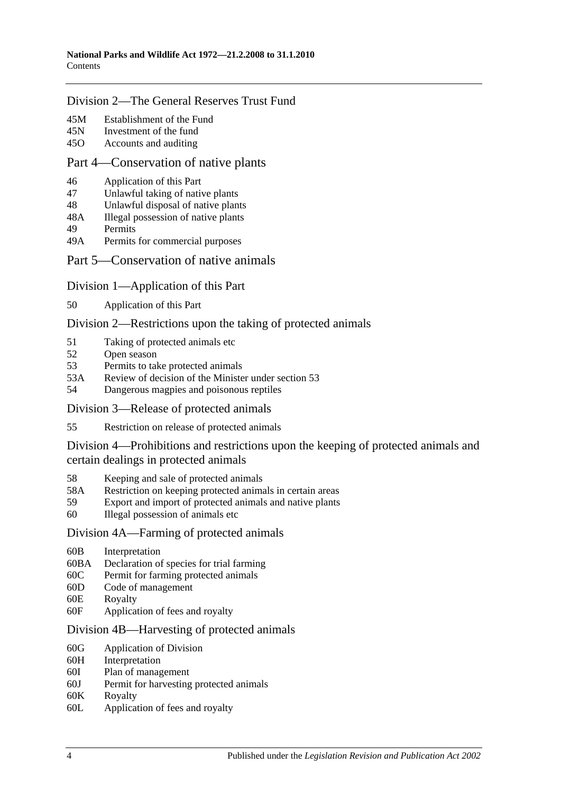### [Division 2—The General Reserves Trust Fund](#page-47-3)

- 45M [Establishment of the Fund](#page-47-4)
- 45N [Investment of the fund](#page-48-0)
- 45O [Accounts and auditing](#page-48-1)

#### [Part 4—Conservation of native plants](#page-50-0)

- 46 [Application of this Part](#page-50-1)
- 47 [Unlawful taking of native plants](#page-50-2)
- 48 [Unlawful disposal of native plants](#page-51-0)
- 48A [Illegal possession of native plants](#page-51-1)
- 49 [Permits](#page-51-2)
- 49A [Permits for commercial purposes](#page-52-0)

#### [Part 5—Conservation of native animals](#page-54-0)

- [Division 1—Application of this Part](#page-54-1)
- 50 [Application of this Part](#page-54-2)

#### [Division 2—Restrictions upon the taking of protected animals](#page-54-3)

- 51 [Taking of protected animals etc](#page-54-4)
- 52 [Open season](#page-54-5)
- 53 [Permits to take protected animals](#page-55-0)
- 53A [Review of decision of the Minister under section](#page-56-0) 53
- 54 [Dangerous magpies and poisonous reptiles](#page-56-1)

[Division 3—Release of protected animals](#page-56-2)

55 [Restriction on release of protected animals](#page-56-3)

[Division 4—Prohibitions and restrictions upon the keeping of protected animals and](#page-57-0)  [certain dealings in protected animals](#page-57-0)

- 58 [Keeping and sale of protected animals](#page-57-1)
- 58A [Restriction on keeping protected animals in certain areas](#page-58-0)
- 59 [Export and import of protected animals and native plants](#page-58-1)
- 60 [Illegal possession of animals etc](#page-58-2)

#### [Division 4A—Farming of protected animals](#page-59-0)

- 60B [Interpretation](#page-59-1)
- 60BA [Declaration of species for trial farming](#page-59-2)
- 60C [Permit for farming protected animals](#page-60-0)
- 60D [Code of management](#page-61-0)
- 60E [Royalty](#page-62-0)
- 60F [Application of fees and royalty](#page-62-1)

#### [Division 4B—Harvesting of protected animals](#page-63-0)

- 60G [Application of Division](#page-63-1)
- 60H [Interpretation](#page-63-2)
- 60I [Plan of management](#page-63-3)
- 60J [Permit for harvesting protected animals](#page-64-0)
- 60K [Royalty](#page-65-0)
- 60L [Application of fees and royalty](#page-65-1)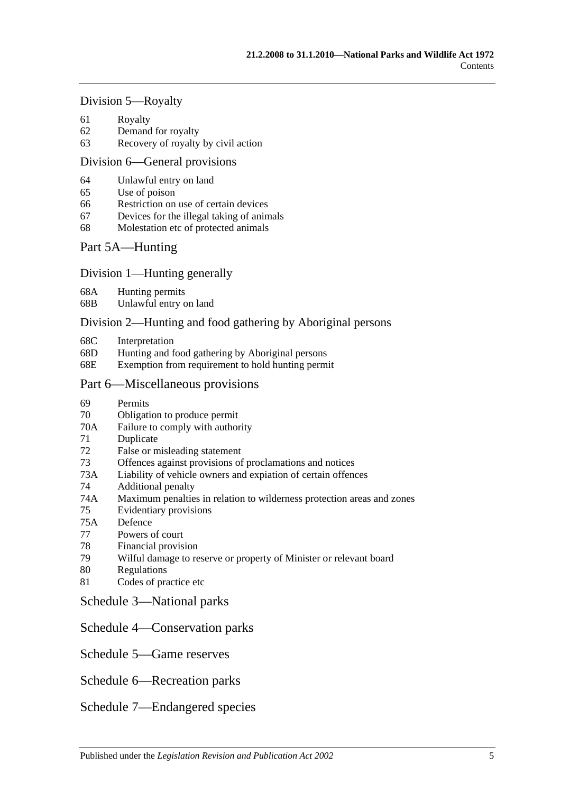#### [Division 5—Royalty](#page-66-0)

- 61 [Royalty](#page-66-1)
- 62 [Demand for royalty](#page-66-2)
- 63 [Recovery of royalty by civil action](#page-66-3)

#### [Division 6—General provisions](#page-67-0)

- 64 [Unlawful entry on land](#page-67-1)
- 65 [Use of poison](#page-67-2)
- 66 [Restriction on use of certain devices](#page-68-0)
- 67 [Devices for the illegal taking of animals](#page-68-1)
- 68 [Molestation etc of protected animals](#page-68-2)

#### [Part 5A—Hunting](#page-70-0)

#### [Division 1—Hunting generally](#page-70-1)

- 68A [Hunting permits](#page-70-2)
- 68B [Unlawful entry on land](#page-70-3)

#### [Division 2—Hunting and food gathering by Aboriginal persons](#page-71-0)

- 68C [Interpretation](#page-71-1)
- 68D [Hunting and food gathering by Aboriginal persons](#page-71-2)
- 68E [Exemption from requirement to hold hunting permit](#page-72-0)

#### [Part 6—Miscellaneous provisions](#page-74-0)

- 69 [Permits](#page-74-1)
- 70 [Obligation to produce permit](#page-76-0)
- 70A [Failure to comply with authority](#page-76-1)
- 71 [Duplicate](#page-76-2)
- 72 [False or misleading statement](#page-77-0)
- 73 [Offences against provisions of proclamations and notices](#page-77-1)
- 73A [Liability of vehicle owners and expiation of certain offences](#page-77-2)
- 74 [Additional penalty](#page-79-0)
- 74A [Maximum penalties in relation to wilderness protection areas and zones](#page-80-0)
- 75 [Evidentiary provisions](#page-80-1)
- 75A [Defence](#page-80-2)
- 77 [Powers of court](#page-80-3)
- 78 [Financial provision](#page-81-0)
- 79 [Wilful damage to reserve or property of Minister or relevant board](#page-81-1)
- 80 [Regulations](#page-81-2)
- 81 [Codes of practice etc](#page-83-0)
- [Schedule 3—National parks](#page-84-0)
- [Schedule 4—Conservation parks](#page-84-1)
- [Schedule 5—Game reserves](#page-89-0)
- [Schedule 6—Recreation parks](#page-90-0)
- [Schedule 7—Endangered species](#page-91-0)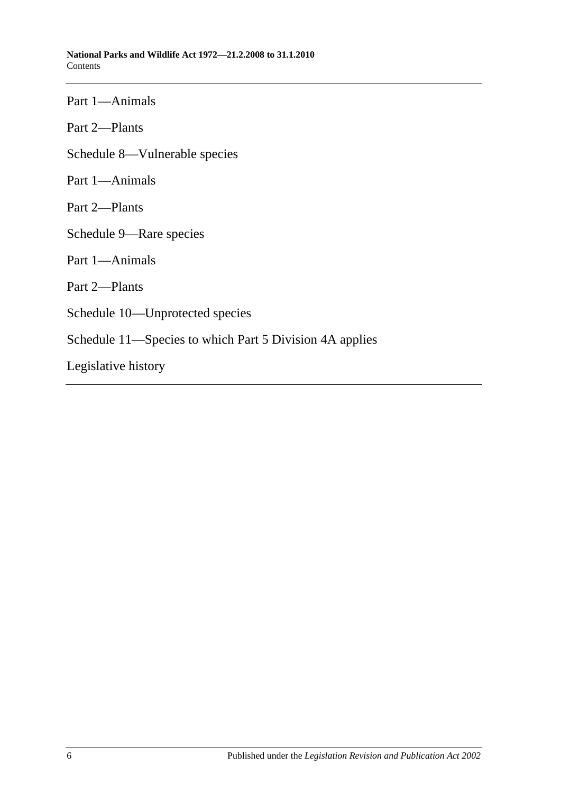Part 1—Animals

Part 2—Plants

[Schedule 8—Vulnerable species](#page-103-0)

Part 1—Animals

Part 2—Plants

[Schedule 9—Rare species](#page-116-0)

Part 1—Animals

Part 2—Plants

[Schedule 10—Unprotected species](#page-139-0)

[Schedule 11—Species to which Part 5 Division 4A](#page-140-0) applies

[Legislative history](#page-142-0)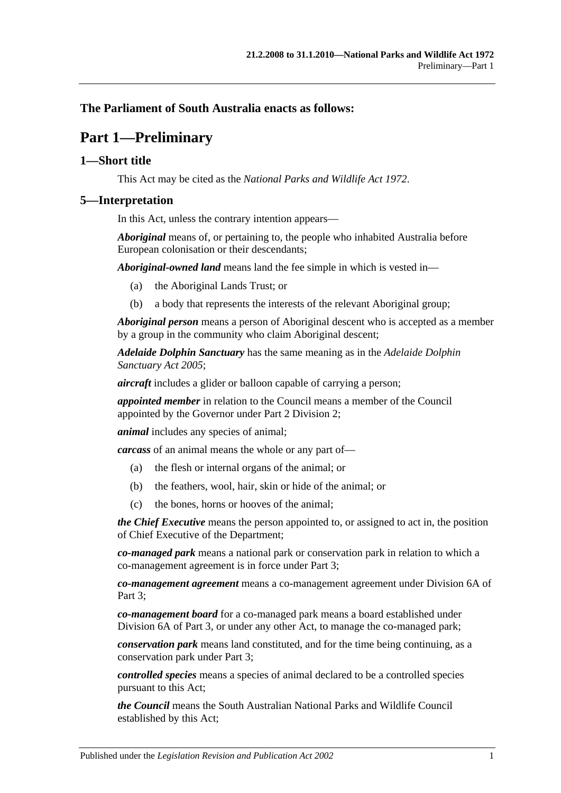## <span id="page-6-0"></span>**The Parliament of South Australia enacts as follows:**

# **Part 1—Preliminary**

## <span id="page-6-1"></span>**1—Short title**

This Act may be cited as the *National Parks and Wildlife Act 1972*.

#### <span id="page-6-2"></span>**5—Interpretation**

In this Act, unless the contrary intention appears—

*Aboriginal* means of, or pertaining to, the people who inhabited Australia before European colonisation or their descendants;

*Aboriginal-owned land* means land the fee simple in which is vested in—

- (a) the Aboriginal Lands Trust; or
- (b) a body that represents the interests of the relevant Aboriginal group;

*Aboriginal person* means a person of Aboriginal descent who is accepted as a member by a group in the community who claim Aboriginal descent;

*Adelaide Dolphin Sanctuary* has the same meaning as in the *[Adelaide Dolphin](http://www.legislation.sa.gov.au/index.aspx?action=legref&type=act&legtitle=Adelaide%20Dolphin%20Sanctuary%20Act%202005)  [Sanctuary Act](http://www.legislation.sa.gov.au/index.aspx?action=legref&type=act&legtitle=Adelaide%20Dolphin%20Sanctuary%20Act%202005) 2005*;

*aircraft* includes a glider or balloon capable of carrying a person;

*appointed member* in relation to the Council means a member of the Council appointed by the Governor under [Part 2 Division 2;](#page-12-1)

*animal* includes any species of animal;

*carcass* of an animal means the whole or any part of—

- (a) the flesh or internal organs of the animal; or
- (b) the feathers, wool, hair, skin or hide of the animal; or
- (c) the bones, horns or hooves of the animal;

*the Chief Executive* means the person appointed to, or assigned to act in, the position of Chief Executive of the Department;

*co-managed park* means a national park or conservation park in relation to which a co-management agreement is in force under [Part 3;](#page-24-0)

*co-management agreement* means a co-management agreement under [Division 6A](#page-37-2) of Part 3:

*co-management board* for a co-managed park means a board established under [Division 6A](#page-37-2) of [Part 3,](#page-24-0) or under any other Act, to manage the co-managed park;

*conservation park* means land constituted, and for the time being continuing, as a conservation park under [Part 3;](#page-24-0)

*controlled species* means a species of animal declared to be a controlled species pursuant to this Act;

*the Council* means the South Australian National Parks and Wildlife Council established by this Act;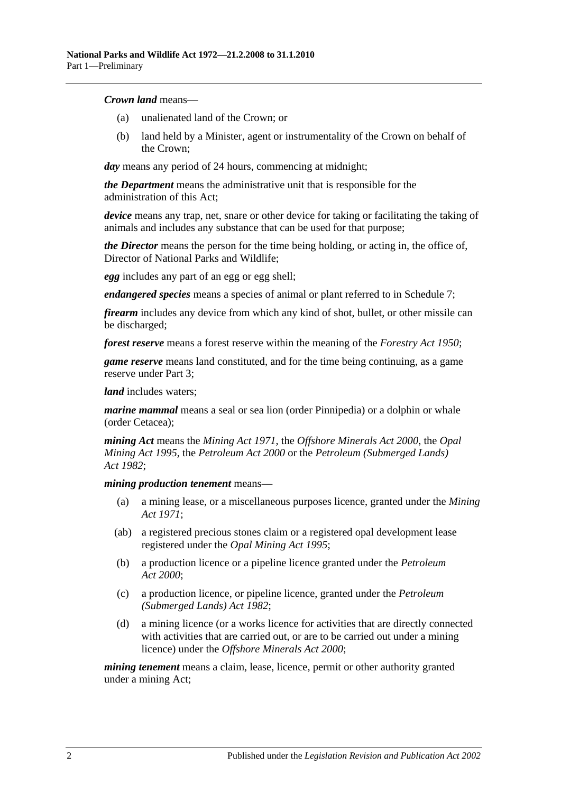#### *Crown land* means—

- (a) unalienated land of the Crown; or
- (b) land held by a Minister, agent or instrumentality of the Crown on behalf of the Crown;

*day* means any period of 24 hours, commencing at midnight;

*the Department* means the administrative unit that is responsible for the administration of this Act;

*device* means any trap, net, snare or other device for taking or facilitating the taking of animals and includes any substance that can be used for that purpose;

*the Director* means the person for the time being holding, or acting in, the office of, Director of National Parks and Wildlife;

*egg* includes any part of an egg or egg shell;

*endangered species* means a species of animal or plant referred to in [Schedule 7;](#page-91-0)

*firearm* includes any device from which any kind of shot, bullet, or other missile can be discharged;

*forest reserve* means a forest reserve within the meaning of the *[Forestry Act](http://www.legislation.sa.gov.au/index.aspx?action=legref&type=act&legtitle=Forestry%20Act%201950) 1950*;

*game reserve* means land constituted, and for the time being continuing, as a game reserve under [Part 3;](#page-24-0)

*land* includes waters;

*marine mammal* means a seal or sea lion (order Pinnipedia) or a dolphin or whale (order Cetacea);

*mining Act* means the *[Mining Act](http://www.legislation.sa.gov.au/index.aspx?action=legref&type=act&legtitle=Mining%20Act%201971) 1971*, the *[Offshore Minerals Act](http://www.legislation.sa.gov.au/index.aspx?action=legref&type=act&legtitle=Offshore%20Minerals%20Act%202000) 2000*, the *[Opal](http://www.legislation.sa.gov.au/index.aspx?action=legref&type=act&legtitle=Opal%20Mining%20Act%201995)  [Mining Act](http://www.legislation.sa.gov.au/index.aspx?action=legref&type=act&legtitle=Opal%20Mining%20Act%201995) 1995*, the *[Petroleum Act](http://www.legislation.sa.gov.au/index.aspx?action=legref&type=act&legtitle=Petroleum%20Act%202000) 2000* or the *[Petroleum \(Submerged Lands\)](http://www.legislation.sa.gov.au/index.aspx?action=legref&type=act&legtitle=Petroleum%20(Submerged%20Lands)%20Act%201982)  Act [1982](http://www.legislation.sa.gov.au/index.aspx?action=legref&type=act&legtitle=Petroleum%20(Submerged%20Lands)%20Act%201982)*;

#### *mining production tenement* means—

- (a) a mining lease, or a miscellaneous purposes licence, granted under the *[Mining](http://www.legislation.sa.gov.au/index.aspx?action=legref&type=act&legtitle=Mining%20Act%201971)  Act [1971](http://www.legislation.sa.gov.au/index.aspx?action=legref&type=act&legtitle=Mining%20Act%201971)*;
- (ab) a registered precious stones claim or a registered opal development lease registered under the *[Opal Mining Act](http://www.legislation.sa.gov.au/index.aspx?action=legref&type=act&legtitle=Opal%20Mining%20Act%201995) 1995*;
- (b) a production licence or a pipeline licence granted under the *[Petroleum](http://www.legislation.sa.gov.au/index.aspx?action=legref&type=act&legtitle=Petroleum%20Act%202000)  Act [2000](http://www.legislation.sa.gov.au/index.aspx?action=legref&type=act&legtitle=Petroleum%20Act%202000)*;
- (c) a production licence, or pipeline licence, granted under the *[Petroleum](http://www.legislation.sa.gov.au/index.aspx?action=legref&type=act&legtitle=Petroleum%20(Submerged%20Lands)%20Act%201982)  [\(Submerged Lands\) Act](http://www.legislation.sa.gov.au/index.aspx?action=legref&type=act&legtitle=Petroleum%20(Submerged%20Lands)%20Act%201982) 1982*;
- (d) a mining licence (or a works licence for activities that are directly connected with activities that are carried out, or are to be carried out under a mining licence) under the *[Offshore Minerals Act](http://www.legislation.sa.gov.au/index.aspx?action=legref&type=act&legtitle=Offshore%20Minerals%20Act%202000) 2000*;

*mining tenement* means a claim, lease, licence, permit or other authority granted under a mining Act;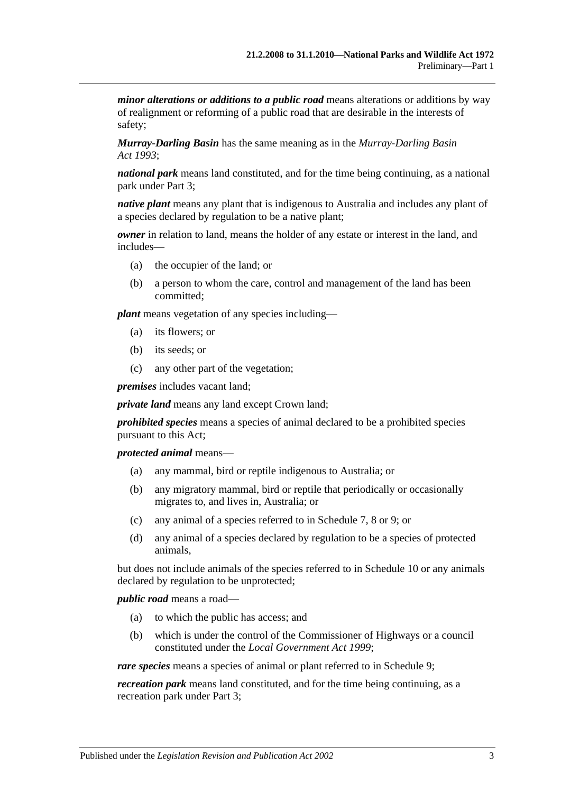*minor alterations or additions to a public road* means alterations or additions by way of realignment or reforming of a public road that are desirable in the interests of safety;

*Murray-Darling Basin* has the same meaning as in the *[Murray-Darling Basin](http://www.legislation.sa.gov.au/index.aspx?action=legref&type=act&legtitle=Murray-Darling%20Basin%20Act%201993)  Act [1993](http://www.legislation.sa.gov.au/index.aspx?action=legref&type=act&legtitle=Murray-Darling%20Basin%20Act%201993)*;

*national park* means land constituted, and for the time being continuing, as a national park under [Part 3;](#page-24-0)

*native plant* means any plant that is indigenous to Australia and includes any plant of a species declared by regulation to be a native plant;

*owner* in relation to land, means the holder of any estate or interest in the land, and includes—

- (a) the occupier of the land; or
- (b) a person to whom the care, control and management of the land has been committed;

*plant* means vegetation of any species including—

- (a) its flowers; or
- (b) its seeds; or
- (c) any other part of the vegetation;

*premises* includes vacant land;

*private land* means any land except Crown land;

*prohibited species* means a species of animal declared to be a prohibited species pursuant to this Act;

*protected animal* means—

- (a) any mammal, bird or reptile indigenous to Australia; or
- (b) any migratory mammal, bird or reptile that periodically or occasionally migrates to, and lives in, Australia; or
- (c) any animal of a species referred to in [Schedule 7,](#page-91-0) [8](#page-103-0) or [9;](#page-116-0) or
- (d) any animal of a species declared by regulation to be a species of protected animals,

but does not include animals of the species referred to in [Schedule 10](#page-139-0) or any animals declared by regulation to be unprotected;

*public road* means a road—

- (a) to which the public has access; and
- (b) which is under the control of the Commissioner of Highways or a council constituted under the *[Local Government Act](http://www.legislation.sa.gov.au/index.aspx?action=legref&type=act&legtitle=Local%20Government%20Act%201999) 1999*;

*rare species* means a species of animal or plant referred to in [Schedule 9;](#page-116-0)

*recreation park* means land constituted, and for the time being continuing, as a recreation park under [Part 3;](#page-24-0)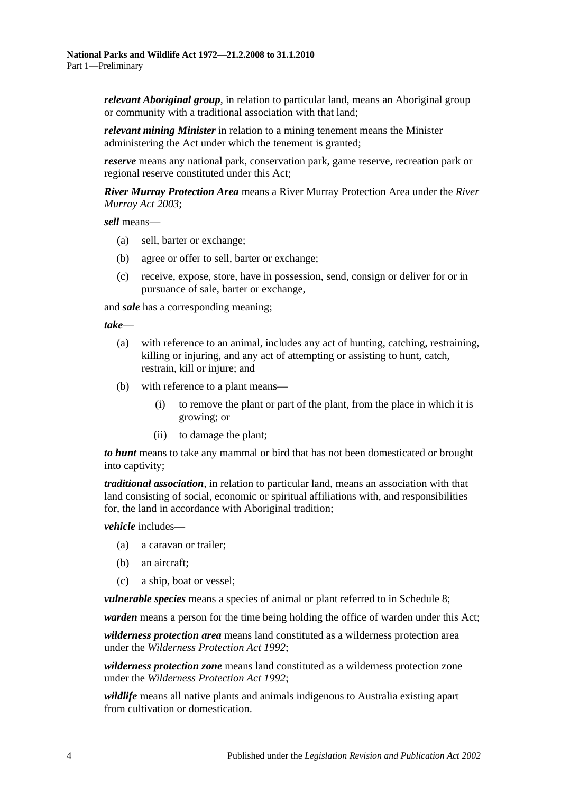*relevant Aboriginal group*, in relation to particular land, means an Aboriginal group or community with a traditional association with that land;

*relevant mining Minister* in relation to a mining tenement means the Minister administering the Act under which the tenement is granted;

*reserve* means any national park, conservation park, game reserve, recreation park or regional reserve constituted under this Act;

*River Murray Protection Area* means a River Murray Protection Area under the *[River](http://www.legislation.sa.gov.au/index.aspx?action=legref&type=act&legtitle=River%20Murray%20Act%202003)  [Murray Act](http://www.legislation.sa.gov.au/index.aspx?action=legref&type=act&legtitle=River%20Murray%20Act%202003) 2003*;

*sell* means—

- (a) sell, barter or exchange;
- (b) agree or offer to sell, barter or exchange;
- (c) receive, expose, store, have in possession, send, consign or deliver for or in pursuance of sale, barter or exchange,

and *sale* has a corresponding meaning;

*take*—

- (a) with reference to an animal, includes any act of hunting, catching, restraining, killing or injuring, and any act of attempting or assisting to hunt, catch, restrain, kill or injure; and
- (b) with reference to a plant means—
	- (i) to remove the plant or part of the plant, from the place in which it is growing; or
	- (ii) to damage the plant;

*to hunt* means to take any mammal or bird that has not been domesticated or brought into captivity;

*traditional association*, in relation to particular land, means an association with that land consisting of social, economic or spiritual affiliations with, and responsibilities for, the land in accordance with Aboriginal tradition;

*vehicle* includes—

- (a) a caravan or trailer;
- (b) an aircraft;
- (c) a ship, boat or vessel;

*vulnerable species* means a species of animal or plant referred to in [Schedule 8;](#page-103-0)

*warden* means a person for the time being holding the office of warden under this Act;

*wilderness protection area* means land constituted as a wilderness protection area under the *[Wilderness Protection Act](http://www.legislation.sa.gov.au/index.aspx?action=legref&type=act&legtitle=Wilderness%20Protection%20Act%201992) 1992*;

*wilderness protection zone* means land constituted as a wilderness protection zone under the *[Wilderness Protection Act](http://www.legislation.sa.gov.au/index.aspx?action=legref&type=act&legtitle=Wilderness%20Protection%20Act%201992) 1992*;

*wildlife* means all native plants and animals indigenous to Australia existing apart from cultivation or domestication.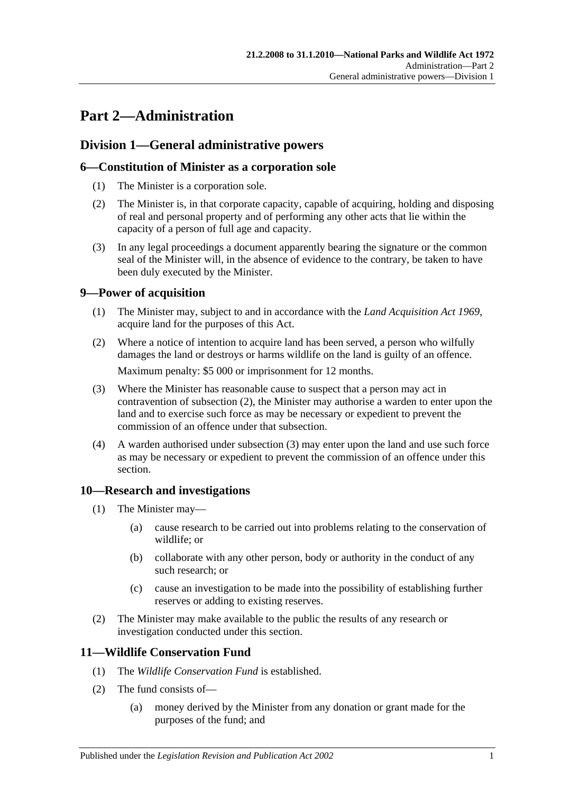# <span id="page-10-0"></span>**Part 2—Administration**

# <span id="page-10-1"></span>**Division 1—General administrative powers**

## <span id="page-10-2"></span>**6—Constitution of Minister as a corporation sole**

- (1) The Minister is a corporation sole.
- (2) The Minister is, in that corporate capacity, capable of acquiring, holding and disposing of real and personal property and of performing any other acts that lie within the capacity of a person of full age and capacity.
- (3) In any legal proceedings a document apparently bearing the signature or the common seal of the Minister will, in the absence of evidence to the contrary, be taken to have been duly executed by the Minister.

## <span id="page-10-3"></span>**9—Power of acquisition**

- (1) The Minister may, subject to and in accordance with the *[Land Acquisition Act](http://www.legislation.sa.gov.au/index.aspx?action=legref&type=act&legtitle=Land%20Acquisition%20Act%201969) 1969*, acquire land for the purposes of this Act.
- <span id="page-10-6"></span>(2) Where a notice of intention to acquire land has been served, a person who wilfully damages the land or destroys or harms wildlife on the land is guilty of an offence. Maximum penalty: \$5 000 or imprisonment for 12 months.
- <span id="page-10-7"></span>(3) Where the Minister has reasonable cause to suspect that a person may act in contravention of [subsection](#page-10-6) (2), the Minister may authorise a warden to enter upon the land and to exercise such force as may be necessary or expedient to prevent the commission of an offence under that subsection.
- (4) A warden authorised under [subsection](#page-10-7) (3) may enter upon the land and use such force as may be necessary or expedient to prevent the commission of an offence under this section.

## <span id="page-10-4"></span>**10—Research and investigations**

- (1) The Minister may—
	- (a) cause research to be carried out into problems relating to the conservation of wildlife; or
	- (b) collaborate with any other person, body or authority in the conduct of any such research; or
	- (c) cause an investigation to be made into the possibility of establishing further reserves or adding to existing reserves.
- (2) The Minister may make available to the public the results of any research or investigation conducted under this section.

## <span id="page-10-5"></span>**11—Wildlife Conservation Fund**

- (1) The *Wildlife Conservation Fund* is established.
- (2) The fund consists of—
	- (a) money derived by the Minister from any donation or grant made for the purposes of the fund; and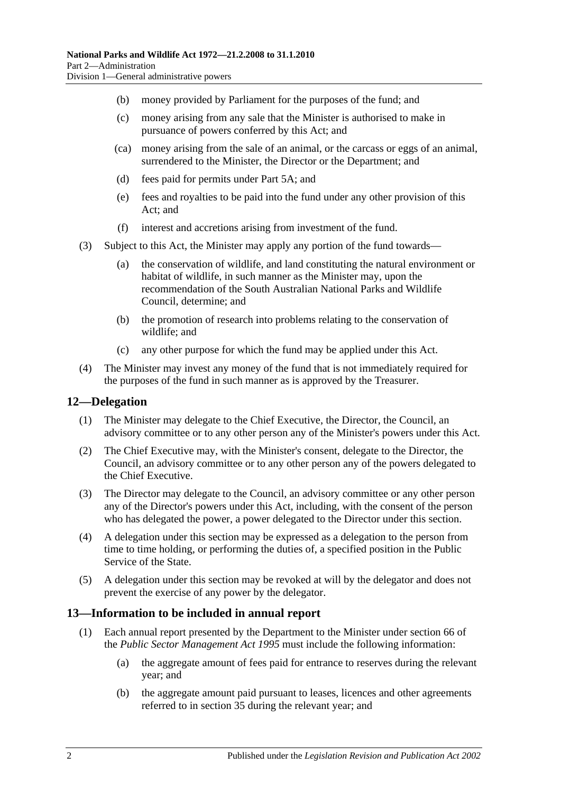- (b) money provided by Parliament for the purposes of the fund; and
- (c) money arising from any sale that the Minister is authorised to make in pursuance of powers conferred by this Act; and
- (ca) money arising from the sale of an animal, or the carcass or eggs of an animal, surrendered to the Minister, the Director or the Department; and
- (d) fees paid for permits under [Part 5A;](#page-70-0) and
- (e) fees and royalties to be paid into the fund under any other provision of this Act; and
- (f) interest and accretions arising from investment of the fund.
- (3) Subject to this Act, the Minister may apply any portion of the fund towards—
	- (a) the conservation of wildlife, and land constituting the natural environment or habitat of wildlife, in such manner as the Minister may, upon the recommendation of the South Australian National Parks and Wildlife Council, determine; and
	- (b) the promotion of research into problems relating to the conservation of wildlife; and
	- (c) any other purpose for which the fund may be applied under this Act.
- (4) The Minister may invest any money of the fund that is not immediately required for the purposes of the fund in such manner as is approved by the Treasurer.

## <span id="page-11-0"></span>**12—Delegation**

- (1) The Minister may delegate to the Chief Executive, the Director, the Council, an advisory committee or to any other person any of the Minister's powers under this Act.
- (2) The Chief Executive may, with the Minister's consent, delegate to the Director, the Council, an advisory committee or to any other person any of the powers delegated to the Chief Executive.
- (3) The Director may delegate to the Council, an advisory committee or any other person any of the Director's powers under this Act, including, with the consent of the person who has delegated the power, a power delegated to the Director under this section.
- (4) A delegation under this section may be expressed as a delegation to the person from time to time holding, or performing the duties of, a specified position in the Public Service of the State.
- (5) A delegation under this section may be revoked at will by the delegator and does not prevent the exercise of any power by the delegator.

## <span id="page-11-2"></span><span id="page-11-1"></span>**13—Information to be included in annual report**

- (1) Each annual report presented by the Department to the Minister under section 66 of the *[Public Sector Management Act](http://www.legislation.sa.gov.au/index.aspx?action=legref&type=act&legtitle=Public%20Sector%20Management%20Act%201995) 1995* must include the following information:
	- (a) the aggregate amount of fees paid for entrance to reserves during the relevant year; and
	- (b) the aggregate amount paid pursuant to leases, licences and other agreements referred to in [section](#page-29-1) 35 during the relevant year; and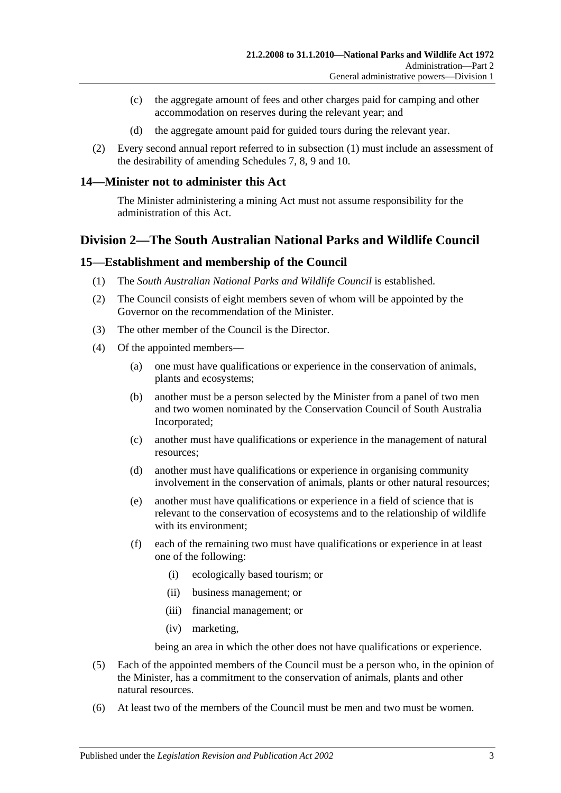- (c) the aggregate amount of fees and other charges paid for camping and other accommodation on reserves during the relevant year; and
- (d) the aggregate amount paid for guided tours during the relevant year.
- (2) Every second annual report referred to in [subsection](#page-11-2) (1) must include an assessment of the desirability of amending [Schedules 7,](#page-91-0) [8,](#page-103-0) [9](#page-116-0) and [10.](#page-139-0)

#### <span id="page-12-0"></span>**14—Minister not to administer this Act**

The Minister administering a mining Act must not assume responsibility for the administration of this Act.

## <span id="page-12-1"></span>**Division 2—The South Australian National Parks and Wildlife Council**

#### <span id="page-12-2"></span>**15—Establishment and membership of the Council**

- (1) The *South Australian National Parks and Wildlife Council* is established.
- (2) The Council consists of eight members seven of whom will be appointed by the Governor on the recommendation of the Minister.
- (3) The other member of the Council is the Director.
- (4) Of the appointed members—
	- (a) one must have qualifications or experience in the conservation of animals, plants and ecosystems;
	- (b) another must be a person selected by the Minister from a panel of two men and two women nominated by the Conservation Council of South Australia Incorporated;
	- (c) another must have qualifications or experience in the management of natural resources;
	- (d) another must have qualifications or experience in organising community involvement in the conservation of animals, plants or other natural resources;
	- (e) another must have qualifications or experience in a field of science that is relevant to the conservation of ecosystems and to the relationship of wildlife with its environment;
	- (f) each of the remaining two must have qualifications or experience in at least one of the following:
		- (i) ecologically based tourism; or
		- (ii) business management; or
		- (iii) financial management; or
		- (iv) marketing,

being an area in which the other does not have qualifications or experience.

- (5) Each of the appointed members of the Council must be a person who, in the opinion of the Minister, has a commitment to the conservation of animals, plants and other natural resources.
- (6) At least two of the members of the Council must be men and two must be women.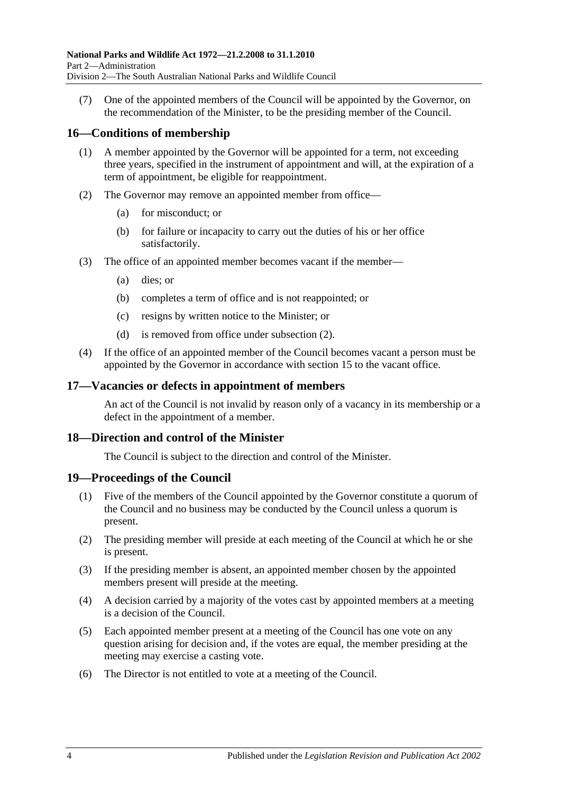(7) One of the appointed members of the Council will be appointed by the Governor, on the recommendation of the Minister, to be the presiding member of the Council.

## <span id="page-13-0"></span>**16—Conditions of membership**

- (1) A member appointed by the Governor will be appointed for a term, not exceeding three years, specified in the instrument of appointment and will, at the expiration of a term of appointment, be eligible for reappointment.
- <span id="page-13-4"></span>(2) The Governor may remove an appointed member from office—
	- (a) for misconduct; or
	- (b) for failure or incapacity to carry out the duties of his or her office satisfactorily.
- (3) The office of an appointed member becomes vacant if the member—
	- (a) dies; or
	- (b) completes a term of office and is not reappointed; or
	- (c) resigns by written notice to the Minister; or
	- (d) is removed from office under [subsection](#page-13-4) (2).
- (4) If the office of an appointed member of the Council becomes vacant a person must be appointed by the Governor in accordance with [section](#page-12-2) 15 to the vacant office.

## <span id="page-13-1"></span>**17—Vacancies or defects in appointment of members**

An act of the Council is not invalid by reason only of a vacancy in its membership or a defect in the appointment of a member.

## <span id="page-13-2"></span>**18—Direction and control of the Minister**

The Council is subject to the direction and control of the Minister.

## <span id="page-13-3"></span>**19—Proceedings of the Council**

- (1) Five of the members of the Council appointed by the Governor constitute a quorum of the Council and no business may be conducted by the Council unless a quorum is present.
- (2) The presiding member will preside at each meeting of the Council at which he or she is present.
- (3) If the presiding member is absent, an appointed member chosen by the appointed members present will preside at the meeting.
- (4) A decision carried by a majority of the votes cast by appointed members at a meeting is a decision of the Council.
- (5) Each appointed member present at a meeting of the Council has one vote on any question arising for decision and, if the votes are equal, the member presiding at the meeting may exercise a casting vote.
- (6) The Director is not entitled to vote at a meeting of the Council.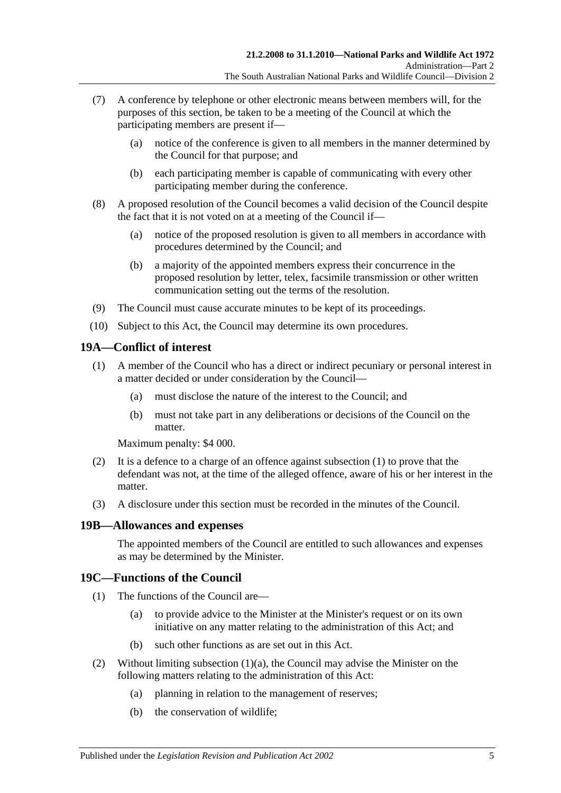- (7) A conference by telephone or other electronic means between members will, for the purposes of this section, be taken to be a meeting of the Council at which the participating members are present if—
	- (a) notice of the conference is given to all members in the manner determined by the Council for that purpose; and
	- (b) each participating member is capable of communicating with every other participating member during the conference.
- (8) A proposed resolution of the Council becomes a valid decision of the Council despite the fact that it is not voted on at a meeting of the Council if—
	- (a) notice of the proposed resolution is given to all members in accordance with procedures determined by the Council; and
	- (b) a majority of the appointed members express their concurrence in the proposed resolution by letter, telex, facsimile transmission or other written communication setting out the terms of the resolution.
- (9) The Council must cause accurate minutes to be kept of its proceedings.
- (10) Subject to this Act, the Council may determine its own procedures.

## <span id="page-14-3"></span><span id="page-14-0"></span>**19A—Conflict of interest**

- (1) A member of the Council who has a direct or indirect pecuniary or personal interest in a matter decided or under consideration by the Council—
	- (a) must disclose the nature of the interest to the Council; and
	- (b) must not take part in any deliberations or decisions of the Council on the matter.

Maximum penalty: \$4 000.

- (2) It is a defence to a charge of an offence against [subsection](#page-14-3)  $(1)$  to prove that the defendant was not, at the time of the alleged offence, aware of his or her interest in the matter.
- (3) A disclosure under this section must be recorded in the minutes of the Council.

## <span id="page-14-1"></span>**19B—Allowances and expenses**

The appointed members of the Council are entitled to such allowances and expenses as may be determined by the Minister.

## <span id="page-14-2"></span>**19C—Functions of the Council**

- <span id="page-14-4"></span>(1) The functions of the Council are—
	- (a) to provide advice to the Minister at the Minister's request or on its own initiative on any matter relating to the administration of this Act; and
	- (b) such other functions as are set out in this Act.
- (2) Without limiting [subsection](#page-14-4)  $(1)(a)$ , the Council may advise the Minister on the following matters relating to the administration of this Act:
	- (a) planning in relation to the management of reserves;
	- (b) the conservation of wildlife;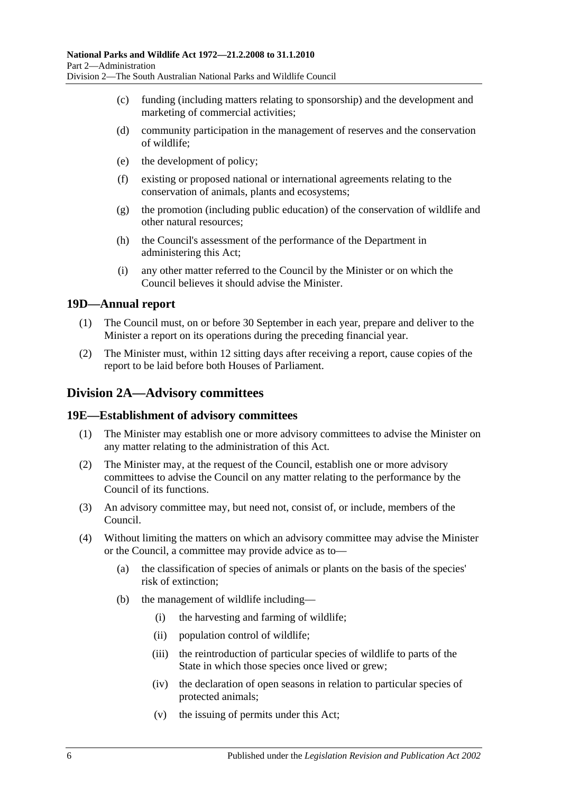- (c) funding (including matters relating to sponsorship) and the development and marketing of commercial activities;
- (d) community participation in the management of reserves and the conservation of wildlife;
- (e) the development of policy;
- (f) existing or proposed national or international agreements relating to the conservation of animals, plants and ecosystems;
- (g) the promotion (including public education) of the conservation of wildlife and other natural resources;
- (h) the Council's assessment of the performance of the Department in administering this Act;
- (i) any other matter referred to the Council by the Minister or on which the Council believes it should advise the Minister.

#### <span id="page-15-0"></span>**19D—Annual report**

- (1) The Council must, on or before 30 September in each year, prepare and deliver to the Minister a report on its operations during the preceding financial year.
- (2) The Minister must, within 12 sitting days after receiving a report, cause copies of the report to be laid before both Houses of Parliament.

## <span id="page-15-1"></span>**Division 2A—Advisory committees**

#### <span id="page-15-2"></span>**19E—Establishment of advisory committees**

- (1) The Minister may establish one or more advisory committees to advise the Minister on any matter relating to the administration of this Act.
- (2) The Minister may, at the request of the Council, establish one or more advisory committees to advise the Council on any matter relating to the performance by the Council of its functions.
- (3) An advisory committee may, but need not, consist of, or include, members of the Council.
- (4) Without limiting the matters on which an advisory committee may advise the Minister or the Council, a committee may provide advice as to—
	- (a) the classification of species of animals or plants on the basis of the species' risk of extinction;
	- (b) the management of wildlife including—
		- (i) the harvesting and farming of wildlife;
		- (ii) population control of wildlife;
		- (iii) the reintroduction of particular species of wildlife to parts of the State in which those species once lived or grew;
		- (iv) the declaration of open seasons in relation to particular species of protected animals;
		- (v) the issuing of permits under this Act;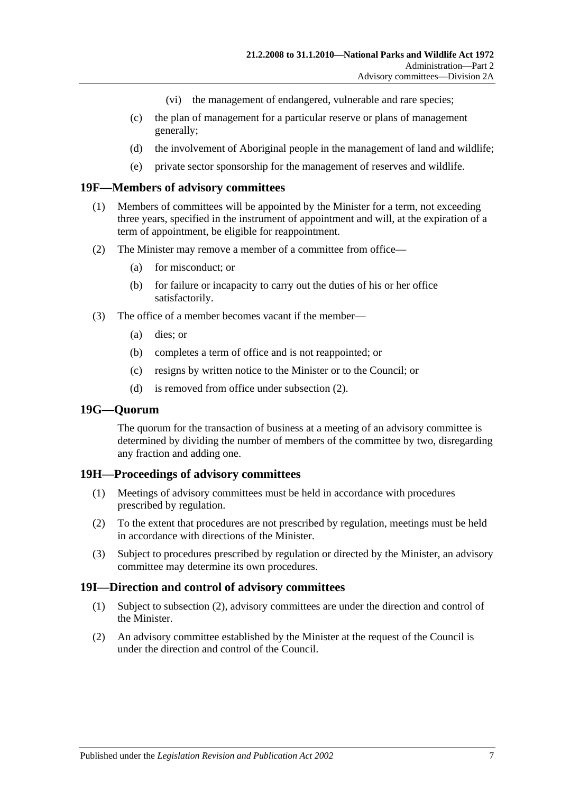- (vi) the management of endangered, vulnerable and rare species;
- (c) the plan of management for a particular reserve or plans of management generally;
- (d) the involvement of Aboriginal people in the management of land and wildlife;
- (e) private sector sponsorship for the management of reserves and wildlife.

#### <span id="page-16-0"></span>**19F—Members of advisory committees**

- (1) Members of committees will be appointed by the Minister for a term, not exceeding three years, specified in the instrument of appointment and will, at the expiration of a term of appointment, be eligible for reappointment.
- <span id="page-16-4"></span>(2) The Minister may remove a member of a committee from office—
	- (a) for misconduct; or
	- (b) for failure or incapacity to carry out the duties of his or her office satisfactorily.
- (3) The office of a member becomes vacant if the member—
	- (a) dies; or
	- (b) completes a term of office and is not reappointed; or
	- (c) resigns by written notice to the Minister or to the Council; or
	- (d) is removed from office under [subsection](#page-16-4) (2).

#### <span id="page-16-1"></span>**19G—Quorum**

The quorum for the transaction of business at a meeting of an advisory committee is determined by dividing the number of members of the committee by two, disregarding any fraction and adding one.

#### <span id="page-16-2"></span>**19H—Proceedings of advisory committees**

- (1) Meetings of advisory committees must be held in accordance with procedures prescribed by regulation.
- (2) To the extent that procedures are not prescribed by regulation, meetings must be held in accordance with directions of the Minister.
- (3) Subject to procedures prescribed by regulation or directed by the Minister, an advisory committee may determine its own procedures.

#### <span id="page-16-3"></span>**19I—Direction and control of advisory committees**

- (1) Subject to [subsection](#page-16-5) (2), advisory committees are under the direction and control of the Minister.
- <span id="page-16-5"></span>(2) An advisory committee established by the Minister at the request of the Council is under the direction and control of the Council.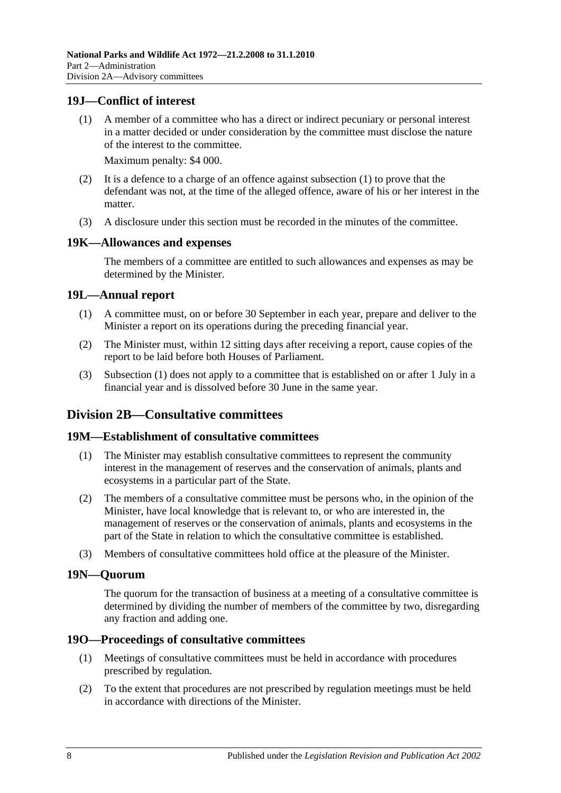## <span id="page-17-7"></span><span id="page-17-0"></span>**19J—Conflict of interest**

(1) A member of a committee who has a direct or indirect pecuniary or personal interest in a matter decided or under consideration by the committee must disclose the nature of the interest to the committee.

Maximum penalty: \$4 000.

- (2) It is a defence to a charge of an offence against [subsection](#page-17-7) (1) to prove that the defendant was not, at the time of the alleged offence, aware of his or her interest in the matter.
- (3) A disclosure under this section must be recorded in the minutes of the committee.

## <span id="page-17-1"></span>**19K—Allowances and expenses**

The members of a committee are entitled to such allowances and expenses as may be determined by the Minister.

#### <span id="page-17-8"></span><span id="page-17-2"></span>**19L—Annual report**

- (1) A committee must, on or before 30 September in each year, prepare and deliver to the Minister a report on its operations during the preceding financial year.
- (2) The Minister must, within 12 sitting days after receiving a report, cause copies of the report to be laid before both Houses of Parliament.
- (3) [Subsection](#page-17-8) (1) does not apply to a committee that is established on or after 1 July in a financial year and is dissolved before 30 June in the same year.

## <span id="page-17-3"></span>**Division 2B—Consultative committees**

#### <span id="page-17-4"></span>**19M—Establishment of consultative committees**

- (1) The Minister may establish consultative committees to represent the community interest in the management of reserves and the conservation of animals, plants and ecosystems in a particular part of the State.
- (2) The members of a consultative committee must be persons who, in the opinion of the Minister, have local knowledge that is relevant to, or who are interested in, the management of reserves or the conservation of animals, plants and ecosystems in the part of the State in relation to which the consultative committee is established.
- (3) Members of consultative committees hold office at the pleasure of the Minister.

#### <span id="page-17-5"></span>**19N—Quorum**

The quorum for the transaction of business at a meeting of a consultative committee is determined by dividing the number of members of the committee by two, disregarding any fraction and adding one.

#### <span id="page-17-6"></span>**19O—Proceedings of consultative committees**

- (1) Meetings of consultative committees must be held in accordance with procedures prescribed by regulation.
- (2) To the extent that procedures are not prescribed by regulation meetings must be held in accordance with directions of the Minister.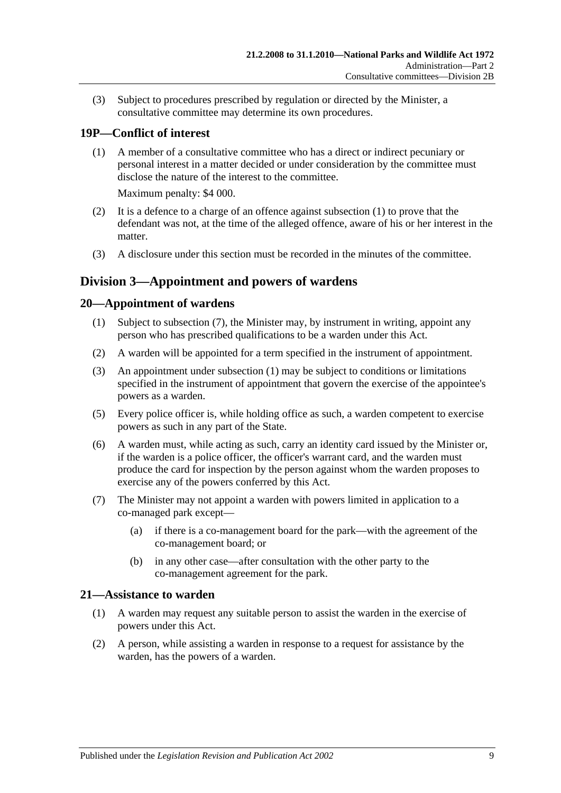(3) Subject to procedures prescribed by regulation or directed by the Minister, a consultative committee may determine its own procedures.

# <span id="page-18-4"></span><span id="page-18-0"></span>**19P—Conflict of interest**

(1) A member of a consultative committee who has a direct or indirect pecuniary or personal interest in a matter decided or under consideration by the committee must disclose the nature of the interest to the committee.

Maximum penalty: \$4 000.

- (2) It is a defence to a charge of an offence against [subsection](#page-18-4) (1) to prove that the defendant was not, at the time of the alleged offence, aware of his or her interest in the matter.
- (3) A disclosure under this section must be recorded in the minutes of the committee.

## <span id="page-18-1"></span>**Division 3—Appointment and powers of wardens**

## <span id="page-18-6"></span><span id="page-18-2"></span>**20—Appointment of wardens**

- (1) Subject to [subsection](#page-18-5) (7), the Minister may, by instrument in writing, appoint any person who has prescribed qualifications to be a warden under this Act.
- (2) A warden will be appointed for a term specified in the instrument of appointment.
- (3) An appointment under [subsection](#page-18-6) (1) may be subject to conditions or limitations specified in the instrument of appointment that govern the exercise of the appointee's powers as a warden.
- (5) Every police officer is, while holding office as such, a warden competent to exercise powers as such in any part of the State.
- (6) A warden must, while acting as such, carry an identity card issued by the Minister or, if the warden is a police officer, the officer's warrant card, and the warden must produce the card for inspection by the person against whom the warden proposes to exercise any of the powers conferred by this Act.
- <span id="page-18-5"></span>(7) The Minister may not appoint a warden with powers limited in application to a co-managed park except—
	- (a) if there is a co-management board for the park—with the agreement of the co-management board; or
	- (b) in any other case—after consultation with the other party to the co-management agreement for the park.

## <span id="page-18-3"></span>**21—Assistance to warden**

- (1) A warden may request any suitable person to assist the warden in the exercise of powers under this Act.
- (2) A person, while assisting a warden in response to a request for assistance by the warden, has the powers of a warden.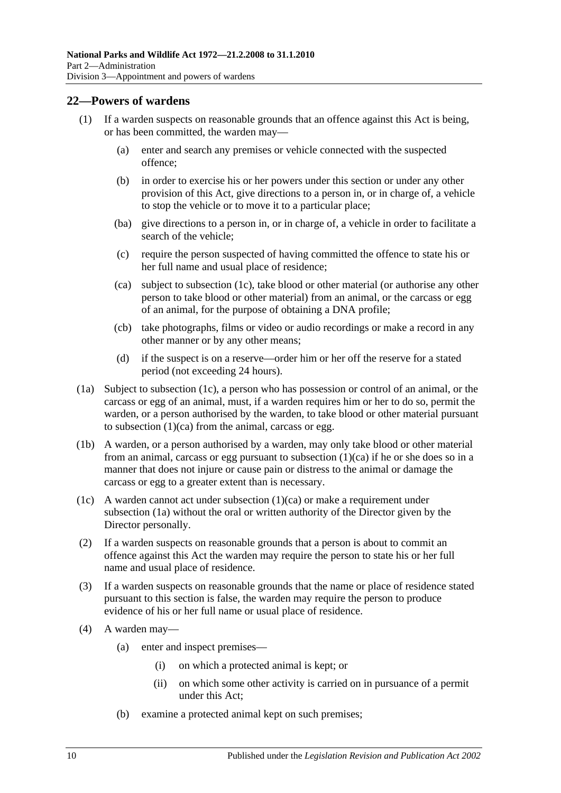### <span id="page-19-0"></span>**22—Powers of wardens**

- (1) If a warden suspects on reasonable grounds that an offence against this Act is being, or has been committed, the warden may—
	- (a) enter and search any premises or vehicle connected with the suspected offence;
	- (b) in order to exercise his or her powers under this section or under any other provision of this Act, give directions to a person in, or in charge of, a vehicle to stop the vehicle or to move it to a particular place;
	- (ba) give directions to a person in, or in charge of, a vehicle in order to facilitate a search of the vehicle;
	- (c) require the person suspected of having committed the offence to state his or her full name and usual place of residence;
	- (ca) subject to [subsection](#page-19-1) (1c), take blood or other material (or authorise any other person to take blood or other material) from an animal, or the carcass or egg of an animal, for the purpose of obtaining a DNA profile;
	- (cb) take photographs, films or video or audio recordings or make a record in any other manner or by any other means;
	- (d) if the suspect is on a reserve—order him or her off the reserve for a stated period (not exceeding 24 hours).
- <span id="page-19-3"></span><span id="page-19-2"></span>(1a) Subject to [subsection](#page-19-1) (1c), a person who has possession or control of an animal, or the carcass or egg of an animal, must, if a warden requires him or her to do so, permit the warden, or a person authorised by the warden, to take blood or other material pursuant to [subsection](#page-19-2)  $(1)(ca)$  from the animal, carcass or egg.
- (1b) A warden, or a person authorised by a warden, may only take blood or other material from an animal, carcass or egg pursuant to [subsection](#page-19-2) (1)(ca) if he or she does so in a manner that does not injure or cause pain or distress to the animal or damage the carcass or egg to a greater extent than is necessary.
- <span id="page-19-1"></span>(1c) A warden cannot act under [subsection](#page-19-2) (1)(ca) or make a requirement under [subsection](#page-19-3) (1a) without the oral or written authority of the Director given by the Director personally.
- (2) If a warden suspects on reasonable grounds that a person is about to commit an offence against this Act the warden may require the person to state his or her full name and usual place of residence.
- (3) If a warden suspects on reasonable grounds that the name or place of residence stated pursuant to this section is false, the warden may require the person to produce evidence of his or her full name or usual place of residence.
- (4) A warden may—
	- (a) enter and inspect premises—
		- (i) on which a protected animal is kept; or
		- (ii) on which some other activity is carried on in pursuance of a permit under this Act;
	- (b) examine a protected animal kept on such premises;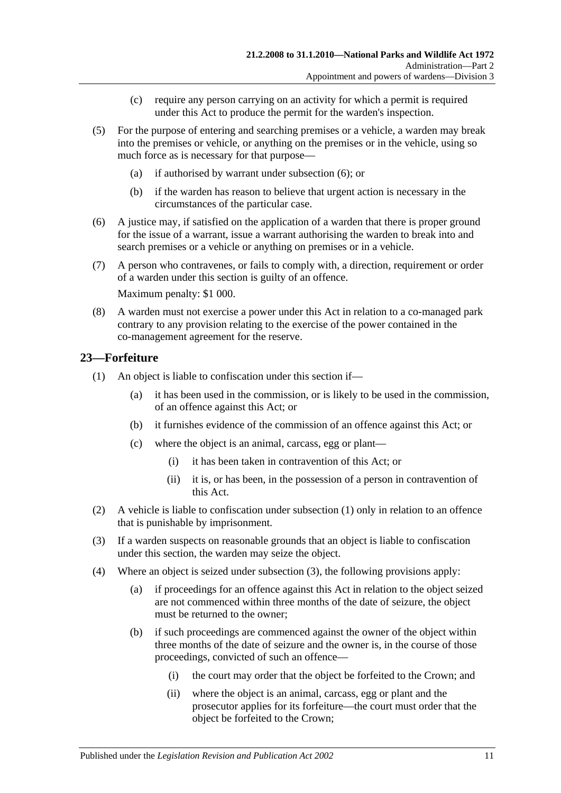- (c) require any person carrying on an activity for which a permit is required under this Act to produce the permit for the warden's inspection.
- (5) For the purpose of entering and searching premises or a vehicle, a warden may break into the premises or vehicle, or anything on the premises or in the vehicle, using so much force as is necessary for that purpose—
	- (a) if authorised by warrant under [subsection](#page-20-1) (6); or
	- (b) if the warden has reason to believe that urgent action is necessary in the circumstances of the particular case.
- <span id="page-20-1"></span>(6) A justice may, if satisfied on the application of a warden that there is proper ground for the issue of a warrant, issue a warrant authorising the warden to break into and search premises or a vehicle or anything on premises or in a vehicle.
- (7) A person who contravenes, or fails to comply with, a direction, requirement or order of a warden under this section is guilty of an offence.

Maximum penalty: \$1 000.

(8) A warden must not exercise a power under this Act in relation to a co-managed park contrary to any provision relating to the exercise of the power contained in the co-management agreement for the reserve.

## <span id="page-20-2"></span><span id="page-20-0"></span>**23—Forfeiture**

- <span id="page-20-6"></span>(1) An object is liable to confiscation under this section if—
	- (a) it has been used in the commission, or is likely to be used in the commission, of an offence against this Act; or
	- (b) it furnishes evidence of the commission of an offence against this Act; or
	- (c) where the object is an animal, carcass, egg or plant—
		- (i) it has been taken in contravention of this Act; or
		- (ii) it is, or has been, in the possession of a person in contravention of this Act.
- (2) A vehicle is liable to confiscation under [subsection](#page-20-2) (1) only in relation to an offence that is punishable by imprisonment.
- <span id="page-20-3"></span>(3) If a warden suspects on reasonable grounds that an object is liable to confiscation under this section, the warden may seize the object.
- <span id="page-20-5"></span><span id="page-20-4"></span>(4) Where an object is seized under [subsection](#page-20-3) (3), the following provisions apply:
	- (a) if proceedings for an offence against this Act in relation to the object seized are not commenced within three months of the date of seizure, the object must be returned to the owner;
	- (b) if such proceedings are commenced against the owner of the object within three months of the date of seizure and the owner is, in the course of those proceedings, convicted of such an offence—
		- (i) the court may order that the object be forfeited to the Crown; and
		- (ii) where the object is an animal, carcass, egg or plant and the prosecutor applies for its forfeiture—the court must order that the object be forfeited to the Crown;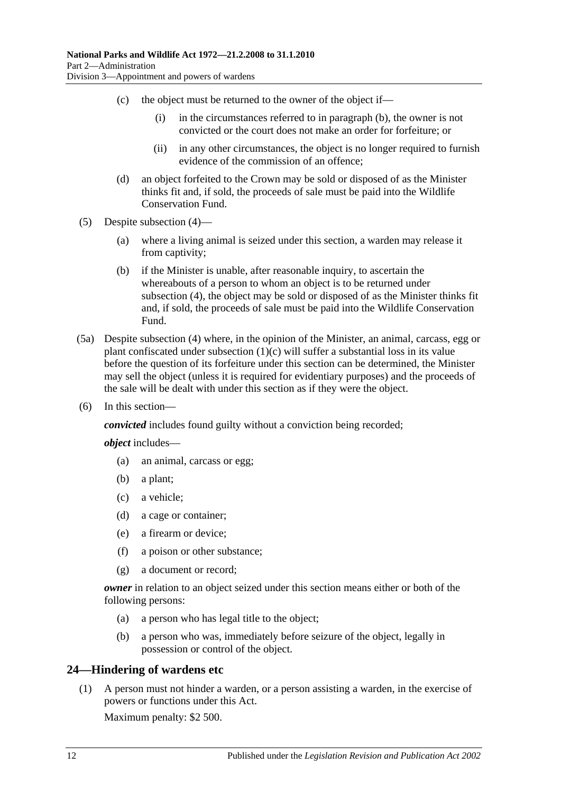- (c) the object must be returned to the owner of the object if—
	- (i) in the circumstances referred to in [paragraph](#page-20-4) (b), the owner is not convicted or the court does not make an order for forfeiture; or
	- (ii) in any other circumstances, the object is no longer required to furnish evidence of the commission of an offence;
- (d) an object forfeited to the Crown may be sold or disposed of as the Minister thinks fit and, if sold, the proceeds of sale must be paid into the Wildlife Conservation Fund.
- (5) Despite [subsection](#page-20-5) (4)—
	- (a) where a living animal is seized under this section, a warden may release it from captivity;
	- (b) if the Minister is unable, after reasonable inquiry, to ascertain the whereabouts of a person to whom an object is to be returned under [subsection](#page-20-5) (4), the object may be sold or disposed of as the Minister thinks fit and, if sold, the proceeds of sale must be paid into the Wildlife Conservation Fund.
- (5a) Despite [subsection](#page-20-5) (4) where, in the opinion of the Minister, an animal, carcass, egg or plant confiscated under [subsection](#page-20-6) (1)(c) will suffer a substantial loss in its value before the question of its forfeiture under this section can be determined, the Minister may sell the object (unless it is required for evidentiary purposes) and the proceeds of the sale will be dealt with under this section as if they were the object.
- (6) In this section—

*convicted* includes found guilty without a conviction being recorded;

*object* includes—

- (a) an animal, carcass or egg;
- (b) a plant;
- (c) a vehicle;
- (d) a cage or container;
- (e) a firearm or device;
- (f) a poison or other substance;
- (g) a document or record;

*owner* in relation to an object seized under this section means either or both of the following persons:

- (a) a person who has legal title to the object;
- (b) a person who was, immediately before seizure of the object, legally in possession or control of the object.

## <span id="page-21-0"></span>**24—Hindering of wardens etc**

(1) A person must not hinder a warden, or a person assisting a warden, in the exercise of powers or functions under this Act.

Maximum penalty: \$2 500.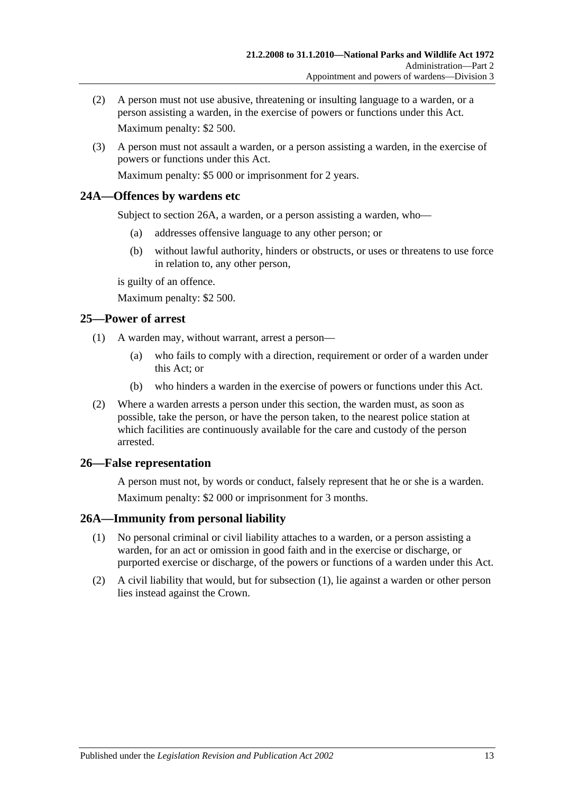- (2) A person must not use abusive, threatening or insulting language to a warden, or a person assisting a warden, in the exercise of powers or functions under this Act. Maximum penalty: \$2 500.
- (3) A person must not assault a warden, or a person assisting a warden, in the exercise of powers or functions under this Act.

Maximum penalty: \$5 000 or imprisonment for 2 years.

## <span id="page-22-0"></span>**24A—Offences by wardens etc**

Subject to [section](#page-22-3) 26A, a warden, or a person assisting a warden, who—

- (a) addresses offensive language to any other person; or
- (b) without lawful authority, hinders or obstructs, or uses or threatens to use force in relation to, any other person,

is guilty of an offence.

Maximum penalty: \$2 500.

## <span id="page-22-1"></span>**25—Power of arrest**

- (1) A warden may, without warrant, arrest a person—
	- (a) who fails to comply with a direction, requirement or order of a warden under this Act; or
	- (b) who hinders a warden in the exercise of powers or functions under this Act.
- (2) Where a warden arrests a person under this section, the warden must, as soon as possible, take the person, or have the person taken, to the nearest police station at which facilities are continuously available for the care and custody of the person arrested.

## <span id="page-22-2"></span>**26—False representation**

A person must not, by words or conduct, falsely represent that he or she is a warden. Maximum penalty: \$2 000 or imprisonment for 3 months.

## <span id="page-22-4"></span><span id="page-22-3"></span>**26A—Immunity from personal liability**

- (1) No personal criminal or civil liability attaches to a warden, or a person assisting a warden, for an act or omission in good faith and in the exercise or discharge, or purported exercise or discharge, of the powers or functions of a warden under this Act.
- (2) A civil liability that would, but for [subsection](#page-22-4) (1), lie against a warden or other person lies instead against the Crown.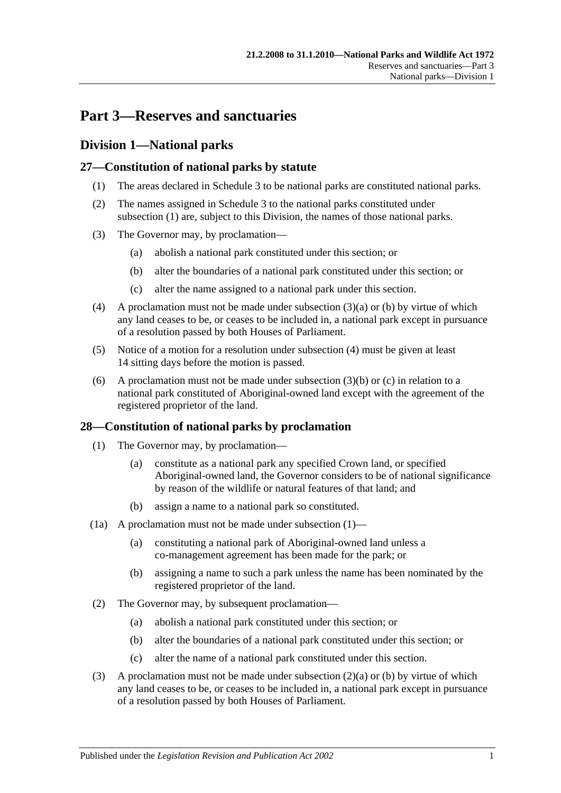# <span id="page-24-0"></span>**Part 3—Reserves and sanctuaries**

## <span id="page-24-1"></span>**Division 1—National parks**

## <span id="page-24-4"></span><span id="page-24-2"></span>**27—Constitution of national parks by statute**

- (1) The areas declared in [Schedule 3](#page-84-0) to be national parks are constituted national parks.
- (2) The names assigned in [Schedule 3](#page-84-0) to the national parks constituted under [subsection](#page-24-4) (1) are, subject to this Division, the names of those national parks.
- <span id="page-24-6"></span><span id="page-24-5"></span>(3) The Governor may, by proclamation—
	- (a) abolish a national park constituted under this section; or
	- (b) alter the boundaries of a national park constituted under this section; or
	- (c) alter the name assigned to a national park under this section.
- <span id="page-24-8"></span><span id="page-24-7"></span>(4) A proclamation must not be made under [subsection](#page-24-5)  $(3)(a)$  or [\(b\)](#page-24-6) by virtue of which any land ceases to be, or ceases to be included in, a national park except in pursuance of a resolution passed by both Houses of Parliament.
- (5) Notice of a motion for a resolution under [subsection](#page-24-7) (4) must be given at least 14 sitting days before the motion is passed.
- (6) A proclamation must not be made under [subsection](#page-24-6)  $(3)(b)$  or  $(c)$  in relation to a national park constituted of Aboriginal-owned land except with the agreement of the registered proprietor of the land.

## <span id="page-24-9"></span><span id="page-24-3"></span>**28—Constitution of national parks by proclamation**

- (1) The Governor may, by proclamation—
	- (a) constitute as a national park any specified Crown land, or specified Aboriginal-owned land, the Governor considers to be of national significance by reason of the wildlife or natural features of that land; and
	- (b) assign a name to a national park so constituted.
- (1a) A proclamation must not be made under [subsection](#page-24-9)  $(1)$ 
	- (a) constituting a national park of Aboriginal-owned land unless a co-management agreement has been made for the park; or
	- (b) assigning a name to such a park unless the name has been nominated by the registered proprietor of the land.
- <span id="page-24-11"></span><span id="page-24-10"></span>(2) The Governor may, by subsequent proclamation—
	- (a) abolish a national park constituted under this section; or
	- (b) alter the boundaries of a national park constituted under this section; or
	- (c) alter the name of a national park constituted under this section.
- <span id="page-24-13"></span><span id="page-24-12"></span>(3) A proclamation must not be made under [subsection](#page-24-10)  $(2)(a)$  or [\(b\)](#page-24-11) by virtue of which any land ceases to be, or ceases to be included in, a national park except in pursuance of a resolution passed by both Houses of Parliament.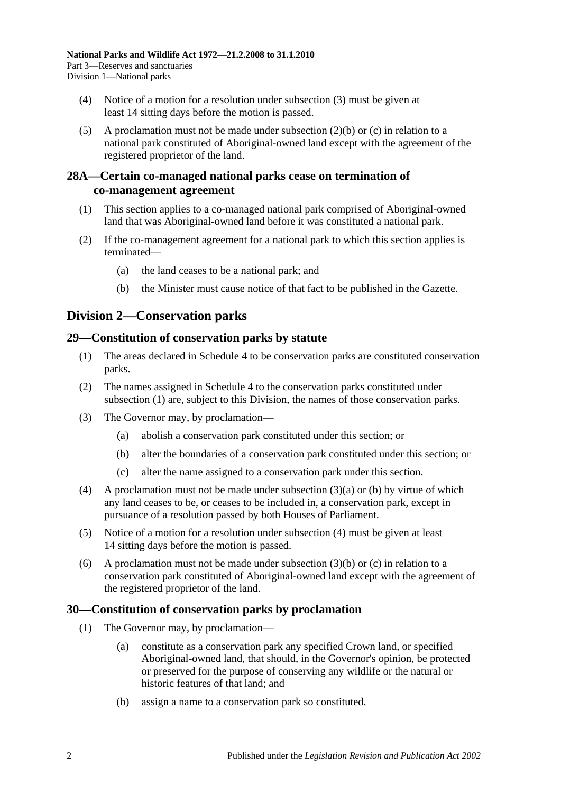- (4) Notice of a motion for a resolution under [subsection](#page-24-12) (3) must be given at least 14 sitting days before the motion is passed.
- (5) A proclamation must not be made under [subsection](#page-24-11) (2)(b) or [\(c\)](#page-24-13) in relation to a national park constituted of Aboriginal-owned land except with the agreement of the registered proprietor of the land.

## <span id="page-25-0"></span>**28A—Certain co-managed national parks cease on termination of co-management agreement**

- (1) This section applies to a co-managed national park comprised of Aboriginal-owned land that was Aboriginal-owned land before it was constituted a national park.
- (2) If the co-management agreement for a national park to which this section applies is terminated—
	- (a) the land ceases to be a national park; and
	- (b) the Minister must cause notice of that fact to be published in the Gazette.

# <span id="page-25-1"></span>**Division 2—Conservation parks**

## <span id="page-25-4"></span><span id="page-25-2"></span>**29—Constitution of conservation parks by statute**

- (1) The areas declared in [Schedule 4](#page-84-1) to be conservation parks are constituted conservation parks.
- (2) The names assigned in [Schedule 4](#page-84-1) to the conservation parks constituted under [subsection](#page-25-4) (1) are, subject to this Division, the names of those conservation parks.
- <span id="page-25-6"></span><span id="page-25-5"></span>(3) The Governor may, by proclamation—
	- (a) abolish a conservation park constituted under this section; or
	- (b) alter the boundaries of a conservation park constituted under this section; or
	- (c) alter the name assigned to a conservation park under this section.
- <span id="page-25-8"></span><span id="page-25-7"></span>(4) A proclamation must not be made under [subsection](#page-25-5) (3)(a) or [\(b\)](#page-25-6) by virtue of which any land ceases to be, or ceases to be included in, a conservation park, except in pursuance of a resolution passed by both Houses of Parliament.
- (5) Notice of a motion for a resolution under [subsection](#page-25-7) (4) must be given at least 14 sitting days before the motion is passed.
- (6) A proclamation must not be made under [subsection](#page-25-6)  $(3)(b)$  or [\(c\)](#page-25-8) in relation to a conservation park constituted of Aboriginal-owned land except with the agreement of the registered proprietor of the land.

## <span id="page-25-9"></span><span id="page-25-3"></span>**30—Constitution of conservation parks by proclamation**

- (1) The Governor may, by proclamation—
	- (a) constitute as a conservation park any specified Crown land, or specified Aboriginal-owned land, that should, in the Governor's opinion, be protected or preserved for the purpose of conserving any wildlife or the natural or historic features of that land; and
	- (b) assign a name to a conservation park so constituted.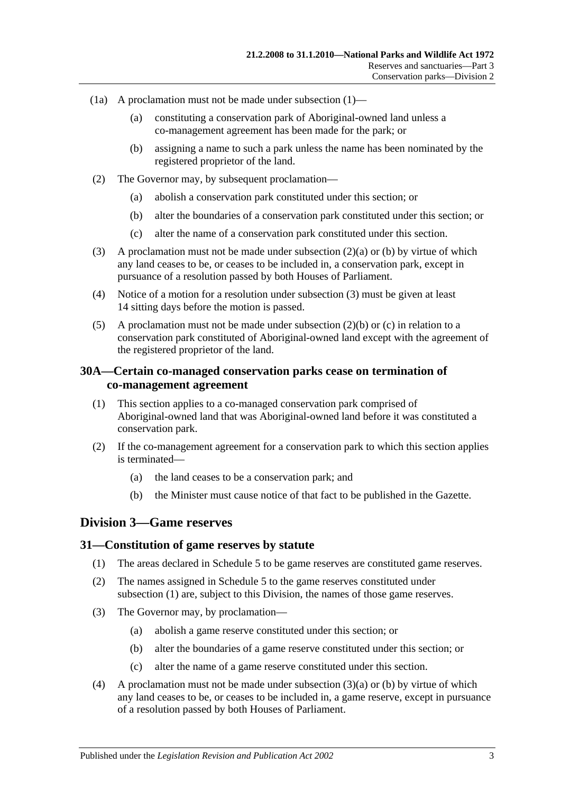- (1a) A proclamation must not be made under [subsection](#page-25-9)  $(1)$ 
	- (a) constituting a conservation park of Aboriginal-owned land unless a co-management agreement has been made for the park; or
	- (b) assigning a name to such a park unless the name has been nominated by the registered proprietor of the land.
- <span id="page-26-4"></span><span id="page-26-3"></span>(2) The Governor may, by subsequent proclamation—
	- (a) abolish a conservation park constituted under this section; or
	- (b) alter the boundaries of a conservation park constituted under this section; or
	- (c) alter the name of a conservation park constituted under this section.
- <span id="page-26-6"></span><span id="page-26-5"></span>(3) A proclamation must not be made under [subsection](#page-26-3) (2)(a) or [\(b\)](#page-26-4) by virtue of which any land ceases to be, or ceases to be included in, a conservation park, except in pursuance of a resolution passed by both Houses of Parliament.
- (4) Notice of a motion for a resolution under [subsection](#page-26-5) (3) must be given at least 14 sitting days before the motion is passed.
- (5) A proclamation must not be made under [subsection](#page-26-4)  $(2)(b)$  or [\(c\)](#page-26-6) in relation to a conservation park constituted of Aboriginal-owned land except with the agreement of the registered proprietor of the land.

## <span id="page-26-0"></span>**30A—Certain co-managed conservation parks cease on termination of co-management agreement**

- (1) This section applies to a co-managed conservation park comprised of Aboriginal-owned land that was Aboriginal-owned land before it was constituted a conservation park.
- (2) If the co-management agreement for a conservation park to which this section applies is terminated—
	- (a) the land ceases to be a conservation park; and
	- (b) the Minister must cause notice of that fact to be published in the Gazette.

## <span id="page-26-1"></span>**Division 3—Game reserves**

#### <span id="page-26-7"></span><span id="page-26-2"></span>**31—Constitution of game reserves by statute**

- (1) The areas declared in [Schedule 5](#page-89-0) to be game reserves are constituted game reserves.
- (2) The names assigned in [Schedule 5](#page-89-0) to the game reserves constituted under [subsection](#page-26-7) (1) are, subject to this Division, the names of those game reserves.
- <span id="page-26-9"></span><span id="page-26-8"></span>(3) The Governor may, by proclamation—
	- (a) abolish a game reserve constituted under this section; or
	- (b) alter the boundaries of a game reserve constituted under this section; or
	- (c) alter the name of a game reserve constituted under this section.
- <span id="page-26-10"></span>(4) A proclamation must not be made under [subsection](#page-26-8) (3)(a) or [\(b\)](#page-26-9) by virtue of which any land ceases to be, or ceases to be included in, a game reserve, except in pursuance of a resolution passed by both Houses of Parliament.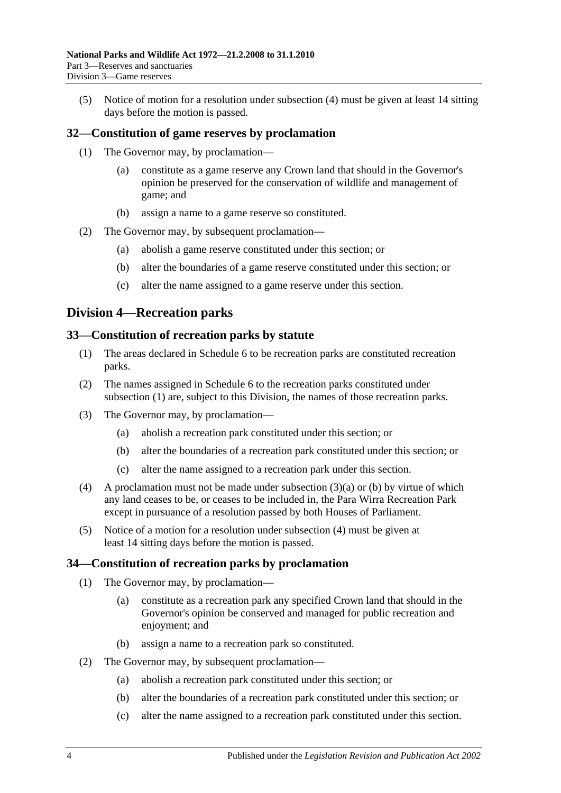(5) Notice of motion for a resolution under [subsection](#page-26-10) (4) must be given at least 14 sitting days before the motion is passed.

## <span id="page-27-0"></span>**32—Constitution of game reserves by proclamation**

- (1) The Governor may, by proclamation—
	- (a) constitute as a game reserve any Crown land that should in the Governor's opinion be preserved for the conservation of wildlife and management of game; and
	- (b) assign a name to a game reserve so constituted.
- (2) The Governor may, by subsequent proclamation—
	- (a) abolish a game reserve constituted under this section; or
	- (b) alter the boundaries of a game reserve constituted under this section; or
	- (c) alter the name assigned to a game reserve under this section.

## <span id="page-27-1"></span>**Division 4—Recreation parks**

#### <span id="page-27-4"></span><span id="page-27-2"></span>**33—Constitution of recreation parks by statute**

- (1) The areas declared in [Schedule 6](#page-90-0) to be recreation parks are constituted recreation parks.
- (2) The names assigned in [Schedule 6](#page-90-0) to the recreation parks constituted under [subsection](#page-27-4) (1) are, subject to this Division, the names of those recreation parks.
- <span id="page-27-6"></span><span id="page-27-5"></span>(3) The Governor may, by proclamation—
	- (a) abolish a recreation park constituted under this section; or
	- (b) alter the boundaries of a recreation park constituted under this section; or
	- (c) alter the name assigned to a recreation park under this section.
- <span id="page-27-7"></span>(4) A proclamation must not be made under [subsection](#page-27-5) (3)(a) or [\(b\)](#page-27-6) by virtue of which any land ceases to be, or ceases to be included in, the Para Wirra Recreation Park except in pursuance of a resolution passed by both Houses of Parliament.
- (5) Notice of a motion for a resolution under [subsection](#page-27-7) (4) must be given at least 14 sitting days before the motion is passed.

#### <span id="page-27-3"></span>**34—Constitution of recreation parks by proclamation**

- (1) The Governor may, by proclamation—
	- (a) constitute as a recreation park any specified Crown land that should in the Governor's opinion be conserved and managed for public recreation and enjoyment; and
	- (b) assign a name to a recreation park so constituted.
- (2) The Governor may, by subsequent proclamation—
	- (a) abolish a recreation park constituted under this section; or
	- (b) alter the boundaries of a recreation park constituted under this section; or
	- (c) alter the name assigned to a recreation park constituted under this section.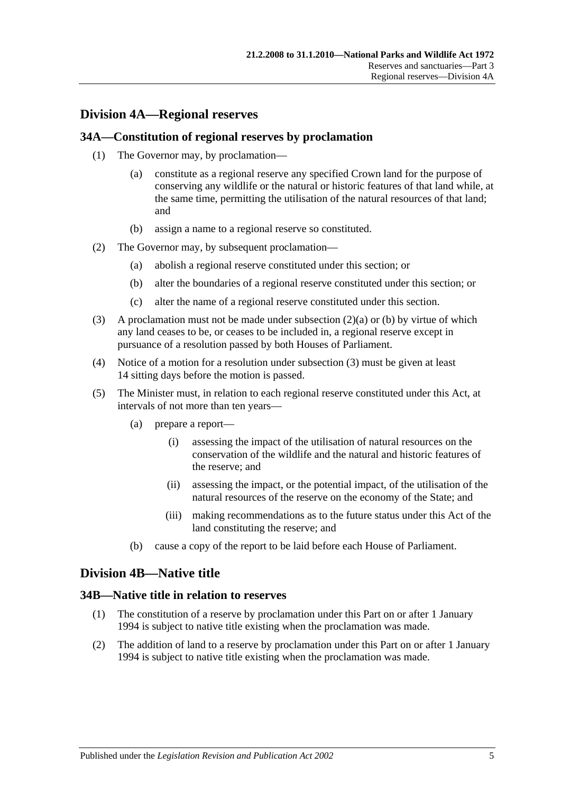# <span id="page-28-0"></span>**Division 4A—Regional reserves**

### <span id="page-28-1"></span>**34A—Constitution of regional reserves by proclamation**

- (1) The Governor may, by proclamation—
	- (a) constitute as a regional reserve any specified Crown land for the purpose of conserving any wildlife or the natural or historic features of that land while, at the same time, permitting the utilisation of the natural resources of that land; and
	- (b) assign a name to a regional reserve so constituted.
- <span id="page-28-5"></span><span id="page-28-4"></span>(2) The Governor may, by subsequent proclamation—
	- (a) abolish a regional reserve constituted under this section; or
	- (b) alter the boundaries of a regional reserve constituted under this section; or
	- (c) alter the name of a regional reserve constituted under this section.
- <span id="page-28-6"></span>(3) A proclamation must not be made under [subsection](#page-28-4)  $(2)(a)$  or [\(b\)](#page-28-5) by virtue of which any land ceases to be, or ceases to be included in, a regional reserve except in pursuance of a resolution passed by both Houses of Parliament.
- (4) Notice of a motion for a resolution under [subsection](#page-28-6) (3) must be given at least 14 sitting days before the motion is passed.
- (5) The Minister must, in relation to each regional reserve constituted under this Act, at intervals of not more than ten years—
	- (a) prepare a report—
		- (i) assessing the impact of the utilisation of natural resources on the conservation of the wildlife and the natural and historic features of the reserve; and
		- (ii) assessing the impact, or the potential impact, of the utilisation of the natural resources of the reserve on the economy of the State; and
		- (iii) making recommendations as to the future status under this Act of the land constituting the reserve; and
	- (b) cause a copy of the report to be laid before each House of Parliament.

## <span id="page-28-2"></span>**Division 4B—Native title**

#### <span id="page-28-3"></span>**34B—Native title in relation to reserves**

- (1) The constitution of a reserve by proclamation under this Part on or after 1 January 1994 is subject to native title existing when the proclamation was made.
- (2) The addition of land to a reserve by proclamation under this Part on or after 1 January 1994 is subject to native title existing when the proclamation was made.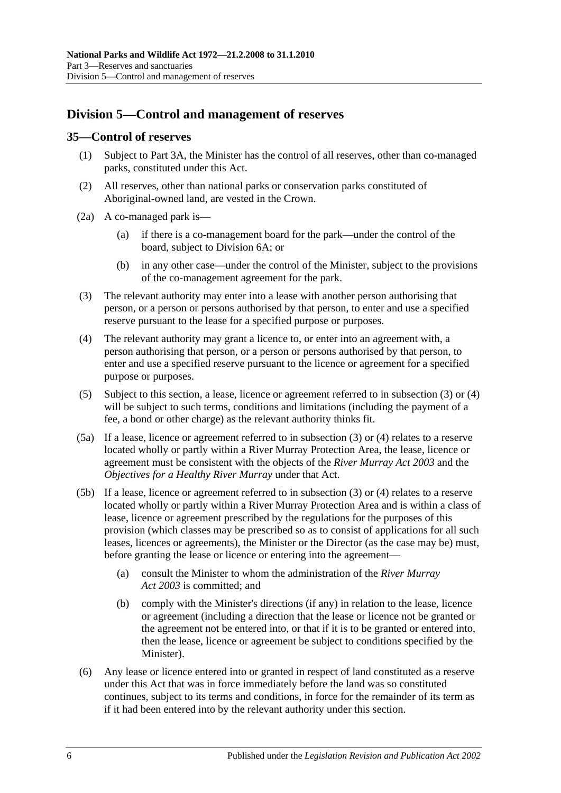# <span id="page-29-0"></span>**Division 5—Control and management of reserves**

### <span id="page-29-1"></span>**35—Control of reserves**

- (1) Subject to [Part 3A,](#page-44-0) the Minister has the control of all reserves, other than co-managed parks, constituted under this Act.
- (2) All reserves, other than national parks or conservation parks constituted of Aboriginal-owned land, are vested in the Crown.
- (2a) A co-managed park is—
	- (a) if there is a co-management board for the park—under the control of the board, subject to [Division 6A;](#page-37-2) or
	- (b) in any other case—under the control of the Minister, subject to the provisions of the co-management agreement for the park.
- <span id="page-29-2"></span>(3) The relevant authority may enter into a lease with another person authorising that person, or a person or persons authorised by that person, to enter and use a specified reserve pursuant to the lease for a specified purpose or purposes.
- <span id="page-29-3"></span>(4) The relevant authority may grant a licence to, or enter into an agreement with, a person authorising that person, or a person or persons authorised by that person, to enter and use a specified reserve pursuant to the licence or agreement for a specified purpose or purposes.
- <span id="page-29-4"></span>(5) Subject to this section, a lease, licence or agreement referred to in [subsection](#page-29-2) (3) or [\(4\)](#page-29-3) will be subject to such terms, conditions and limitations (including the payment of a fee, a bond or other charge) as the relevant authority thinks fit.
- (5a) If a lease, licence or agreement referred to in [subsection](#page-29-2) (3) or [\(4\)](#page-29-3) relates to a reserve located wholly or partly within a River Murray Protection Area, the lease, licence or agreement must be consistent with the objects of the *[River Murray Act](http://www.legislation.sa.gov.au/index.aspx?action=legref&type=act&legtitle=River%20Murray%20Act%202003) 2003* and the *Objectives for a Healthy River Murray* under that Act.
- (5b) If a lease, licence or agreement referred to in [subsection](#page-29-2) (3) or [\(4\)](#page-29-3) relates to a reserve located wholly or partly within a River Murray Protection Area and is within a class of lease, licence or agreement prescribed by the regulations for the purposes of this provision (which classes may be prescribed so as to consist of applications for all such leases, licences or agreements), the Minister or the Director (as the case may be) must, before granting the lease or licence or entering into the agreement—
	- (a) consult the Minister to whom the administration of the *[River Murray](http://www.legislation.sa.gov.au/index.aspx?action=legref&type=act&legtitle=River%20Murray%20Act%202003)  Act [2003](http://www.legislation.sa.gov.au/index.aspx?action=legref&type=act&legtitle=River%20Murray%20Act%202003)* is committed; and
	- (b) comply with the Minister's directions (if any) in relation to the lease, licence or agreement (including a direction that the lease or licence not be granted or the agreement not be entered into, or that if it is to be granted or entered into, then the lease, licence or agreement be subject to conditions specified by the Minister).
- <span id="page-29-5"></span>(6) Any lease or licence entered into or granted in respect of land constituted as a reserve under this Act that was in force immediately before the land was so constituted continues, subject to its terms and conditions, in force for the remainder of its term as if it had been entered into by the relevant authority under this section.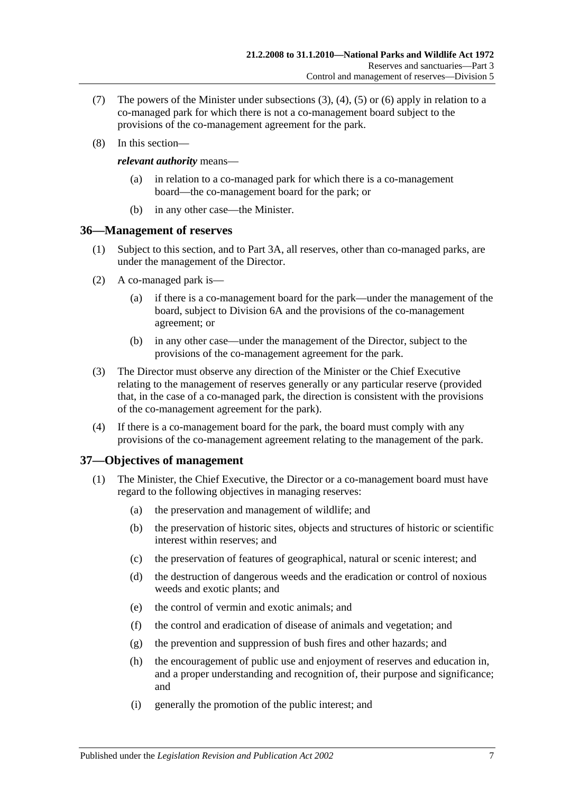- (7) The powers of the Minister under [subsections](#page-29-2) (3), [\(4\),](#page-29-3) [\(5\)](#page-29-4) or [\(6\)](#page-29-5) apply in relation to a co-managed park for which there is not a co-management board subject to the provisions of the co-management agreement for the park.
- (8) In this section—

#### *relevant authority* means—

- (a) in relation to a co-managed park for which there is a co-management board—the co-management board for the park; or
- (b) in any other case—the Minister.

## <span id="page-30-0"></span>**36—Management of reserves**

- (1) Subject to this section, and to [Part 3A,](#page-44-0) all reserves, other than co-managed parks, are under the management of the Director.
- (2) A co-managed park is—
	- (a) if there is a co-management board for the park—under the management of the board, subject to [Division 6A](#page-37-2) and the provisions of the co-management agreement; or
	- (b) in any other case—under the management of the Director, subject to the provisions of the co-management agreement for the park.
- (3) The Director must observe any direction of the Minister or the Chief Executive relating to the management of reserves generally or any particular reserve (provided that, in the case of a co-managed park, the direction is consistent with the provisions of the co-management agreement for the park).
- (4) If there is a co-management board for the park, the board must comply with any provisions of the co-management agreement relating to the management of the park.

## <span id="page-30-1"></span>**37—Objectives of management**

- (1) The Minister, the Chief Executive, the Director or a co-management board must have regard to the following objectives in managing reserves:
	- (a) the preservation and management of wildlife; and
	- (b) the preservation of historic sites, objects and structures of historic or scientific interest within reserves; and
	- (c) the preservation of features of geographical, natural or scenic interest; and
	- (d) the destruction of dangerous weeds and the eradication or control of noxious weeds and exotic plants; and
	- (e) the control of vermin and exotic animals; and
	- (f) the control and eradication of disease of animals and vegetation; and
	- (g) the prevention and suppression of bush fires and other hazards; and
	- (h) the encouragement of public use and enjoyment of reserves and education in, and a proper understanding and recognition of, their purpose and significance; and
	- (i) generally the promotion of the public interest; and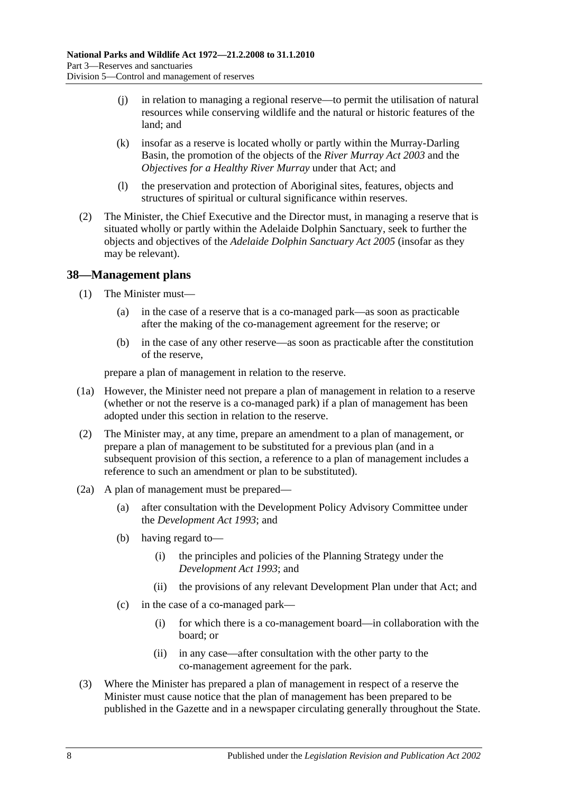- (j) in relation to managing a regional reserve—to permit the utilisation of natural resources while conserving wildlife and the natural or historic features of the land; and
- (k) insofar as a reserve is located wholly or partly within the Murray-Darling Basin, the promotion of the objects of the *[River Murray Act](http://www.legislation.sa.gov.au/index.aspx?action=legref&type=act&legtitle=River%20Murray%20Act%202003) 2003* and the *Objectives for a Healthy River Murray* under that Act; and
- (l) the preservation and protection of Aboriginal sites, features, objects and structures of spiritual or cultural significance within reserves.
- (2) The Minister, the Chief Executive and the Director must, in managing a reserve that is situated wholly or partly within the Adelaide Dolphin Sanctuary, seek to further the objects and objectives of the *[Adelaide Dolphin Sanctuary Act](http://www.legislation.sa.gov.au/index.aspx?action=legref&type=act&legtitle=Adelaide%20Dolphin%20Sanctuary%20Act%202005) 2005* (insofar as they may be relevant).

## <span id="page-31-0"></span>**38—Management plans**

- (1) The Minister must—
	- (a) in the case of a reserve that is a co-managed park—as soon as practicable after the making of the co-management agreement for the reserve; or
	- (b) in the case of any other reserve—as soon as practicable after the constitution of the reserve,

prepare a plan of management in relation to the reserve.

- (1a) However, the Minister need not prepare a plan of management in relation to a reserve (whether or not the reserve is a co-managed park) if a plan of management has been adopted under this section in relation to the reserve.
- (2) The Minister may, at any time, prepare an amendment to a plan of management, or prepare a plan of management to be substituted for a previous plan (and in a subsequent provision of this section, a reference to a plan of management includes a reference to such an amendment or plan to be substituted).
- (2a) A plan of management must be prepared—
	- (a) after consultation with the Development Policy Advisory Committee under the *[Development Act](http://www.legislation.sa.gov.au/index.aspx?action=legref&type=act&legtitle=Development%20Act%201993) 1993*; and
	- (b) having regard to—
		- (i) the principles and policies of the Planning Strategy under the *[Development Act](http://www.legislation.sa.gov.au/index.aspx?action=legref&type=act&legtitle=Development%20Act%201993) 1993*; and
		- (ii) the provisions of any relevant Development Plan under that Act; and
	- (c) in the case of a co-managed park—
		- (i) for which there is a co-management board—in collaboration with the board; or
		- (ii) in any case—after consultation with the other party to the co-management agreement for the park.
- (3) Where the Minister has prepared a plan of management in respect of a reserve the Minister must cause notice that the plan of management has been prepared to be published in the Gazette and in a newspaper circulating generally throughout the State.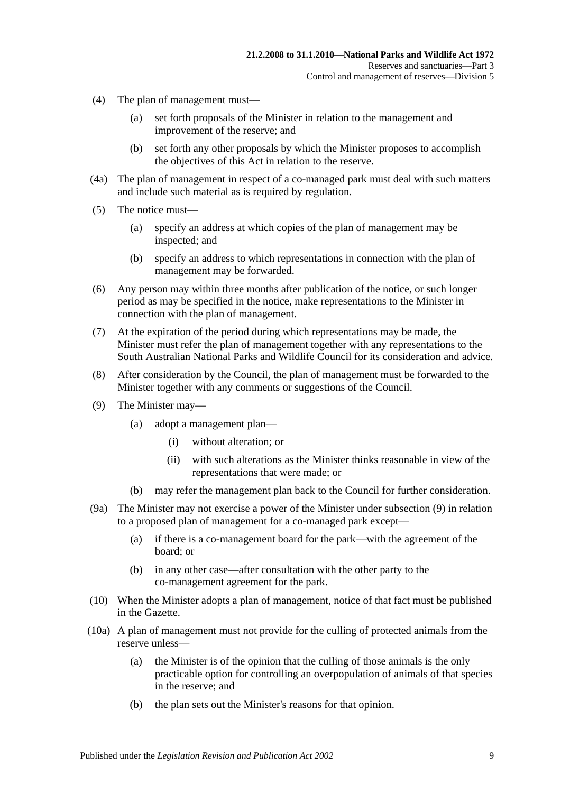- (4) The plan of management must—
	- (a) set forth proposals of the Minister in relation to the management and improvement of the reserve; and
	- (b) set forth any other proposals by which the Minister proposes to accomplish the objectives of this Act in relation to the reserve.
- (4a) The plan of management in respect of a co-managed park must deal with such matters and include such material as is required by regulation.
- (5) The notice must—
	- (a) specify an address at which copies of the plan of management may be inspected; and
	- (b) specify an address to which representations in connection with the plan of management may be forwarded.
- (6) Any person may within three months after publication of the notice, or such longer period as may be specified in the notice, make representations to the Minister in connection with the plan of management.
- (7) At the expiration of the period during which representations may be made, the Minister must refer the plan of management together with any representations to the South Australian National Parks and Wildlife Council for its consideration and advice.
- (8) After consideration by the Council, the plan of management must be forwarded to the Minister together with any comments or suggestions of the Council.
- <span id="page-32-0"></span>(9) The Minister may—
	- (a) adopt a management plan—
		- (i) without alteration; or
		- (ii) with such alterations as the Minister thinks reasonable in view of the representations that were made; or
	- (b) may refer the management plan back to the Council for further consideration.
- (9a) The Minister may not exercise a power of the Minister under [subsection](#page-32-0) (9) in relation to a proposed plan of management for a co-managed park except—
	- (a) if there is a co-management board for the park—with the agreement of the board; or
	- (b) in any other case—after consultation with the other party to the co-management agreement for the park.
- (10) When the Minister adopts a plan of management, notice of that fact must be published in the Gazette.
- (10a) A plan of management must not provide for the culling of protected animals from the reserve unless—
	- (a) the Minister is of the opinion that the culling of those animals is the only practicable option for controlling an overpopulation of animals of that species in the reserve; and
	- (b) the plan sets out the Minister's reasons for that opinion.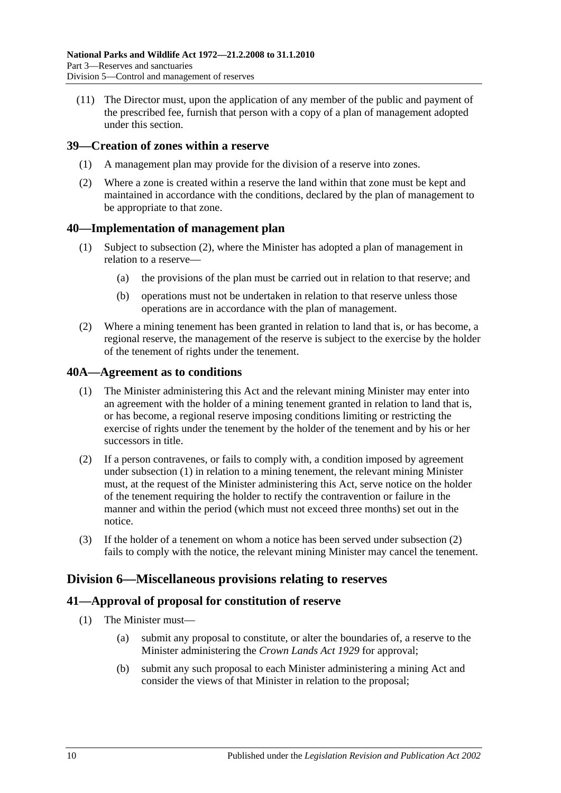(11) The Director must, upon the application of any member of the public and payment of the prescribed fee, furnish that person with a copy of a plan of management adopted under this section.

## <span id="page-33-0"></span>**39—Creation of zones within a reserve**

- (1) A management plan may provide for the division of a reserve into zones.
- (2) Where a zone is created within a reserve the land within that zone must be kept and maintained in accordance with the conditions, declared by the plan of management to be appropriate to that zone.

#### <span id="page-33-1"></span>**40—Implementation of management plan**

- (1) Subject to [subsection](#page-33-5) (2), where the Minister has adopted a plan of management in relation to a reserve—
	- (a) the provisions of the plan must be carried out in relation to that reserve; and
	- (b) operations must not be undertaken in relation to that reserve unless those operations are in accordance with the plan of management.
- <span id="page-33-5"></span>(2) Where a mining tenement has been granted in relation to land that is, or has become, a regional reserve, the management of the reserve is subject to the exercise by the holder of the tenement of rights under the tenement.

#### <span id="page-33-6"></span><span id="page-33-2"></span>**40A—Agreement as to conditions**

- (1) The Minister administering this Act and the relevant mining Minister may enter into an agreement with the holder of a mining tenement granted in relation to land that is, or has become, a regional reserve imposing conditions limiting or restricting the exercise of rights under the tenement by the holder of the tenement and by his or her successors in title.
- <span id="page-33-7"></span>(2) If a person contravenes, or fails to comply with, a condition imposed by agreement under [subsection](#page-33-6) (1) in relation to a mining tenement, the relevant mining Minister must, at the request of the Minister administering this Act, serve notice on the holder of the tenement requiring the holder to rectify the contravention or failure in the manner and within the period (which must not exceed three months) set out in the notice.
- (3) If the holder of a tenement on whom a notice has been served under [subsection](#page-33-7) (2) fails to comply with the notice, the relevant mining Minister may cancel the tenement.

## <span id="page-33-3"></span>**Division 6—Miscellaneous provisions relating to reserves**

## <span id="page-33-4"></span>**41—Approval of proposal for constitution of reserve**

- (1) The Minister must—
	- (a) submit any proposal to constitute, or alter the boundaries of, a reserve to the Minister administering the *[Crown Lands Act](http://www.legislation.sa.gov.au/index.aspx?action=legref&type=act&legtitle=Crown%20Lands%20Act%201929) 1929* for approval;
	- (b) submit any such proposal to each Minister administering a mining Act and consider the views of that Minister in relation to the proposal;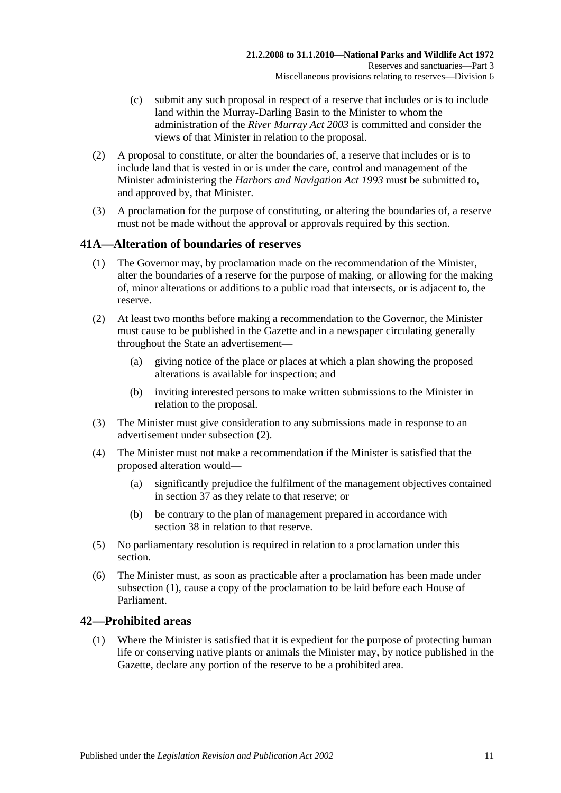- (c) submit any such proposal in respect of a reserve that includes or is to include land within the Murray-Darling Basin to the Minister to whom the administration of the *[River Murray Act](http://www.legislation.sa.gov.au/index.aspx?action=legref&type=act&legtitle=River%20Murray%20Act%202003) 2003* is committed and consider the views of that Minister in relation to the proposal.
- (2) A proposal to constitute, or alter the boundaries of, a reserve that includes or is to include land that is vested in or is under the care, control and management of the Minister administering the *[Harbors and Navigation Act](http://www.legislation.sa.gov.au/index.aspx?action=legref&type=act&legtitle=Harbors%20and%20Navigation%20Act%201993) 1993* must be submitted to, and approved by, that Minister.
- (3) A proclamation for the purpose of constituting, or altering the boundaries of, a reserve must not be made without the approval or approvals required by this section.

## <span id="page-34-3"></span><span id="page-34-0"></span>**41A—Alteration of boundaries of reserves**

- (1) The Governor may, by proclamation made on the recommendation of the Minister, alter the boundaries of a reserve for the purpose of making, or allowing for the making of, minor alterations or additions to a public road that intersects, or is adjacent to, the reserve.
- <span id="page-34-2"></span>(2) At least two months before making a recommendation to the Governor, the Minister must cause to be published in the Gazette and in a newspaper circulating generally throughout the State an advertisement—
	- (a) giving notice of the place or places at which a plan showing the proposed alterations is available for inspection; and
	- (b) inviting interested persons to make written submissions to the Minister in relation to the proposal.
- (3) The Minister must give consideration to any submissions made in response to an advertisement under [subsection](#page-34-2) (2).
- (4) The Minister must not make a recommendation if the Minister is satisfied that the proposed alteration would—
	- (a) significantly prejudice the fulfilment of the management objectives contained in [section](#page-30-1) 37 as they relate to that reserve; or
	- (b) be contrary to the plan of management prepared in accordance with [section](#page-31-0) 38 in relation to that reserve.
- (5) No parliamentary resolution is required in relation to a proclamation under this section.
- (6) The Minister must, as soon as practicable after a proclamation has been made under [subsection](#page-34-3) (1), cause a copy of the proclamation to be laid before each House of Parliament.

## <span id="page-34-4"></span><span id="page-34-1"></span>**42—Prohibited areas**

(1) Where the Minister is satisfied that it is expedient for the purpose of protecting human life or conserving native plants or animals the Minister may, by notice published in the Gazette, declare any portion of the reserve to be a prohibited area.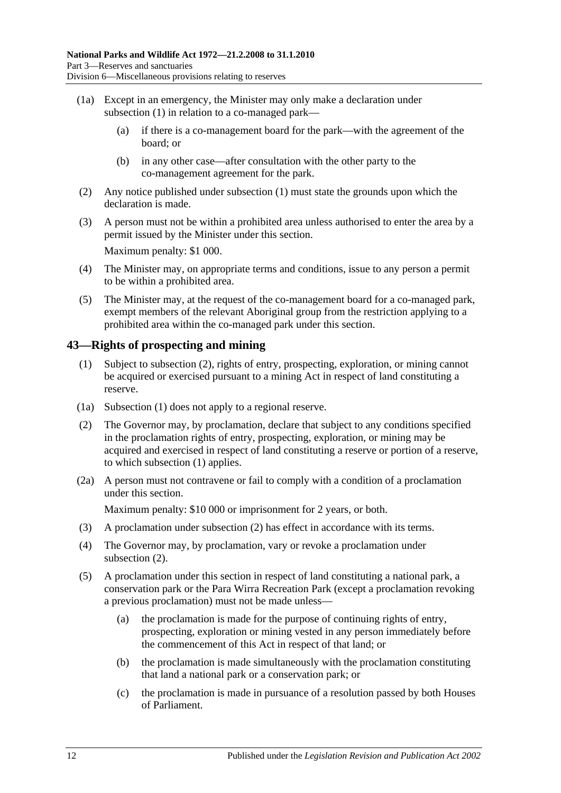- (1a) Except in an emergency, the Minister may only make a declaration under [subsection](#page-34-4) (1) in relation to a co-managed park—
	- (a) if there is a co-management board for the park—with the agreement of the board; or
	- (b) in any other case—after consultation with the other party to the co-management agreement for the park.
- (2) Any notice published under [subsection](#page-34-4) (1) must state the grounds upon which the declaration is made.
- (3) A person must not be within a prohibited area unless authorised to enter the area by a permit issued by the Minister under this section. Maximum penalty: \$1 000.
- (4) The Minister may, on appropriate terms and conditions, issue to any person a permit to be within a prohibited area.
- (5) The Minister may, at the request of the co-management board for a co-managed park, exempt members of the relevant Aboriginal group from the restriction applying to a prohibited area within the co-managed park under this section.

## <span id="page-35-2"></span><span id="page-35-0"></span>**43—Rights of prospecting and mining**

- (1) Subject to [subsection](#page-35-1) (2), rights of entry, prospecting, exploration, or mining cannot be acquired or exercised pursuant to a mining Act in respect of land constituting a reserve.
- (1a) [Subsection](#page-35-2) (1) does not apply to a regional reserve.
- <span id="page-35-1"></span>(2) The Governor may, by proclamation, declare that subject to any conditions specified in the proclamation rights of entry, prospecting, exploration, or mining may be acquired and exercised in respect of land constituting a reserve or portion of a reserve, to which [subsection](#page-35-2) (1) applies.
- (2a) A person must not contravene or fail to comply with a condition of a proclamation under this section.

Maximum penalty: \$10 000 or imprisonment for 2 years, or both.

- (3) A proclamation under [subsection](#page-35-1) (2) has effect in accordance with its terms.
- (4) The Governor may, by proclamation, vary or revoke a proclamation under [subsection](#page-35-1) (2).
- (5) A proclamation under this section in respect of land constituting a national park, a conservation park or the Para Wirra Recreation Park (except a proclamation revoking a previous proclamation) must not be made unless—
	- (a) the proclamation is made for the purpose of continuing rights of entry, prospecting, exploration or mining vested in any person immediately before the commencement of this Act in respect of that land; or
	- (b) the proclamation is made simultaneously with the proclamation constituting that land a national park or a conservation park; or
	- (c) the proclamation is made in pursuance of a resolution passed by both Houses of Parliament.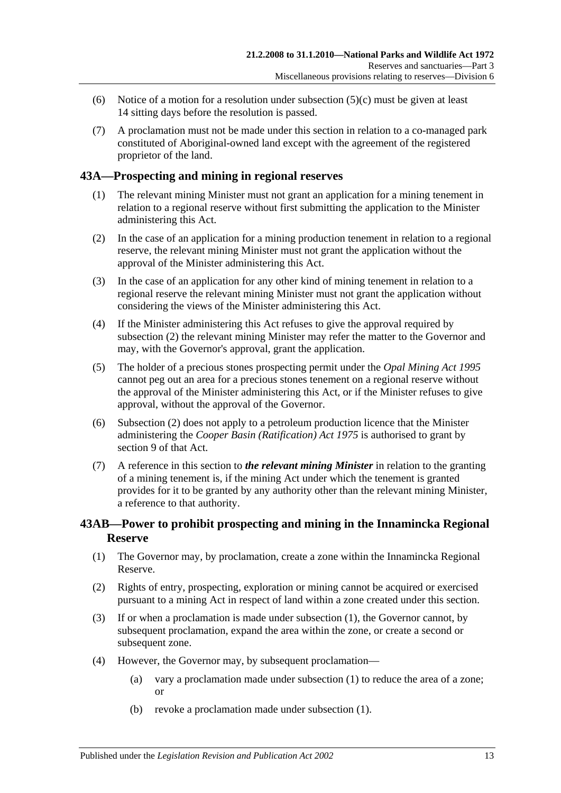- (6) Notice of a motion for a resolution under [subsection](#page-35-0)  $(5)(c)$  must be given at least 14 sitting days before the resolution is passed.
- (7) A proclamation must not be made under this section in relation to a co-managed park constituted of Aboriginal-owned land except with the agreement of the registered proprietor of the land.

# **43A—Prospecting and mining in regional reserves**

- (1) The relevant mining Minister must not grant an application for a mining tenement in relation to a regional reserve without first submitting the application to the Minister administering this Act.
- <span id="page-36-0"></span>(2) In the case of an application for a mining production tenement in relation to a regional reserve, the relevant mining Minister must not grant the application without the approval of the Minister administering this Act.
- (3) In the case of an application for any other kind of mining tenement in relation to a regional reserve the relevant mining Minister must not grant the application without considering the views of the Minister administering this Act.
- (4) If the Minister administering this Act refuses to give the approval required by [subsection](#page-36-0) (2) the relevant mining Minister may refer the matter to the Governor and may, with the Governor's approval, grant the application.
- (5) The holder of a precious stones prospecting permit under the *[Opal Mining Act](http://www.legislation.sa.gov.au/index.aspx?action=legref&type=act&legtitle=Opal%20Mining%20Act%201995) 1995* cannot peg out an area for a precious stones tenement on a regional reserve without the approval of the Minister administering this Act, or if the Minister refuses to give approval, without the approval of the Governor.
- (6) [Subsection](#page-36-0) (2) does not apply to a petroleum production licence that the Minister administering the *[Cooper Basin \(Ratification\) Act](http://www.legislation.sa.gov.au/index.aspx?action=legref&type=act&legtitle=Cooper%20Basin%20(Ratification)%20Act%201975) 1975* is authorised to grant by section 9 of that Act.
- (7) A reference in this section to *the relevant mining Minister* in relation to the granting of a mining tenement is, if the mining Act under which the tenement is granted provides for it to be granted by any authority other than the relevant mining Minister, a reference to that authority.

# <span id="page-36-3"></span>**43AB—Power to prohibit prospecting and mining in the Innamincka Regional Reserve**

- <span id="page-36-1"></span>(1) The Governor may, by proclamation, create a zone within the Innamincka Regional Reserve.
- (2) Rights of entry, prospecting, exploration or mining cannot be acquired or exercised pursuant to a mining Act in respect of land within a zone created under this section.
- (3) If or when a proclamation is made under [subsection](#page-36-1) (1), the Governor cannot, by subsequent proclamation, expand the area within the zone, or create a second or subsequent zone.
- <span id="page-36-2"></span>(4) However, the Governor may, by subsequent proclamation—
	- (a) vary a proclamation made under [subsection](#page-36-1) (1) to reduce the area of a zone; or
	- (b) revoke a proclamation made under [subsection](#page-36-1) (1).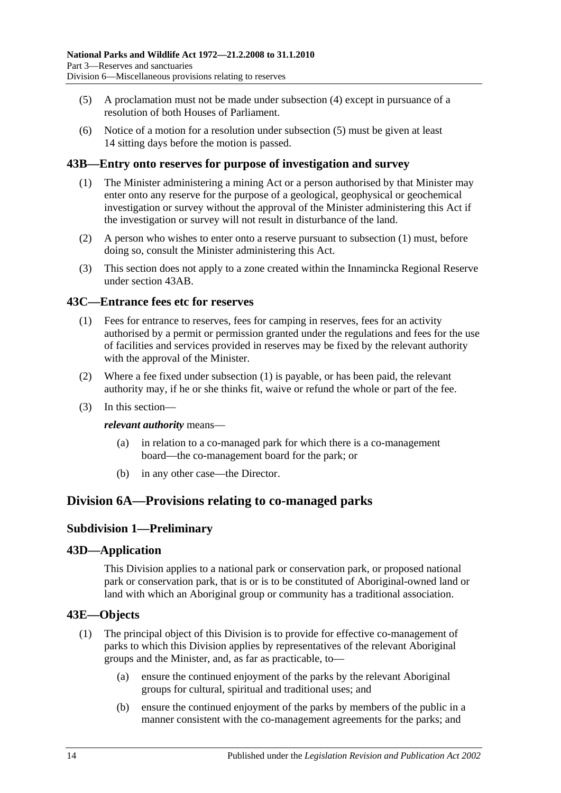- <span id="page-37-0"></span>(5) A proclamation must not be made under [subsection](#page-36-2) (4) except in pursuance of a resolution of both Houses of Parliament.
- (6) Notice of a motion for a resolution under [subsection](#page-37-0) (5) must be given at least 14 sitting days before the motion is passed.

# <span id="page-37-1"></span>**43B—Entry onto reserves for purpose of investigation and survey**

- (1) The Minister administering a mining Act or a person authorised by that Minister may enter onto any reserve for the purpose of a geological, geophysical or geochemical investigation or survey without the approval of the Minister administering this Act if the investigation or survey will not result in disturbance of the land.
- (2) A person who wishes to enter onto a reserve pursuant to [subsection](#page-37-1) (1) must, before doing so, consult the Minister administering this Act.
- (3) This section does not apply to a zone created within the Innamincka Regional Reserve under [section](#page-36-3) 43AB.

#### <span id="page-37-2"></span>**43C—Entrance fees etc for reserves**

- (1) Fees for entrance to reserves, fees for camping in reserves, fees for an activity authorised by a permit or permission granted under the regulations and fees for the use of facilities and services provided in reserves may be fixed by the relevant authority with the approval of the Minister.
- (2) Where a fee fixed under [subsection](#page-37-2) (1) is payable, or has been paid, the relevant authority may, if he or she thinks fit, waive or refund the whole or part of the fee.
- (3) In this section—

#### *relevant authority* means—

- (a) in relation to a co-managed park for which there is a co-management board—the co-management board for the park; or
- (b) in any other case—the Director.

# **Division 6A—Provisions relating to co-managed parks**

## **Subdivision 1—Preliminary**

#### **43D—Application**

This Division applies to a national park or conservation park, or proposed national park or conservation park, that is or is to be constituted of Aboriginal-owned land or land with which an Aboriginal group or community has a traditional association.

#### **43E—Objects**

- (1) The principal object of this Division is to provide for effective co-management of parks to which this Division applies by representatives of the relevant Aboriginal groups and the Minister, and, as far as practicable, to—
	- (a) ensure the continued enjoyment of the parks by the relevant Aboriginal groups for cultural, spiritual and traditional uses; and
	- (b) ensure the continued enjoyment of the parks by members of the public in a manner consistent with the co-management agreements for the parks; and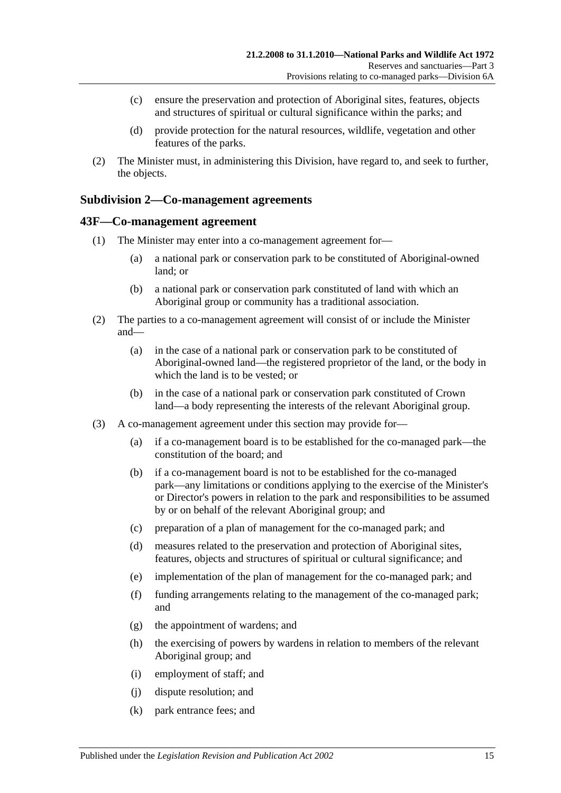- (c) ensure the preservation and protection of Aboriginal sites, features, objects and structures of spiritual or cultural significance within the parks; and
- (d) provide protection for the natural resources, wildlife, vegetation and other features of the parks.
- (2) The Minister must, in administering this Division, have regard to, and seek to further, the objects.

## **Subdivision 2—Co-management agreements**

#### **43F—Co-management agreement**

- (1) The Minister may enter into a co-management agreement for—
	- (a) a national park or conservation park to be constituted of Aboriginal-owned land; or
	- (b) a national park or conservation park constituted of land with which an Aboriginal group or community has a traditional association.
- (2) The parties to a co-management agreement will consist of or include the Minister and—
	- (a) in the case of a national park or conservation park to be constituted of Aboriginal-owned land—the registered proprietor of the land, or the body in which the land is to be vested; or
	- (b) in the case of a national park or conservation park constituted of Crown land—a body representing the interests of the relevant Aboriginal group.
- (3) A co-management agreement under this section may provide for—
	- (a) if a co-management board is to be established for the co-managed park—the constitution of the board; and
	- (b) if a co-management board is not to be established for the co-managed park—any limitations or conditions applying to the exercise of the Minister's or Director's powers in relation to the park and responsibilities to be assumed by or on behalf of the relevant Aboriginal group; and
	- (c) preparation of a plan of management for the co-managed park; and
	- (d) measures related to the preservation and protection of Aboriginal sites, features, objects and structures of spiritual or cultural significance; and
	- (e) implementation of the plan of management for the co-managed park; and
	- (f) funding arrangements relating to the management of the co-managed park; and
	- (g) the appointment of wardens; and
	- (h) the exercising of powers by wardens in relation to members of the relevant Aboriginal group; and
	- (i) employment of staff; and
	- (j) dispute resolution; and
	- (k) park entrance fees; and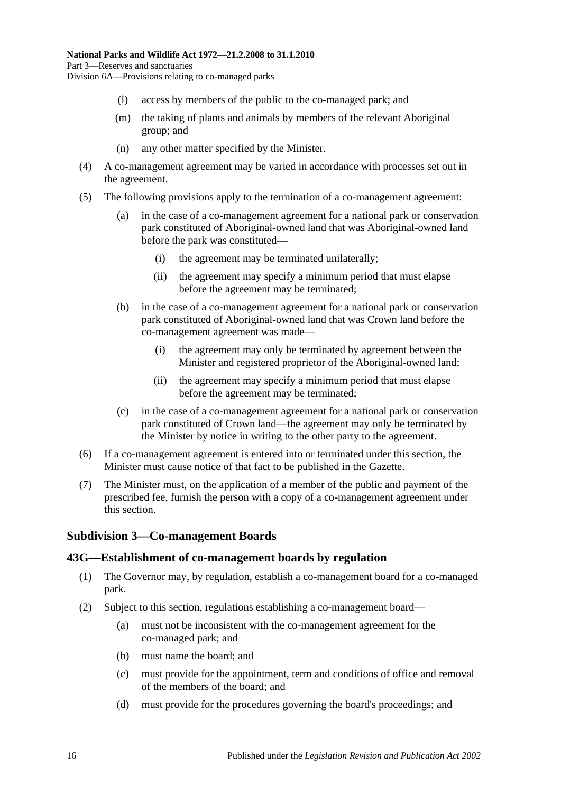- (l) access by members of the public to the co-managed park; and
- (m) the taking of plants and animals by members of the relevant Aboriginal group; and
- (n) any other matter specified by the Minister.
- (4) A co-management agreement may be varied in accordance with processes set out in the agreement.
- (5) The following provisions apply to the termination of a co-management agreement:
	- (a) in the case of a co-management agreement for a national park or conservation park constituted of Aboriginal-owned land that was Aboriginal-owned land before the park was constituted—
		- (i) the agreement may be terminated unilaterally;
		- (ii) the agreement may specify a minimum period that must elapse before the agreement may be terminated;
	- (b) in the case of a co-management agreement for a national park or conservation park constituted of Aboriginal-owned land that was Crown land before the co-management agreement was made—
		- (i) the agreement may only be terminated by agreement between the Minister and registered proprietor of the Aboriginal-owned land;
		- (ii) the agreement may specify a minimum period that must elapse before the agreement may be terminated;
	- (c) in the case of a co-management agreement for a national park or conservation park constituted of Crown land—the agreement may only be terminated by the Minister by notice in writing to the other party to the agreement.
- (6) If a co-management agreement is entered into or terminated under this section, the Minister must cause notice of that fact to be published in the Gazette.
- (7) The Minister must, on the application of a member of the public and payment of the prescribed fee, furnish the person with a copy of a co-management agreement under this section.

## **Subdivision 3—Co-management Boards**

#### **43G—Establishment of co-management boards by regulation**

- (1) The Governor may, by regulation, establish a co-management board for a co-managed park.
- <span id="page-39-0"></span>(2) Subject to this section, regulations establishing a co-management board—
	- (a) must not be inconsistent with the co-management agreement for the co-managed park; and
	- (b) must name the board; and
	- (c) must provide for the appointment, term and conditions of office and removal of the members of the board; and
	- (d) must provide for the procedures governing the board's proceedings; and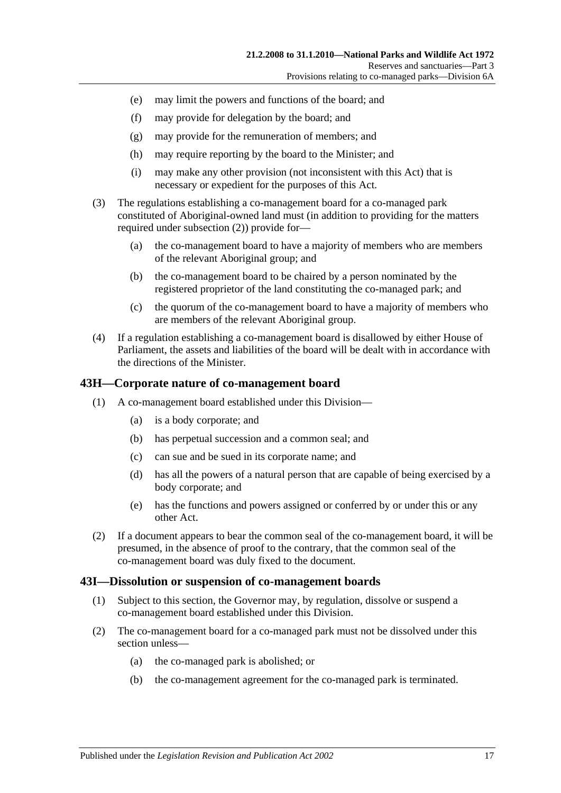- (e) may limit the powers and functions of the board; and
- (f) may provide for delegation by the board; and
- (g) may provide for the remuneration of members; and
- (h) may require reporting by the board to the Minister; and
- (i) may make any other provision (not inconsistent with this Act) that is necessary or expedient for the purposes of this Act.
- (3) The regulations establishing a co-management board for a co-managed park constituted of Aboriginal-owned land must (in addition to providing for the matters required under [subsection](#page-39-0) (2)) provide for—
	- (a) the co-management board to have a majority of members who are members of the relevant Aboriginal group; and
	- (b) the co-management board to be chaired by a person nominated by the registered proprietor of the land constituting the co-managed park; and
	- (c) the quorum of the co-management board to have a majority of members who are members of the relevant Aboriginal group.
- (4) If a regulation establishing a co-management board is disallowed by either House of Parliament, the assets and liabilities of the board will be dealt with in accordance with the directions of the Minister.

#### **43H—Corporate nature of co-management board**

- (1) A co-management board established under this Division—
	- (a) is a body corporate; and
	- (b) has perpetual succession and a common seal; and
	- (c) can sue and be sued in its corporate name; and
	- (d) has all the powers of a natural person that are capable of being exercised by a body corporate; and
	- (e) has the functions and powers assigned or conferred by or under this or any other Act.
- (2) If a document appears to bear the common seal of the co-management board, it will be presumed, in the absence of proof to the contrary, that the common seal of the co-management board was duly fixed to the document.

#### **43I—Dissolution or suspension of co-management boards**

- (1) Subject to this section, the Governor may, by regulation, dissolve or suspend a co-management board established under this Division.
- (2) The co-management board for a co-managed park must not be dissolved under this section unless—
	- (a) the co-managed park is abolished; or
	- (b) the co-management agreement for the co-managed park is terminated.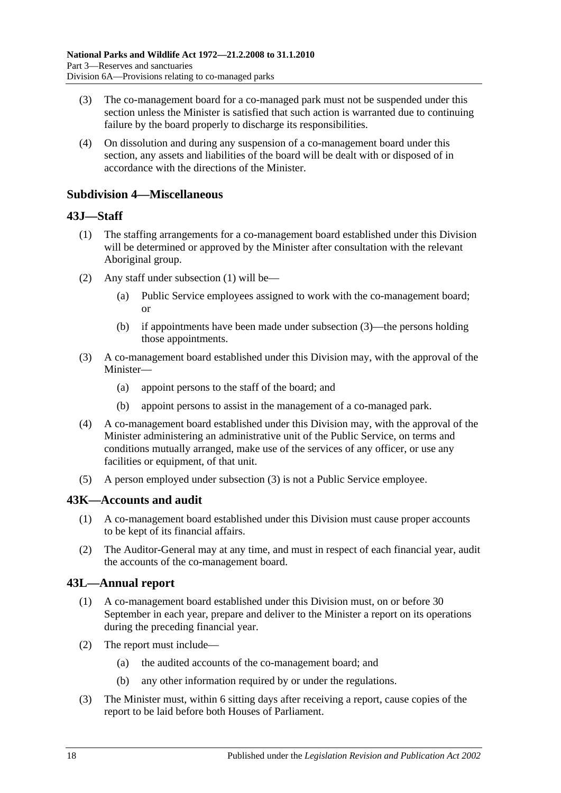- (3) The co-management board for a co-managed park must not be suspended under this section unless the Minister is satisfied that such action is warranted due to continuing failure by the board properly to discharge its responsibilities.
- (4) On dissolution and during any suspension of a co-management board under this section, any assets and liabilities of the board will be dealt with or disposed of in accordance with the directions of the Minister.

#### **Subdivision 4—Miscellaneous**

#### <span id="page-41-0"></span>**43J—Staff**

- (1) The staffing arrangements for a co-management board established under this Division will be determined or approved by the Minister after consultation with the relevant Aboriginal group.
- (2) Any staff under [subsection](#page-41-0) (1) will be—
	- (a) Public Service employees assigned to work with the co-management board; or
	- (b) if appointments have been made under [subsection](#page-41-1) (3)—the persons holding those appointments.
- <span id="page-41-1"></span>(3) A co-management board established under this Division may, with the approval of the Minister—
	- (a) appoint persons to the staff of the board; and
	- (b) appoint persons to assist in the management of a co-managed park.
- (4) A co-management board established under this Division may, with the approval of the Minister administering an administrative unit of the Public Service, on terms and conditions mutually arranged, make use of the services of any officer, or use any facilities or equipment, of that unit.
- (5) A person employed under [subsection](#page-41-1) (3) is not a Public Service employee.

## **43K—Accounts and audit**

- (1) A co-management board established under this Division must cause proper accounts to be kept of its financial affairs.
- (2) The Auditor-General may at any time, and must in respect of each financial year, audit the accounts of the co-management board.

## **43L—Annual report**

- (1) A co-management board established under this Division must, on or before 30 September in each year, prepare and deliver to the Minister a report on its operations during the preceding financial year.
- (2) The report must include—
	- (a) the audited accounts of the co-management board; and
	- (b) any other information required by or under the regulations.
- (3) The Minister must, within 6 sitting days after receiving a report, cause copies of the report to be laid before both Houses of Parliament.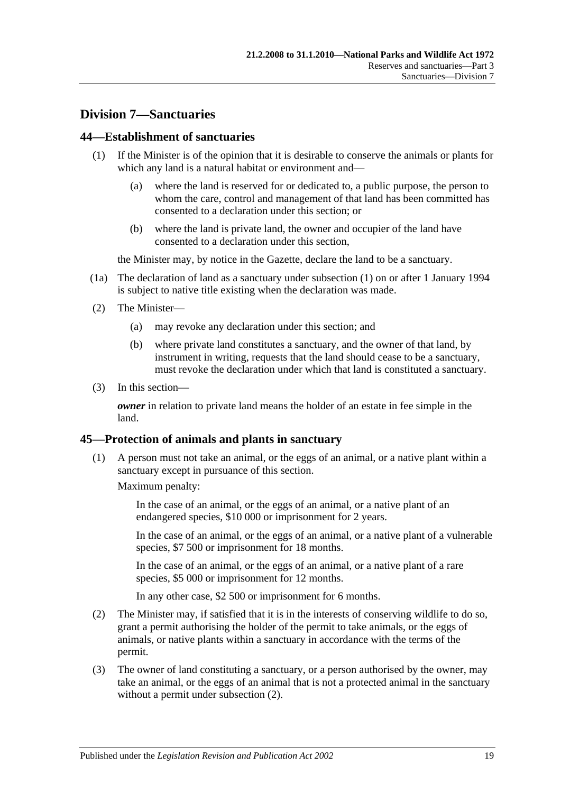# **Division 7—Sanctuaries**

#### <span id="page-42-0"></span>**44—Establishment of sanctuaries**

- (1) If the Minister is of the opinion that it is desirable to conserve the animals or plants for which any land is a natural habitat or environment and—
	- (a) where the land is reserved for or dedicated to, a public purpose, the person to whom the care, control and management of that land has been committed has consented to a declaration under this section; or
	- (b) where the land is private land, the owner and occupier of the land have consented to a declaration under this section,

the Minister may, by notice in the Gazette, declare the land to be a sanctuary.

- (1a) The declaration of land as a sanctuary under [subsection](#page-42-0) (1) on or after 1 January 1994 is subject to native title existing when the declaration was made.
- (2) The Minister—
	- (a) may revoke any declaration under this section; and
	- (b) where private land constitutes a sanctuary, and the owner of that land, by instrument in writing, requests that the land should cease to be a sanctuary, must revoke the declaration under which that land is constituted a sanctuary.
- (3) In this section—

*owner* in relation to private land means the holder of an estate in fee simple in the land.

#### **45—Protection of animals and plants in sanctuary**

(1) A person must not take an animal, or the eggs of an animal, or a native plant within a sanctuary except in pursuance of this section.

Maximum penalty:

In the case of an animal, or the eggs of an animal, or a native plant of an endangered species, \$10 000 or imprisonment for 2 years.

In the case of an animal, or the eggs of an animal, or a native plant of a vulnerable species, \$7 500 or imprisonment for 18 months.

In the case of an animal, or the eggs of an animal, or a native plant of a rare species, \$5 000 or imprisonment for 12 months.

In any other case, \$2 500 or imprisonment for 6 months.

- <span id="page-42-1"></span>(2) The Minister may, if satisfied that it is in the interests of conserving wildlife to do so, grant a permit authorising the holder of the permit to take animals, or the eggs of animals, or native plants within a sanctuary in accordance with the terms of the permit.
- (3) The owner of land constituting a sanctuary, or a person authorised by the owner, may take an animal, or the eggs of an animal that is not a protected animal in the sanctuary without a permit under [subsection](#page-42-1) (2).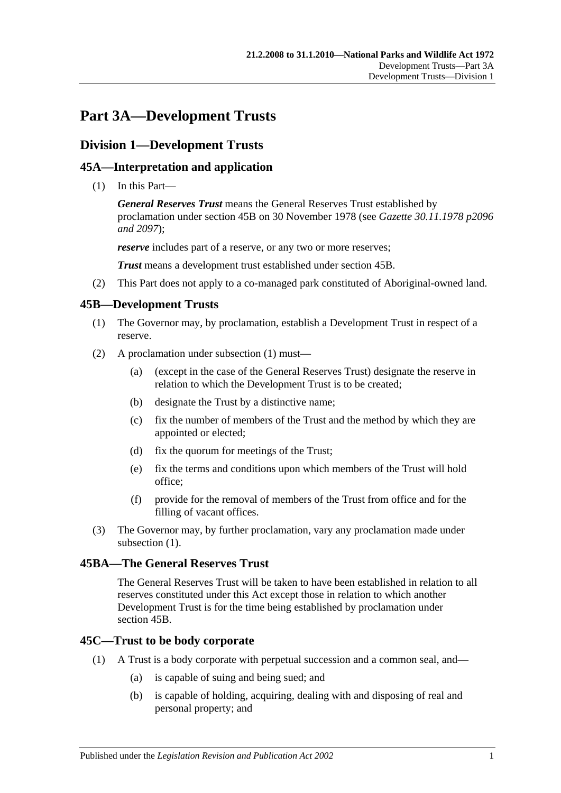# **Part 3A—Development Trusts**

# **Division 1—Development Trusts**

# **45A—Interpretation and application**

(1) In this Part—

*General Reserves Trust* means the General Reserves Trust established by proclamation under [section](#page-44-0) 45B on 30 November 1978 (see *Gazette 30.11.1978 p2096 and 2097*);

*reserve* includes part of a reserve, or any two or more reserves;

*Trust* means a development trust established under [section](#page-44-0) 45B.

(2) This Part does not apply to a co-managed park constituted of Aboriginal-owned land.

## <span id="page-44-1"></span><span id="page-44-0"></span>**45B—Development Trusts**

- (1) The Governor may, by proclamation, establish a Development Trust in respect of a reserve.
- (2) A proclamation under [subsection](#page-44-1) (1) must—
	- (a) (except in the case of the General Reserves Trust) designate the reserve in relation to which the Development Trust is to be created;
	- (b) designate the Trust by a distinctive name;
	- (c) fix the number of members of the Trust and the method by which they are appointed or elected;
	- (d) fix the quorum for meetings of the Trust;
	- (e) fix the terms and conditions upon which members of the Trust will hold office;
	- (f) provide for the removal of members of the Trust from office and for the filling of vacant offices.
- (3) The Governor may, by further proclamation, vary any proclamation made under [subsection](#page-44-1)  $(1)$ .

## **45BA—The General Reserves Trust**

The General Reserves Trust will be taken to have been established in relation to all reserves constituted under this Act except those in relation to which another Development Trust is for the time being established by proclamation under [section](#page-44-0) 45B.

## **45C—Trust to be body corporate**

- (1) A Trust is a body corporate with perpetual succession and a common seal, and—
	- (a) is capable of suing and being sued; and
	- (b) is capable of holding, acquiring, dealing with and disposing of real and personal property; and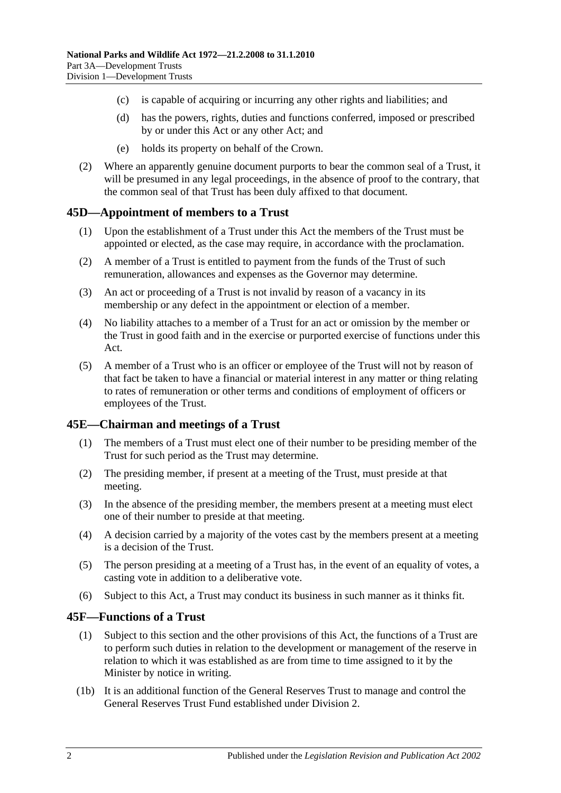- (c) is capable of acquiring or incurring any other rights and liabilities; and
- (d) has the powers, rights, duties and functions conferred, imposed or prescribed by or under this Act or any other Act; and
- (e) holds its property on behalf of the Crown.
- (2) Where an apparently genuine document purports to bear the common seal of a Trust, it will be presumed in any legal proceedings, in the absence of proof to the contrary, that the common seal of that Trust has been duly affixed to that document.

#### **45D—Appointment of members to a Trust**

- (1) Upon the establishment of a Trust under this Act the members of the Trust must be appointed or elected, as the case may require, in accordance with the proclamation.
- (2) A member of a Trust is entitled to payment from the funds of the Trust of such remuneration, allowances and expenses as the Governor may determine.
- (3) An act or proceeding of a Trust is not invalid by reason of a vacancy in its membership or any defect in the appointment or election of a member.
- (4) No liability attaches to a member of a Trust for an act or omission by the member or the Trust in good faith and in the exercise or purported exercise of functions under this Act.
- (5) A member of a Trust who is an officer or employee of the Trust will not by reason of that fact be taken to have a financial or material interest in any matter or thing relating to rates of remuneration or other terms and conditions of employment of officers or employees of the Trust.

#### **45E—Chairman and meetings of a Trust**

- (1) The members of a Trust must elect one of their number to be presiding member of the Trust for such period as the Trust may determine.
- (2) The presiding member, if present at a meeting of the Trust, must preside at that meeting.
- (3) In the absence of the presiding member, the members present at a meeting must elect one of their number to preside at that meeting.
- (4) A decision carried by a majority of the votes cast by the members present at a meeting is a decision of the Trust.
- (5) The person presiding at a meeting of a Trust has, in the event of an equality of votes, a casting vote in addition to a deliberative vote.
- (6) Subject to this Act, a Trust may conduct its business in such manner as it thinks fit.

#### **45F—Functions of a Trust**

- (1) Subject to this section and the other provisions of this Act, the functions of a Trust are to perform such duties in relation to the development or management of the reserve in relation to which it was established as are from time to time assigned to it by the Minister by notice in writing.
- (1b) It is an additional function of the General Reserves Trust to manage and control the General Reserves Trust Fund established under [Division 2.](#page-47-0)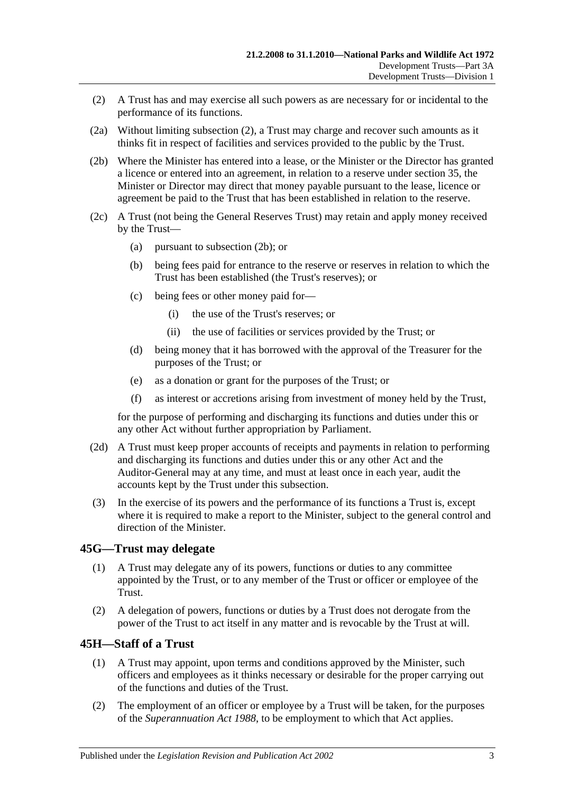- <span id="page-46-0"></span>(2) A Trust has and may exercise all such powers as are necessary for or incidental to the performance of its functions.
- (2a) Without limiting [subsection](#page-46-0) (2), a Trust may charge and recover such amounts as it thinks fit in respect of facilities and services provided to the public by the Trust.
- <span id="page-46-1"></span>(2b) Where the Minister has entered into a lease, or the Minister or the Director has granted a licence or entered into an agreement, in relation to a reserve under [section](#page-29-0) 35, the Minister or Director may direct that money payable pursuant to the lease, licence or agreement be paid to the Trust that has been established in relation to the reserve.
- (2c) A Trust (not being the General Reserves Trust) may retain and apply money received by the Trust—
	- (a) pursuant to [subsection](#page-46-1) (2b); or
	- (b) being fees paid for entrance to the reserve or reserves in relation to which the Trust has been established (the Trust's reserves); or
	- (c) being fees or other money paid for—
		- (i) the use of the Trust's reserves; or
		- (ii) the use of facilities or services provided by the Trust; or
	- (d) being money that it has borrowed with the approval of the Treasurer for the purposes of the Trust; or
	- (e) as a donation or grant for the purposes of the Trust; or
	- (f) as interest or accretions arising from investment of money held by the Trust,

for the purpose of performing and discharging its functions and duties under this or any other Act without further appropriation by Parliament.

- (2d) A Trust must keep proper accounts of receipts and payments in relation to performing and discharging its functions and duties under this or any other Act and the Auditor-General may at any time, and must at least once in each year, audit the accounts kept by the Trust under this subsection.
- (3) In the exercise of its powers and the performance of its functions a Trust is, except where it is required to make a report to the Minister, subject to the general control and direction of the Minister.

## **45G—Trust may delegate**

- (1) A Trust may delegate any of its powers, functions or duties to any committee appointed by the Trust, or to any member of the Trust or officer or employee of the Trust.
- (2) A delegation of powers, functions or duties by a Trust does not derogate from the power of the Trust to act itself in any matter and is revocable by the Trust at will.

#### **45H—Staff of a Trust**

- (1) A Trust may appoint, upon terms and conditions approved by the Minister, such officers and employees as it thinks necessary or desirable for the proper carrying out of the functions and duties of the Trust.
- (2) The employment of an officer or employee by a Trust will be taken, for the purposes of the *[Superannuation Act](http://www.legislation.sa.gov.au/index.aspx?action=legref&type=act&legtitle=Superannuation%20Act%201988) 1988*, to be employment to which that Act applies.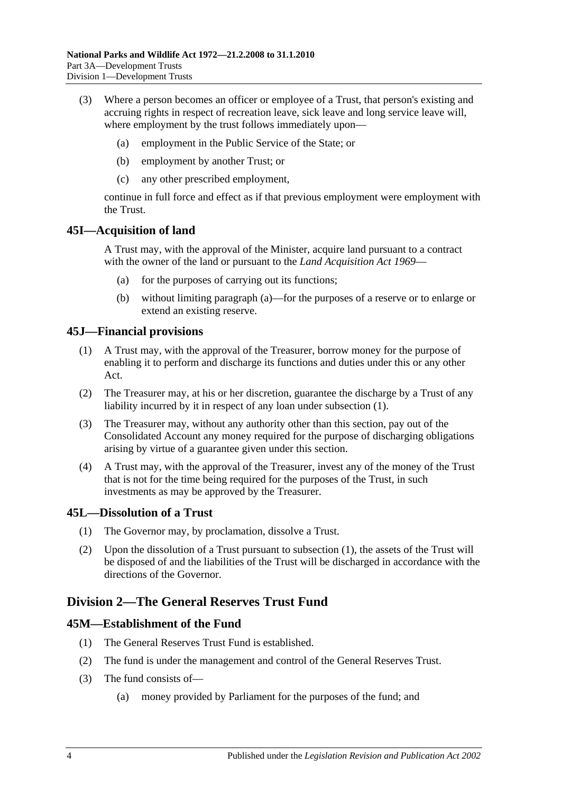- (3) Where a person becomes an officer or employee of a Trust, that person's existing and accruing rights in respect of recreation leave, sick leave and long service leave will, where employment by the trust follows immediately upon—
	- (a) employment in the Public Service of the State; or
	- (b) employment by another Trust; or
	- (c) any other prescribed employment,

continue in full force and effect as if that previous employment were employment with the Trust.

#### <span id="page-47-1"></span>**45I—Acquisition of land**

A Trust may, with the approval of the Minister, acquire land pursuant to a contract with the owner of the land or pursuant to the *[Land Acquisition Act](http://www.legislation.sa.gov.au/index.aspx?action=legref&type=act&legtitle=Land%20Acquisition%20Act%201969) 1969*—

- (a) for the purposes of carrying out its functions;
- (b) without limiting [paragraph](#page-47-1) (a)—for the purposes of a reserve or to enlarge or extend an existing reserve.

#### <span id="page-47-2"></span>**45J—Financial provisions**

- (1) A Trust may, with the approval of the Treasurer, borrow money for the purpose of enabling it to perform and discharge its functions and duties under this or any other Act.
- (2) The Treasurer may, at his or her discretion, guarantee the discharge by a Trust of any liability incurred by it in respect of any loan under [subsection](#page-47-2) (1).
- (3) The Treasurer may, without any authority other than this section, pay out of the Consolidated Account any money required for the purpose of discharging obligations arising by virtue of a guarantee given under this section.
- (4) A Trust may, with the approval of the Treasurer, invest any of the money of the Trust that is not for the time being required for the purposes of the Trust, in such investments as may be approved by the Treasurer.

#### <span id="page-47-3"></span>**45L—Dissolution of a Trust**

- (1) The Governor may, by proclamation, dissolve a Trust.
- (2) Upon the dissolution of a Trust pursuant to [subsection](#page-47-3) (1), the assets of the Trust will be disposed of and the liabilities of the Trust will be discharged in accordance with the directions of the Governor.

## <span id="page-47-0"></span>**Division 2—The General Reserves Trust Fund**

#### **45M—Establishment of the Fund**

- (1) The General Reserves Trust Fund is established.
- (2) The fund is under the management and control of the General Reserves Trust.
- (3) The fund consists of—
	- (a) money provided by Parliament for the purposes of the fund; and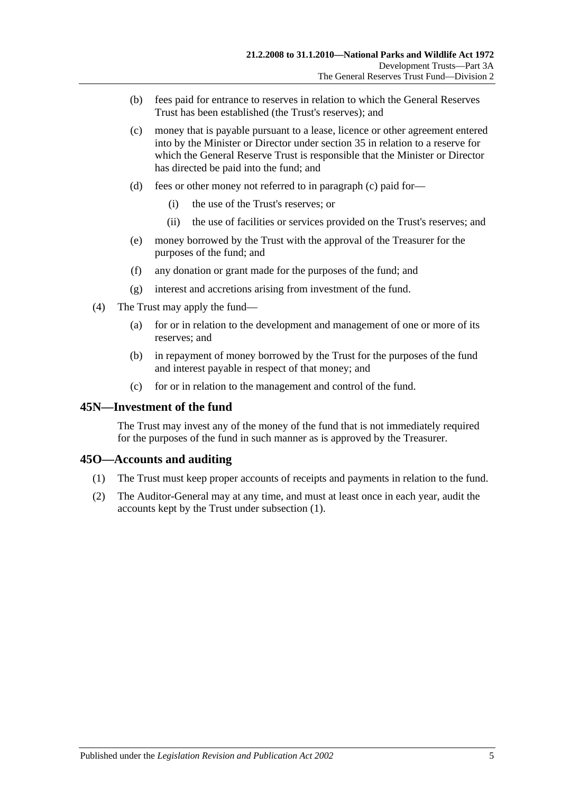- (b) fees paid for entrance to reserves in relation to which the General Reserves Trust has been established (the Trust's reserves); and
- <span id="page-48-0"></span>(c) money that is payable pursuant to a lease, licence or other agreement entered into by the Minister or Director under [section](#page-29-0) 35 in relation to a reserve for which the General Reserve Trust is responsible that the Minister or Director has directed be paid into the fund; and
- (d) fees or other money not referred to in [paragraph](#page-48-0) (c) paid for—
	- (i) the use of the Trust's reserves; or
	- (ii) the use of facilities or services provided on the Trust's reserves; and
- (e) money borrowed by the Trust with the approval of the Treasurer for the purposes of the fund; and
- (f) any donation or grant made for the purposes of the fund; and
- (g) interest and accretions arising from investment of the fund.
- (4) The Trust may apply the fund—
	- (a) for or in relation to the development and management of one or more of its reserves; and
	- (b) in repayment of money borrowed by the Trust for the purposes of the fund and interest payable in respect of that money; and
	- (c) for or in relation to the management and control of the fund.

#### **45N—Investment of the fund**

The Trust may invest any of the money of the fund that is not immediately required for the purposes of the fund in such manner as is approved by the Treasurer.

#### <span id="page-48-1"></span>**45O—Accounts and auditing**

- (1) The Trust must keep proper accounts of receipts and payments in relation to the fund.
- (2) The Auditor-General may at any time, and must at least once in each year, audit the accounts kept by the Trust under [subsection](#page-48-1) (1).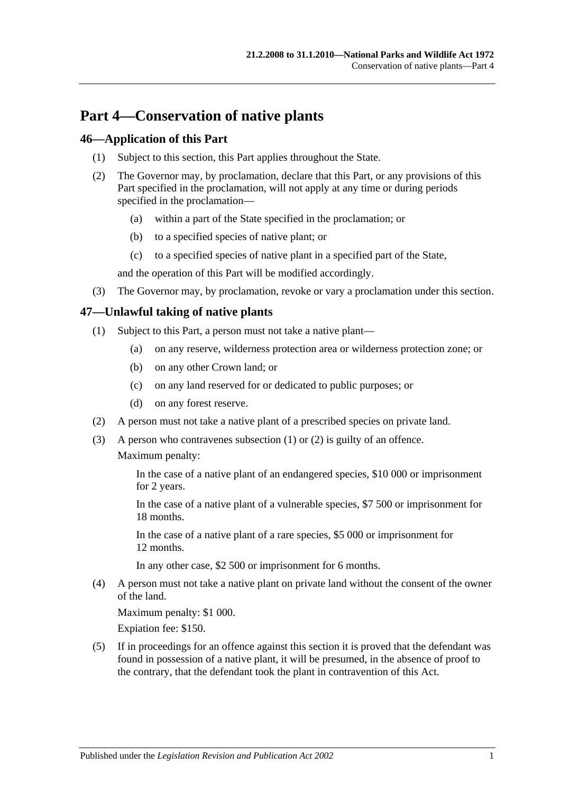# **Part 4—Conservation of native plants**

## **46—Application of this Part**

- (1) Subject to this section, this Part applies throughout the State.
- (2) The Governor may, by proclamation, declare that this Part, or any provisions of this Part specified in the proclamation, will not apply at any time or during periods specified in the proclamation—
	- (a) within a part of the State specified in the proclamation; or
	- (b) to a specified species of native plant; or
	- (c) to a specified species of native plant in a specified part of the State,

and the operation of this Part will be modified accordingly.

(3) The Governor may, by proclamation, revoke or vary a proclamation under this section.

# <span id="page-50-0"></span>**47—Unlawful taking of native plants**

- (1) Subject to this Part, a person must not take a native plant—
	- (a) on any reserve, wilderness protection area or wilderness protection zone; or
	- (b) on any other Crown land; or
	- (c) on any land reserved for or dedicated to public purposes; or
	- (d) on any forest reserve.
- <span id="page-50-1"></span>(2) A person must not take a native plant of a prescribed species on private land.
- (3) A person who contravenes [subsection](#page-50-0) (1) or [\(2\)](#page-50-1) is guilty of an offence. Maximum penalty:

In the case of a native plant of an endangered species, \$10 000 or imprisonment for 2 years.

In the case of a native plant of a vulnerable species, \$7 500 or imprisonment for 18 months.

In the case of a native plant of a rare species, \$5 000 or imprisonment for 12 months.

In any other case, \$2 500 or imprisonment for 6 months.

(4) A person must not take a native plant on private land without the consent of the owner of the land.

Maximum penalty: \$1 000.

Expiation fee: \$150.

(5) If in proceedings for an offence against this section it is proved that the defendant was found in possession of a native plant, it will be presumed, in the absence of proof to the contrary, that the defendant took the plant in contravention of this Act.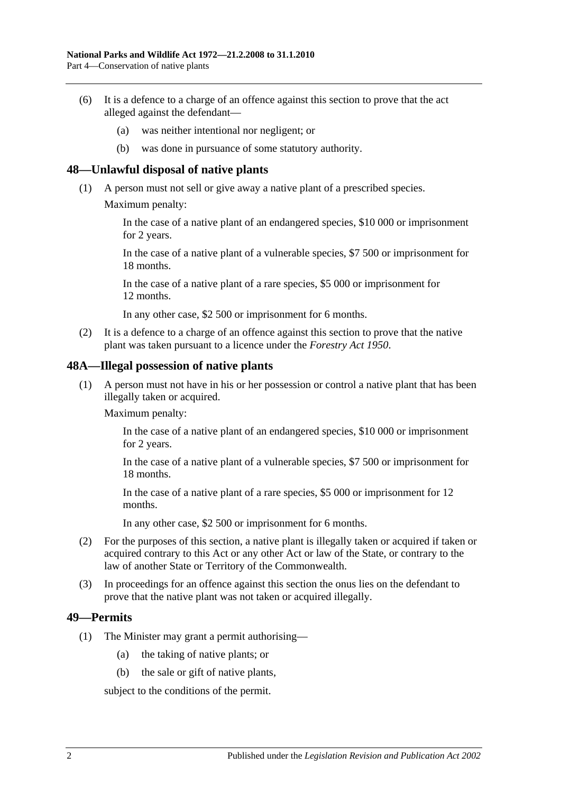- (6) It is a defence to a charge of an offence against this section to prove that the act alleged against the defendant—
	- (a) was neither intentional nor negligent; or
	- (b) was done in pursuance of some statutory authority.

#### **48—Unlawful disposal of native plants**

- (1) A person must not sell or give away a native plant of a prescribed species.
	- Maximum penalty:

In the case of a native plant of an endangered species, \$10 000 or imprisonment for 2 years.

In the case of a native plant of a vulnerable species, \$7 500 or imprisonment for 18 months.

In the case of a native plant of a rare species, \$5 000 or imprisonment for 12 months.

In any other case, \$2 500 or imprisonment for 6 months.

(2) It is a defence to a charge of an offence against this section to prove that the native plant was taken pursuant to a licence under the *[Forestry Act](http://www.legislation.sa.gov.au/index.aspx?action=legref&type=act&legtitle=Forestry%20Act%201950) 1950*.

#### **48A—Illegal possession of native plants**

(1) A person must not have in his or her possession or control a native plant that has been illegally taken or acquired.

Maximum penalty:

In the case of a native plant of an endangered species, \$10 000 or imprisonment for 2 years.

In the case of a native plant of a vulnerable species, \$7 500 or imprisonment for 18 months.

In the case of a native plant of a rare species, \$5 000 or imprisonment for 12 months.

In any other case, \$2 500 or imprisonment for 6 months.

- (2) For the purposes of this section, a native plant is illegally taken or acquired if taken or acquired contrary to this Act or any other Act or law of the State, or contrary to the law of another State or Territory of the Commonwealth.
- (3) In proceedings for an offence against this section the onus lies on the defendant to prove that the native plant was not taken or acquired illegally.

#### <span id="page-51-0"></span>**49—Permits**

- (1) The Minister may grant a permit authorising—
	- (a) the taking of native plants; or
	- (b) the sale or gift of native plants,

subject to the conditions of the permit.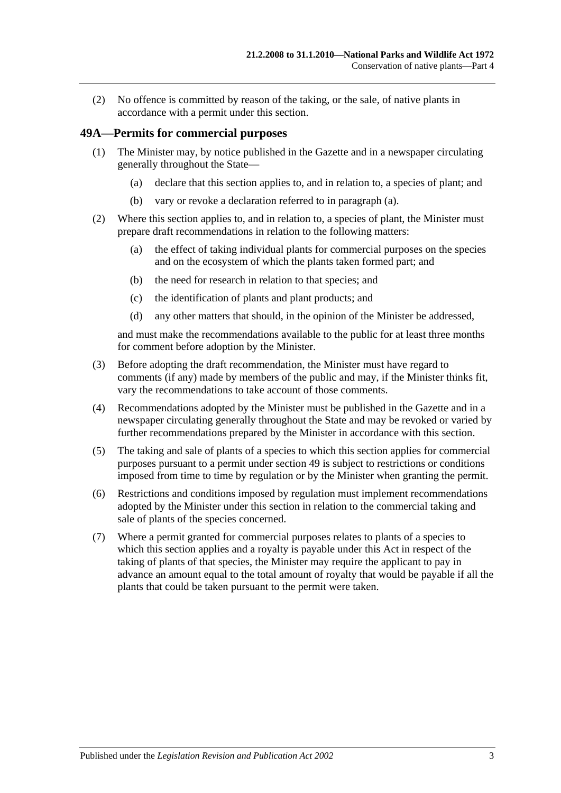(2) No offence is committed by reason of the taking, or the sale, of native plants in accordance with a permit under this section.

#### **49A—Permits for commercial purposes**

- <span id="page-52-0"></span>(1) The Minister may, by notice published in the Gazette and in a newspaper circulating generally throughout the State—
	- (a) declare that this section applies to, and in relation to, a species of plant; and
	- (b) vary or revoke a declaration referred to in [paragraph](#page-52-0) (a).
- (2) Where this section applies to, and in relation to, a species of plant, the Minister must prepare draft recommendations in relation to the following matters:
	- (a) the effect of taking individual plants for commercial purposes on the species and on the ecosystem of which the plants taken formed part; and
	- (b) the need for research in relation to that species; and
	- (c) the identification of plants and plant products; and
	- (d) any other matters that should, in the opinion of the Minister be addressed,

and must make the recommendations available to the public for at least three months for comment before adoption by the Minister.

- (3) Before adopting the draft recommendation, the Minister must have regard to comments (if any) made by members of the public and may, if the Minister thinks fit, vary the recommendations to take account of those comments.
- (4) Recommendations adopted by the Minister must be published in the Gazette and in a newspaper circulating generally throughout the State and may be revoked or varied by further recommendations prepared by the Minister in accordance with this section.
- (5) The taking and sale of plants of a species to which this section applies for commercial purposes pursuant to a permit under [section](#page-51-0) 49 is subject to restrictions or conditions imposed from time to time by regulation or by the Minister when granting the permit.
- (6) Restrictions and conditions imposed by regulation must implement recommendations adopted by the Minister under this section in relation to the commercial taking and sale of plants of the species concerned.
- (7) Where a permit granted for commercial purposes relates to plants of a species to which this section applies and a royalty is payable under this Act in respect of the taking of plants of that species, the Minister may require the applicant to pay in advance an amount equal to the total amount of royalty that would be payable if all the plants that could be taken pursuant to the permit were taken.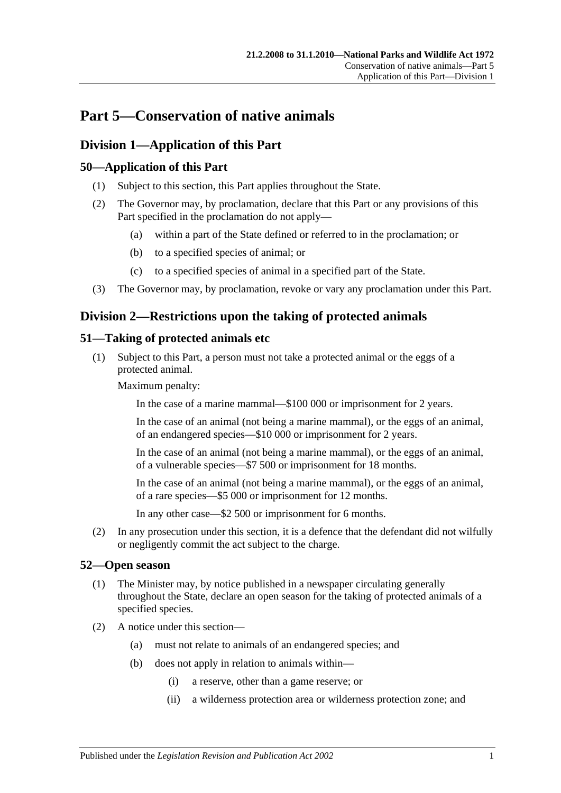# **Part 5—Conservation of native animals**

# **Division 1—Application of this Part**

# **50—Application of this Part**

- (1) Subject to this section, this Part applies throughout the State.
- (2) The Governor may, by proclamation, declare that this Part or any provisions of this Part specified in the proclamation do not apply—
	- (a) within a part of the State defined or referred to in the proclamation; or
	- (b) to a specified species of animal; or
	- (c) to a specified species of animal in a specified part of the State.
- (3) The Governor may, by proclamation, revoke or vary any proclamation under this Part.

# **Division 2—Restrictions upon the taking of protected animals**

# <span id="page-54-0"></span>**51—Taking of protected animals etc**

(1) Subject to this Part, a person must not take a protected animal or the eggs of a protected animal.

Maximum penalty:

In the case of a marine mammal—\$100 000 or imprisonment for 2 years.

In the case of an animal (not being a marine mammal), or the eggs of an animal, of an endangered species—\$10 000 or imprisonment for 2 years.

In the case of an animal (not being a marine mammal), or the eggs of an animal, of a vulnerable species—\$7 500 or imprisonment for 18 months.

In the case of an animal (not being a marine mammal), or the eggs of an animal, of a rare species—\$5 000 or imprisonment for 12 months.

In any other case—\$2 500 or imprisonment for 6 months.

(2) In any prosecution under this section, it is a defence that the defendant did not wilfully or negligently commit the act subject to the charge.

## **52—Open season**

- (1) The Minister may, by notice published in a newspaper circulating generally throughout the State, declare an open season for the taking of protected animals of a specified species.
- (2) A notice under this section—
	- (a) must not relate to animals of an endangered species; and
	- (b) does not apply in relation to animals within—
		- (i) a reserve, other than a game reserve; or
		- (ii) a wilderness protection area or wilderness protection zone; and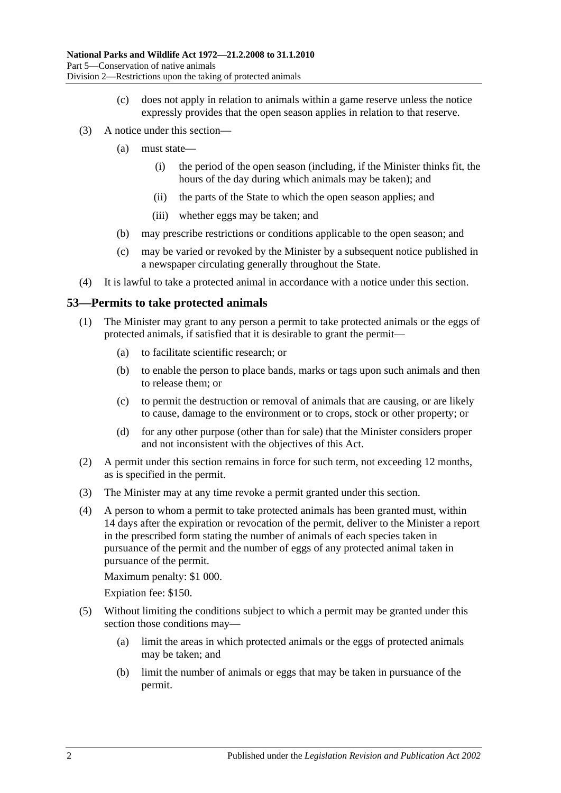- (c) does not apply in relation to animals within a game reserve unless the notice expressly provides that the open season applies in relation to that reserve.
- (3) A notice under this section—
	- (a) must state—
		- (i) the period of the open season (including, if the Minister thinks fit, the hours of the day during which animals may be taken); and
		- (ii) the parts of the State to which the open season applies; and
		- (iii) whether eggs may be taken; and
	- (b) may prescribe restrictions or conditions applicable to the open season; and
	- (c) may be varied or revoked by the Minister by a subsequent notice published in a newspaper circulating generally throughout the State.
- (4) It is lawful to take a protected animal in accordance with a notice under this section.

#### <span id="page-55-0"></span>**53—Permits to take protected animals**

- (1) The Minister may grant to any person a permit to take protected animals or the eggs of protected animals, if satisfied that it is desirable to grant the permit—
	- (a) to facilitate scientific research; or
	- (b) to enable the person to place bands, marks or tags upon such animals and then to release them; or
	- (c) to permit the destruction or removal of animals that are causing, or are likely to cause, damage to the environment or to crops, stock or other property; or
	- (d) for any other purpose (other than for sale) that the Minister considers proper and not inconsistent with the objectives of this Act.
- (2) A permit under this section remains in force for such term, not exceeding 12 months, as is specified in the permit.
- (3) The Minister may at any time revoke a permit granted under this section.
- (4) A person to whom a permit to take protected animals has been granted must, within 14 days after the expiration or revocation of the permit, deliver to the Minister a report in the prescribed form stating the number of animals of each species taken in pursuance of the permit and the number of eggs of any protected animal taken in pursuance of the permit.

Maximum penalty: \$1 000.

Expiation fee: \$150.

- (5) Without limiting the conditions subject to which a permit may be granted under this section those conditions may—
	- (a) limit the areas in which protected animals or the eggs of protected animals may be taken; and
	- (b) limit the number of animals or eggs that may be taken in pursuance of the permit.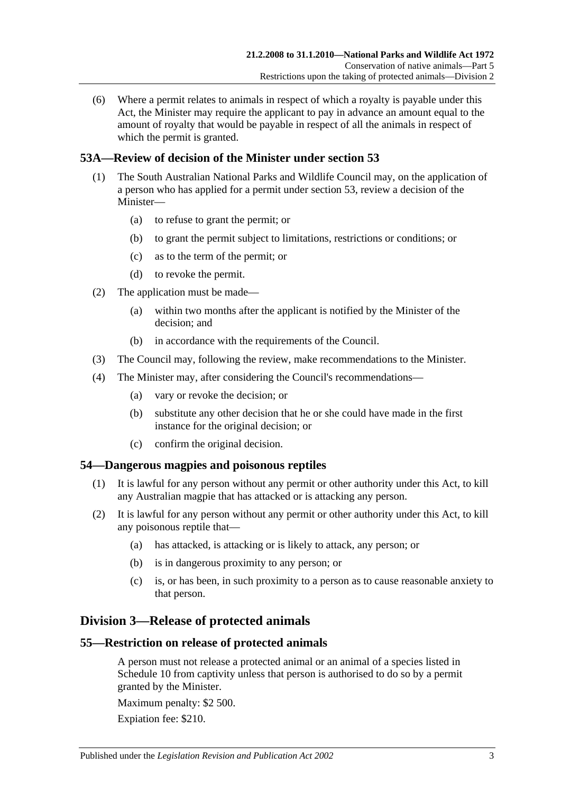(6) Where a permit relates to animals in respect of which a royalty is payable under this Act, the Minister may require the applicant to pay in advance an amount equal to the amount of royalty that would be payable in respect of all the animals in respect of which the permit is granted.

# **53A—Review of decision of the Minister under [section](#page-55-0) 53**

- (1) The South Australian National Parks and Wildlife Council may, on the application of a person who has applied for a permit under [section](#page-55-0) 53, review a decision of the Minister—
	- (a) to refuse to grant the permit; or
	- (b) to grant the permit subject to limitations, restrictions or conditions; or
	- (c) as to the term of the permit; or
	- (d) to revoke the permit.
- (2) The application must be made—
	- (a) within two months after the applicant is notified by the Minister of the decision; and
	- (b) in accordance with the requirements of the Council.
- (3) The Council may, following the review, make recommendations to the Minister.
- (4) The Minister may, after considering the Council's recommendations—
	- (a) vary or revoke the decision; or
	- (b) substitute any other decision that he or she could have made in the first instance for the original decision; or
	- (c) confirm the original decision.

## **54—Dangerous magpies and poisonous reptiles**

- (1) It is lawful for any person without any permit or other authority under this Act, to kill any Australian magpie that has attacked or is attacking any person.
- (2) It is lawful for any person without any permit or other authority under this Act, to kill any poisonous reptile that—
	- (a) has attacked, is attacking or is likely to attack, any person; or
	- (b) is in dangerous proximity to any person; or
	- (c) is, or has been, in such proximity to a person as to cause reasonable anxiety to that person.

# **Division 3—Release of protected animals**

## **55—Restriction on release of protected animals**

A person must not release a protected animal or an animal of a species listed in [Schedule 10](#page-139-0) from captivity unless that person is authorised to do so by a permit granted by the Minister.

Maximum penalty: \$2 500.

Expiation fee: \$210.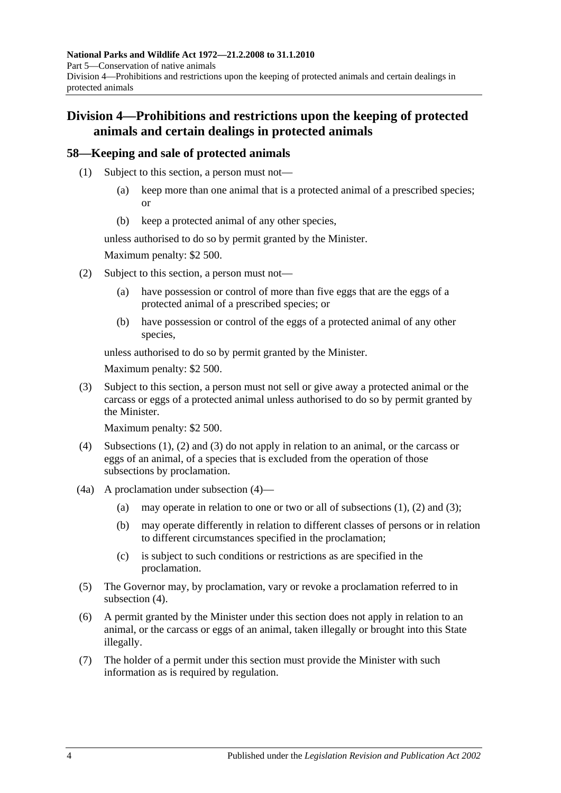# **Division 4—Prohibitions and restrictions upon the keeping of protected animals and certain dealings in protected animals**

# <span id="page-57-0"></span>**58—Keeping and sale of protected animals**

- (1) Subject to this section, a person must not—
	- (a) keep more than one animal that is a protected animal of a prescribed species; or
	- (b) keep a protected animal of any other species,

unless authorised to do so by permit granted by the Minister.

Maximum penalty: \$2 500.

- <span id="page-57-1"></span>(2) Subject to this section, a person must not—
	- (a) have possession or control of more than five eggs that are the eggs of a protected animal of a prescribed species; or
	- (b) have possession or control of the eggs of a protected animal of any other species,

unless authorised to do so by permit granted by the Minister.

Maximum penalty: \$2 500.

<span id="page-57-2"></span>(3) Subject to this section, a person must not sell or give away a protected animal or the carcass or eggs of a protected animal unless authorised to do so by permit granted by the Minister.

Maximum penalty: \$2 500.

- <span id="page-57-3"></span>(4) [Subsections](#page-57-0) (1), [\(2\)](#page-57-1) and [\(3\)](#page-57-2) do not apply in relation to an animal, or the carcass or eggs of an animal, of a species that is excluded from the operation of those subsections by proclamation.
- (4a) A proclamation under [subsection](#page-57-3) (4)
	- (a) may operate in relation to one or two or all of [subsections](#page-57-0)  $(1)$ ,  $(2)$  and  $(3)$ ;
	- (b) may operate differently in relation to different classes of persons or in relation to different circumstances specified in the proclamation;
	- (c) is subject to such conditions or restrictions as are specified in the proclamation.
- (5) The Governor may, by proclamation, vary or revoke a proclamation referred to in [subsection](#page-57-3) (4).
- (6) A permit granted by the Minister under this section does not apply in relation to an animal, or the carcass or eggs of an animal, taken illegally or brought into this State illegally.
- (7) The holder of a permit under this section must provide the Minister with such information as is required by regulation.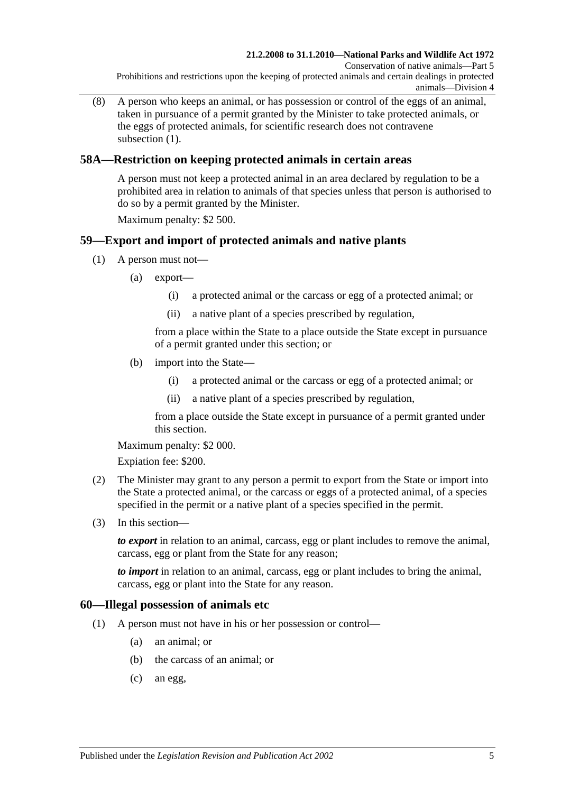(8) A person who keeps an animal, or has possession or control of the eggs of an animal, taken in pursuance of a permit granted by the Minister to take protected animals, or the eggs of protected animals, for scientific research does not contravene [subsection](#page-57-0)  $(1)$ .

# **58A—Restriction on keeping protected animals in certain areas**

A person must not keep a protected animal in an area declared by regulation to be a prohibited area in relation to animals of that species unless that person is authorised to do so by a permit granted by the Minister.

Maximum penalty: \$2 500.

# **59—Export and import of protected animals and native plants**

- (1) A person must not—
	- (a) export—
		- (i) a protected animal or the carcass or egg of a protected animal; or
		- (ii) a native plant of a species prescribed by regulation,

from a place within the State to a place outside the State except in pursuance of a permit granted under this section; or

- (b) import into the State—
	- (i) a protected animal or the carcass or egg of a protected animal; or
	- (ii) a native plant of a species prescribed by regulation,

from a place outside the State except in pursuance of a permit granted under this section.

Maximum penalty: \$2 000.

Expiation fee: \$200.

- (2) The Minister may grant to any person a permit to export from the State or import into the State a protected animal, or the carcass or eggs of a protected animal, of a species specified in the permit or a native plant of a species specified in the permit.
- (3) In this section—

*to export* in relation to an animal, carcass, egg or plant includes to remove the animal, carcass, egg or plant from the State for any reason;

*to import* in relation to an animal, carcass, egg or plant includes to bring the animal, carcass, egg or plant into the State for any reason.

#### **60—Illegal possession of animals etc**

- (1) A person must not have in his or her possession or control—
	- (a) an animal; or
	- (b) the carcass of an animal; or
	- (c) an egg,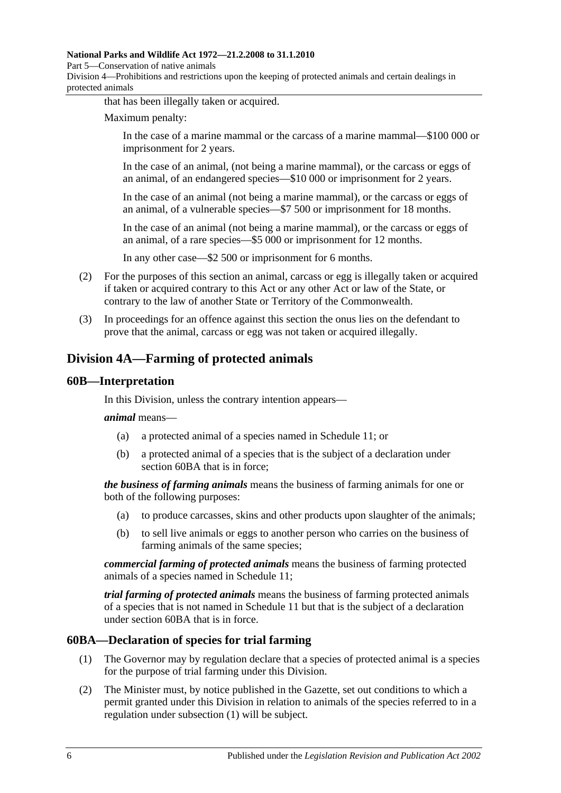#### **National Parks and Wildlife Act 1972—21.2.2008 to 31.1.2010**

Part 5—Conservation of native animals

Division 4—Prohibitions and restrictions upon the keeping of protected animals and certain dealings in protected animals

that has been illegally taken or acquired.

Maximum penalty:

In the case of a marine mammal or the carcass of a marine mammal—\$100 000 or imprisonment for 2 years.

In the case of an animal, (not being a marine mammal), or the carcass or eggs of an animal, of an endangered species—\$10 000 or imprisonment for 2 years.

In the case of an animal (not being a marine mammal), or the carcass or eggs of an animal, of a vulnerable species—\$7 500 or imprisonment for 18 months.

In the case of an animal (not being a marine mammal), or the carcass or eggs of an animal, of a rare species—\$5 000 or imprisonment for 12 months.

In any other case—\$2 500 or imprisonment for 6 months.

- (2) For the purposes of this section an animal, carcass or egg is illegally taken or acquired if taken or acquired contrary to this Act or any other Act or law of the State, or contrary to the law of another State or Territory of the Commonwealth.
- (3) In proceedings for an offence against this section the onus lies on the defendant to prove that the animal, carcass or egg was not taken or acquired illegally.

# **Division 4A—Farming of protected animals**

## **60B—Interpretation**

In this Division, unless the contrary intention appears—

*animal* means—

- (a) a protected animal of a species named in [Schedule 11;](#page-140-0) or
- (b) a protected animal of a species that is the subject of a declaration under [section](#page-59-0) 60BA that is in force;

*the business of farming animals* means the business of farming animals for one or both of the following purposes:

- (a) to produce carcasses, skins and other products upon slaughter of the animals;
- (b) to sell live animals or eggs to another person who carries on the business of farming animals of the same species;

*commercial farming of protected animals* means the business of farming protected animals of a species named in [Schedule 11;](#page-140-0)

*trial farming of protected animals* means the business of farming protected animals of a species that is not named in [Schedule 11](#page-140-0) but that is the subject of a declaration under [section](#page-59-0) 60BA that is in force.

## <span id="page-59-1"></span><span id="page-59-0"></span>**60BA—Declaration of species for trial farming**

- (1) The Governor may by regulation declare that a species of protected animal is a species for the purpose of trial farming under this Division.
- <span id="page-59-2"></span>(2) The Minister must, by notice published in the Gazette, set out conditions to which a permit granted under this Division in relation to animals of the species referred to in a regulation under [subsection](#page-59-1) (1) will be subject.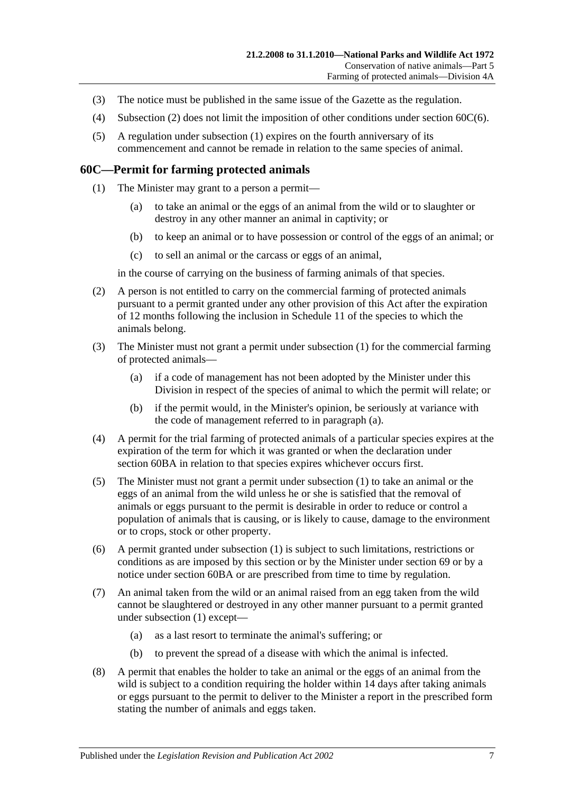- (3) The notice must be published in the same issue of the Gazette as the regulation.
- (4) [Subsection](#page-59-2) (2) does not limit the imposition of other conditions under section [60C\(6\).](#page-60-0)
- (5) A regulation under [subsection](#page-59-1) (1) expires on the fourth anniversary of its commencement and cannot be remade in relation to the same species of animal.

#### <span id="page-60-1"></span>**60C—Permit for farming protected animals**

- (1) The Minister may grant to a person a permit—
	- (a) to take an animal or the eggs of an animal from the wild or to slaughter or destroy in any other manner an animal in captivity; or
	- (b) to keep an animal or to have possession or control of the eggs of an animal; or
	- (c) to sell an animal or the carcass or eggs of an animal,

in the course of carrying on the business of farming animals of that species.

- (2) A person is not entitled to carry on the commercial farming of protected animals pursuant to a permit granted under any other provision of this Act after the expiration of 12 months following the inclusion in [Schedule 11](#page-140-0) of the species to which the animals belong.
- <span id="page-60-2"></span>(3) The Minister must not grant a permit under [subsection](#page-60-1) (1) for the commercial farming of protected animals—
	- (a) if a code of management has not been adopted by the Minister under this Division in respect of the species of animal to which the permit will relate; or
	- (b) if the permit would, in the Minister's opinion, be seriously at variance with the code of management referred to in [paragraph](#page-60-2) (a).
- (4) A permit for the trial farming of protected animals of a particular species expires at the expiration of the term for which it was granted or when the declaration under [section](#page-59-0) 60BA in relation to that species expires whichever occurs first.
- (5) The Minister must not grant a permit under [subsection](#page-60-1) (1) to take an animal or the eggs of an animal from the wild unless he or she is satisfied that the removal of animals or eggs pursuant to the permit is desirable in order to reduce or control a population of animals that is causing, or is likely to cause, damage to the environment or to crops, stock or other property.
- <span id="page-60-0"></span>(6) A permit granted under [subsection](#page-60-1) (1) is subject to such limitations, restrictions or conditions as are imposed by this section or by the Minister under [section](#page-74-0) 69 or by a notice under [section](#page-59-0) 60BA or are prescribed from time to time by regulation.
- (7) An animal taken from the wild or an animal raised from an egg taken from the wild cannot be slaughtered or destroyed in any other manner pursuant to a permit granted under [subsection](#page-60-1) (1) except—
	- (a) as a last resort to terminate the animal's suffering; or
	- (b) to prevent the spread of a disease with which the animal is infected.
- (8) A permit that enables the holder to take an animal or the eggs of an animal from the wild is subject to a condition requiring the holder within 14 days after taking animals or eggs pursuant to the permit to deliver to the Minister a report in the prescribed form stating the number of animals and eggs taken.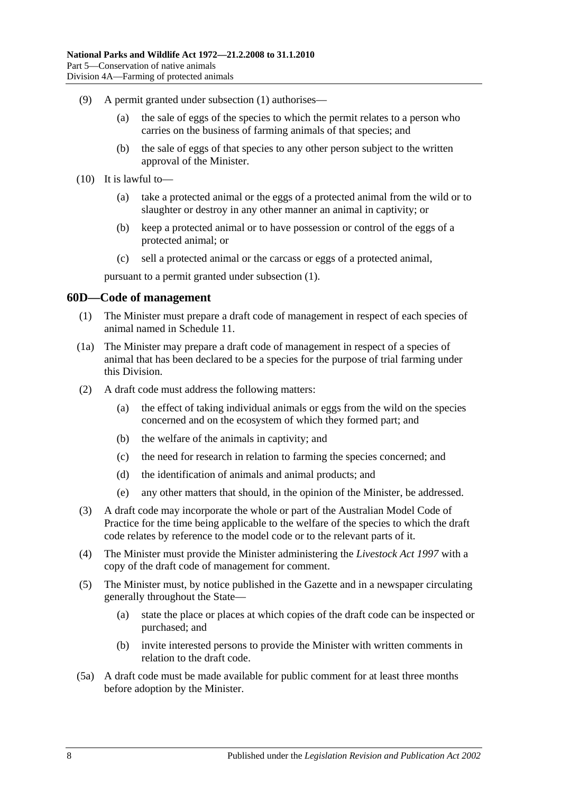- (9) A permit granted under [subsection](#page-60-1) (1) authorises—
	- (a) the sale of eggs of the species to which the permit relates to a person who carries on the business of farming animals of that species; and
	- (b) the sale of eggs of that species to any other person subject to the written approval of the Minister.
- (10) It is lawful to—
	- (a) take a protected animal or the eggs of a protected animal from the wild or to slaughter or destroy in any other manner an animal in captivity; or
	- (b) keep a protected animal or to have possession or control of the eggs of a protected animal; or
	- (c) sell a protected animal or the carcass or eggs of a protected animal,

pursuant to a permit granted under [subsection](#page-60-1) (1).

#### **60D—Code of management**

- (1) The Minister must prepare a draft code of management in respect of each species of animal named in [Schedule 11.](#page-140-0)
- <span id="page-61-0"></span>(1a) The Minister may prepare a draft code of management in respect of a species of animal that has been declared to be a species for the purpose of trial farming under this Division.
- (2) A draft code must address the following matters:
	- (a) the effect of taking individual animals or eggs from the wild on the species concerned and on the ecosystem of which they formed part; and
	- (b) the welfare of the animals in captivity; and
	- (c) the need for research in relation to farming the species concerned; and
	- (d) the identification of animals and animal products; and
	- (e) any other matters that should, in the opinion of the Minister, be addressed.
- (3) A draft code may incorporate the whole or part of the Australian Model Code of Practice for the time being applicable to the welfare of the species to which the draft code relates by reference to the model code or to the relevant parts of it.
- (4) The Minister must provide the Minister administering the *[Livestock Act](http://www.legislation.sa.gov.au/index.aspx?action=legref&type=act&legtitle=Livestock%20Act%201997) 1997* with a copy of the draft code of management for comment.
- (5) The Minister must, by notice published in the Gazette and in a newspaper circulating generally throughout the State—
	- (a) state the place or places at which copies of the draft code can be inspected or purchased; and
	- (b) invite interested persons to provide the Minister with written comments in relation to the draft code.
- (5a) A draft code must be made available for public comment for at least three months before adoption by the Minister.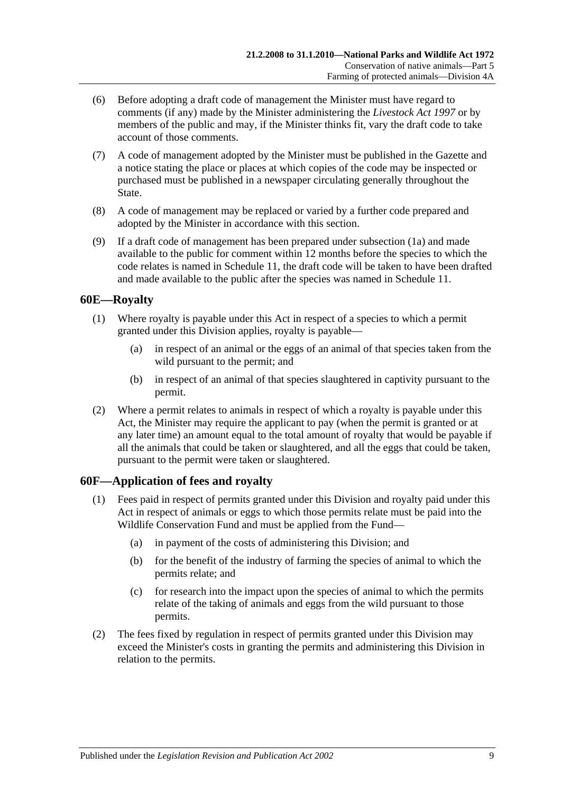- (6) Before adopting a draft code of management the Minister must have regard to comments (if any) made by the Minister administering the *[Livestock Act](http://www.legislation.sa.gov.au/index.aspx?action=legref&type=act&legtitle=Livestock%20Act%201997) 1997* or by members of the public and may, if the Minister thinks fit, vary the draft code to take account of those comments.
- (7) A code of management adopted by the Minister must be published in the Gazette and a notice stating the place or places at which copies of the code may be inspected or purchased must be published in a newspaper circulating generally throughout the State.
- (8) A code of management may be replaced or varied by a further code prepared and adopted by the Minister in accordance with this section.
- (9) If a draft code of management has been prepared under [subsection](#page-61-0) (1a) and made available to the public for comment within 12 months before the species to which the code relates is named in [Schedule 11,](#page-140-0) the draft code will be taken to have been drafted and made available to the public after the species was named in [Schedule 11.](#page-140-0)

## **60E—Royalty**

- (1) Where royalty is payable under this Act in respect of a species to which a permit granted under this Division applies, royalty is payable—
	- (a) in respect of an animal or the eggs of an animal of that species taken from the wild pursuant to the permit; and
	- (b) in respect of an animal of that species slaughtered in captivity pursuant to the permit.
- (2) Where a permit relates to animals in respect of which a royalty is payable under this Act, the Minister may require the applicant to pay (when the permit is granted or at any later time) an amount equal to the total amount of royalty that would be payable if all the animals that could be taken or slaughtered, and all the eggs that could be taken, pursuant to the permit were taken or slaughtered.

## **60F—Application of fees and royalty**

- (1) Fees paid in respect of permits granted under this Division and royalty paid under this Act in respect of animals or eggs to which those permits relate must be paid into the Wildlife Conservation Fund and must be applied from the Fund—
	- (a) in payment of the costs of administering this Division; and
	- (b) for the benefit of the industry of farming the species of animal to which the permits relate; and
	- (c) for research into the impact upon the species of animal to which the permits relate of the taking of animals and eggs from the wild pursuant to those permits.
- (2) The fees fixed by regulation in respect of permits granted under this Division may exceed the Minister's costs in granting the permits and administering this Division in relation to the permits.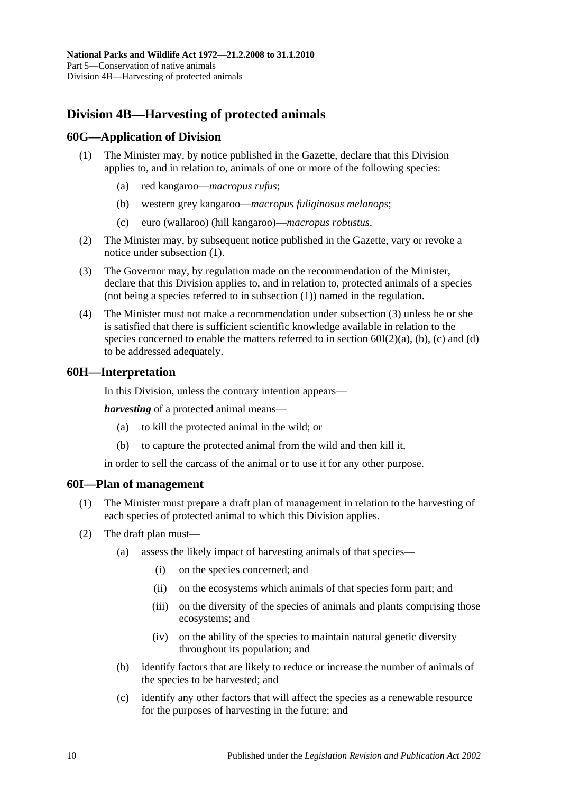# **Division 4B—Harvesting of protected animals**

## <span id="page-63-0"></span>**60G—Application of Division**

- (1) The Minister may, by notice published in the Gazette, declare that this Division applies to, and in relation to, animals of one or more of the following species:
	- (a) red kangaroo—*macropus rufus*;
	- (b) western grey kangaroo—*macropus fuliginosus melanops*;
	- (c) euro (wallaroo) (hill kangaroo)—*macropus robustus*.
- (2) The Minister may, by subsequent notice published in the Gazette, vary or revoke a notice under [subsection](#page-63-0) (1).
- <span id="page-63-1"></span>(3) The Governor may, by regulation made on the recommendation of the Minister, declare that this Division applies to, and in relation to, protected animals of a species (not being a species referred to in [subsection](#page-63-0) (1)) named in the regulation.
- (4) The Minister must not make a recommendation under [subsection](#page-63-1) (3) unless he or she is satisfied that there is sufficient scientific knowledge available in relation to the species concerned to enable the matters referred to in section  $60I(2)(a)$ , [\(b\),](#page-63-3) [\(c\)](#page-63-4) and [\(d\)](#page-64-0) to be addressed adequately.

#### **60H—Interpretation**

In this Division, unless the contrary intention appears—

*harvesting* of a protected animal means—

- (a) to kill the protected animal in the wild; or
- (b) to capture the protected animal from the wild and then kill it,

in order to sell the carcass of the animal or to use it for any other purpose.

#### **60I—Plan of management**

- (1) The Minister must prepare a draft plan of management in relation to the harvesting of each species of protected animal to which this Division applies.
- <span id="page-63-4"></span><span id="page-63-3"></span><span id="page-63-2"></span>(2) The draft plan must—
	- (a) assess the likely impact of harvesting animals of that species—
		- (i) on the species concerned; and
		- (ii) on the ecosystems which animals of that species form part; and
		- (iii) on the diversity of the species of animals and plants comprising those ecosystems; and
		- (iv) on the ability of the species to maintain natural genetic diversity throughout its population; and
	- (b) identify factors that are likely to reduce or increase the number of animals of the species to be harvested; and
	- (c) identify any other factors that will affect the species as a renewable resource for the purposes of harvesting in the future; and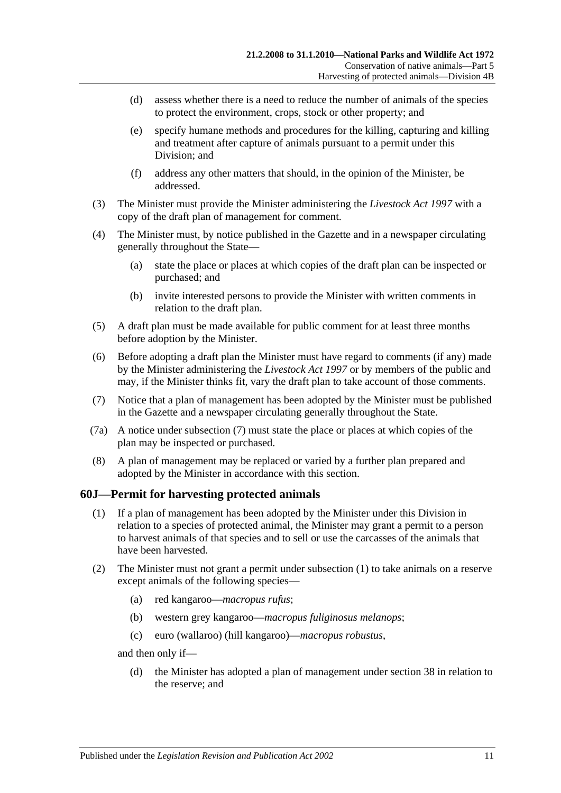- <span id="page-64-0"></span>(d) assess whether there is a need to reduce the number of animals of the species to protect the environment, crops, stock or other property; and
- (e) specify humane methods and procedures for the killing, capturing and killing and treatment after capture of animals pursuant to a permit under this Division; and
- (f) address any other matters that should, in the opinion of the Minister, be addressed.
- (3) The Minister must provide the Minister administering the *[Livestock Act](http://www.legislation.sa.gov.au/index.aspx?action=legref&type=act&legtitle=Livestock%20Act%201997) 1997* with a copy of the draft plan of management for comment.
- (4) The Minister must, by notice published in the Gazette and in a newspaper circulating generally throughout the State—
	- (a) state the place or places at which copies of the draft plan can be inspected or purchased; and
	- (b) invite interested persons to provide the Minister with written comments in relation to the draft plan.
- (5) A draft plan must be made available for public comment for at least three months before adoption by the Minister.
- (6) Before adopting a draft plan the Minister must have regard to comments (if any) made by the Minister administering the *[Livestock Act](http://www.legislation.sa.gov.au/index.aspx?action=legref&type=act&legtitle=Livestock%20Act%201997) 1997* or by members of the public and may, if the Minister thinks fit, vary the draft plan to take account of those comments.
- <span id="page-64-1"></span>(7) Notice that a plan of management has been adopted by the Minister must be published in the Gazette and a newspaper circulating generally throughout the State.
- (7a) A notice under [subsection](#page-64-1) (7) must state the place or places at which copies of the plan may be inspected or purchased.
- (8) A plan of management may be replaced or varied by a further plan prepared and adopted by the Minister in accordance with this section.

## <span id="page-64-2"></span>**60J—Permit for harvesting protected animals**

- (1) If a plan of management has been adopted by the Minister under this Division in relation to a species of protected animal, the Minister may grant a permit to a person to harvest animals of that species and to sell or use the carcasses of the animals that have been harvested.
- (2) The Minister must not grant a permit under [subsection](#page-64-2) (1) to take animals on a reserve except animals of the following species—
	- (a) red kangaroo—*macropus rufus*;
	- (b) western grey kangaroo—*macropus fuliginosus melanops*;
	- (c) euro (wallaroo) (hill kangaroo)—*macropus robustus*,

and then only if—

(d) the Minister has adopted a plan of management under [section](#page-31-0) 38 in relation to the reserve; and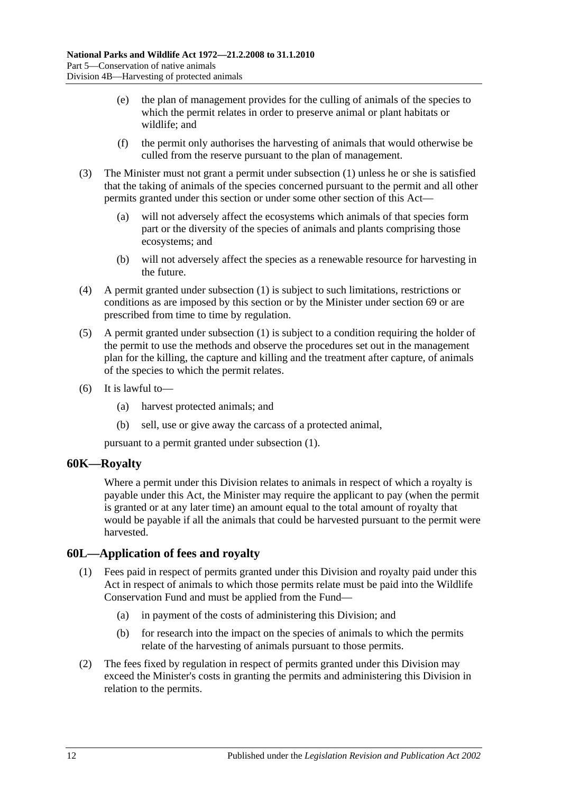- (e) the plan of management provides for the culling of animals of the species to which the permit relates in order to preserve animal or plant habitats or wildlife; and
- (f) the permit only authorises the harvesting of animals that would otherwise be culled from the reserve pursuant to the plan of management.
- (3) The Minister must not grant a permit under [subsection](#page-64-2) (1) unless he or she is satisfied that the taking of animals of the species concerned pursuant to the permit and all other permits granted under this section or under some other section of this Act—
	- (a) will not adversely affect the ecosystems which animals of that species form part or the diversity of the species of animals and plants comprising those ecosystems; and
	- (b) will not adversely affect the species as a renewable resource for harvesting in the future.
- (4) A permit granted under [subsection](#page-64-2) (1) is subject to such limitations, restrictions or conditions as are imposed by this section or by the Minister under [section](#page-74-0) 69 or are prescribed from time to time by regulation.
- (5) A permit granted under [subsection](#page-64-2) (1) is subject to a condition requiring the holder of the permit to use the methods and observe the procedures set out in the management plan for the killing, the capture and killing and the treatment after capture, of animals of the species to which the permit relates.
- (6) It is lawful to—
	- (a) harvest protected animals; and
	- (b) sell, use or give away the carcass of a protected animal,

pursuant to a permit granted under [subsection](#page-64-2) (1).

## **60K—Royalty**

Where a permit under this Division relates to animals in respect of which a royalty is payable under this Act, the Minister may require the applicant to pay (when the permit is granted or at any later time) an amount equal to the total amount of royalty that would be payable if all the animals that could be harvested pursuant to the permit were harvested.

# **60L—Application of fees and royalty**

- (1) Fees paid in respect of permits granted under this Division and royalty paid under this Act in respect of animals to which those permits relate must be paid into the Wildlife Conservation Fund and must be applied from the Fund—
	- (a) in payment of the costs of administering this Division; and
	- (b) for research into the impact on the species of animals to which the permits relate of the harvesting of animals pursuant to those permits.
- (2) The fees fixed by regulation in respect of permits granted under this Division may exceed the Minister's costs in granting the permits and administering this Division in relation to the permits.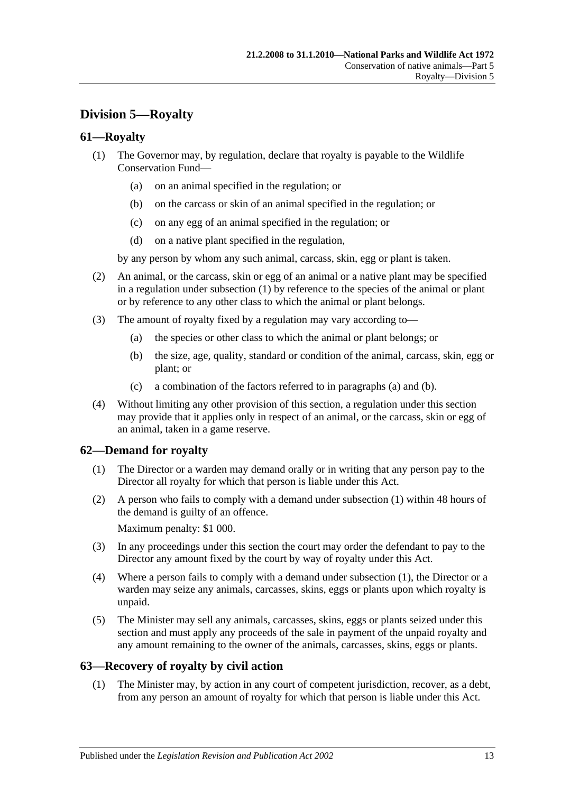# **Division 5—Royalty**

## <span id="page-66-0"></span>**61—Royalty**

- (1) The Governor may, by regulation, declare that royalty is payable to the Wildlife Conservation Fund—
	- (a) on an animal specified in the regulation; or
	- (b) on the carcass or skin of an animal specified in the regulation; or
	- (c) on any egg of an animal specified in the regulation; or
	- (d) on a native plant specified in the regulation,

by any person by whom any such animal, carcass, skin, egg or plant is taken.

- (2) An animal, or the carcass, skin or egg of an animal or a native plant may be specified in a regulation under [subsection](#page-66-0) (1) by reference to the species of the animal or plant or by reference to any other class to which the animal or plant belongs.
- <span id="page-66-2"></span><span id="page-66-1"></span>(3) The amount of royalty fixed by a regulation may vary according to—
	- (a) the species or other class to which the animal or plant belongs; or
	- (b) the size, age, quality, standard or condition of the animal, carcass, skin, egg or plant; or
	- (c) a combination of the factors referred to in [paragraphs](#page-66-1) (a) and [\(b\).](#page-66-2)
- (4) Without limiting any other provision of this section, a regulation under this section may provide that it applies only in respect of an animal, or the carcass, skin or egg of an animal, taken in a game reserve.

# <span id="page-66-3"></span>**62—Demand for royalty**

- (1) The Director or a warden may demand orally or in writing that any person pay to the Director all royalty for which that person is liable under this Act.
- (2) A person who fails to comply with a demand under [subsection](#page-66-3) (1) within 48 hours of the demand is guilty of an offence.

Maximum penalty: \$1 000.

- (3) In any proceedings under this section the court may order the defendant to pay to the Director any amount fixed by the court by way of royalty under this Act.
- (4) Where a person fails to comply with a demand under [subsection](#page-66-3) (1), the Director or a warden may seize any animals, carcasses, skins, eggs or plants upon which royalty is unpaid.
- (5) The Minister may sell any animals, carcasses, skins, eggs or plants seized under this section and must apply any proceeds of the sale in payment of the unpaid royalty and any amount remaining to the owner of the animals, carcasses, skins, eggs or plants.

## **63—Recovery of royalty by civil action**

(1) The Minister may, by action in any court of competent jurisdiction, recover, as a debt, from any person an amount of royalty for which that person is liable under this Act.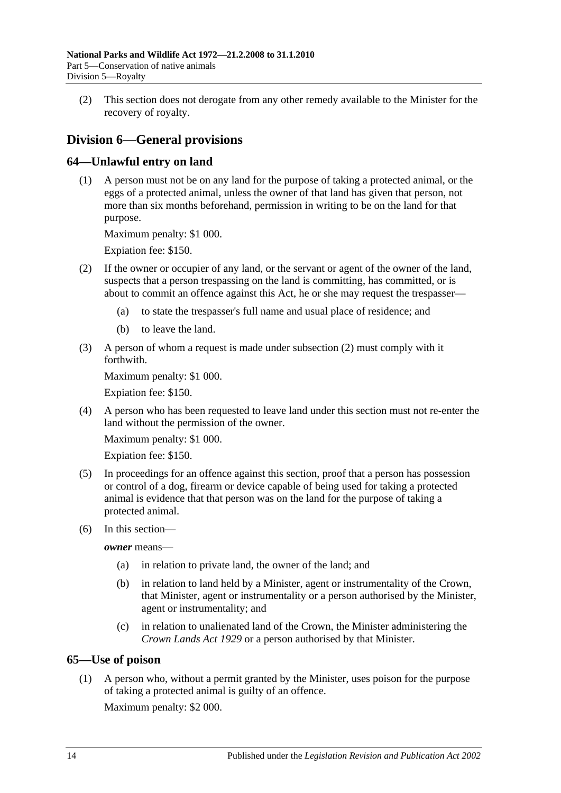(2) This section does not derogate from any other remedy available to the Minister for the recovery of royalty.

# **Division 6—General provisions**

# **64—Unlawful entry on land**

(1) A person must not be on any land for the purpose of taking a protected animal, or the eggs of a protected animal, unless the owner of that land has given that person, not more than six months beforehand, permission in writing to be on the land for that purpose.

Maximum penalty: \$1 000.

Expiation fee: \$150.

- <span id="page-67-0"></span>(2) If the owner or occupier of any land, or the servant or agent of the owner of the land, suspects that a person trespassing on the land is committing, has committed, or is about to commit an offence against this Act, he or she may request the trespasser—
	- (a) to state the trespasser's full name and usual place of residence; and
	- (b) to leave the land.
- (3) A person of whom a request is made under [subsection](#page-67-0) (2) must comply with it forthwith.

Maximum penalty: \$1 000.

Expiation fee: \$150.

(4) A person who has been requested to leave land under this section must not re-enter the land without the permission of the owner.

Maximum penalty: \$1 000.

Expiation fee: \$150.

- (5) In proceedings for an offence against this section, proof that a person has possession or control of a dog, firearm or device capable of being used for taking a protected animal is evidence that that person was on the land for the purpose of taking a protected animal.
- (6) In this section—

*owner* means—

- (a) in relation to private land, the owner of the land; and
- (b) in relation to land held by a Minister, agent or instrumentality of the Crown, that Minister, agent or instrumentality or a person authorised by the Minister, agent or instrumentality; and
- (c) in relation to unalienated land of the Crown, the Minister administering the *[Crown Lands Act](http://www.legislation.sa.gov.au/index.aspx?action=legref&type=act&legtitle=Crown%20Lands%20Act%201929) 1929* or a person authorised by that Minister.

# **65—Use of poison**

(1) A person who, without a permit granted by the Minister, uses poison for the purpose of taking a protected animal is guilty of an offence.

Maximum penalty: \$2 000.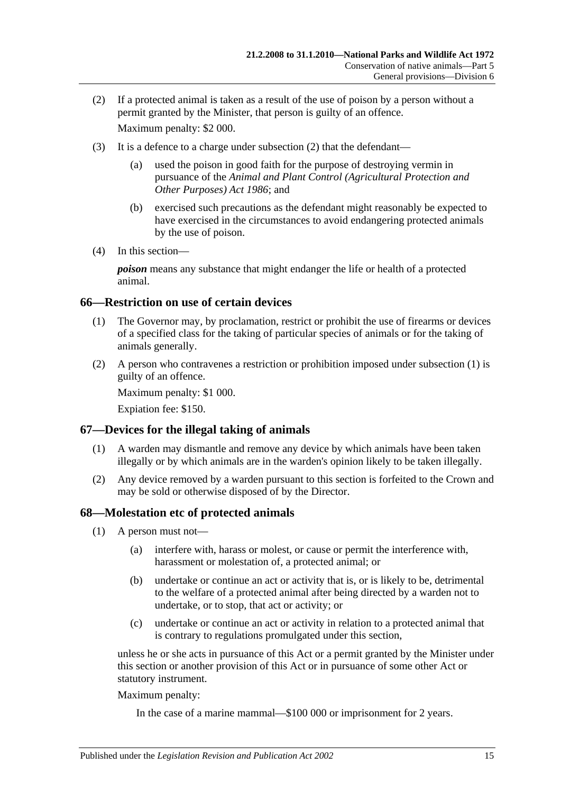- <span id="page-68-0"></span>(2) If a protected animal is taken as a result of the use of poison by a person without a permit granted by the Minister, that person is guilty of an offence. Maximum penalty: \$2 000.
- (3) It is a defence to a charge under [subsection](#page-68-0) (2) that the defendant—
	- (a) used the poison in good faith for the purpose of destroying vermin in pursuance of the *[Animal and Plant Control \(Agricultural Protection and](http://www.legislation.sa.gov.au/index.aspx?action=legref&type=act&legtitle=Animal%20and%20Plant%20Control%20(Agricultural%20Protection%20and%20Other%20Purposes)%20Act%201986)  [Other Purposes\) Act](http://www.legislation.sa.gov.au/index.aspx?action=legref&type=act&legtitle=Animal%20and%20Plant%20Control%20(Agricultural%20Protection%20and%20Other%20Purposes)%20Act%201986) 1986*; and
	- (b) exercised such precautions as the defendant might reasonably be expected to have exercised in the circumstances to avoid endangering protected animals by the use of poison.
- (4) In this section—

*poison* means any substance that might endanger the life or health of a protected animal.

#### <span id="page-68-1"></span>**66—Restriction on use of certain devices**

- (1) The Governor may, by proclamation, restrict or prohibit the use of firearms or devices of a specified class for the taking of particular species of animals or for the taking of animals generally.
- (2) A person who contravenes a restriction or prohibition imposed under [subsection](#page-68-1) (1) is guilty of an offence.

Maximum penalty: \$1 000.

Expiation fee: \$150.

## **67—Devices for the illegal taking of animals**

- (1) A warden may dismantle and remove any device by which animals have been taken illegally or by which animals are in the warden's opinion likely to be taken illegally.
- (2) Any device removed by a warden pursuant to this section is forfeited to the Crown and may be sold or otherwise disposed of by the Director.

#### <span id="page-68-5"></span>**68—Molestation etc of protected animals**

- <span id="page-68-3"></span><span id="page-68-2"></span>(1) A person must not—
	- (a) interfere with, harass or molest, or cause or permit the interference with, harassment or molestation of, a protected animal; or
	- (b) undertake or continue an act or activity that is, or is likely to be, detrimental to the welfare of a protected animal after being directed by a warden not to undertake, or to stop, that act or activity; or
	- (c) undertake or continue an act or activity in relation to a protected animal that is contrary to regulations promulgated under this section,

<span id="page-68-4"></span>unless he or she acts in pursuance of this Act or a permit granted by the Minister under this section or another provision of this Act or in pursuance of some other Act or statutory instrument.

Maximum penalty:

In the case of a marine mammal—\$100 000 or imprisonment for 2 years.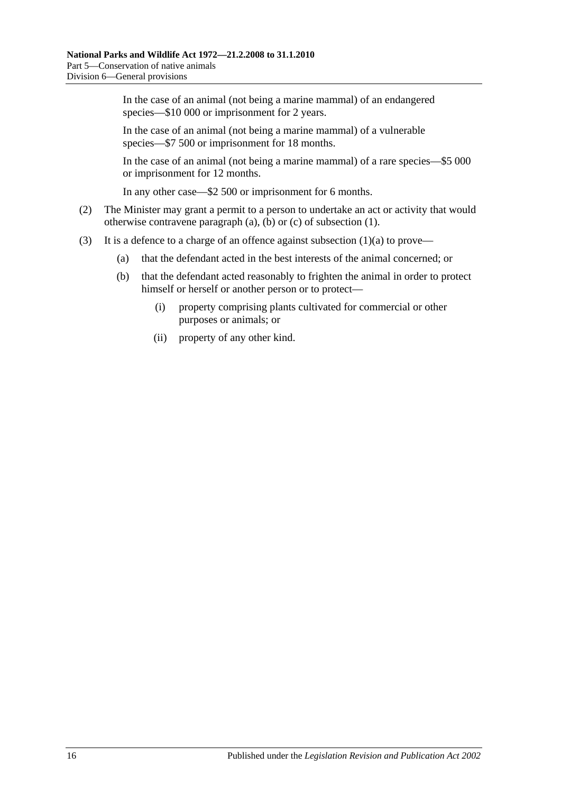In the case of an animal (not being a marine mammal) of an endangered species—\$10 000 or imprisonment for 2 years.

In the case of an animal (not being a marine mammal) of a vulnerable species—\$7 500 or imprisonment for 18 months.

In the case of an animal (not being a marine mammal) of a rare species—\$5 000 or imprisonment for 12 months.

In any other case—\$2 500 or imprisonment for 6 months.

- (2) The Minister may grant a permit to a person to undertake an act or activity that would otherwise contravene [paragraph](#page-68-2) (a), [\(b\)](#page-68-3) or [\(c\)](#page-68-4) of [subsection](#page-68-5) (1).
- (3) It is a defence to a charge of an offence against [subsection](#page-68-2)  $(1)(a)$  to prove—
	- (a) that the defendant acted in the best interests of the animal concerned; or
	- (b) that the defendant acted reasonably to frighten the animal in order to protect himself or herself or another person or to protect—
		- (i) property comprising plants cultivated for commercial or other purposes or animals; or
		- (ii) property of any other kind.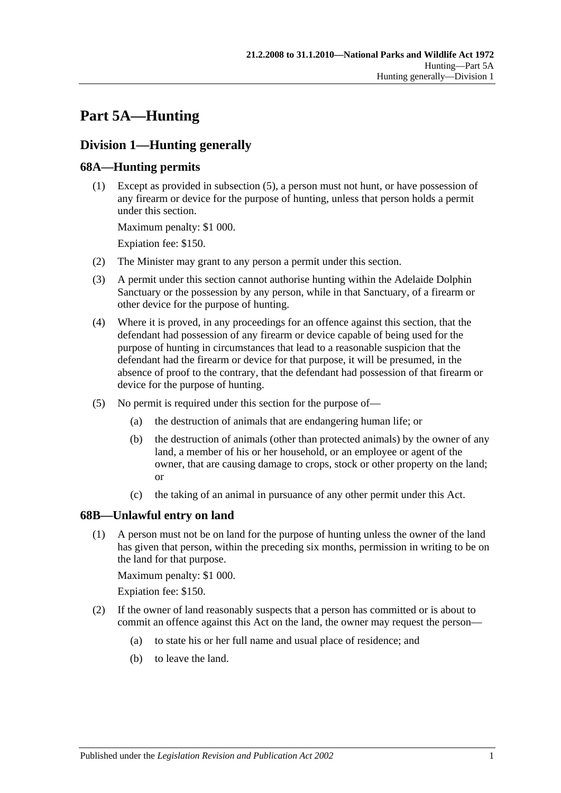# **Part 5A—Hunting**

# **Division 1—Hunting generally**

# **68A—Hunting permits**

(1) Except as provided in [subsection](#page-70-0) (5), a person must not hunt, or have possession of any firearm or device for the purpose of hunting, unless that person holds a permit under this section.

Maximum penalty: \$1 000.

Expiation fee: \$150.

- (2) The Minister may grant to any person a permit under this section.
- (3) A permit under this section cannot authorise hunting within the Adelaide Dolphin Sanctuary or the possession by any person, while in that Sanctuary, of a firearm or other device for the purpose of hunting.
- (4) Where it is proved, in any proceedings for an offence against this section, that the defendant had possession of any firearm or device capable of being used for the purpose of hunting in circumstances that lead to a reasonable suspicion that the defendant had the firearm or device for that purpose, it will be presumed, in the absence of proof to the contrary, that the defendant had possession of that firearm or device for the purpose of hunting.
- <span id="page-70-0"></span>(5) No permit is required under this section for the purpose of—
	- (a) the destruction of animals that are endangering human life; or
	- (b) the destruction of animals (other than protected animals) by the owner of any land, a member of his or her household, or an employee or agent of the owner, that are causing damage to crops, stock or other property on the land; or
	- (c) the taking of an animal in pursuance of any other permit under this Act.

## <span id="page-70-2"></span>**68B—Unlawful entry on land**

(1) A person must not be on land for the purpose of hunting unless the owner of the land has given that person, within the preceding six months, permission in writing to be on the land for that purpose.

Maximum penalty: \$1 000.

Expiation fee: \$150.

- <span id="page-70-1"></span>(2) If the owner of land reasonably suspects that a person has committed or is about to commit an offence against this Act on the land, the owner may request the person—
	- (a) to state his or her full name and usual place of residence; and
	- (b) to leave the land.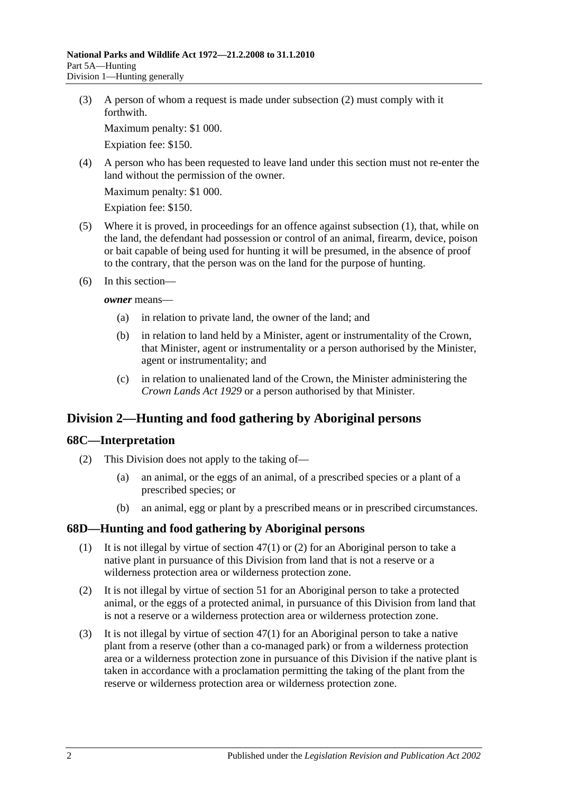(3) A person of whom a request is made under [subsection](#page-70-1) (2) must comply with it forthwith.

Maximum penalty: \$1 000.

Expiation fee: \$150.

(4) A person who has been requested to leave land under this section must not re-enter the land without the permission of the owner.

Maximum penalty: \$1 000.

Expiation fee: \$150.

- (5) Where it is proved, in proceedings for an offence against [subsection](#page-70-2) (1), that, while on the land, the defendant had possession or control of an animal, firearm, device, poison or bait capable of being used for hunting it will be presumed, in the absence of proof to the contrary, that the person was on the land for the purpose of hunting.
- (6) In this section—

*owner* means—

- (a) in relation to private land, the owner of the land; and
- (b) in relation to land held by a Minister, agent or instrumentality of the Crown, that Minister, agent or instrumentality or a person authorised by the Minister, agent or instrumentality; and
- (c) in relation to unalienated land of the Crown, the Minister administering the *[Crown Lands Act](http://www.legislation.sa.gov.au/index.aspx?action=legref&type=act&legtitle=Crown%20Lands%20Act%201929) 1929* or a person authorised by that Minister.

# **Division 2—Hunting and food gathering by Aboriginal persons**

## **68C—Interpretation**

- (2) This Division does not apply to the taking of—
	- (a) an animal, or the eggs of an animal, of a prescribed species or a plant of a prescribed species; or
	- (b) an animal, egg or plant by a prescribed means or in prescribed circumstances.

## **68D—Hunting and food gathering by Aboriginal persons**

- (1) It is not illegal by virtue of [section](#page-50-0) 47(1) or [\(2\)](#page-50-1) for an Aboriginal person to take a native plant in pursuance of this Division from land that is not a reserve or a wilderness protection area or wilderness protection zone.
- (2) It is not illegal by virtue of [section](#page-54-0) 51 for an Aboriginal person to take a protected animal, or the eggs of a protected animal, in pursuance of this Division from land that is not a reserve or a wilderness protection area or wilderness protection zone.
- (3) It is not illegal by virtue of [section](#page-50-0) 47(1) for an Aboriginal person to take a native plant from a reserve (other than a co-managed park) or from a wilderness protection area or a wilderness protection zone in pursuance of this Division if the native plant is taken in accordance with a proclamation permitting the taking of the plant from the reserve or wilderness protection area or wilderness protection zone.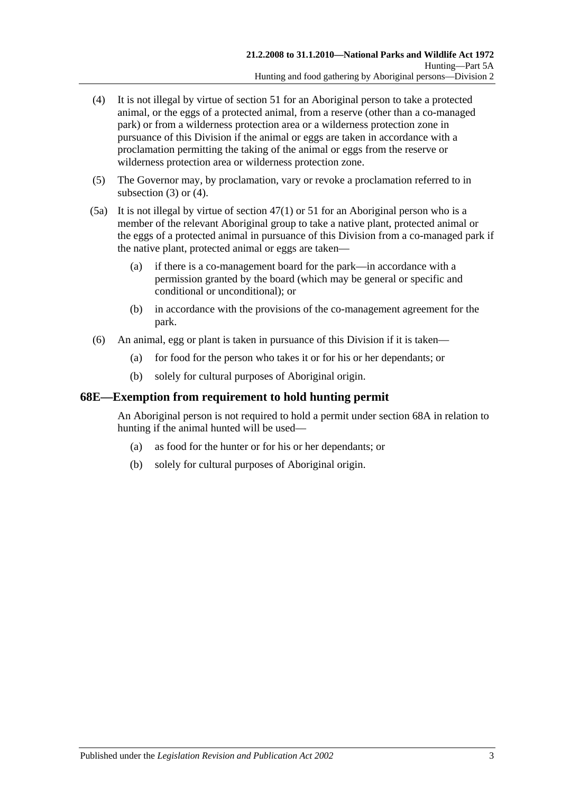- <span id="page-72-0"></span>(4) It is not illegal by virtue of [section](#page-54-0) 51 for an Aboriginal person to take a protected animal, or the eggs of a protected animal, from a reserve (other than a co-managed park) or from a wilderness protection area or a wilderness protection zone in pursuance of this Division if the animal or eggs are taken in accordance with a proclamation permitting the taking of the animal or eggs from the reserve or wilderness protection area or wilderness protection zone.
- (5) The Governor may, by proclamation, vary or revoke a proclamation referred to in [subsection](#page-71-0) (3) or [\(4\).](#page-72-0)
- (5a) It is not illegal by virtue of [section](#page-50-0) 47(1) or [51](#page-54-0) for an Aboriginal person who is a member of the relevant Aboriginal group to take a native plant, protected animal or the eggs of a protected animal in pursuance of this Division from a co-managed park if the native plant, protected animal or eggs are taken—
	- (a) if there is a co-management board for the park—in accordance with a permission granted by the board (which may be general or specific and conditional or unconditional); or
	- (b) in accordance with the provisions of the co-management agreement for the park.
- (6) An animal, egg or plant is taken in pursuance of this Division if it is taken—
	- (a) for food for the person who takes it or for his or her dependants; or
	- (b) solely for cultural purposes of Aboriginal origin.

### **68E—Exemption from requirement to hold hunting permit**

An Aboriginal person is not required to hold a permit under [section](#page-70-0) 68A in relation to hunting if the animal hunted will be used—

- (a) as food for the hunter or for his or her dependants; or
- (b) solely for cultural purposes of Aboriginal origin.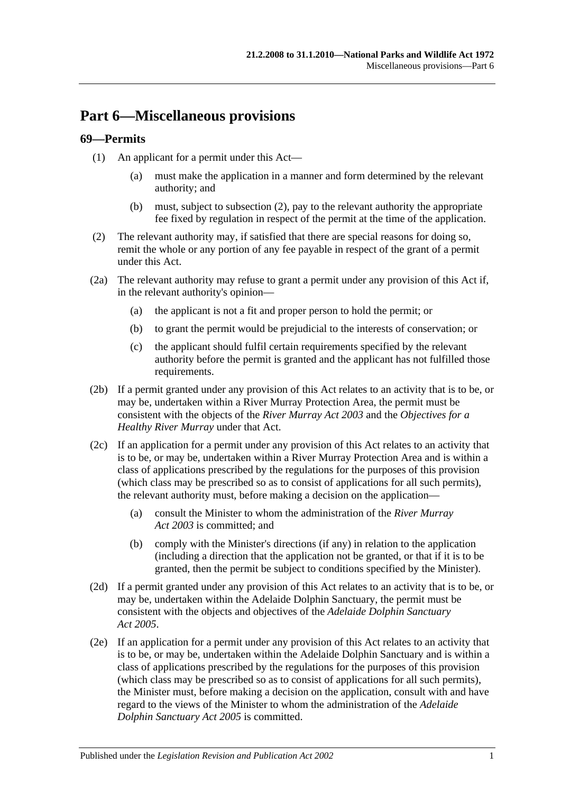## **Part 6—Miscellaneous provisions**

### **69—Permits**

- (1) An applicant for a permit under this Act—
	- (a) must make the application in a manner and form determined by the relevant authority; and
	- (b) must, subject to [subsection](#page-74-0) (2), pay to the relevant authority the appropriate fee fixed by regulation in respect of the permit at the time of the application.
- <span id="page-74-0"></span>(2) The relevant authority may, if satisfied that there are special reasons for doing so, remit the whole or any portion of any fee payable in respect of the grant of a permit under this Act.
- (2a) The relevant authority may refuse to grant a permit under any provision of this Act if, in the relevant authority's opinion—
	- (a) the applicant is not a fit and proper person to hold the permit; or
	- (b) to grant the permit would be prejudicial to the interests of conservation; or
	- (c) the applicant should fulfil certain requirements specified by the relevant authority before the permit is granted and the applicant has not fulfilled those requirements.
- (2b) If a permit granted under any provision of this Act relates to an activity that is to be, or may be, undertaken within a River Murray Protection Area, the permit must be consistent with the objects of the *[River Murray Act](http://www.legislation.sa.gov.au/index.aspx?action=legref&type=act&legtitle=River%20Murray%20Act%202003) 2003* and the *Objectives for a Healthy River Murray* under that Act.
- (2c) If an application for a permit under any provision of this Act relates to an activity that is to be, or may be, undertaken within a River Murray Protection Area and is within a class of applications prescribed by the regulations for the purposes of this provision (which class may be prescribed so as to consist of applications for all such permits), the relevant authority must, before making a decision on the application—
	- (a) consult the Minister to whom the administration of the *[River Murray](http://www.legislation.sa.gov.au/index.aspx?action=legref&type=act&legtitle=River%20Murray%20Act%202003)  Act [2003](http://www.legislation.sa.gov.au/index.aspx?action=legref&type=act&legtitle=River%20Murray%20Act%202003)* is committed; and
	- (b) comply with the Minister's directions (if any) in relation to the application (including a direction that the application not be granted, or that if it is to be granted, then the permit be subject to conditions specified by the Minister).
- (2d) If a permit granted under any provision of this Act relates to an activity that is to be, or may be, undertaken within the Adelaide Dolphin Sanctuary, the permit must be consistent with the objects and objectives of the *[Adelaide Dolphin Sanctuary](http://www.legislation.sa.gov.au/index.aspx?action=legref&type=act&legtitle=Adelaide%20Dolphin%20Sanctuary%20Act%202005)  Act [2005](http://www.legislation.sa.gov.au/index.aspx?action=legref&type=act&legtitle=Adelaide%20Dolphin%20Sanctuary%20Act%202005)*.
- (2e) If an application for a permit under any provision of this Act relates to an activity that is to be, or may be, undertaken within the Adelaide Dolphin Sanctuary and is within a class of applications prescribed by the regulations for the purposes of this provision (which class may be prescribed so as to consist of applications for all such permits), the Minister must, before making a decision on the application, consult with and have regard to the views of the Minister to whom the administration of the *[Adelaide](http://www.legislation.sa.gov.au/index.aspx?action=legref&type=act&legtitle=Adelaide%20Dolphin%20Sanctuary%20Act%202005)  [Dolphin Sanctuary Act](http://www.legislation.sa.gov.au/index.aspx?action=legref&type=act&legtitle=Adelaide%20Dolphin%20Sanctuary%20Act%202005) 2005* is committed.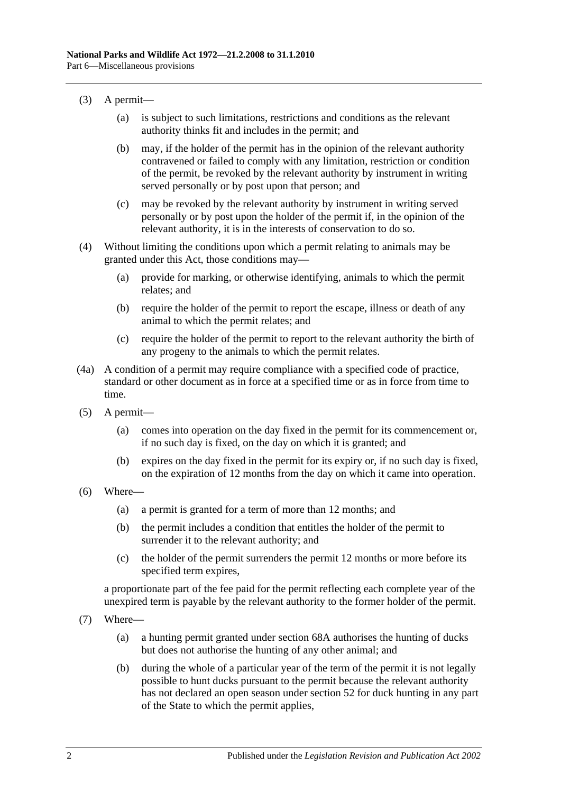- (3) A permit—
	- (a) is subject to such limitations, restrictions and conditions as the relevant authority thinks fit and includes in the permit; and
	- (b) may, if the holder of the permit has in the opinion of the relevant authority contravened or failed to comply with any limitation, restriction or condition of the permit, be revoked by the relevant authority by instrument in writing served personally or by post upon that person; and
	- (c) may be revoked by the relevant authority by instrument in writing served personally or by post upon the holder of the permit if, in the opinion of the relevant authority, it is in the interests of conservation to do so.
- (4) Without limiting the conditions upon which a permit relating to animals may be granted under this Act, those conditions may—
	- (a) provide for marking, or otherwise identifying, animals to which the permit relates; and
	- (b) require the holder of the permit to report the escape, illness or death of any animal to which the permit relates; and
	- (c) require the holder of the permit to report to the relevant authority the birth of any progeny to the animals to which the permit relates.
- (4a) A condition of a permit may require compliance with a specified code of practice, standard or other document as in force at a specified time or as in force from time to time.
- (5) A permit—
	- (a) comes into operation on the day fixed in the permit for its commencement or, if no such day is fixed, on the day on which it is granted; and
	- (b) expires on the day fixed in the permit for its expiry or, if no such day is fixed, on the expiration of 12 months from the day on which it came into operation.
- (6) Where—
	- (a) a permit is granted for a term of more than 12 months; and
	- (b) the permit includes a condition that entitles the holder of the permit to surrender it to the relevant authority; and
	- (c) the holder of the permit surrenders the permit 12 months or more before its specified term expires,

a proportionate part of the fee paid for the permit reflecting each complete year of the unexpired term is payable by the relevant authority to the former holder of the permit.

- (7) Where—
	- (a) a hunting permit granted under [section](#page-70-0) 68A authorises the hunting of ducks but does not authorise the hunting of any other animal; and
	- (b) during the whole of a particular year of the term of the permit it is not legally possible to hunt ducks pursuant to the permit because the relevant authority has not declared an open season under [section](#page-54-1) 52 for duck hunting in any part of the State to which the permit applies,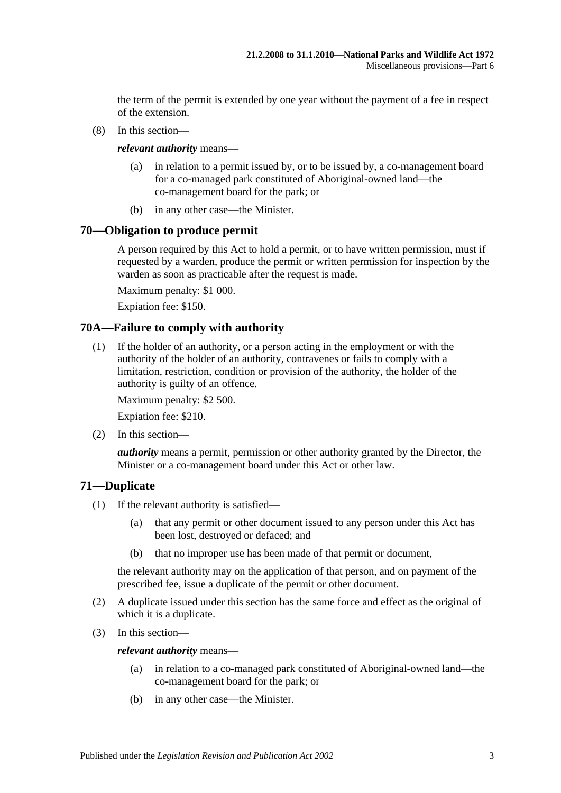the term of the permit is extended by one year without the payment of a fee in respect of the extension.

(8) In this section—

*relevant authority* means—

- (a) in relation to a permit issued by, or to be issued by, a co-management board for a co-managed park constituted of Aboriginal-owned land—the co-management board for the park; or
- (b) in any other case—the Minister.

### **70—Obligation to produce permit**

A person required by this Act to hold a permit, or to have written permission, must if requested by a warden, produce the permit or written permission for inspection by the warden as soon as practicable after the request is made.

Maximum penalty: \$1 000.

Expiation fee: \$150.

### **70A—Failure to comply with authority**

(1) If the holder of an authority, or a person acting in the employment or with the authority of the holder of an authority, contravenes or fails to comply with a limitation, restriction, condition or provision of the authority, the holder of the authority is guilty of an offence.

Maximum penalty: \$2 500.

Expiation fee: \$210.

(2) In this section—

*authority* means a permit, permission or other authority granted by the Director, the Minister or a co-management board under this Act or other law.

### **71—Duplicate**

- (1) If the relevant authority is satisfied—
	- (a) that any permit or other document issued to any person under this Act has been lost, destroyed or defaced; and
	- (b) that no improper use has been made of that permit or document,

the relevant authority may on the application of that person, and on payment of the prescribed fee, issue a duplicate of the permit or other document.

- (2) A duplicate issued under this section has the same force and effect as the original of which it is a duplicate.
- (3) In this section—

*relevant authority* means—

- (a) in relation to a co-managed park constituted of Aboriginal-owned land—the co-management board for the park; or
- (b) in any other case—the Minister.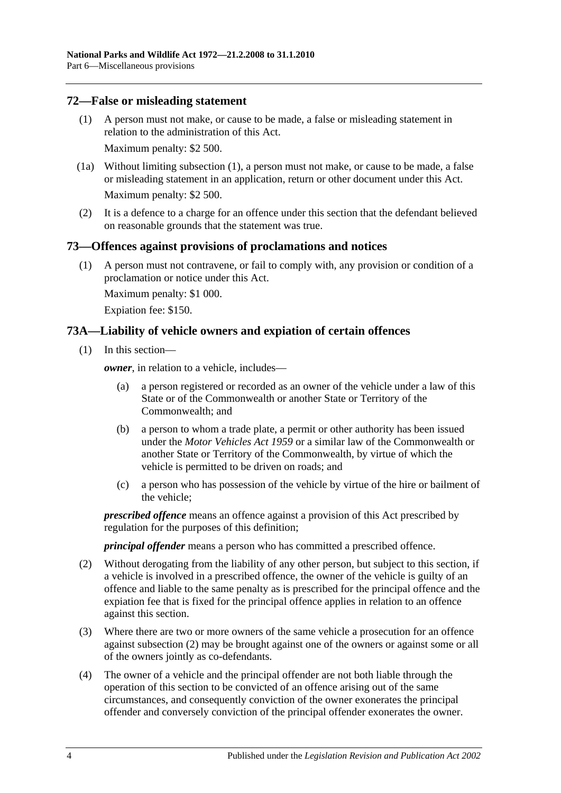### <span id="page-77-0"></span>**72—False or misleading statement**

(1) A person must not make, or cause to be made, a false or misleading statement in relation to the administration of this Act.

Maximum penalty: \$2 500.

- (1a) Without limiting [subsection](#page-77-0) (1), a person must not make, or cause to be made, a false or misleading statement in an application, return or other document under this Act. Maximum penalty: \$2 500.
- (2) It is a defence to a charge for an offence under this section that the defendant believed on reasonable grounds that the statement was true.

### **73—Offences against provisions of proclamations and notices**

(1) A person must not contravene, or fail to comply with, any provision or condition of a proclamation or notice under this Act.

Maximum penalty: \$1 000.

Expiation fee: \$150.

### **73A—Liability of vehicle owners and expiation of certain offences**

(1) In this section—

*owner*, in relation to a vehicle, includes—

- (a) a person registered or recorded as an owner of the vehicle under a law of this State or of the Commonwealth or another State or Territory of the Commonwealth; and
- (b) a person to whom a trade plate, a permit or other authority has been issued under the *Motor Vehicles Act 1959* or a similar law of the Commonwealth or another State or Territory of the Commonwealth, by virtue of which the vehicle is permitted to be driven on roads; and
- (c) a person who has possession of the vehicle by virtue of the hire or bailment of the vehicle;

*prescribed offence* means an offence against a provision of this Act prescribed by regulation for the purposes of this definition;

*principal offender* means a person who has committed a prescribed offence.

- <span id="page-77-1"></span>(2) Without derogating from the liability of any other person, but subject to this section, if a vehicle is involved in a prescribed offence, the owner of the vehicle is guilty of an offence and liable to the same penalty as is prescribed for the principal offence and the expiation fee that is fixed for the principal offence applies in relation to an offence against this section.
- (3) Where there are two or more owners of the same vehicle a prosecution for an offence against [subsection](#page-77-1) (2) may be brought against one of the owners or against some or all of the owners jointly as co-defendants.
- (4) The owner of a vehicle and the principal offender are not both liable through the operation of this section to be convicted of an offence arising out of the same circumstances, and consequently conviction of the owner exonerates the principal offender and conversely conviction of the principal offender exonerates the owner.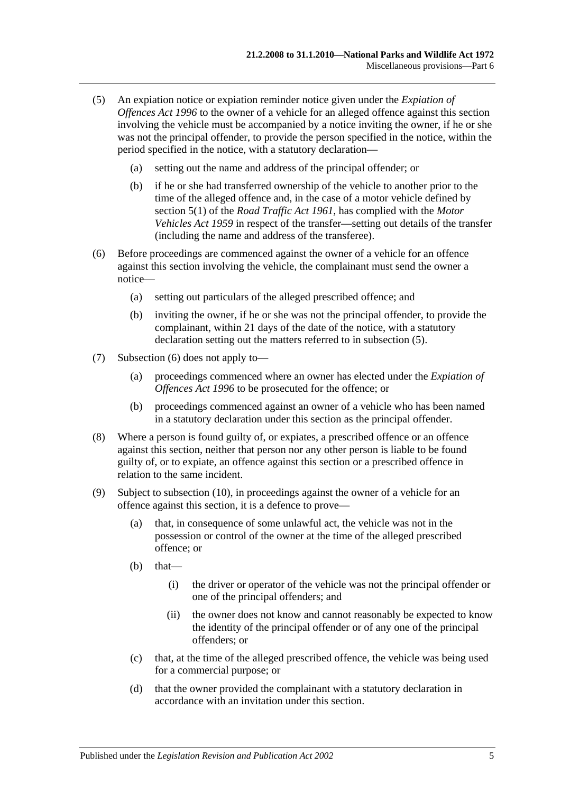- <span id="page-78-0"></span>(5) An expiation notice or expiation reminder notice given under the *[Expiation of](http://www.legislation.sa.gov.au/index.aspx?action=legref&type=act&legtitle=Expiation%20of%20Offences%20Act%201996)  [Offences Act](http://www.legislation.sa.gov.au/index.aspx?action=legref&type=act&legtitle=Expiation%20of%20Offences%20Act%201996) 1996* to the owner of a vehicle for an alleged offence against this section involving the vehicle must be accompanied by a notice inviting the owner, if he or she was not the principal offender, to provide the person specified in the notice, within the period specified in the notice, with a statutory declaration—
	- (a) setting out the name and address of the principal offender; or
	- (b) if he or she had transferred ownership of the vehicle to another prior to the time of the alleged offence and, in the case of a motor vehicle defined by section 5(1) of the *[Road Traffic Act](http://www.legislation.sa.gov.au/index.aspx?action=legref&type=act&legtitle=Road%20Traffic%20Act%201961) 1961*, has complied with the *[Motor](http://www.legislation.sa.gov.au/index.aspx?action=legref&type=act&legtitle=Motor%20Vehicles%20Act%201959)  [Vehicles Act](http://www.legislation.sa.gov.au/index.aspx?action=legref&type=act&legtitle=Motor%20Vehicles%20Act%201959) 1959* in respect of the transfer—setting out details of the transfer (including the name and address of the transferee).
- <span id="page-78-1"></span>(6) Before proceedings are commenced against the owner of a vehicle for an offence against this section involving the vehicle, the complainant must send the owner a notice—
	- (a) setting out particulars of the alleged prescribed offence; and
	- (b) inviting the owner, if he or she was not the principal offender, to provide the complainant, within 21 days of the date of the notice, with a statutory declaration setting out the matters referred to in [subsection](#page-78-0) (5).
- (7) [Subsection](#page-78-1) (6) does not apply to—
	- (a) proceedings commenced where an owner has elected under the *[Expiation of](http://www.legislation.sa.gov.au/index.aspx?action=legref&type=act&legtitle=Expiation%20of%20Offences%20Act%201996)  [Offences Act](http://www.legislation.sa.gov.au/index.aspx?action=legref&type=act&legtitle=Expiation%20of%20Offences%20Act%201996) 1996* to be prosecuted for the offence; or
	- (b) proceedings commenced against an owner of a vehicle who has been named in a statutory declaration under this section as the principal offender.
- (8) Where a person is found guilty of, or expiates, a prescribed offence or an offence against this section, neither that person nor any other person is liable to be found guilty of, or to expiate, an offence against this section or a prescribed offence in relation to the same incident.
- <span id="page-78-2"></span>(9) Subject to [subsection](#page-79-0) (10), in proceedings against the owner of a vehicle for an offence against this section, it is a defence to prove—
	- (a) that, in consequence of some unlawful act, the vehicle was not in the possession or control of the owner at the time of the alleged prescribed offence; or
	- $(b)$  that—
		- (i) the driver or operator of the vehicle was not the principal offender or one of the principal offenders; and
		- (ii) the owner does not know and cannot reasonably be expected to know the identity of the principal offender or of any one of the principal offenders; or
	- (c) that, at the time of the alleged prescribed offence, the vehicle was being used for a commercial purpose; or
	- (d) that the owner provided the complainant with a statutory declaration in accordance with an invitation under this section.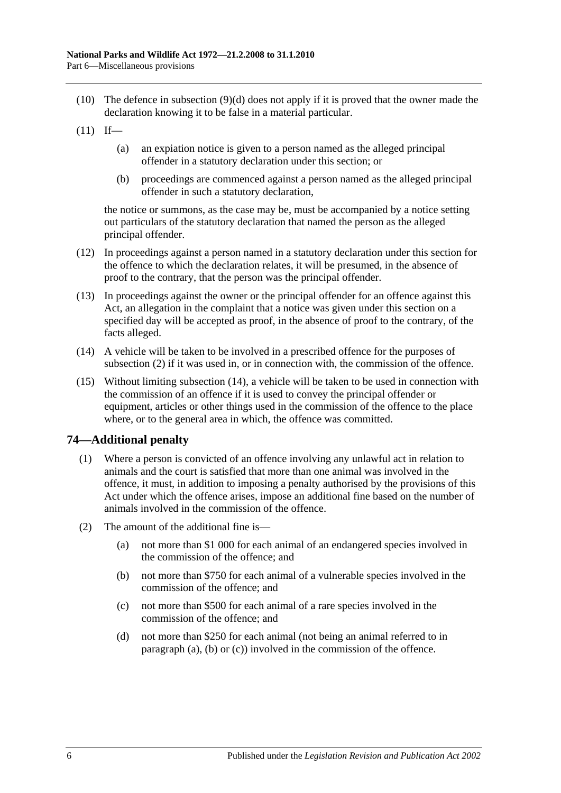- <span id="page-79-0"></span>(10) The defence in [subsection](#page-78-2) (9)(d) does not apply if it is proved that the owner made the declaration knowing it to be false in a material particular.
- $(11)$  If—
	- (a) an expiation notice is given to a person named as the alleged principal offender in a statutory declaration under this section; or
	- (b) proceedings are commenced against a person named as the alleged principal offender in such a statutory declaration,

the notice or summons, as the case may be, must be accompanied by a notice setting out particulars of the statutory declaration that named the person as the alleged principal offender.

- (12) In proceedings against a person named in a statutory declaration under this section for the offence to which the declaration relates, it will be presumed, in the absence of proof to the contrary, that the person was the principal offender.
- (13) In proceedings against the owner or the principal offender for an offence against this Act, an allegation in the complaint that a notice was given under this section on a specified day will be accepted as proof, in the absence of proof to the contrary, of the facts alleged.
- <span id="page-79-1"></span>(14) A vehicle will be taken to be involved in a prescribed offence for the purposes of [subsection](#page-77-1) (2) if it was used in, or in connection with, the commission of the offence.
- (15) Without limiting [subsection](#page-79-1) (14), a vehicle will be taken to be used in connection with the commission of an offence if it is used to convey the principal offender or equipment, articles or other things used in the commission of the offence to the place where, or to the general area in which, the offence was committed.

### **74—Additional penalty**

- (1) Where a person is convicted of an offence involving any unlawful act in relation to animals and the court is satisfied that more than one animal was involved in the offence, it must, in addition to imposing a penalty authorised by the provisions of this Act under which the offence arises, impose an additional fine based on the number of animals involved in the commission of the offence.
- <span id="page-79-4"></span><span id="page-79-3"></span><span id="page-79-2"></span>(2) The amount of the additional fine is—
	- (a) not more than \$1 000 for each animal of an endangered species involved in the commission of the offence; and
	- (b) not more than \$750 for each animal of a vulnerable species involved in the commission of the offence; and
	- (c) not more than \$500 for each animal of a rare species involved in the commission of the offence; and
	- (d) not more than \$250 for each animal (not being an animal referred to in [paragraph](#page-79-2) (a), [\(b\)](#page-79-3) or [\(c\)\)](#page-79-4) involved in the commission of the offence.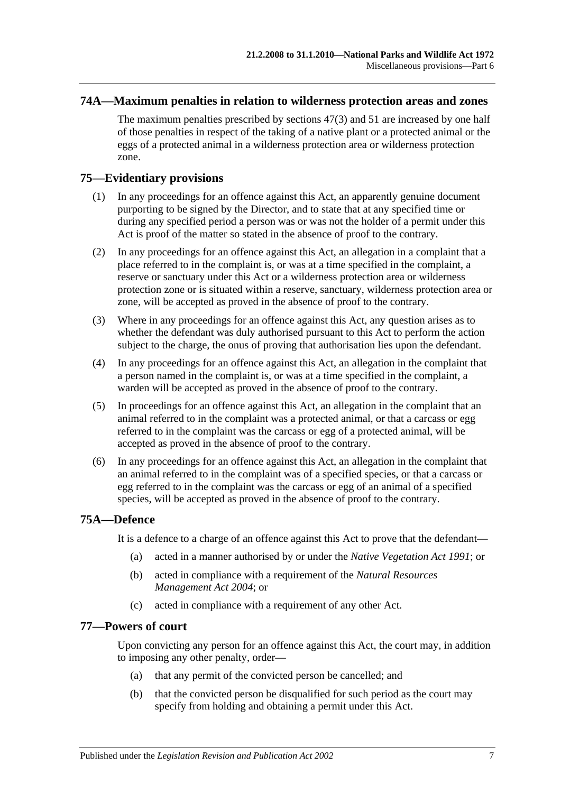### **74A—Maximum penalties in relation to wilderness protection areas and zones**

The maximum penalties prescribed by [sections](#page-50-1) 47(3) and [51](#page-54-0) are increased by one half of those penalties in respect of the taking of a native plant or a protected animal or the eggs of a protected animal in a wilderness protection area or wilderness protection zone.

### **75—Evidentiary provisions**

- (1) In any proceedings for an offence against this Act, an apparently genuine document purporting to be signed by the Director, and to state that at any specified time or during any specified period a person was or was not the holder of a permit under this Act is proof of the matter so stated in the absence of proof to the contrary.
- (2) In any proceedings for an offence against this Act, an allegation in a complaint that a place referred to in the complaint is, or was at a time specified in the complaint, a reserve or sanctuary under this Act or a wilderness protection area or wilderness protection zone or is situated within a reserve, sanctuary, wilderness protection area or zone, will be accepted as proved in the absence of proof to the contrary.
- (3) Where in any proceedings for an offence against this Act, any question arises as to whether the defendant was duly authorised pursuant to this Act to perform the action subject to the charge, the onus of proving that authorisation lies upon the defendant.
- (4) In any proceedings for an offence against this Act, an allegation in the complaint that a person named in the complaint is, or was at a time specified in the complaint, a warden will be accepted as proved in the absence of proof to the contrary.
- (5) In proceedings for an offence against this Act, an allegation in the complaint that an animal referred to in the complaint was a protected animal, or that a carcass or egg referred to in the complaint was the carcass or egg of a protected animal, will be accepted as proved in the absence of proof to the contrary.
- (6) In any proceedings for an offence against this Act, an allegation in the complaint that an animal referred to in the complaint was of a specified species, or that a carcass or egg referred to in the complaint was the carcass or egg of an animal of a specified species, will be accepted as proved in the absence of proof to the contrary.

### **75A—Defence**

It is a defence to a charge of an offence against this Act to prove that the defendant—

- (a) acted in a manner authorised by or under the *[Native Vegetation Act](http://www.legislation.sa.gov.au/index.aspx?action=legref&type=act&legtitle=Native%20Vegetation%20Act%201991) 1991*; or
- (b) acted in compliance with a requirement of the *[Natural Resources](http://www.legislation.sa.gov.au/index.aspx?action=legref&type=act&legtitle=Natural%20Resources%20Management%20Act%202004)  [Management Act](http://www.legislation.sa.gov.au/index.aspx?action=legref&type=act&legtitle=Natural%20Resources%20Management%20Act%202004) 2004*; or
- (c) acted in compliance with a requirement of any other Act.

#### **77—Powers of court**

Upon convicting any person for an offence against this Act, the court may, in addition to imposing any other penalty, order—

- (a) that any permit of the convicted person be cancelled; and
- (b) that the convicted person be disqualified for such period as the court may specify from holding and obtaining a permit under this Act.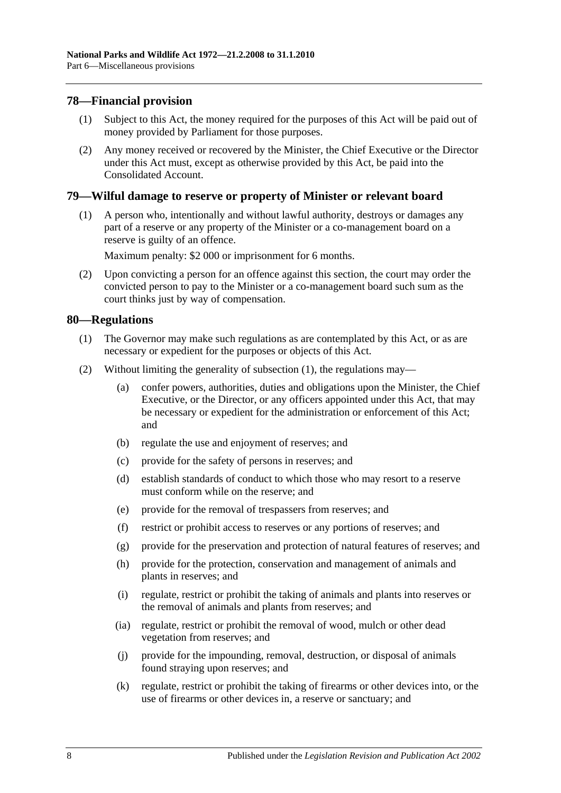### **78—Financial provision**

- (1) Subject to this Act, the money required for the purposes of this Act will be paid out of money provided by Parliament for those purposes.
- (2) Any money received or recovered by the Minister, the Chief Executive or the Director under this Act must, except as otherwise provided by this Act, be paid into the Consolidated Account.

### **79—Wilful damage to reserve or property of Minister or relevant board**

(1) A person who, intentionally and without lawful authority, destroys or damages any part of a reserve or any property of the Minister or a co-management board on a reserve is guilty of an offence.

Maximum penalty: \$2 000 or imprisonment for 6 months.

(2) Upon convicting a person for an offence against this section, the court may order the convicted person to pay to the Minister or a co-management board such sum as the court thinks just by way of compensation.

### <span id="page-81-0"></span>**80—Regulations**

- (1) The Governor may make such regulations as are contemplated by this Act, or as are necessary or expedient for the purposes or objects of this Act.
- (2) Without limiting the generality of [subsection](#page-81-0) (1), the regulations may—
	- (a) confer powers, authorities, duties and obligations upon the Minister, the Chief Executive, or the Director, or any officers appointed under this Act, that may be necessary or expedient for the administration or enforcement of this Act; and
	- (b) regulate the use and enjoyment of reserves; and
	- (c) provide for the safety of persons in reserves; and
	- (d) establish standards of conduct to which those who may resort to a reserve must conform while on the reserve; and
	- (e) provide for the removal of trespassers from reserves; and
	- (f) restrict or prohibit access to reserves or any portions of reserves; and
	- (g) provide for the preservation and protection of natural features of reserves; and
	- (h) provide for the protection, conservation and management of animals and plants in reserves; and
	- (i) regulate, restrict or prohibit the taking of animals and plants into reserves or the removal of animals and plants from reserves; and
	- (ia) regulate, restrict or prohibit the removal of wood, mulch or other dead vegetation from reserves; and
	- (j) provide for the impounding, removal, destruction, or disposal of animals found straying upon reserves; and
	- (k) regulate, restrict or prohibit the taking of firearms or other devices into, or the use of firearms or other devices in, a reserve or sanctuary; and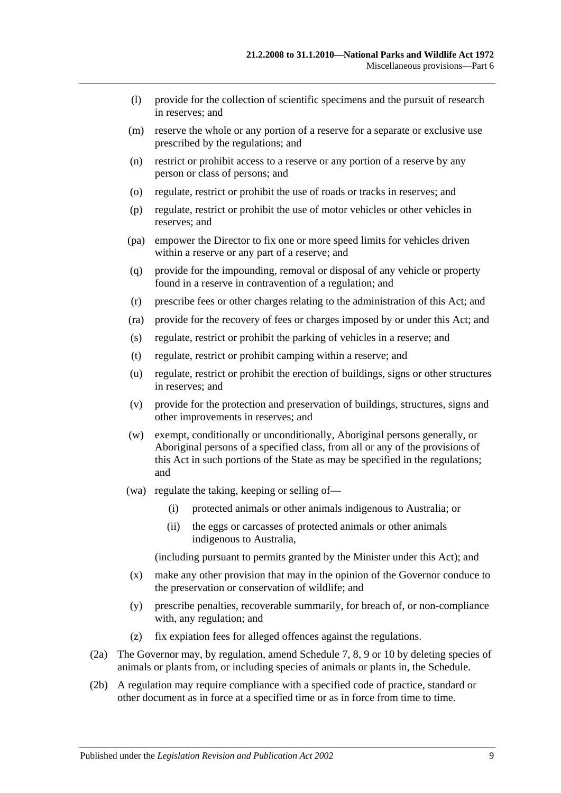- (l) provide for the collection of scientific specimens and the pursuit of research in reserves; and
- (m) reserve the whole or any portion of a reserve for a separate or exclusive use prescribed by the regulations; and
- (n) restrict or prohibit access to a reserve or any portion of a reserve by any person or class of persons; and
- (o) regulate, restrict or prohibit the use of roads or tracks in reserves; and
- (p) regulate, restrict or prohibit the use of motor vehicles or other vehicles in reserves; and
- (pa) empower the Director to fix one or more speed limits for vehicles driven within a reserve or any part of a reserve; and
- (q) provide for the impounding, removal or disposal of any vehicle or property found in a reserve in contravention of a regulation; and
- (r) prescribe fees or other charges relating to the administration of this Act; and
- (ra) provide for the recovery of fees or charges imposed by or under this Act; and
- (s) regulate, restrict or prohibit the parking of vehicles in a reserve; and
- (t) regulate, restrict or prohibit camping within a reserve; and
- (u) regulate, restrict or prohibit the erection of buildings, signs or other structures in reserves; and
- (v) provide for the protection and preservation of buildings, structures, signs and other improvements in reserves; and
- (w) exempt, conditionally or unconditionally, Aboriginal persons generally, or Aboriginal persons of a specified class, from all or any of the provisions of this Act in such portions of the State as may be specified in the regulations; and
- (wa) regulate the taking, keeping or selling of—
	- (i) protected animals or other animals indigenous to Australia; or
	- (ii) the eggs or carcasses of protected animals or other animals indigenous to Australia,

(including pursuant to permits granted by the Minister under this Act); and

- (x) make any other provision that may in the opinion of the Governor conduce to the preservation or conservation of wildlife; and
- (y) prescribe penalties, recoverable summarily, for breach of, or non-compliance with, any regulation; and
- (z) fix expiation fees for alleged offences against the regulations.
- (2a) The Governor may, by regulation, amend [Schedule 7,](#page-91-0) [8,](#page-103-0) [9](#page-116-0) or [10](#page-139-0) by deleting species of animals or plants from, or including species of animals or plants in, the Schedule.
- (2b) A regulation may require compliance with a specified code of practice, standard or other document as in force at a specified time or as in force from time to time.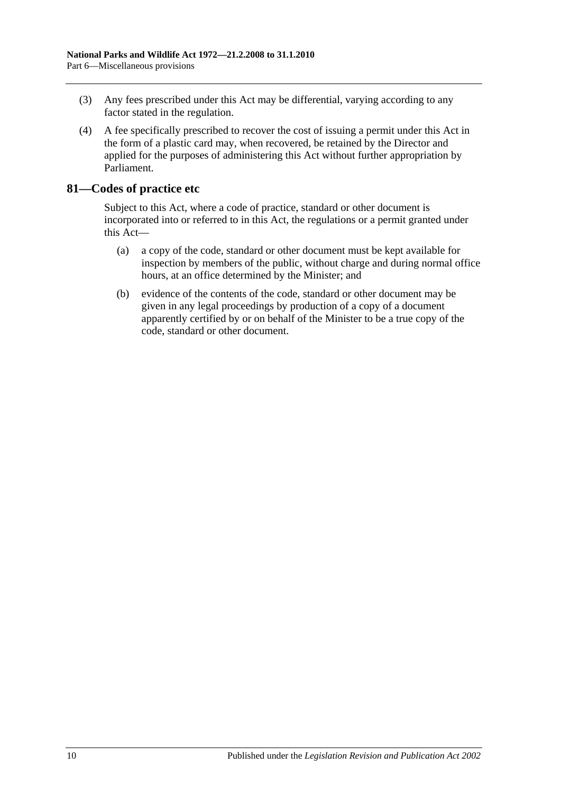- (3) Any fees prescribed under this Act may be differential, varying according to any factor stated in the regulation.
- (4) A fee specifically prescribed to recover the cost of issuing a permit under this Act in the form of a plastic card may, when recovered, be retained by the Director and applied for the purposes of administering this Act without further appropriation by Parliament.

### **81—Codes of practice etc**

Subject to this Act, where a code of practice, standard or other document is incorporated into or referred to in this Act, the regulations or a permit granted under this Act—

- (a) a copy of the code, standard or other document must be kept available for inspection by members of the public, without charge and during normal office hours, at an office determined by the Minister; and
- (b) evidence of the contents of the code, standard or other document may be given in any legal proceedings by production of a copy of a document apparently certified by or on behalf of the Minister to be a true copy of the code, standard or other document.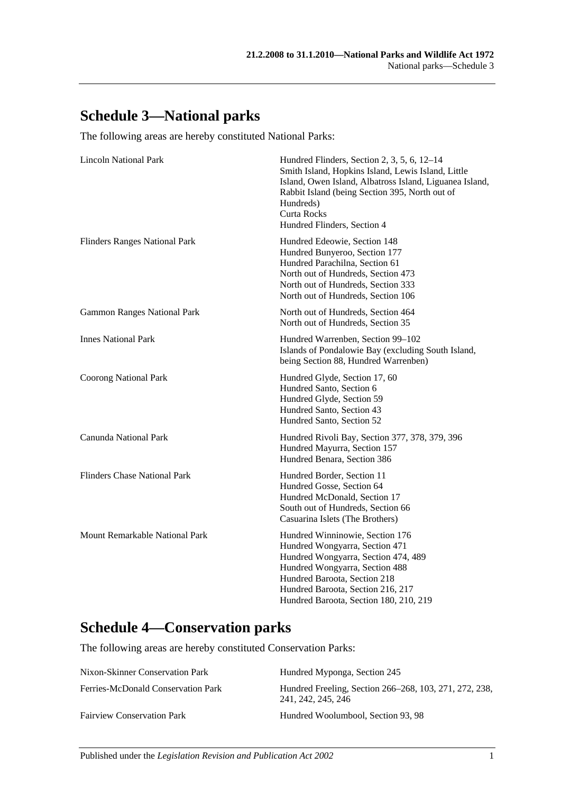## **Schedule 3—National parks**

The following areas are hereby constituted National Parks:

| <b>Lincoln National Park</b>         | Hundred Flinders, Section 2, 3, 5, 6, 12-14<br>Smith Island, Hopkins Island, Lewis Island, Little<br>Island, Owen Island, Albatross Island, Liguanea Island,<br>Rabbit Island (being Section 395, North out of<br>Hundreds)<br><b>Curta Rocks</b><br>Hundred Flinders, Section 4 |
|--------------------------------------|----------------------------------------------------------------------------------------------------------------------------------------------------------------------------------------------------------------------------------------------------------------------------------|
| <b>Flinders Ranges National Park</b> | Hundred Edeowie, Section 148<br>Hundred Bunyeroo, Section 177<br>Hundred Parachilna, Section 61<br>North out of Hundreds, Section 473<br>North out of Hundreds, Section 333<br>North out of Hundreds, Section 106                                                                |
| <b>Gammon Ranges National Park</b>   | North out of Hundreds, Section 464<br>North out of Hundreds, Section 35                                                                                                                                                                                                          |
| <b>Innes National Park</b>           | Hundred Warrenben, Section 99-102<br>Islands of Pondalowie Bay (excluding South Island,<br>being Section 88, Hundred Warrenben)                                                                                                                                                  |
| <b>Coorong National Park</b>         | Hundred Glyde, Section 17, 60<br>Hundred Santo, Section 6<br>Hundred Glyde, Section 59<br>Hundred Santo, Section 43<br>Hundred Santo, Section 52                                                                                                                                 |
| Canunda National Park                | Hundred Rivoli Bay, Section 377, 378, 379, 396<br>Hundred Mayurra, Section 157<br>Hundred Benara, Section 386                                                                                                                                                                    |
| <b>Flinders Chase National Park</b>  | Hundred Border, Section 11<br>Hundred Gosse, Section 64<br>Hundred McDonald, Section 17<br>South out of Hundreds, Section 66<br>Casuarina Islets (The Brothers)                                                                                                                  |
| Mount Remarkable National Park       | Hundred Winninowie, Section 176<br>Hundred Wongyarra, Section 471<br>Hundred Wongyarra, Section 474, 489<br>Hundred Wongyarra, Section 488<br>Hundred Baroota, Section 218<br>Hundred Baroota, Section 216, 217<br>Hundred Baroota, Section 180, 210, 219                        |

## **Schedule 4—Conservation parks**

The following areas are hereby constituted Conservation Parks:

| Nixon-Skinner Conservation Park    | Hundred Myponga, Section 245                                                 |
|------------------------------------|------------------------------------------------------------------------------|
| Ferries-McDonald Conservation Park | Hundred Freeling, Section 266–268, 103, 271, 272, 238,<br>241, 242, 245, 246 |
| <b>Fairview Conservation Park</b>  | Hundred Woolumbool. Section 93, 98                                           |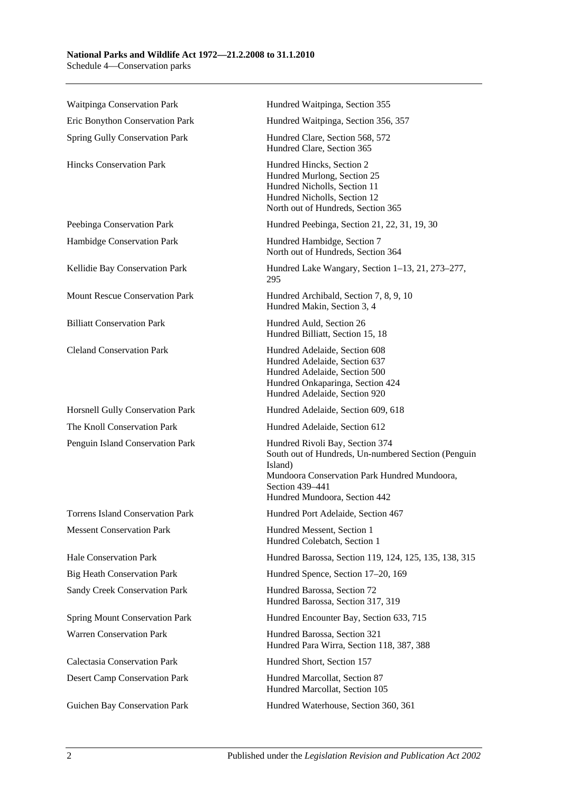#### **National Parks and Wildlife Act 1972—21.2.2008 to 31.1.2010** Schedule 4—Conservation parks

| Waitpinga Conservation Park             | Hundred Waitpinga, Section 355                                                                                                                                                                        |
|-----------------------------------------|-------------------------------------------------------------------------------------------------------------------------------------------------------------------------------------------------------|
| Eric Bonython Conservation Park         | Hundred Waitpinga, Section 356, 357                                                                                                                                                                   |
| Spring Gully Conservation Park          | Hundred Clare, Section 568, 572<br>Hundred Clare, Section 365                                                                                                                                         |
| <b>Hincks Conservation Park</b>         | Hundred Hincks, Section 2<br>Hundred Murlong, Section 25<br>Hundred Nicholls, Section 11<br>Hundred Nicholls, Section 12<br>North out of Hundreds, Section 365                                        |
| Peebinga Conservation Park              | Hundred Peebinga, Section 21, 22, 31, 19, 30                                                                                                                                                          |
| Hambidge Conservation Park              | Hundred Hambidge, Section 7<br>North out of Hundreds, Section 364                                                                                                                                     |
| Kellidie Bay Conservation Park          | Hundred Lake Wangary, Section 1–13, 21, 273–277,<br>295                                                                                                                                               |
| <b>Mount Rescue Conservation Park</b>   | Hundred Archibald, Section 7, 8, 9, 10<br>Hundred Makin, Section 3, 4                                                                                                                                 |
| <b>Billiatt Conservation Park</b>       | Hundred Auld, Section 26<br>Hundred Billiatt, Section 15, 18                                                                                                                                          |
| <b>Cleland Conservation Park</b>        | Hundred Adelaide, Section 608<br>Hundred Adelaide, Section 637<br>Hundred Adelaide, Section 500<br>Hundred Onkaparinga, Section 424<br>Hundred Adelaide, Section 920                                  |
| Horsnell Gully Conservation Park        | Hundred Adelaide, Section 609, 618                                                                                                                                                                    |
| The Knoll Conservation Park             | Hundred Adelaide, Section 612                                                                                                                                                                         |
| Penguin Island Conservation Park        | Hundred Rivoli Bay, Section 374<br>South out of Hundreds, Un-numbered Section (Penguin<br>Island)<br>Mundoora Conservation Park Hundred Mundoora,<br>Section 439-441<br>Hundred Mundoora, Section 442 |
| <b>Torrens Island Conservation Park</b> | Hundred Port Adelaide, Section 467                                                                                                                                                                    |
| <b>Messent Conservation Park</b>        | Hundred Messent, Section 1<br>Hundred Colebatch, Section 1                                                                                                                                            |
| Hale Conservation Park                  | Hundred Barossa, Section 119, 124, 125, 135, 138, 315                                                                                                                                                 |
| <b>Big Heath Conservation Park</b>      | Hundred Spence, Section 17-20, 169                                                                                                                                                                    |
| Sandy Creek Conservation Park           | Hundred Barossa, Section 72<br>Hundred Barossa, Section 317, 319                                                                                                                                      |
| <b>Spring Mount Conservation Park</b>   | Hundred Encounter Bay, Section 633, 715                                                                                                                                                               |
|                                         |                                                                                                                                                                                                       |
| <b>Warren Conservation Park</b>         | Hundred Barossa, Section 321<br>Hundred Para Wirra, Section 118, 387, 388                                                                                                                             |
| <b>Calectasia Conservation Park</b>     | Hundred Short, Section 157                                                                                                                                                                            |
| <b>Desert Camp Conservation Park</b>    | Hundred Marcollat, Section 87<br>Hundred Marcollat, Section 105                                                                                                                                       |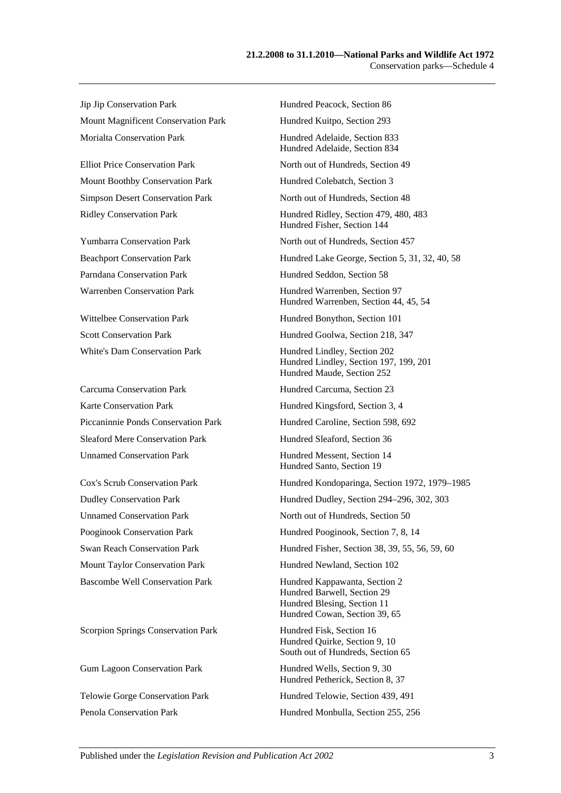Jip Jip Conservation Park Hundred Peacock, Section 86 Mount Magnificent Conservation Park Hundred Kuitpo, Section 293 Morialta Conservation Park **Hundred Adelaide**, Section 833

Mount Boothby Conservation Park Hundred Colebatch, Section 3

Carcuma Conservation Park Hundred Carcuma, Section 23 Karte Conservation Park Hundred Kingsford, Section 3, 4 Sleaford Mere Conservation Park Hundred Sleaford, Section 36 Unnamed Conservation Park Hundred Messent, Section 14

Scorpion Springs Conservation Park Hundred Fisk, Section 16

Hundred Adelaide, Section 834 Elliot Price Conservation Park North out of Hundreds, Section 49 Simpson Desert Conservation Park North out of Hundreds, Section 48 Ridley Conservation Park Hundred Ridley, Section 479, 480, 483 Hundred Fisher, Section 144 Yumbarra Conservation Park North out of Hundreds, Section 457 Beachport Conservation Park Hundred Lake George, Section 5, 31, 32, 40, 58 Parndana Conservation Park Hundred Seddon, Section 58 Warrenben Conservation Park Hundred Warrenben, Section 97 Hundred Warrenben, Section 44, 45, 54 Wittelbee Conservation Park Hundred Bonython, Section 101 Scott Conservation Park Hundred Goolwa, Section 218, 347 White's Dam Conservation Park Hundred Lindley, Section 202 Hundred Lindley, Section 197, 199, 201 Hundred Maude, Section 252 Piccaninnie Ponds Conservation Park Hundred Caroline, Section 598, 692 Hundred Santo, Section 19 Cox's Scrub Conservation Park Hundred Kondoparinga, Section 1972, 1979–1985 Dudley Conservation Park Hundred Dudley, Section 294–296, 302, 303 Unnamed Conservation Park North out of Hundreds, Section 50 Pooginook Conservation Park Hundred Pooginook, Section 7, 8, 14 Swan Reach Conservation Park Hundred Fisher, Section 38, 39, 55, 56, 59, 60 Mount Taylor Conservation Park Hundred Newland, Section 102 Bascombe Well Conservation Park Hundred Kappawanta, Section 2 Hundred Barwell, Section 29 Hundred Blesing, Section 11 Hundred Cowan, Section 39, 65 Hundred Quirke, Section 9, 10 South out of Hundreds, Section 65 Gum Lagoon Conservation Park Hundred Wells, Section 9, 30 Hundred Petherick, Section 8, 37 Telowie Gorge Conservation Park Hundred Telowie, Section 439, 491 Penola Conservation Park Hundred Monbulla, Section 255, 256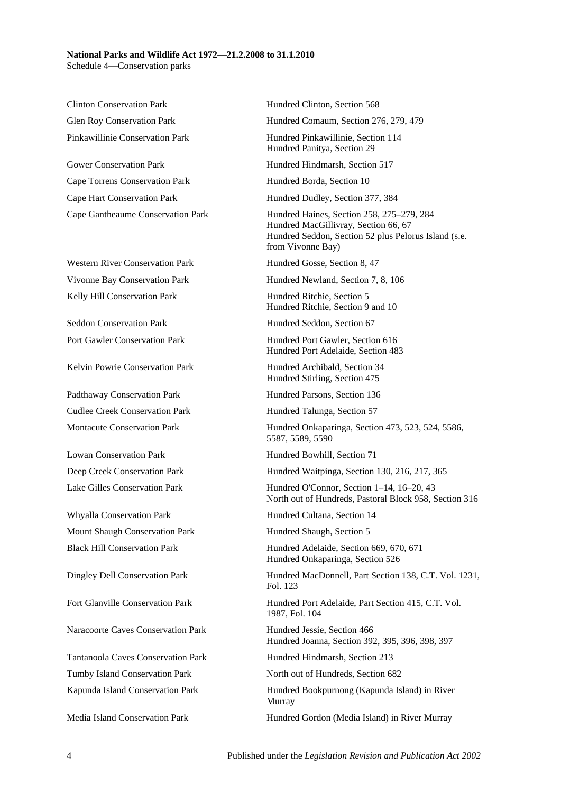Clinton Conservation Park Hundred Clinton, Section 568

Gower Conservation Park Hundred Hindmarsh, Section 517 Cape Torrens Conservation Park Hundred Borda, Section 10 Cape Hart Conservation Park Hundred Dudley, Section 377, 384

Western River Conservation Park Hundred Gosse, Section 8, 47 Kelly Hill Conservation Park **Hundred Ritchie, Section 5** 

Seddon Conservation Park Hundred Seddon, Section 67

Kelvin Powrie Conservation Park Hundred Archibald, Section 34

Padthaway Conservation Park Hundred Parsons, Section 136 Cudlee Creek Conservation Park Hundred Talunga, Section 57

Lowan Conservation Park Hundred Bowhill, Section 71

Whyalla Conservation Park Hundred Cultana, Section 14 Mount Shaugh Conservation Park Hundred Shaugh, Section 5

Naracoorte Caves Conservation Park Hundred Jessie, Section 466

Tumby Island Conservation Park North out of Hundreds, Section 682

Glen Roy Conservation Park Hundred Comaum, Section 276, 279, 479

Pinkawillinie Conservation Park Hundred Pinkawillinie, Section 114 Hundred Panitya, Section 29

Cape Gantheaume Conservation Park Hundred Haines, Section 258, 275–279, 284 Hundred MacGillivray, Section 66, 67 Hundred Seddon, Section 52 plus Pelorus Island (s.e. from Vivonne Bay)

Vivonne Bay Conservation Park Hundred Newland, Section 7, 8, 106

Hundred Ritchie, Section 9 and 10

Port Gawler Conservation Park Hundred Port Gawler, Section 616 Hundred Port Adelaide, Section 483

Hundred Stirling, Section 475

Montacute Conservation Park Hundred Onkaparinga, Section 473, 523, 524, 5586, 5587, 5589, 5590

Deep Creek Conservation Park Hundred Waitpinga, Section 130, 216, 217, 365

Lake Gilles Conservation Park Hundred O'Connor, Section 1–14, 16–20, 43 North out of Hundreds, Pastoral Block 958, Section 316

Black Hill Conservation Park Hundred Adelaide, Section 669, 670, 671 Hundred Onkaparinga, Section 526

Dingley Dell Conservation Park Hundred MacDonnell, Part Section 138, C.T. Vol. 1231, Fol. 123

Fort Glanville Conservation Park Hundred Port Adelaide, Part Section 415, C.T. Vol. 1987, Fol. 104

Hundred Joanna, Section 392, 395, 396, 398, 397

Tantanoola Caves Conservation Park Hundred Hindmarsh, Section 213

Kapunda Island Conservation Park Hundred Bookpurnong (Kapunda Island) in River Murray

Media Island Conservation Park Hundred Gordon (Media Island) in River Murray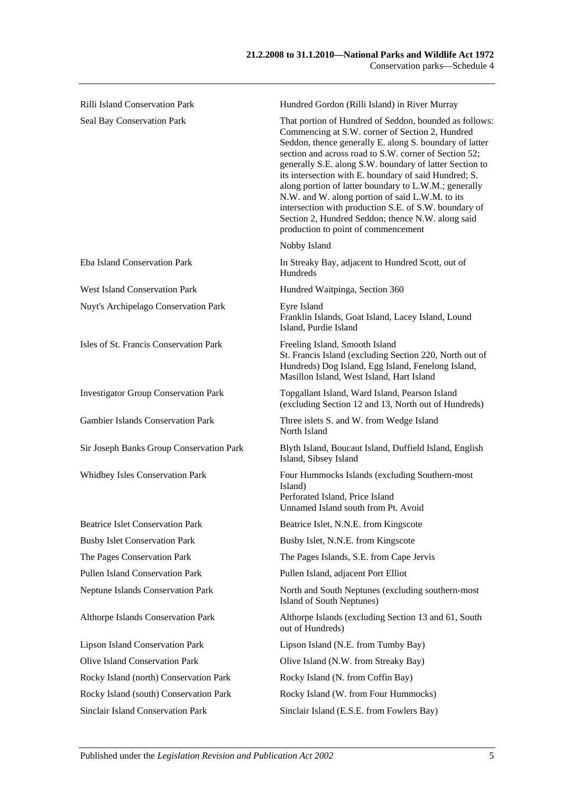| <b>Rilli Island Conservation Park</b>       | Hundred Gordon (Rilli Island) in River Murray                                                                                                                                                                                                                                                                                                                                                                                                                                                                                                                                                                      |
|---------------------------------------------|--------------------------------------------------------------------------------------------------------------------------------------------------------------------------------------------------------------------------------------------------------------------------------------------------------------------------------------------------------------------------------------------------------------------------------------------------------------------------------------------------------------------------------------------------------------------------------------------------------------------|
| Seal Bay Conservation Park                  | That portion of Hundred of Seddon, bounded as follows:<br>Commencing at S.W. corner of Section 2, Hundred<br>Seddon, thence generally E. along S. boundary of latter<br>section and across road to S.W. corner of Section 52;<br>generally S.E. along S.W. boundary of latter Section to<br>its intersection with E. boundary of said Hundred; S.<br>along portion of latter boundary to L.W.M.; generally<br>N.W. and W. along portion of said L.W.M. to its<br>intersection with production S.E. of S.W. boundary of<br>Section 2, Hundred Seddon; thence N.W. along said<br>production to point of commencement |
|                                             | Nobby Island                                                                                                                                                                                                                                                                                                                                                                                                                                                                                                                                                                                                       |
| Eba Island Conservation Park                | In Streaky Bay, adjacent to Hundred Scott, out of<br>Hundreds                                                                                                                                                                                                                                                                                                                                                                                                                                                                                                                                                      |
| <b>West Island Conservation Park</b>        | Hundred Waitpinga, Section 360                                                                                                                                                                                                                                                                                                                                                                                                                                                                                                                                                                                     |
| Nuyt's Archipelago Conservation Park        | Eyre Island<br>Franklin Islands, Goat Island, Lacey Island, Lound<br>Island, Purdie Island                                                                                                                                                                                                                                                                                                                                                                                                                                                                                                                         |
| Isles of St. Francis Conservation Park      | Freeling Island, Smooth Island<br>St. Francis Island (excluding Section 220, North out of<br>Hundreds) Dog Island, Egg Island, Fenelong Island,<br>Masillon Island, West Island, Hart Island                                                                                                                                                                                                                                                                                                                                                                                                                       |
| <b>Investigator Group Conservation Park</b> | Topgallant Island, Ward Island, Pearson Island<br>(excluding Section 12 and 13, North out of Hundreds)                                                                                                                                                                                                                                                                                                                                                                                                                                                                                                             |
| <b>Gambier Islands Conservation Park</b>    | Three islets S. and W. from Wedge Island<br>North Island                                                                                                                                                                                                                                                                                                                                                                                                                                                                                                                                                           |
| Sir Joseph Banks Group Conservation Park    | Blyth Island, Boucaut Island, Duffield Island, English<br>Island, Sibsey Island                                                                                                                                                                                                                                                                                                                                                                                                                                                                                                                                    |
| Whidbey Isles Conservation Park             | Four Hummocks Islands (excluding Southern-most<br>Island)<br>Perforated Island, Price Island<br>Unnamed Island south from Pt. Avoid                                                                                                                                                                                                                                                                                                                                                                                                                                                                                |
| <b>Beatrice Islet Conservation Park</b>     | Beatrice Islet, N.N.E. from Kingscote                                                                                                                                                                                                                                                                                                                                                                                                                                                                                                                                                                              |
| <b>Busby Islet Conservation Park</b>        | Busby Islet, N.N.E. from Kingscote                                                                                                                                                                                                                                                                                                                                                                                                                                                                                                                                                                                 |
| The Pages Conservation Park                 | The Pages Islands, S.E. from Cape Jervis                                                                                                                                                                                                                                                                                                                                                                                                                                                                                                                                                                           |
| Pullen Island Conservation Park             | Pullen Island, adjacent Port Elliot                                                                                                                                                                                                                                                                                                                                                                                                                                                                                                                                                                                |
| Neptune Islands Conservation Park           | North and South Neptunes (excluding southern-most<br>Island of South Neptunes)                                                                                                                                                                                                                                                                                                                                                                                                                                                                                                                                     |
| Althorpe Islands Conservation Park          | Althorpe Islands (excluding Section 13 and 61, South<br>out of Hundreds)                                                                                                                                                                                                                                                                                                                                                                                                                                                                                                                                           |
| <b>Lipson Island Conservation Park</b>      | Lipson Island (N.E. from Tumby Bay)                                                                                                                                                                                                                                                                                                                                                                                                                                                                                                                                                                                |
| Olive Island Conservation Park              | Olive Island (N.W. from Streaky Bay)                                                                                                                                                                                                                                                                                                                                                                                                                                                                                                                                                                               |
| Rocky Island (north) Conservation Park      | Rocky Island (N. from Coffin Bay)                                                                                                                                                                                                                                                                                                                                                                                                                                                                                                                                                                                  |
| Rocky Island (south) Conservation Park      | Rocky Island (W. from Four Hummocks)                                                                                                                                                                                                                                                                                                                                                                                                                                                                                                                                                                               |

Sinclair Island Conservation Park Sinclair Island (E.S.E. from Fowlers Bay)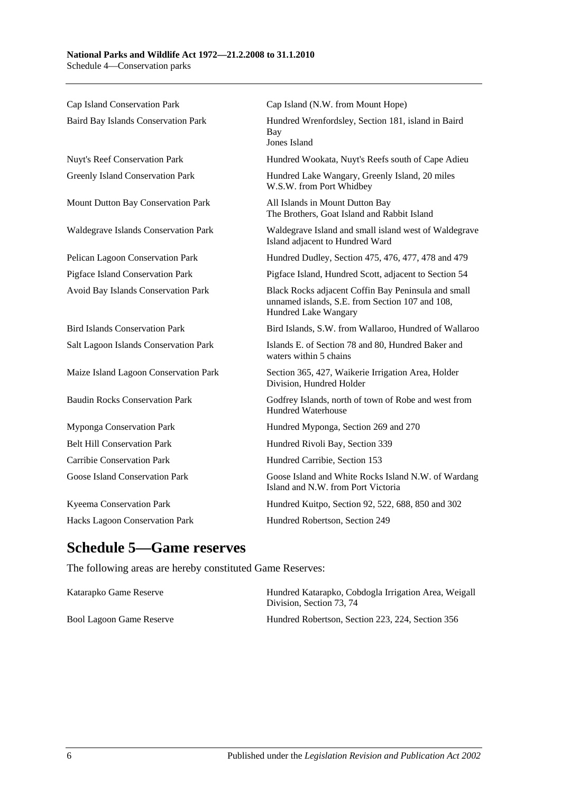| Cap Island Conservation Park          | Cap Island (N.W. from Mount Hope)                                                                                              |
|---------------------------------------|--------------------------------------------------------------------------------------------------------------------------------|
| Baird Bay Islands Conservation Park   | Hundred Wrenfordsley, Section 181, island in Baird<br>Bay<br>Jones Island                                                      |
| Nuyt's Reef Conservation Park         | Hundred Wookata, Nuyt's Reefs south of Cape Adieu                                                                              |
| Greenly Island Conservation Park      | Hundred Lake Wangary, Greenly Island, 20 miles<br>W.S.W. from Port Whidbey                                                     |
| Mount Dutton Bay Conservation Park    | All Islands in Mount Dutton Bay<br>The Brothers, Goat Island and Rabbit Island                                                 |
| Waldegrave Islands Conservation Park  | Waldegrave Island and small island west of Waldegrave<br>Island adjacent to Hundred Ward                                       |
| Pelican Lagoon Conservation Park      | Hundred Dudley, Section 475, 476, 477, 478 and 479                                                                             |
| Pigface Island Conservation Park      | Pigface Island, Hundred Scott, adjacent to Section 54                                                                          |
| Avoid Bay Islands Conservation Park   | Black Rocks adjacent Coffin Bay Peninsula and small<br>unnamed islands, S.E. from Section 107 and 108,<br>Hundred Lake Wangary |
| <b>Bird Islands Conservation Park</b> | Bird Islands, S.W. from Wallaroo, Hundred of Wallaroo                                                                          |
| Salt Lagoon Islands Conservation Park | Islands E. of Section 78 and 80, Hundred Baker and<br>waters within 5 chains                                                   |
| Maize Island Lagoon Conservation Park | Section 365, 427, Waikerie Irrigation Area, Holder<br>Division, Hundred Holder                                                 |
| <b>Baudin Rocks Conservation Park</b> | Godfrey Islands, north of town of Robe and west from<br><b>Hundred Waterhouse</b>                                              |
| Myponga Conservation Park             | Hundred Myponga, Section 269 and 270                                                                                           |
| <b>Belt Hill Conservation Park</b>    | Hundred Rivoli Bay, Section 339                                                                                                |
| <b>Carribie Conservation Park</b>     | Hundred Carribie, Section 153                                                                                                  |
| Goose Island Conservation Park        | Goose Island and White Rocks Island N.W. of Wardang<br>Island and N.W. from Port Victoria                                      |
| Kyeema Conservation Park              | Hundred Kuitpo, Section 92, 522, 688, 850 and 302                                                                              |
| Hacks Lagoon Conservation Park        | Hundred Robertson, Section 249                                                                                                 |

## **Schedule 5—Game reserves**

The following areas are hereby constituted Game Reserves:

| Katarapko Game Reserve   | Hundred Katarapko, Cobdogla Irrigation Area, Weigall<br>Division. Section 73, 74 |
|--------------------------|----------------------------------------------------------------------------------|
| Bool Lagoon Game Reserve | Hundred Robertson, Section 223, 224, Section 356                                 |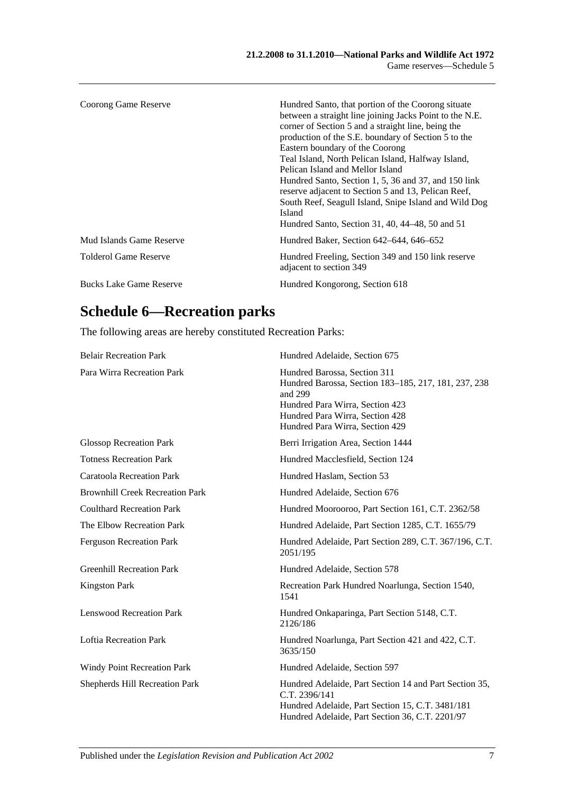| Coorong Game Reserve           | Hundred Santo, that portion of the Coorong situate<br>between a straight line joining Jacks Point to the N.E.<br>corner of Section 5 and a straight line, being the<br>production of the S.E. boundary of Section 5 to the<br>Eastern boundary of the Coorong<br>Teal Island, North Pelican Island, Halfway Island,<br>Pelican Island and Mellor Island<br>Hundred Santo, Section 1, 5, 36 and 37, and 150 link<br>reserve adjacent to Section 5 and 13, Pelican Reef,<br>South Reef, Seagull Island, Snipe Island and Wild Dog<br><b>Island</b><br>Hundred Santo, Section 31, 40, 44–48, 50 and 51 |
|--------------------------------|-----------------------------------------------------------------------------------------------------------------------------------------------------------------------------------------------------------------------------------------------------------------------------------------------------------------------------------------------------------------------------------------------------------------------------------------------------------------------------------------------------------------------------------------------------------------------------------------------------|
| Mud Islands Game Reserve       | Hundred Baker, Section 642–644, 646–652                                                                                                                                                                                                                                                                                                                                                                                                                                                                                                                                                             |
| Tolderol Game Reserve          | Hundred Freeling, Section 349 and 150 link reserve<br>adjacent to section 349                                                                                                                                                                                                                                                                                                                                                                                                                                                                                                                       |
| <b>Bucks Lake Game Reserve</b> | Hundred Kongorong, Section 618                                                                                                                                                                                                                                                                                                                                                                                                                                                                                                                                                                      |

# **Schedule 6—Recreation parks**

The following areas are hereby constituted Recreation Parks:

| <b>Belair Recreation Park</b>          | Hundred Adelaide, Section 675                                                                                                                                                                            |
|----------------------------------------|----------------------------------------------------------------------------------------------------------------------------------------------------------------------------------------------------------|
| Para Wirra Recreation Park             | Hundred Barossa, Section 311<br>Hundred Barossa, Section 183-185, 217, 181, 237, 238<br>and 299<br>Hundred Para Wirra, Section 423<br>Hundred Para Wirra, Section 428<br>Hundred Para Wirra, Section 429 |
| <b>Glossop Recreation Park</b>         | Berri Irrigation Area, Section 1444                                                                                                                                                                      |
| <b>Totness Recreation Park</b>         | Hundred Macclesfield, Section 124                                                                                                                                                                        |
| <b>Caratoola Recreation Park</b>       | Hundred Haslam, Section 53                                                                                                                                                                               |
| <b>Brownhill Creek Recreation Park</b> | Hundred Adelaide, Section 676                                                                                                                                                                            |
| <b>Coulthard Recreation Park</b>       | Hundred Moorooroo, Part Section 161, C.T. 2362/58                                                                                                                                                        |
| The Elbow Recreation Park              | Hundred Adelaide, Part Section 1285, C.T. 1655/79                                                                                                                                                        |
| <b>Ferguson Recreation Park</b>        | Hundred Adelaide, Part Section 289, C.T. 367/196, C.T.<br>2051/195                                                                                                                                       |
| <b>Greenhill Recreation Park</b>       | Hundred Adelaide, Section 578                                                                                                                                                                            |
| <b>Kingston Park</b>                   | Recreation Park Hundred Noarlunga, Section 1540,<br>1541                                                                                                                                                 |
| <b>Lenswood Recreation Park</b>        | Hundred Onkaparinga, Part Section 5148, C.T.<br>2126/186                                                                                                                                                 |
| <b>Loftia Recreation Park</b>          | Hundred Noarlunga, Part Section 421 and 422, C.T.<br>3635/150                                                                                                                                            |
| <b>Windy Point Recreation Park</b>     | Hundred Adelaide, Section 597                                                                                                                                                                            |
| Shepherds Hill Recreation Park         | Hundred Adelaide, Part Section 14 and Part Section 35,<br>C.T. 2396/141<br>Hundred Adelaide, Part Section 15, C.T. 3481/181<br>Hundred Adelaide, Part Section 36, C.T. 2201/97                           |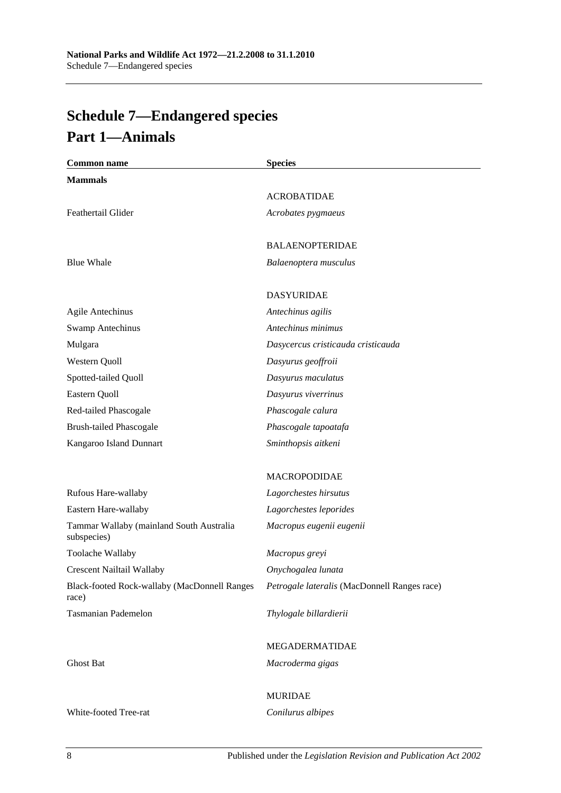# <span id="page-91-0"></span>**Schedule 7—Endangered species Part 1—Animals**

| <b>Common name</b>                                      | <b>Species</b>                               |
|---------------------------------------------------------|----------------------------------------------|
| <b>Mammals</b>                                          |                                              |
|                                                         | <b>ACROBATIDAE</b>                           |
| Feathertail Glider                                      | Acrobates pygmaeus                           |
|                                                         | <b>BALAENOPTERIDAE</b>                       |
| <b>Blue Whale</b>                                       | Balaenoptera musculus                        |
|                                                         | <b>DASYURIDAE</b>                            |
| <b>Agile Antechinus</b>                                 | Antechinus agilis                            |
| <b>Swamp Antechinus</b>                                 | Antechinus minimus                           |
| Mulgara                                                 | Dasycercus cristicauda cristicauda           |
| Western Quoll                                           | Dasyurus geoffroii                           |
| Spotted-tailed Quoll                                    | Dasyurus maculatus                           |
| Eastern Quoll                                           | Dasyurus viverrinus                          |
| Red-tailed Phascogale                                   | Phascogale calura                            |
| <b>Brush-tailed Phascogale</b>                          | Phascogale tapoatafa                         |
| Kangaroo Island Dunnart                                 | Sminthopsis aitkeni                          |
|                                                         | <b>MACROPODIDAE</b>                          |
| Rufous Hare-wallaby                                     | Lagorchestes hirsutus                        |
| Eastern Hare-wallaby                                    | Lagorchestes leporides                       |
| Tammar Wallaby (mainland South Australia<br>subspecies) | Macropus eugenii eugenii                     |
| Toolache Wallaby                                        | Macropus greyi                               |
| Crescent Nailtail Wallaby                               | Onychogalea lunata                           |
| Black-footed Rock-wallaby (MacDonnell Ranges<br>race)   | Petrogale lateralis (MacDonnell Ranges race) |
| Tasmanian Pademelon                                     | Thylogale billardierii                       |
|                                                         | MEGADERMATIDAE                               |
| <b>Ghost Bat</b>                                        | Macroderma gigas                             |
|                                                         | <b>MURIDAE</b>                               |
| White-footed Tree-rat                                   | Conilurus albipes                            |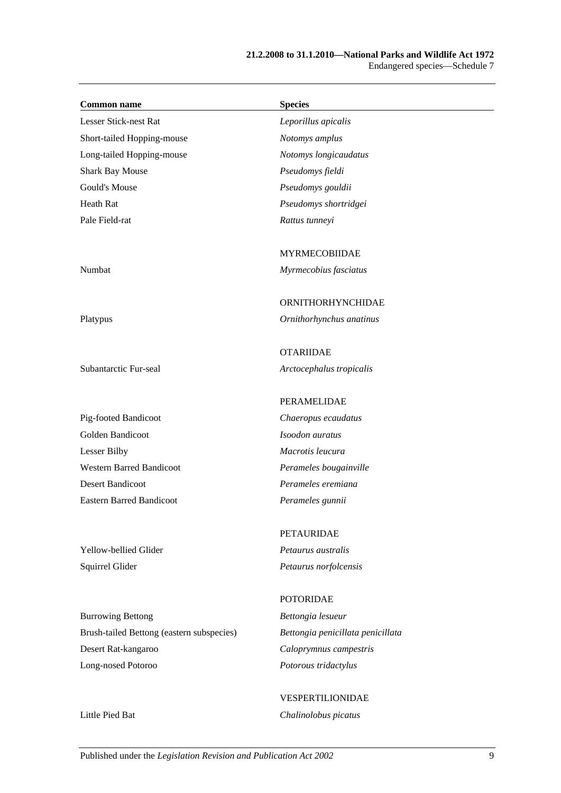| <b>Common name</b>                        | <b>Species</b>                    |
|-------------------------------------------|-----------------------------------|
| Lesser Stick-nest Rat                     | Leporillus apicalis               |
| Short-tailed Hopping-mouse                | Notomys amplus                    |
| Long-tailed Hopping-mouse                 | Notomys longicaudatus             |
| <b>Shark Bay Mouse</b>                    | Pseudomys fieldi                  |
| Gould's Mouse                             | Pseudomys gouldii                 |
| Heath Rat                                 | Pseudomys shortridgei             |
| Pale Field-rat                            | Rattus tunneyi                    |
|                                           | <b>MYRMECOBIIDAE</b>              |
| Numbat                                    | Myrmecobius fasciatus             |
|                                           | ORNITHORHYNCHIDAE                 |
| Platypus                                  | Ornithorhynchus anatinus          |
|                                           | <b>OTARIIDAE</b>                  |
| Subantarctic Fur-seal                     | Arctocephalus tropicalis          |
|                                           | PERAMELIDAE                       |
| Pig-footed Bandicoot                      | Chaeropus ecaudatus               |
| Golden Bandicoot                          | Isoodon auratus                   |
| <b>Lesser Bilby</b>                       | Macrotis leucura                  |
| <b>Western Barred Bandicoot</b>           | Perameles bougainville            |
| <b>Desert Bandicoot</b>                   | Perameles eremiana                |
| <b>Eastern Barred Bandicoot</b>           | Perameles gunnii                  |
|                                           | PETAURIDAE                        |
| Yellow-bellied Glider                     | Petaurus australis                |
| Squirrel Glider                           | Petaurus norfolcensis             |
|                                           | <b>POTORIDAE</b>                  |
| <b>Burrowing Bettong</b>                  | Bettongia lesueur                 |
| Brush-tailed Bettong (eastern subspecies) | Bettongia penicillata penicillata |
| Desert Rat-kangaroo                       | Caloprymnus campestris            |
| Long-nosed Potoroo                        | Potorous tridactylus              |

VESPERTILIONIDAE Little Pied Bat *Chalinolobus picatus*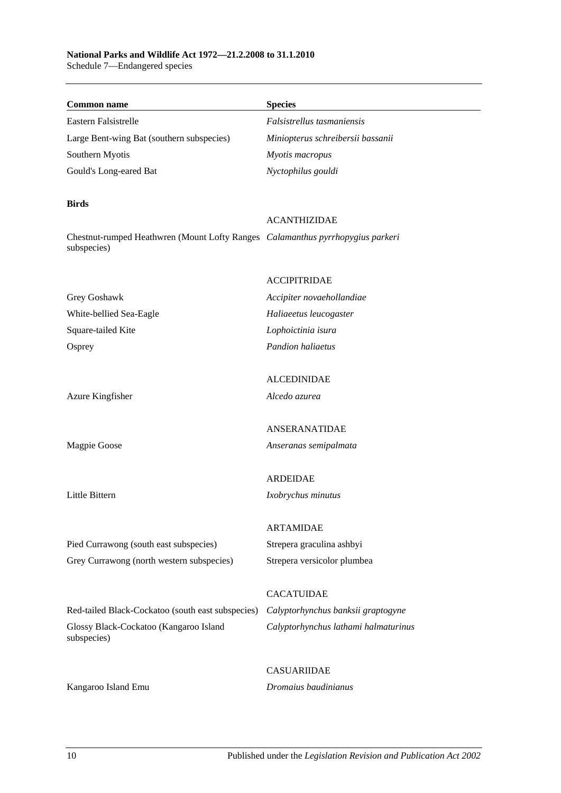#### **National Parks and Wildlife Act 1972—21.2.2008 to 31.1.2010** Schedule 7—Endangered species

| <b>Common name</b>                                                                            | <b>Species</b>                       |
|-----------------------------------------------------------------------------------------------|--------------------------------------|
| Eastern Falsistrelle                                                                          | Falsistrellus tasmaniensis           |
| Large Bent-wing Bat (southern subspecies)                                                     | Miniopterus schreibersii bassanii    |
| Southern Myotis                                                                               | Myotis macropus                      |
| Gould's Long-eared Bat                                                                        | Nyctophilus gouldi                   |
| <b>Birds</b>                                                                                  |                                      |
|                                                                                               | <b>ACANTHIZIDAE</b>                  |
| Chestnut-rumped Heathwren (Mount Lofty Ranges Calamanthus pyrrhopygius parkeri<br>subspecies) |                                      |
|                                                                                               | <b>ACCIPITRIDAE</b>                  |
| Grey Goshawk                                                                                  | Accipiter novaehollandiae            |
| White-bellied Sea-Eagle                                                                       | Haliaeetus leucogaster               |
| Square-tailed Kite                                                                            | Lophoictinia isura                   |
| Osprey                                                                                        | Pandion haliaetus                    |
|                                                                                               | <b>ALCEDINIDAE</b>                   |
| Azure Kingfisher                                                                              | Alcedo azurea                        |
|                                                                                               | ANSERANATIDAE                        |
| Magpie Goose                                                                                  | Anseranas semipalmata                |
|                                                                                               | <b>ARDEIDAE</b>                      |
| Little Bittern                                                                                | Ixobrychus minutus                   |
|                                                                                               | <b>ARTAMIDAE</b>                     |
| Pied Currawong (south east subspecies)                                                        | Strepera graculina ashbyi            |
| Grey Currawong (north western subspecies)                                                     | Strepera versicolor plumbea          |
|                                                                                               | <b>CACATUIDAE</b>                    |
| Red-tailed Black-Cockatoo (south east subspecies)                                             | Calyptorhynchus banksii graptogyne   |
| Glossy Black-Cockatoo (Kangaroo Island<br>subspecies)                                         | Calyptorhynchus lathami halmaturinus |
|                                                                                               | <b>CASUARIIDAE</b>                   |
| Kangaroo Island Emu                                                                           | Dromaius baudinianus                 |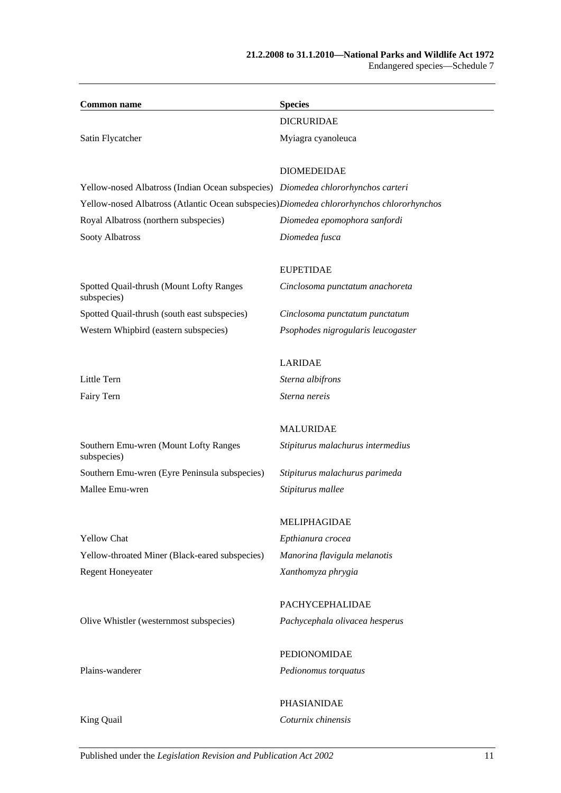| <b>Common name</b>                                                                        | <b>Species</b>                     |
|-------------------------------------------------------------------------------------------|------------------------------------|
|                                                                                           | <b>DICRURIDAE</b>                  |
| Satin Flycatcher                                                                          | Myiagra cyanoleuca                 |
|                                                                                           | <b>DIOMEDEIDAE</b>                 |
| Yellow-nosed Albatross (Indian Ocean subspecies) Diomedea chlororhynchos carteri          |                                    |
| Yellow-nosed Albatross (Atlantic Ocean subspecies) Diomedea chlororhynchos chlororhynchos |                                    |
| Royal Albatross (northern subspecies)                                                     | Diomedea epomophora sanfordi       |
| Sooty Albatross                                                                           | Diomedea fusca                     |
|                                                                                           | <b>EUPETIDAE</b>                   |
| Spotted Quail-thrush (Mount Lofty Ranges<br>subspecies)                                   | Cinclosoma punctatum anachoreta    |
| Spotted Quail-thrush (south east subspecies)                                              | Cinclosoma punctatum punctatum     |
| Western Whipbird (eastern subspecies)                                                     | Psophodes nigrogularis leucogaster |
|                                                                                           | <b>LARIDAE</b>                     |
| Little Tern                                                                               | Sterna albifrons                   |
| Fairy Tern                                                                                | Sterna nereis                      |
|                                                                                           | <b>MALURIDAE</b>                   |
| Southern Emu-wren (Mount Lofty Ranges<br>subspecies)                                      | Stipiturus malachurus intermedius  |
| Southern Emu-wren (Eyre Peninsula subspecies)                                             | Stipiturus malachurus parimeda     |
| Mallee Emu-wren                                                                           | Stipiturus mallee                  |
|                                                                                           | MELIPHAGIDAE                       |
| <b>Yellow Chat</b>                                                                        | Epthianura crocea                  |
| Yellow-throated Miner (Black-eared subspecies)                                            | Manorina flavigula melanotis       |
| <b>Regent Honeyeater</b>                                                                  | Xanthomyza phrygia                 |
|                                                                                           | PACHYCEPHALIDAE                    |
| Olive Whistler (westernmost subspecies)                                                   | Pachycephala olivacea hesperus     |
|                                                                                           | PEDIONOMIDAE                       |
| Plains-wanderer                                                                           | Pedionomus torquatus               |

PHASIANIDAE King Quail *Coturnix chinensis*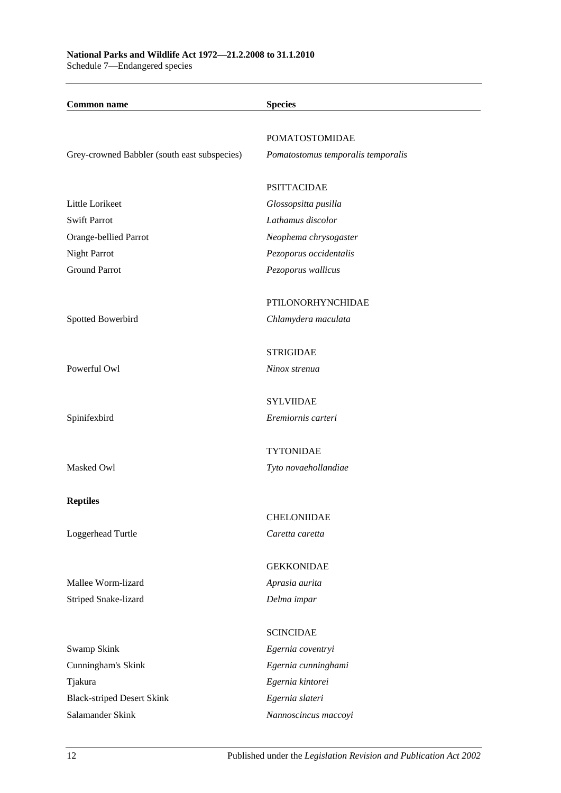| <b>Common name</b>                           | <b>Species</b>                     |
|----------------------------------------------|------------------------------------|
|                                              | <b>POMATOSTOMIDAE</b>              |
| Grey-crowned Babbler (south east subspecies) | Pomatostomus temporalis temporalis |
|                                              | <b>PSITTACIDAE</b>                 |
| Little Lorikeet                              | Glossopsitta pusilla               |
| <b>Swift Parrot</b>                          | Lathamus discolor                  |
| Orange-bellied Parrot                        | Neophema chrysogaster              |
| Night Parrot                                 | Pezoporus occidentalis             |
| <b>Ground Parrot</b>                         | Pezoporus wallicus                 |
|                                              |                                    |
|                                              | PTILONORHYNCHIDAE                  |
| Spotted Bowerbird                            | Chlamydera maculata                |
|                                              | <b>STRIGIDAE</b>                   |
| Powerful Owl                                 | Ninox strenua                      |
|                                              | <b>SYLVIIDAE</b>                   |
| Spinifexbird                                 | Eremiornis carteri                 |
|                                              |                                    |
|                                              | <b>TYTONIDAE</b>                   |
| Masked Owl                                   | Tyto novaehollandiae               |
| <b>Reptiles</b>                              |                                    |
|                                              | <b>CHELONIIDAE</b>                 |
| Loggerhead Turtle                            | Caretta caretta                    |
|                                              | <b>GEKKONIDAE</b>                  |
| Mallee Worm-lizard                           | Aprasia aurita                     |
| Striped Snake-lizard                         | Delma impar                        |
|                                              |                                    |
|                                              | <b>SCINCIDAE</b>                   |
| Swamp Skink                                  | Egernia coventryi                  |
| Cunningham's Skink                           | Egernia cunninghami                |
| Tjakura                                      | Egernia kintorei                   |
| <b>Black-striped Desert Skink</b>            | Egernia slateri                    |
| Salamander Skink                             | Nannoscincus maccoyi               |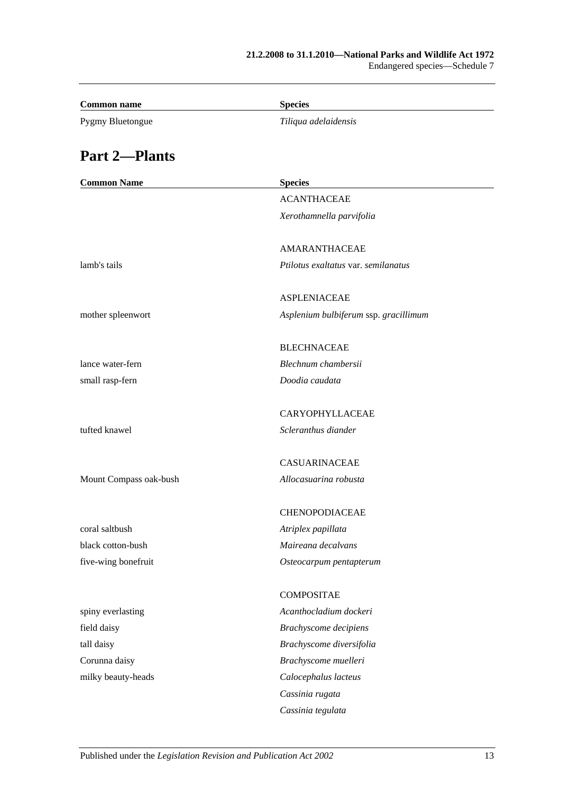| <b>Common name</b>     | <b>Species</b>                        |
|------------------------|---------------------------------------|
| Pygmy Bluetongue       | Tiliqua adelaidensis                  |
| <b>Part 2-Plants</b>   |                                       |
| <b>Common Name</b>     | <b>Species</b>                        |
|                        | <b>ACANTHACEAE</b>                    |
|                        | Xerothamnella parvifolia              |
|                        | <b>AMARANTHACEAE</b>                  |
| lamb's tails           | Ptilotus exaltatus var. semilanatus   |
|                        | <b>ASPLENIACEAE</b>                   |
| mother spleenwort      | Asplenium bulbiferum ssp. gracillimum |
|                        | <b>BLECHNACEAE</b>                    |
| lance water-fern       | Blechnum chambersii                   |
| small rasp-fern        | Doodia caudata                        |
|                        | CARYOPHYLLACEAE                       |
| tufted knawel          | Scleranthus diander                   |
|                        | <b>CASUARINACEAE</b>                  |
| Mount Compass oak-bush | Allocasuarina robusta                 |
|                        | CHENOPODIACEAE                        |
| coral saltbush         | Atriplex papillata                    |
| black cotton-bush      | Maireana decalvans                    |
| five-wing bonefruit    | Osteocarpum pentapterum               |
|                        | <b>COMPOSITAE</b>                     |
| spiny everlasting      | Acanthocladium dockeri                |
| field daisy            | Brachyscome decipiens                 |
| tall daisy             | Brachyscome diversifolia              |
| Corunna daisy          | Brachyscome muelleri                  |
| milky beauty-heads     | Calocephalus lacteus                  |
|                        | Cassinia rugata                       |
|                        | Cassinia tegulata                     |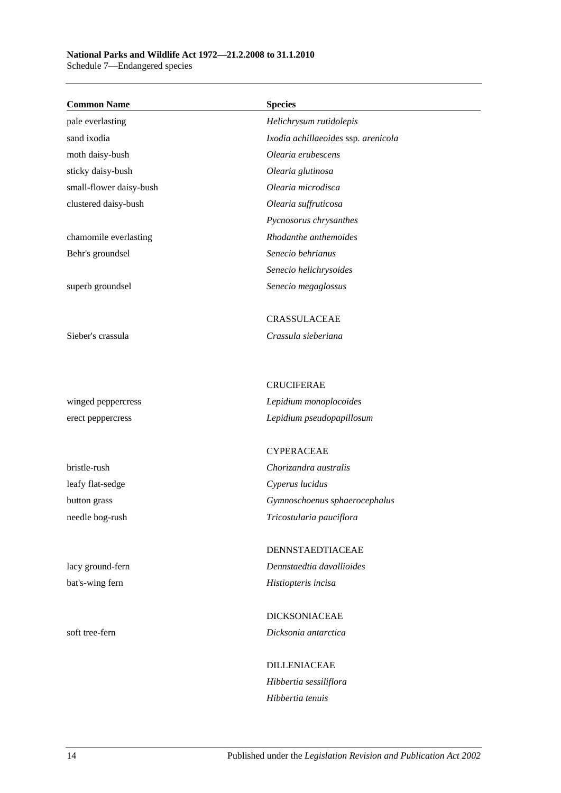## **National Parks and Wildlife Act 1972—21.2.2008 to 31.1.2010**

Schedule 7—Endangered species

| <b>Common Name</b>      | <b>Species</b>                      |
|-------------------------|-------------------------------------|
| pale everlasting        | Helichrysum rutidolepis             |
| sand ixodia             | Ixodia achillaeoides ssp. arenicola |
| moth daisy-bush         | Olearia erubescens                  |
| sticky daisy-bush       | Olearia glutinosa                   |
| small-flower daisy-bush | Olearia microdisca                  |
| clustered daisy-bush    | Olearia suffruticosa                |
|                         | Pycnosorus chrysanthes              |
| chamomile everlasting   | Rhodanthe anthemoides               |
| Behr's groundsel        | Senecio behrianus                   |
|                         | Senecio helichrysoides              |
| superb groundsel        | Senecio megaglossus                 |
|                         | <b>CRASSULACEAE</b>                 |
| Sieber's crassula       | Crassula sieberiana                 |
|                         | <b>CRUCIFERAE</b>                   |
| winged peppercress      | Lepidium monoplocoides              |
| erect peppercress       | Lepidium pseudopapillosum           |
|                         | <b>CYPERACEAE</b>                   |
| bristle-rush            | Chorizandra australis               |
| leafy flat-sedge        | Cyperus lucidus                     |
| button grass            | Gymnoschoenus sphaerocephalus       |
| needle bog-rush         | Tricostularia pauciflora            |
|                         | DENNSTAEDTIACEAE                    |
| lacy ground-fern        | Dennstaedtia davallioides           |
| bat's-wing fern         | Histiopteris incisa                 |
|                         | <b>DICKSONIACEAE</b>                |
| soft tree-fern          | Dicksonia antarctica                |
|                         | <b>DILLENIACEAE</b>                 |
|                         | Hibbertia sessiliflora              |
|                         | Hibbertia tenuis                    |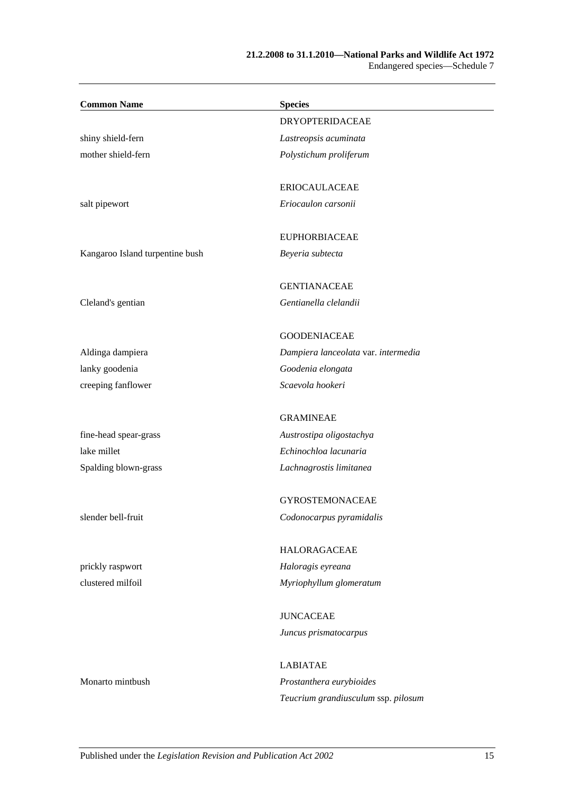#### **21.2.2008 to 31.1.2010—National Parks and Wildlife Act 1972** Endangered species—Schedule 7

| <b>Common Name</b>              | <b>Species</b>                      |
|---------------------------------|-------------------------------------|
|                                 | <b>DRYOPTERIDACEAE</b>              |
| shiny shield-fern               | Lastreopsis acuminata               |
| mother shield-fern              | Polystichum proliferum              |
|                                 | <b>ERIOCAULACEAE</b>                |
| salt pipewort                   | Eriocaulon carsonii                 |
|                                 | <b>EUPHORBIACEAE</b>                |
| Kangaroo Island turpentine bush | Beyeria subtecta                    |
|                                 | <b>GENTIANACEAE</b>                 |
| Cleland's gentian               | Gentianella clelandii               |
|                                 | <b>GOODENIACEAE</b>                 |
| Aldinga dampiera                | Dampiera lanceolata var. intermedia |
| lanky goodenia                  | Goodenia elongata                   |
| creeping fanflower              | Scaevola hookeri                    |
|                                 | <b>GRAMINEAE</b>                    |
| fine-head spear-grass           | Austrostipa oligostachya            |
| lake millet                     | Echinochloa lacunaria               |
| Spalding blown-grass            | Lachnagrostis limitanea             |
|                                 | <b>GYROSTEMONACEAE</b>              |
| slender bell-fruit              | Codonocarpus pyramidalis            |
|                                 | HALORAGACEAE                        |
| prickly raspwort                | Haloragis eyreana                   |
| clustered milfoil               | Myriophyllum glomeratum             |
|                                 | <b>JUNCACEAE</b>                    |
|                                 | Juncus prismatocarpus               |
|                                 | <b>LABIATAE</b>                     |
| Monarto mintbush                | Prostanthera eurybioides            |
|                                 | Teucrium grandiusculum ssp. pilosum |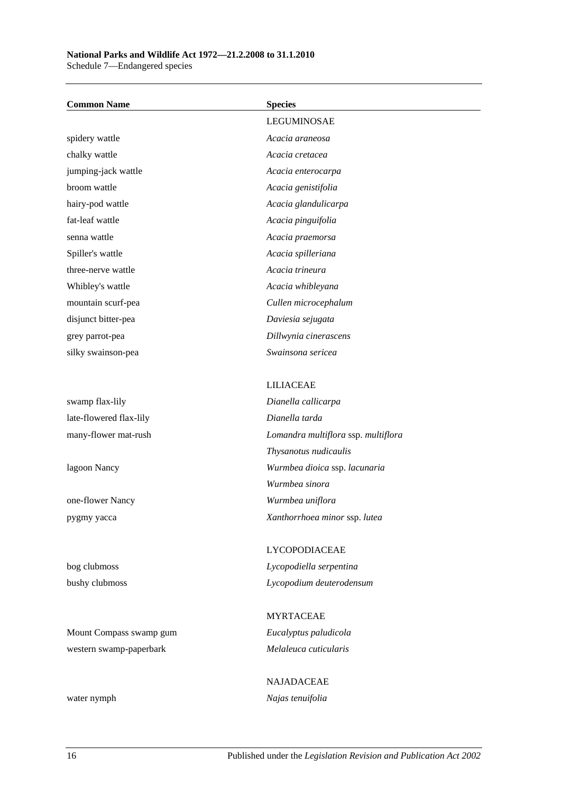### **National Parks and Wildlife Act 1972—21.2.2008 to 31.1.2010**

Schedule 7—Endangered species

| <b>Common Name</b>      | <b>Species</b>                      |
|-------------------------|-------------------------------------|
|                         | LEGUMINOSAE                         |
| spidery wattle          | Acacia araneosa                     |
| chalky wattle           | Acacia cretacea                     |
| jumping-jack wattle     | Acacia enterocarpa                  |
| broom wattle            | Acacia genistifolia                 |
| hairy-pod wattle        | Acacia glandulicarpa                |
| fat-leaf wattle         | Acacia pinguifolia                  |
| senna wattle            | Acacia praemorsa                    |
| Spiller's wattle        | Acacia spilleriana                  |
| three-nerve wattle      | Acacia trineura                     |
| Whibley's wattle        | Acacia whibleyana                   |
| mountain scurf-pea      | Cullen microcephalum                |
| disjunct bitter-pea     | Daviesia sejugata                   |
| grey parrot-pea         | Dillwynia cinerascens               |
| silky swainson-pea      | Swainsona sericea                   |
|                         |                                     |
|                         | <b>LILIACEAE</b>                    |
| swamp flax-lily         | Dianella callicarpa                 |
| late-flowered flax-lily | Dianella tarda                      |
| many-flower mat-rush    | Lomandra multiflora ssp. multiflora |
|                         | Thysanotus nudicaulis               |
| lagoon Nancy            | Wurmbea dioica ssp. lacunaria       |
|                         | Wurmbea sinora                      |
| one-flower Nancy        | Wurmbea uniflora                    |
| pygmy yacca             | Xanthorrhoea minor ssp. lutea       |
|                         |                                     |
|                         | LYCOPODIACEAE                       |
| bog clubmoss            | Lycopodiella serpentina             |
| bushy clubmoss          | Lycopodium deuterodensum            |
|                         |                                     |
|                         | <b>MYRTACEAE</b>                    |
| Mount Compass swamp gum | Eucalyptus paludicola               |
| western swamp-paperbark | Melaleuca cuticularis               |

NAJADACEAE water nymph *Najas tenuifolia*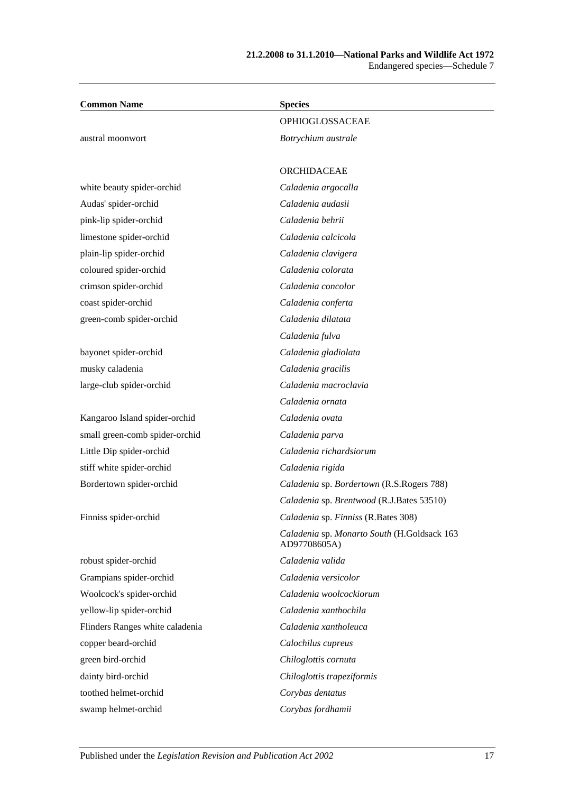| <b>Common Name</b>              | <b>Species</b>                                              |
|---------------------------------|-------------------------------------------------------------|
|                                 | OPHIOGLOSSACEAE                                             |
| austral moonwort                | Botrychium australe                                         |
|                                 | <b>ORCHIDACEAE</b>                                          |
| white beauty spider-orchid      | Caladenia argocalla                                         |
| Audas' spider-orchid            | Caladenia audasii                                           |
| pink-lip spider-orchid          | Caladenia behrii                                            |
| limestone spider-orchid         | Caladenia calcicola                                         |
| plain-lip spider-orchid         | Caladenia clavigera                                         |
| coloured spider-orchid          | Caladenia colorata                                          |
| crimson spider-orchid           | Caladenia concolor                                          |
| coast spider-orchid             | Caladenia conferta                                          |
| green-comb spider-orchid        | Caladenia dilatata                                          |
|                                 | Caladenia fulva                                             |
| bayonet spider-orchid           | Caladenia gladiolata                                        |
| musky caladenia                 | Caladenia gracilis                                          |
| large-club spider-orchid        | Caladenia macroclavia                                       |
|                                 | Caladenia ornata                                            |
| Kangaroo Island spider-orchid   | Caladenia ovata                                             |
| small green-comb spider-orchid  | Caladenia parva                                             |
| Little Dip spider-orchid        | Caladenia richardsiorum                                     |
| stiff white spider-orchid       | Caladenia rigida                                            |
| Bordertown spider-orchid        | Caladenia sp. Bordertown (R.S.Rogers 788)                   |
|                                 | Caladenia sp. Brentwood (R.J.Bates 53510)                   |
| Finniss spider-orchid           | Caladenia sp. Finniss (R.Bates 308)                         |
|                                 | Caladenia sp. Monarto South (H.Goldsack 163<br>AD97708605A) |
| robust spider-orchid            | Caladenia valida                                            |
| Grampians spider-orchid         | Caladenia versicolor                                        |
| Woolcock's spider-orchid        | Caladenia woolcockiorum                                     |
| yellow-lip spider-orchid        | Caladenia xanthochila                                       |
| Flinders Ranges white caladenia | Caladenia xantholeuca                                       |
| copper beard-orchid             | Calochilus cupreus                                          |
| green bird-orchid               | Chiloglottis cornuta                                        |
| dainty bird-orchid              | Chiloglottis trapeziformis                                  |
| toothed helmet-orchid           | Corybas dentatus                                            |
| swamp helmet-orchid             | Corybas fordhamii                                           |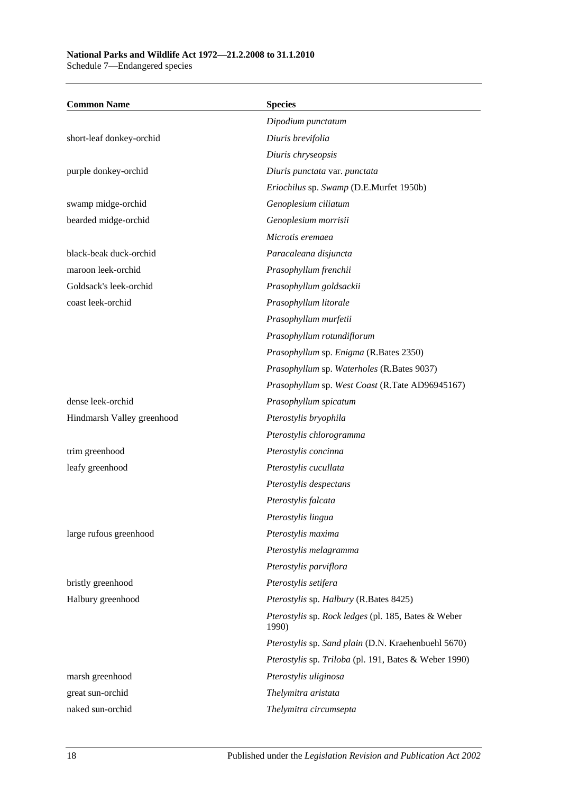### **National Parks and Wildlife Act 1972—21.2.2008 to 31.1.2010**

Schedule 7—Endangered species

| <b>Common Name</b>         | <b>Species</b>                                               |
|----------------------------|--------------------------------------------------------------|
|                            | Dipodium punctatum                                           |
| short-leaf donkey-orchid   | Diuris brevifolia                                            |
|                            | Diuris chryseopsis                                           |
| purple donkey-orchid       | Diuris punctata var. punctata                                |
|                            | Eriochilus sp. Swamp (D.E.Murfet 1950b)                      |
| swamp midge-orchid         | Genoplesium ciliatum                                         |
| bearded midge-orchid       | Genoplesium morrisii                                         |
|                            | Microtis eremaea                                             |
| black-beak duck-orchid     | Paracaleana disjuncta                                        |
| maroon leek-orchid         | Prasophyllum frenchii                                        |
| Goldsack's leek-orchid     | Prasophyllum goldsackii                                      |
| coast leek-orchid          | Prasophyllum litorale                                        |
|                            | Prasophyllum murfetii                                        |
|                            | Prasophyllum rotundiflorum                                   |
|                            | Prasophyllum sp. Enigma (R.Bates 2350)                       |
|                            | Prasophyllum sp. Waterholes (R.Bates 9037)                   |
|                            | Prasophyllum sp. West Coast (R.Tate AD96945167)              |
| dense leek-orchid          | Prasophyllum spicatum                                        |
| Hindmarsh Valley greenhood | Pterostylis bryophila                                        |
|                            | Pterostylis chlorogramma                                     |
| trim greenhood             | Pterostylis concinna                                         |
| leafy greenhood            | Pterostylis cucullata                                        |
|                            | Pterostylis despectans                                       |
|                            | Pterostylis falcata                                          |
|                            | Pterostylis lingua                                           |
| large rufous greenhood     | Pterostylis maxima                                           |
|                            | Pterostylis melagramma                                       |
|                            | Pterostylis parviflora                                       |
| bristly greenhood          | Pterostylis setifera                                         |
| Halbury greenhood          | Pterostylis sp. Halbury (R.Bates 8425)                       |
|                            | Pterostylis sp. Rock ledges (pl. 185, Bates & Weber<br>1990) |
|                            | Pterostylis sp. Sand plain (D.N. Kraehenbuehl 5670)          |
|                            | Pterostylis sp. Triloba (pl. 191, Bates & Weber 1990)        |
| marsh greenhood            | Pterostylis uliginosa                                        |
| great sun-orchid           | Thelymitra aristata                                          |
| naked sun-orchid           | Thelymitra circumsepta                                       |
|                            |                                                              |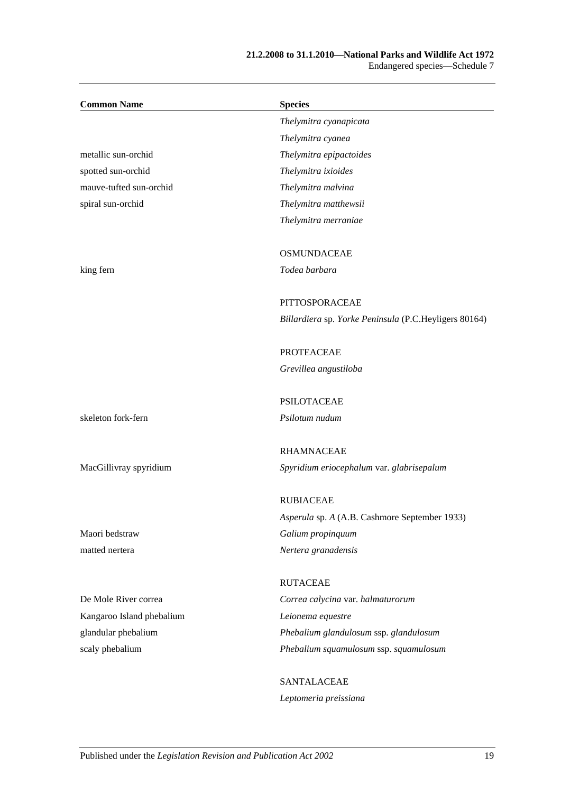#### **21.2.2008 to 31.1.2010—National Parks and Wildlife Act 1972** Endangered species—Schedule 7

| <b>Common Name</b>        | <b>Species</b>                                        |
|---------------------------|-------------------------------------------------------|
|                           | Thelymitra cyanapicata                                |
|                           | Thelymitra cyanea                                     |
| metallic sun-orchid       | Thelymitra epipactoides                               |
| spotted sun-orchid        | Thelymitra ixioides                                   |
| mauve-tufted sun-orchid   | Thelymitra malvina                                    |
| spiral sun-orchid         | Thelymitra matthewsii                                 |
|                           | Thelymitra merraniae                                  |
|                           | <b>OSMUNDACEAE</b>                                    |
| king fern                 | Todea barbara                                         |
|                           | PITTOSPORACEAE                                        |
|                           | Billardiera sp. Yorke Peninsula (P.C.Heyligers 80164) |
|                           | <b>PROTEACEAE</b>                                     |
|                           | Grevillea angustiloba                                 |
|                           | <b>PSILOTACEAE</b>                                    |
| skeleton fork-fern        | Psilotum nudum                                        |
|                           | <b>RHAMNACEAE</b>                                     |
| MacGillivray spyridium    | Spyridium eriocephalum var. glabrisepalum             |
|                           | <b>RUBIACEAE</b>                                      |
|                           | Asperula sp. A (A.B. Cashmore September 1933)         |
| Maori bedstraw            | Galium propinquum                                     |
| matted nertera            | Nertera granadensis                                   |
|                           | <b>RUTACEAE</b>                                       |
| De Mole River correa      | Correa calycina var. halmaturorum                     |
| Kangaroo Island phebalium | Leionema equestre                                     |
| glandular phebalium       | Phebalium glandulosum ssp. glandulosum                |
| scaly phebalium           | Phebalium squamulosum ssp. squamulosum                |
|                           | SANTALACEAE                                           |
|                           | Leptomeria preissiana                                 |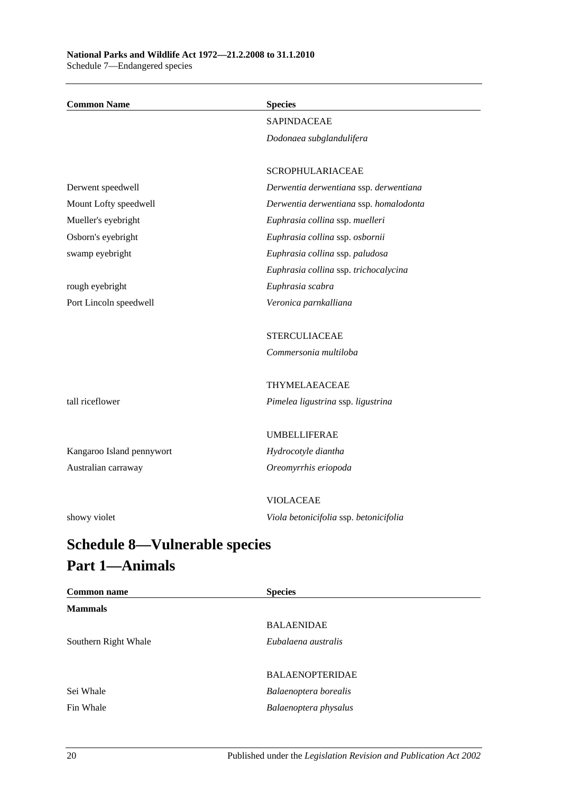| <b>Common Name</b>                                                                               | <b>Species</b>                         |
|--------------------------------------------------------------------------------------------------|----------------------------------------|
|                                                                                                  | <b>SAPINDACEAE</b>                     |
|                                                                                                  | Dodonaea subglandulifera               |
|                                                                                                  |                                        |
|                                                                                                  | <b>SCROPHULARIACEAE</b>                |
| Derwent speedwell                                                                                | Derwentia derwentiana ssp. derwentiana |
| Mount Lofty speedwell                                                                            | Derwentia derwentiana ssp. homalodonta |
| Mueller's eyebright                                                                              | Euphrasia collina ssp. muelleri        |
| Osborn's eyebright                                                                               | Euphrasia collina ssp. osbornii        |
| swamp eyebright                                                                                  | Euphrasia collina ssp. paludosa        |
|                                                                                                  | Euphrasia collina ssp. trichocalycina  |
| rough eyebright                                                                                  | Euphrasia scabra                       |
| Port Lincoln speedwell                                                                           | Veronica parnkalliana                  |
|                                                                                                  |                                        |
|                                                                                                  | <b>STERCULIACEAE</b>                   |
|                                                                                                  | Commersonia multiloba                  |
|                                                                                                  |                                        |
|                                                                                                  | THYMELAEACEAE                          |
| tall riceflower                                                                                  | Pimelea ligustrina ssp. ligustrina     |
|                                                                                                  |                                        |
|                                                                                                  | <b>UMBELLIFERAE</b>                    |
| Kangaroo Island pennywort                                                                        | Hydrocotyle diantha                    |
| Australian carraway                                                                              | Oreomyrrhis eriopoda                   |
|                                                                                                  |                                        |
|                                                                                                  | <b>VIOLACEAE</b>                       |
| showy violet                                                                                     | Viola betonicifolia ssp. betonicifolia |
| $C_2$ $\lambda_2$ $\lambda_3$ $\lambda_4$ $\lambda_5$ $\lambda_6$<br>$\mathbf{V}$ -laonahla anao |                                        |

## <span id="page-103-0"></span>**Schedule 8—Vulnerable species Part 1—Animals**

| <b>Common name</b>   | <b>Species</b>         |
|----------------------|------------------------|
| <b>Mammals</b>       |                        |
|                      | <b>BALAENIDAE</b>      |
| Southern Right Whale | Eubalaena australis    |
|                      |                        |
|                      | <b>BALAENOPTERIDAE</b> |
| Sei Whale            | Balaenoptera borealis  |
| Fin Whale            | Balaenoptera physalus  |
|                      |                        |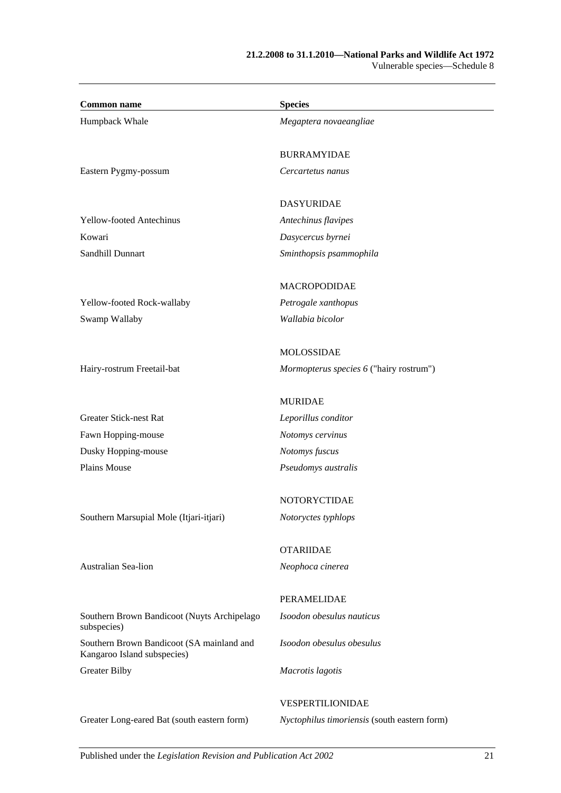| <b>Common name</b>                                                       | <b>Species</b>                               |
|--------------------------------------------------------------------------|----------------------------------------------|
| Humpback Whale                                                           | Megaptera novaeangliae                       |
|                                                                          | <b>BURRAMYIDAE</b>                           |
| Eastern Pygmy-possum                                                     | Cercartetus nanus                            |
|                                                                          | <b>DASYURIDAE</b>                            |
| <b>Yellow-footed Antechinus</b>                                          | Antechinus flavipes                          |
| Kowari                                                                   | Dasycercus byrnei                            |
| Sandhill Dunnart                                                         | Sminthopsis psammophila                      |
|                                                                          | <b>MACROPODIDAE</b>                          |
| Yellow-footed Rock-wallaby                                               | Petrogale xanthopus                          |
| Swamp Wallaby                                                            | Wallabia bicolor                             |
|                                                                          | MOLOSSIDAE                                   |
| Hairy-rostrum Freetail-bat                                               | Mormopterus species 6 ("hairy rostrum")      |
|                                                                          | <b>MURIDAE</b>                               |
| <b>Greater Stick-nest Rat</b>                                            | Leporillus conditor                          |
| Fawn Hopping-mouse                                                       | Notomys cervinus                             |
| Dusky Hopping-mouse                                                      | Notomys fuscus                               |
| Plains Mouse                                                             | Pseudomys australis                          |
|                                                                          | NOTORYCTIDAE                                 |
| Southern Marsupial Mole (Itjari-itjari)                                  | Notoryctes typhlops                          |
|                                                                          | <b>OTARIIDAE</b>                             |
| Australian Sea-lion                                                      | Neophoca cinerea                             |
|                                                                          | PERAMELIDAE                                  |
| Southern Brown Bandicoot (Nuyts Archipelago<br>subspecies)               | Isoodon obesulus nauticus                    |
| Southern Brown Bandicoot (SA mainland and<br>Kangaroo Island subspecies) | Isoodon obesulus obesulus                    |
| <b>Greater Bilby</b>                                                     | Macrotis lagotis                             |
|                                                                          | VESPERTILIONIDAE                             |
| Greater Long-eared Bat (south eastern form)                              | Nyctophilus timoriensis (south eastern form) |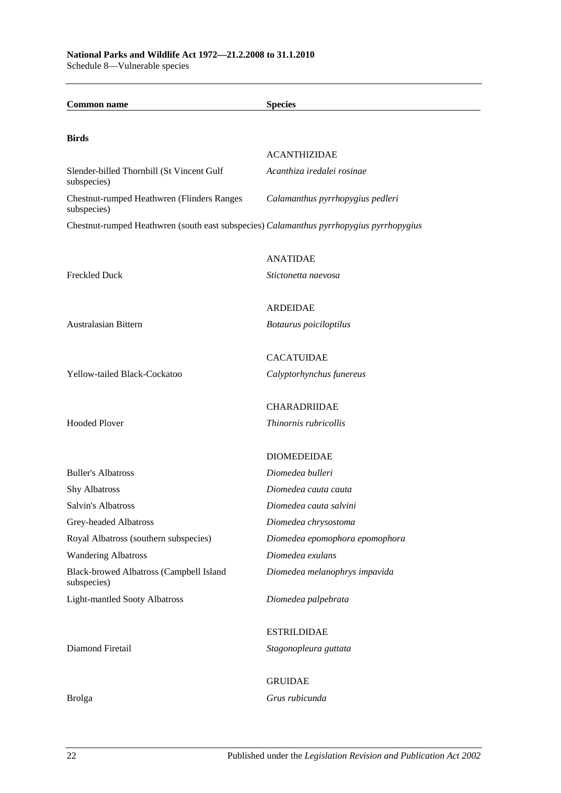| <b>Common name</b>                                                                      | <b>Species</b>                                    |
|-----------------------------------------------------------------------------------------|---------------------------------------------------|
|                                                                                         |                                                   |
| <b>Birds</b>                                                                            |                                                   |
| Slender-billed Thornbill (St Vincent Gulf                                               | <b>ACANTHIZIDAE</b><br>Acanthiza iredalei rosinae |
| subspecies)                                                                             |                                                   |
| <b>Chestnut-rumped Heathwren (Flinders Ranges)</b><br>subspecies)                       | Calamanthus pyrrhopygius pedleri                  |
| Chestnut-rumped Heathwren (south east subspecies) Calamanthus pyrrhopygius pyrrhopygius |                                                   |
|                                                                                         | <b>ANATIDAE</b>                                   |
| <b>Freckled Duck</b>                                                                    | Stictonetta naevosa                               |
|                                                                                         |                                                   |
|                                                                                         | <b>ARDEIDAE</b>                                   |
| Australasian Bittern                                                                    | Botaurus poiciloptilus                            |
|                                                                                         |                                                   |
|                                                                                         | <b>CACATUIDAE</b>                                 |
| Yellow-tailed Black-Cockatoo                                                            | Calyptorhynchus funereus                          |
|                                                                                         |                                                   |
|                                                                                         | <b>CHARADRIIDAE</b>                               |
| <b>Hooded Plover</b>                                                                    | Thinornis rubricollis                             |
|                                                                                         | <b>DIOMEDEIDAE</b>                                |
| <b>Buller's Albatross</b>                                                               | Diomedea bulleri                                  |
| <b>Shy Albatross</b>                                                                    | Diomedea cauta cauta                              |
| Salvin's Albatross                                                                      | Diomedea cauta salvini                            |
| Grey-headed Albatross                                                                   | Diomedea chrysostoma                              |
| Royal Albatross (southern subspecies)                                                   | Diomedea epomophora epomophora                    |
| <b>Wandering Albatross</b>                                                              | Diomedea exulans                                  |
| Black-browed Albatross (Campbell Island<br>subspecies)                                  | Diomedea melanophrys impavida                     |
| <b>Light-mantled Sooty Albatross</b>                                                    | Diomedea palpebrata                               |
|                                                                                         |                                                   |
|                                                                                         | <b>ESTRILDIDAE</b>                                |
| Diamond Firetail                                                                        | Stagonopleura guttata                             |
|                                                                                         | <b>GRUIDAE</b>                                    |
|                                                                                         | Grus rubicunda                                    |
| <b>Brolga</b>                                                                           |                                                   |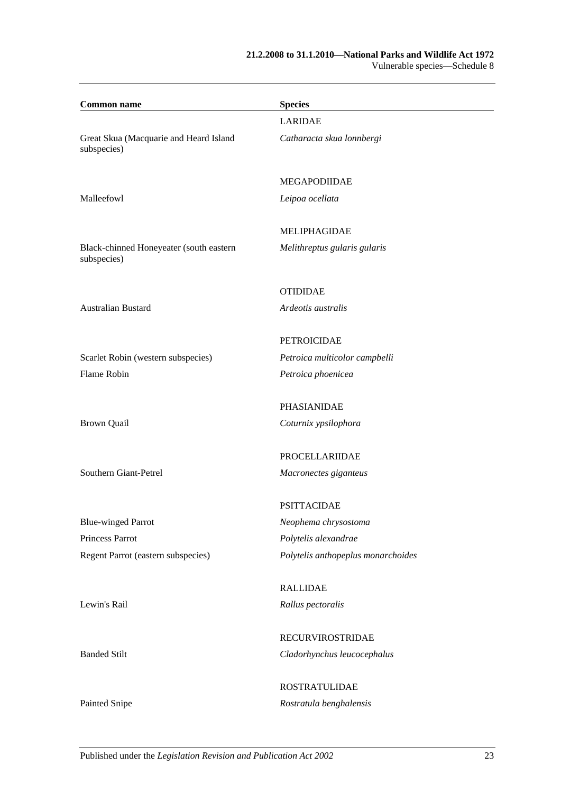#### **21.2.2008 to 31.1.2010—National Parks and Wildlife Act 1972** Vulnerable species—Schedule 8

| <b>Common name</b>                                     | <b>Species</b>                     |
|--------------------------------------------------------|------------------------------------|
|                                                        | <b>LARIDAE</b>                     |
| Great Skua (Macquarie and Heard Island<br>subspecies)  | Catharacta skua lonnbergi          |
|                                                        | <b>MEGAPODIIDAE</b>                |
| Malleefowl                                             | Leipoa ocellata                    |
|                                                        | <b>MELIPHAGIDAE</b>                |
| Black-chinned Honeyeater (south eastern<br>subspecies) | Melithreptus gularis gularis       |
|                                                        | <b>OTIDIDAE</b>                    |
| <b>Australian Bustard</b>                              | Ardeotis australis                 |
|                                                        | <b>PETROICIDAE</b>                 |
| Scarlet Robin (western subspecies)                     | Petroica multicolor campbelli      |
| Flame Robin                                            | Petroica phoenicea                 |
|                                                        | PHASIANIDAE                        |
| <b>Brown Quail</b>                                     | Coturnix ypsilophora               |
|                                                        | PROCELLARIIDAE                     |
| Southern Giant-Petrel                                  | Macronectes giganteus              |
|                                                        | <b>PSITTACIDAE</b>                 |
| <b>Blue-winged Parrot</b>                              | Neophema chrysostoma               |
| Princess Parrot                                        | Polytelis alexandrae               |
| Regent Parrot (eastern subspecies)                     | Polytelis anthopeplus monarchoides |
|                                                        | <b>RALLIDAE</b>                    |
| Lewin's Rail                                           | Rallus pectoralis                  |
|                                                        | <b>RECURVIROSTRIDAE</b>            |
| <b>Banded Stilt</b>                                    | Cladorhynchus leucocephalus        |
|                                                        | <b>ROSTRATULIDAE</b>               |
| Painted Snipe                                          | Rostratula benghalensis            |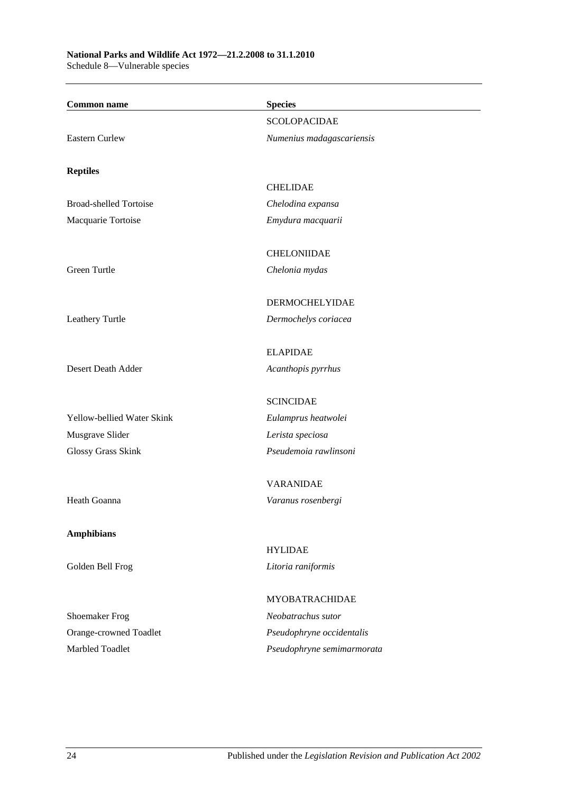#### **National Parks and Wildlife Act 1972—21.2.2008 to 31.1.2010** Schedule 8—Vulnerable species

| <b>Common name</b>                              | <b>Species</b>             |
|-------------------------------------------------|----------------------------|
|                                                 | <b>SCOLOPACIDAE</b>        |
| <b>Eastern Curlew</b>                           | Numenius madagascariensis  |
|                                                 |                            |
| <b>Reptiles</b>                                 |                            |
|                                                 | <b>CHELIDAE</b>            |
| <b>Broad-shelled Tortoise</b>                   | Chelodina expansa          |
| Macquarie Tortoise                              | Emydura macquarii          |
|                                                 | <b>CHELONIIDAE</b>         |
| Green Turtle                                    | Chelonia mydas             |
|                                                 | <b>DERMOCHELYIDAE</b>      |
| Leathery Turtle                                 | Dermochelys coriacea       |
|                                                 |                            |
|                                                 | <b>ELAPIDAE</b>            |
| Desert Death Adder                              | Acanthopis pyrrhus         |
|                                                 | <b>SCINCIDAE</b>           |
| Yellow-bellied Water Skink                      | Eulamprus heatwolei        |
| Musgrave Slider                                 | Lerista speciosa           |
| Glossy Grass Skink                              | Pseudemoia rawlinsoni      |
|                                                 | <b>VARANIDAE</b>           |
| Heath Goanna                                    | Varanus rosenbergi         |
|                                                 |                            |
| <b>Amphibians</b>                               | <b>HYLIDAE</b>             |
| Golden Bell Frog                                | Litoria raniformis         |
|                                                 | <b>MYOBATRACHIDAE</b>      |
|                                                 | Neobatrachus sutor         |
| <b>Shoemaker Frog</b><br>Orange-crowned Toadlet | Pseudophryne occidentalis  |
| Marbled Toadlet                                 |                            |
|                                                 | Pseudophryne semimarmorata |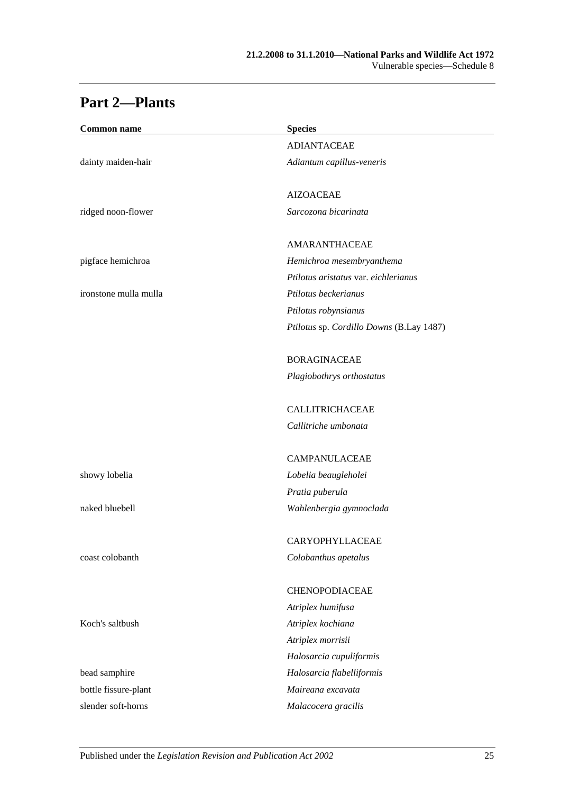## **Part 2—Plants**

| <b>Common name</b>    | <b>Species</b>                           |
|-----------------------|------------------------------------------|
|                       | <b>ADIANTACEAE</b>                       |
| dainty maiden-hair    | Adiantum capillus-veneris                |
|                       | <b>AIZOACEAE</b>                         |
| ridged noon-flower    | Sarcozona bicarinata                     |
|                       | AMARANTHACEAE                            |
| pigface hemichroa     | Hemichroa mesembryanthema                |
|                       | Ptilotus aristatus var. eichlerianus     |
| ironstone mulla mulla | Ptilotus beckerianus                     |
|                       | Ptilotus robynsianus                     |
|                       | Ptilotus sp. Cordillo Downs (B.Lay 1487) |
|                       | <b>BORAGINACEAE</b>                      |
|                       | Plagiobothrys orthostatus                |
|                       | <b>CALLITRICHACEAE</b>                   |
|                       | Callitriche umbonata                     |
|                       | <b>CAMPANULACEAE</b>                     |
| showy lobelia         | Lobelia beaugleholei                     |
|                       | Pratia puberula                          |
| naked bluebell        | Wahlenbergia gymnoclada                  |
|                       | CARYOPHYLLACEAE                          |
| coast colobanth       | Colobanthus apetalus                     |
|                       | CHENOPODIACEAE                           |
|                       | Atriplex humifusa                        |
| Koch's saltbush       | Atriplex kochiana                        |
|                       | Atriplex morrisii                        |
|                       | Halosarcia cupuliformis                  |
| bead samphire         | Halosarcia flabelliformis                |
| bottle fissure-plant  | Maireana excavata                        |
| slender soft-horns    | Malacocera gracilis                      |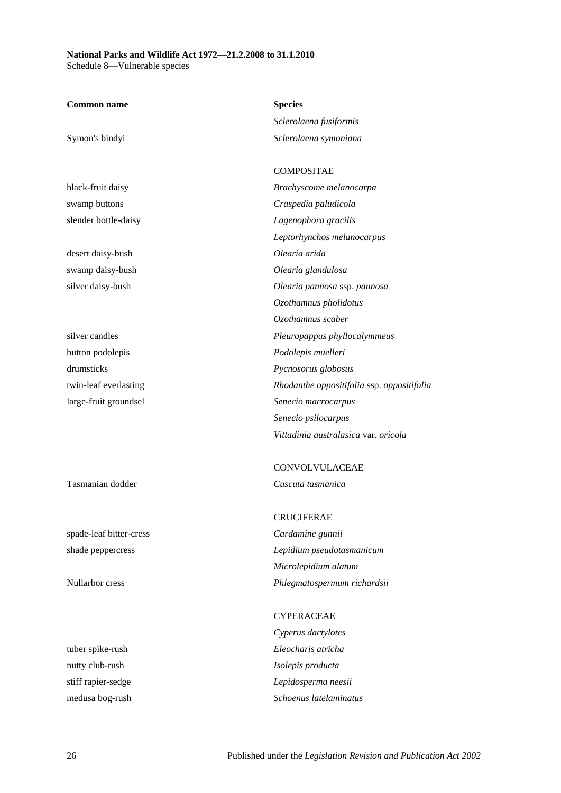| <b>Common name</b>      | <b>Species</b>                             |
|-------------------------|--------------------------------------------|
|                         | Sclerolaena fusiformis                     |
| Symon's bindyi          | Sclerolaena symoniana                      |
|                         | <b>COMPOSITAE</b>                          |
| black-fruit daisy       | Brachyscome melanocarpa                    |
| swamp buttons           | Craspedia paludicola                       |
| slender bottle-daisy    | Lagenophora gracilis                       |
|                         | Leptorhynchos melanocarpus                 |
| desert daisy-bush       | Olearia arida                              |
| swamp daisy-bush        | Olearia glandulosa                         |
| silver daisy-bush       | Olearia pannosa ssp. pannosa               |
|                         | Ozothamnus pholidotus                      |
|                         | Ozothamnus scaber                          |
| silver candles          | Pleuropappus phyllocalymmeus               |
| button podolepis        | Podolepis muelleri                         |
| drumsticks              | Pycnosorus globosus                        |
| twin-leaf everlasting   | Rhodanthe oppositifolia ssp. oppositifolia |
| large-fruit groundsel   | Senecio macrocarpus                        |
|                         | Senecio psilocarpus                        |
|                         | Vittadinia australasica var. oricola       |
|                         | CONVOLVULACEAE                             |
| Tasmanian dodder        | Cuscuta tasmanica                          |
|                         | <b>CRUCIFERAE</b>                          |
| spade-leaf bitter-cress | Cardamine gunnii                           |
| shade peppercress       | Lepidium pseudotasmanicum                  |
|                         | Microlepidium alatum                       |
| Nullarbor cress         | Phlegmatospermum richardsii                |
|                         | <b>CYPERACEAE</b>                          |
|                         | Cyperus dactylotes                         |
| tuber spike-rush        | Eleocharis atricha                         |
| nutty club-rush         | Isolepis producta                          |
| stiff rapier-sedge      | Lepidosperma neesii                        |
| medusa bog-rush         | Schoenus latelaminatus                     |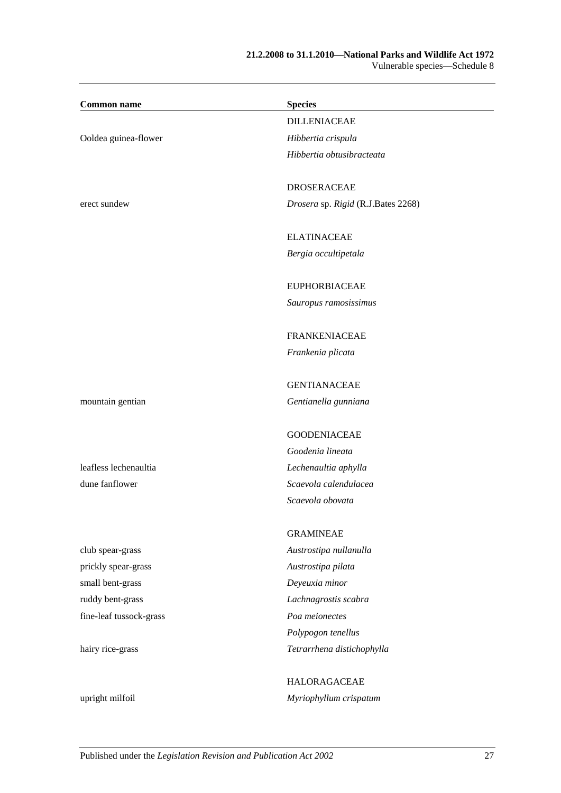### **21.2.2008 to 31.1.2010—National Parks and Wildlife Act 1972** Vulnerable species—Schedule 8

 $\overline{\phantom{0}}$ 

| <b>Common name</b>      | <b>Species</b>                     |
|-------------------------|------------------------------------|
|                         | <b>DILLENIACEAE</b>                |
| Ooldea guinea-flower    | Hibbertia crispula                 |
|                         | Hibbertia obtusibracteata          |
|                         |                                    |
|                         | <b>DROSERACEAE</b>                 |
| erect sundew            | Drosera sp. Rigid (R.J.Bates 2268) |
|                         | <b>ELATINACEAE</b>                 |
|                         | Bergia occultipetala               |
|                         |                                    |
|                         | <b>EUPHORBIACEAE</b>               |
|                         | Sauropus ramosissimus              |
|                         | <b>FRANKENIACEAE</b>               |
|                         | Frankenia plicata                  |
|                         |                                    |
|                         | <b>GENTIANACEAE</b>                |
| mountain gentian        | Gentianella gunniana               |
|                         | <b>GOODENIACEAE</b>                |
|                         | Goodenia lineata                   |
| leafless lechenaultia   | Lechenaultia aphylla               |
| dune fanflower          | Scaevola calendulacea              |
|                         | Scaevola obovata                   |
|                         | <b>GRAMINEAE</b>                   |
| club spear-grass        | Austrostipa nullanulla             |
| prickly spear-grass     | Austrostipa pilata                 |
| small bent-grass        | Deyeuxia minor                     |
| ruddy bent-grass        | Lachnagrostis scabra               |
| fine-leaf tussock-grass | Poa meionectes                     |
|                         | Polypogon tenellus                 |
| hairy rice-grass        | Tetrarrhena distichophylla         |
|                         |                                    |
|                         | <b>HALORAGACEAE</b>                |
| upright milfoil         | Myriophyllum crispatum             |
|                         |                                    |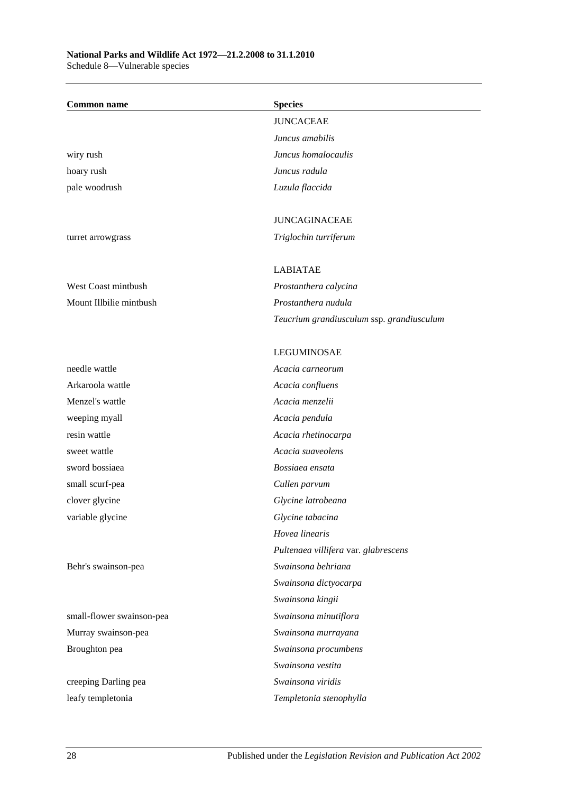### **National Parks and Wildlife Act 1972—21.2.2008 to 31.1.2010** Schedule 8—Vulnerable species

| <b>Common name</b>        | <b>Species</b>                            |
|---------------------------|-------------------------------------------|
|                           | <b>JUNCACEAE</b>                          |
|                           | Juncus amabilis                           |
| wiry rush                 | Juncus homalocaulis                       |
| hoary rush                | Juncus radula                             |
| pale woodrush             | Luzula flaccida                           |
|                           |                                           |
|                           | <b>JUNCAGINACEAE</b>                      |
| turret arrowgrass         | Triglochin turriferum                     |
|                           | <b>LABIATAE</b>                           |
| West Coast mintbush       | Prostanthera calycina                     |
| Mount Illbilie mintbush   | Prostanthera nudula                       |
|                           | Teucrium grandiusculum ssp. grandiusculum |
|                           | <b>LEGUMINOSAE</b>                        |
| needle wattle             | Acacia carneorum                          |
| Arkaroola wattle          | Acacia confluens                          |
| Menzel's wattle           | Acacia menzelii                           |
| weeping myall             | Acacia pendula                            |
| resin wattle              | Acacia rhetinocarpa                       |
| sweet wattle              | Acacia suaveolens                         |
| sword bossiaea            | Bossiaea ensata                           |
| small scurf-pea           | Cullen parvum                             |
| clover glycine            | Glycine latrobeana                        |
| variable glycine          | Glycine tabacina                          |
|                           | Hovea linearis                            |
|                           | Pultenaea villifera var. glabrescens      |
| Behr's swainson-pea       | Swainsona behriana                        |
|                           | Swainsona dictyocarpa                     |
|                           | Swainsona kingii                          |
| small-flower swainson-pea | Swainsona minutiflora                     |
| Murray swainson-pea       | Swainsona murrayana                       |
| Broughton pea             | Swainsona procumbens                      |
|                           | Swainsona vestita                         |
| creeping Darling pea      | Swainsona viridis                         |
| leafy templetonia         | Templetonia stenophylla                   |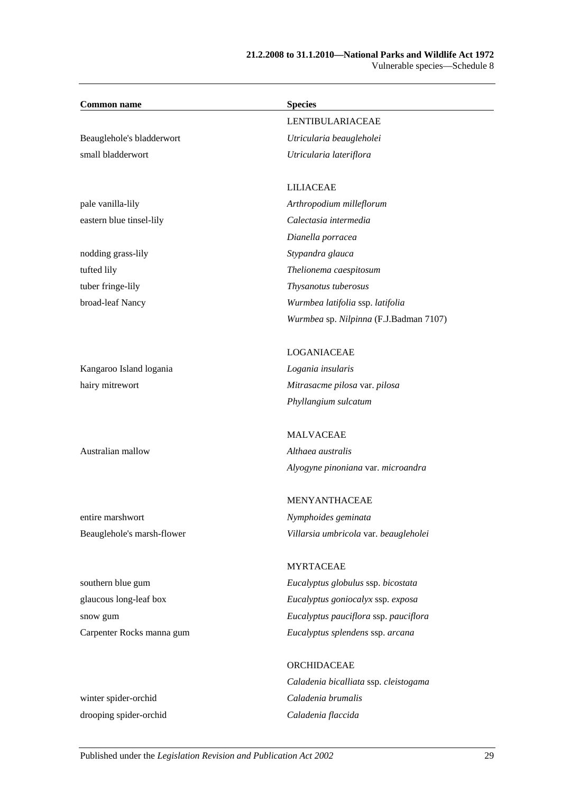### **21.2.2008 to 31.1.2010—National Parks and Wildlife Act 1972** Vulnerable species—Schedule 8

| <b>Common name</b>         | <b>Species</b>                         |
|----------------------------|----------------------------------------|
|                            | <b>LENTIBULARIACEAE</b>                |
| Beauglehole's bladderwort  | Utricularia beaugleholei               |
| small bladderwort          | Utricularia lateriflora                |
|                            | <b>LILIACEAE</b>                       |
| pale vanilla-lily          | Arthropodium milleflorum               |
| eastern blue tinsel-lily   | Calectasia intermedia                  |
|                            | Dianella porracea                      |
| nodding grass-lily         | Stypandra glauca                       |
| tufted lily                | Thelionema caespitosum                 |
| tuber fringe-lily          | Thysanotus tuberosus                   |
| broad-leaf Nancy           | Wurmbea latifolia ssp. latifolia       |
|                            | Wurmbea sp. Nilpinna (F.J.Badman 7107) |
|                            | LOGANIACEAE                            |
| Kangaroo Island logania    | Logania insularis                      |
| hairy mitrewort            | Mitrasacme pilosa var. pilosa          |
|                            | Phyllangium sulcatum                   |
|                            | <b>MALVACEAE</b>                       |
| Australian mallow          | Althaea australis                      |
|                            | Alyogyne pinoniana var. microandra     |
|                            | <b>MENYANTHACEAE</b>                   |
| entire marshwort           | Nymphoides geminata                    |
| Beauglehole's marsh-flower | Villarsia umbricola var. beaugleholei  |
|                            | <b>MYRTACEAE</b>                       |
| southern blue gum          | Eucalyptus globulus ssp. bicostata     |
| glaucous long-leaf box     | Eucalyptus goniocalyx ssp. exposa      |
| snow gum                   | Eucalyptus pauciflora ssp. pauciflora  |
| Carpenter Rocks manna gum  | Eucalyptus splendens ssp. arcana       |
|                            | ORCHIDACEAE                            |
|                            | Caladenia bicalliata ssp. cleistogama  |
| winter spider-orchid       | Caladenia brumalis                     |

drooping spider-orchid *Caladenia flaccida*

Published under the *Legislation Revision and Publication Act 2002* 29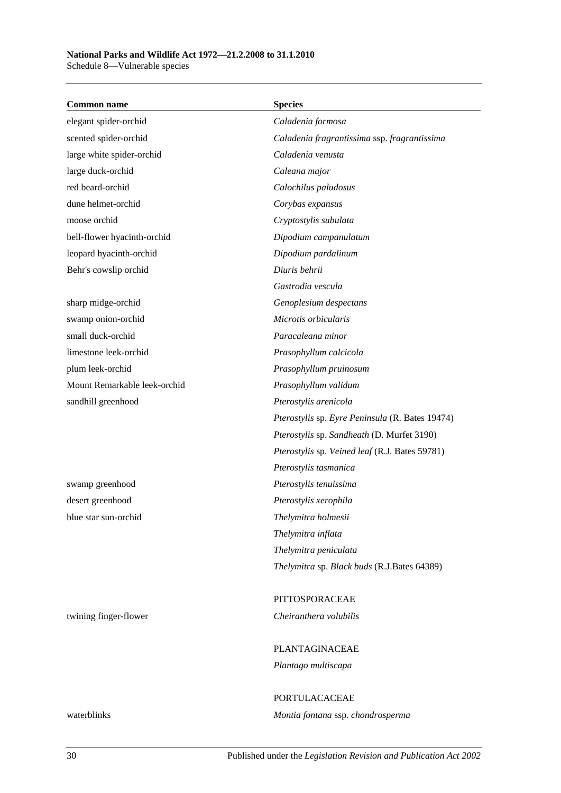**Common name Species** elegant spider-orchid *Caladenia formosa* scented spider-orchid *Caladenia fragrantissima* ssp. *fragrantissima* large white spider-orchid *Caladenia venusta* large duck-orchid *Caleana major* red beard-orchid *Calochilus paludosus* dune helmet-orchid *Corybas expansus* moose orchid *Cryptostylis subulata* bell-flower hyacinth-orchid *Dipodium campanulatum* leopard hyacinth-orchid *Dipodium pardalinum* Behr's cowslip orchid *Diuris behrii Gastrodia vescula* sharp midge-orchid *Genoplesium despectans* swamp onion-orchid *Microtis orbicularis* small duck-orchid *Paracaleana minor* limestone leek-orchid *Prasophyllum calcicola* plum leek-orchid *Prasophyllum pruinosum* Mount Remarkable leek-orchid *Prasophyllum validum* sandhill greenhood *Pterostylis arenicola Pterostylis* sp. *Eyre Peninsula* (R. Bates 19474) *Pterostylis* sp. *Sandheath* (D. Murfet 3190) *Pterostylis* sp. *Veined leaf* (R.J. Bates 59781) *Pterostylis tasmanica* swamp greenhood *Pterostylis tenuissima* desert greenhood *Pterostylis xerophila* blue star sun-orchid *Thelymitra holmesii Thelymitra inflata Thelymitra peniculata Thelymitra* sp. *Black buds* (R.J.Bates 64389) PITTOSPORACEAE twining finger-flower *Cheiranthera volubilis* PLANTAGINACEAE *Plantago multiscapa* PORTULACACEAE waterblinks *Montia fontana* ssp. *chondrosperma*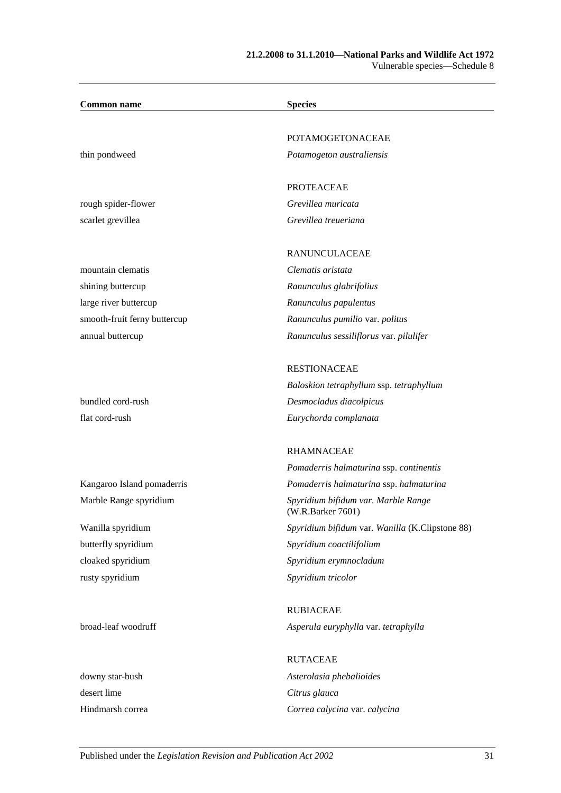| <b>Common name</b>           | <b>Species</b>                                           |
|------------------------------|----------------------------------------------------------|
|                              |                                                          |
|                              | POTAMOGETONACEAE                                         |
| thin pondweed                | Potamogeton australiensis                                |
|                              | <b>PROTEACEAE</b>                                        |
| rough spider-flower          | Grevillea muricata                                       |
| scarlet grevillea            | Grevillea treueriana                                     |
|                              | RANUNCULACEAE                                            |
| mountain clematis            | Clematis aristata                                        |
| shining buttercup            | Ranunculus glabrifolius                                  |
| large river buttercup        | Ranunculus papulentus                                    |
| smooth-fruit ferny buttercup | Ranunculus pumilio var. politus                          |
| annual buttercup             | Ranunculus sessiliflorus var. pilulifer                  |
|                              | <b>RESTIONACEAE</b>                                      |
|                              | Baloskion tetraphyllum ssp. tetraphyllum                 |
| bundled cord-rush            | Desmocladus diacolpicus                                  |
| flat cord-rush               | Eurychorda complanata                                    |
|                              | <b>RHAMNACEAE</b>                                        |
|                              | Pomaderris halmaturina ssp. continentis                  |
| Kangaroo Island pomaderris   | Pomaderris halmaturina ssp. halmaturina                  |
| Marble Range spyridium       | Spyridium bifidum var. Marble Range<br>(W.R.Barker 7601) |
| Wanilla spyridium            | Spyridium bifidum var. Wanilla (K.Clipstone 88)          |
| butterfly spyridium          | Spyridium coactilifolium                                 |
| cloaked spyridium            | Spyridium erymnocladum                                   |
| rusty spyridium              | Spyridium tricolor                                       |
|                              | <b>RUBIACEAE</b>                                         |
| broad-leaf woodruff          | Asperula euryphylla var. tetraphylla                     |
|                              | <b>RUTACEAE</b>                                          |
| downy star-bush              | Asterolasia phebalioides                                 |
| desert lime                  | Citrus glauca                                            |
|                              |                                                          |

Hindmarsh correa *Correa calycina* var. *calycina*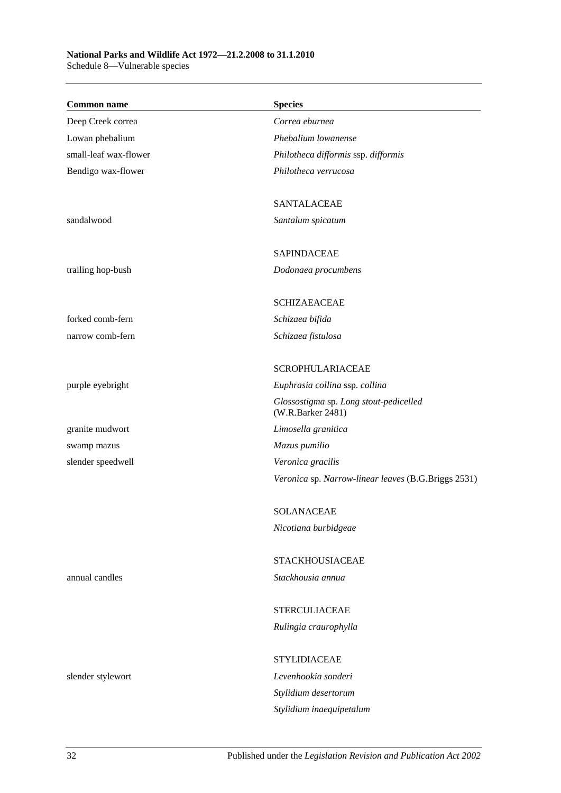## **National Parks and Wildlife Act 1972—21.2.2008 to 31.1.2010**

Schedule 8—Vulnerable species

| <b>Common name</b>    | <b>Species</b>                                              |
|-----------------------|-------------------------------------------------------------|
| Deep Creek correa     | Correa eburnea                                              |
| Lowan phebalium       | Phebalium lowanense                                         |
| small-leaf wax-flower | Philotheca difformis ssp. difformis                         |
| Bendigo wax-flower    | Philotheca verrucosa                                        |
|                       | <b>SANTALACEAE</b>                                          |
| sandalwood            | Santalum spicatum                                           |
|                       | <b>SAPINDACEAE</b>                                          |
| trailing hop-bush     | Dodonaea procumbens                                         |
|                       | <b>SCHIZAEACEAE</b>                                         |
| forked comb-fern      | Schizaea bifida                                             |
| narrow comb-fern      | Schizaea fistulosa                                          |
|                       | <b>SCROPHULARIACEAE</b>                                     |
| purple eyebright      | Euphrasia collina ssp. collina                              |
|                       | Glossostigma sp. Long stout-pedicelled<br>(W.R.Barker 2481) |
| granite mudwort       | Limosella granitica                                         |
| swamp mazus           | Mazus pumilio                                               |
| slender speedwell     | Veronica gracilis                                           |
|                       | Veronica sp. Narrow-linear leaves (B.G.Briggs 2531)         |
|                       | <b>SOLANACEAE</b>                                           |
|                       | Nicotiana burbidgeae                                        |
|                       | <b>STACKHOUSIACEAE</b>                                      |
| annual candles        | Stackhousia annua                                           |
|                       | <b>STERCULIACEAE</b>                                        |
|                       | Rulingia craurophylla                                       |
|                       | <b>STYLIDIACEAE</b>                                         |
| slender stylewort     | Levenhookia sonderi                                         |
|                       | Stylidium desertorum                                        |
|                       | Stylidium inaequipetalum                                    |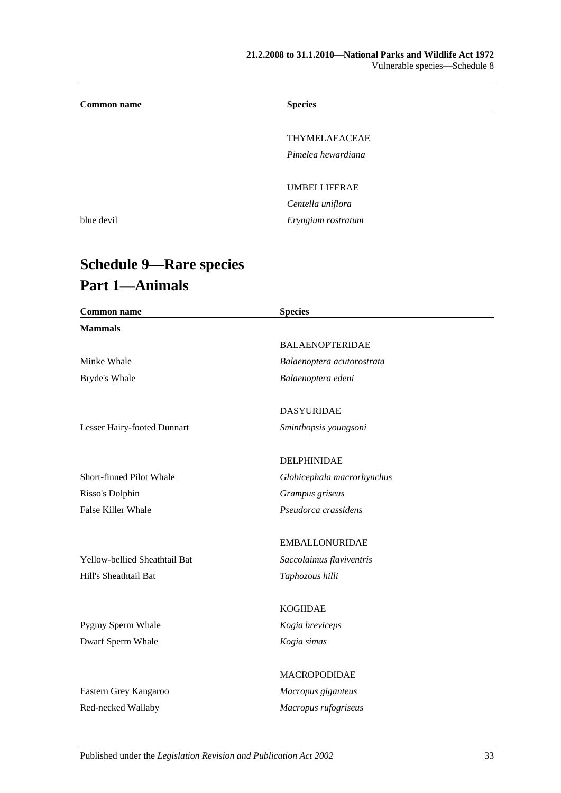### **21.2.2008 to 31.1.2010—National Parks and Wildlife Act 1972** Vulnerable species—Schedule 8

| <b>Common name</b> | <b>Species</b>      |  |
|--------------------|---------------------|--|
|                    |                     |  |
|                    | THYMELAEACEAE       |  |
|                    | Pimelea hewardiana  |  |
|                    |                     |  |
|                    | <b>UMBELLIFERAE</b> |  |
|                    | Centella uniflora   |  |
| blue devil         | Eryngium rostratum  |  |
|                    |                     |  |

## **Schedule 9—Rare species Part 1—Animals**

| <b>Common name</b>            | <b>Species</b>             |  |
|-------------------------------|----------------------------|--|
| <b>Mammals</b>                |                            |  |
|                               | <b>BALAENOPTERIDAE</b>     |  |
| Minke Whale                   | Balaenoptera acutorostrata |  |
| Bryde's Whale                 | Balaenoptera edeni         |  |
|                               | <b>DASYURIDAE</b>          |  |
| Lesser Hairy-footed Dunnart   | Sminthopsis youngsoni      |  |
|                               | DELPHINIDAE                |  |
| Short-finned Pilot Whale      | Globicephala macrorhynchus |  |
| Risso's Dolphin               | Grampus griseus            |  |
| False Killer Whale            | Pseudorca crassidens       |  |
|                               | <b>EMBALLONURIDAE</b>      |  |
| Yellow-bellied Sheathtail Bat | Saccolaimus flaviventris   |  |
| Hill's Sheathtail Bat         | Taphozous hilli            |  |
|                               | <b>KOGIIDAE</b>            |  |
| Pygmy Sperm Whale             | Kogia breviceps            |  |
| Dwarf Sperm Whale             | Kogia simas                |  |
|                               | MACROPODIDAE               |  |
| Eastern Grey Kangaroo         | Macropus giganteus         |  |
| Red-necked Wallaby            | Macropus rufogriseus       |  |
|                               |                            |  |

Published under the *Legislation Revision and Publication Act 2002* 33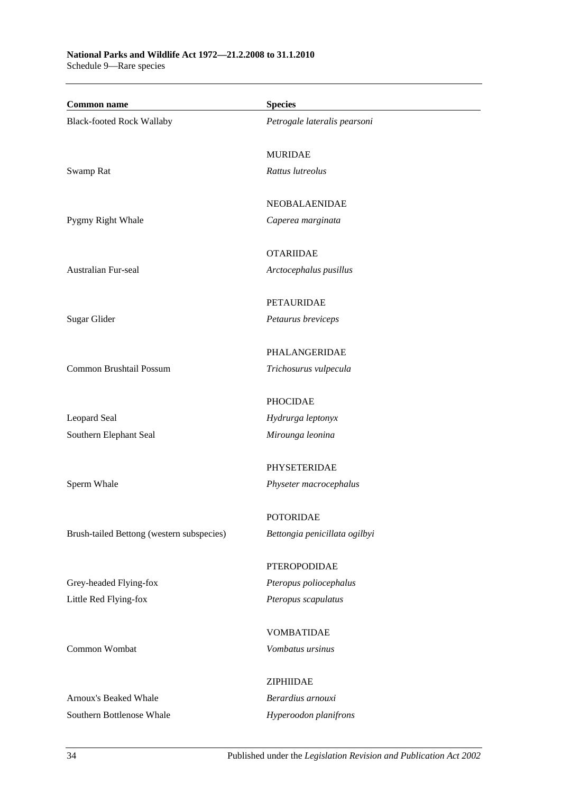| <b>Common name</b>                        | <b>Species</b>                |
|-------------------------------------------|-------------------------------|
| <b>Black-footed Rock Wallaby</b>          | Petrogale lateralis pearsoni  |
|                                           | <b>MURIDAE</b>                |
| Swamp Rat                                 | Rattus lutreolus              |
|                                           | NEOBALAENIDAE                 |
| Pygmy Right Whale                         | Caperea marginata             |
|                                           | <b>OTARIIDAE</b>              |
| Australian Fur-seal                       | Arctocephalus pusillus        |
|                                           | <b>PETAURIDAE</b>             |
| Sugar Glider                              | Petaurus breviceps            |
|                                           | PHALANGERIDAE                 |
| Common Brushtail Possum                   | Trichosurus vulpecula         |
|                                           | <b>PHOCIDAE</b>               |
| Leopard Seal                              | Hydrurga leptonyx             |
| Southern Elephant Seal                    | Mirounga leonina              |
|                                           | PHYSETERIDAE                  |
| Sperm Whale                               | Physeter macrocephalus        |
|                                           | <b>POTORIDAE</b>              |
| Brush-tailed Bettong (western subspecies) | Bettongia penicillata ogilbyi |
|                                           | <b>PTEROPODIDAE</b>           |
| Grey-headed Flying-fox                    | Pteropus poliocephalus        |
| Little Red Flying-fox                     | Pteropus scapulatus           |
|                                           | <b>VOMBATIDAE</b>             |
| Common Wombat                             | Vombatus ursinus              |
|                                           | ZIPHIIDAE                     |
| Arnoux's Beaked Whale                     | Berardius arnouxi             |
| Southern Bottlenose Whale                 | Hyperoodon planifrons         |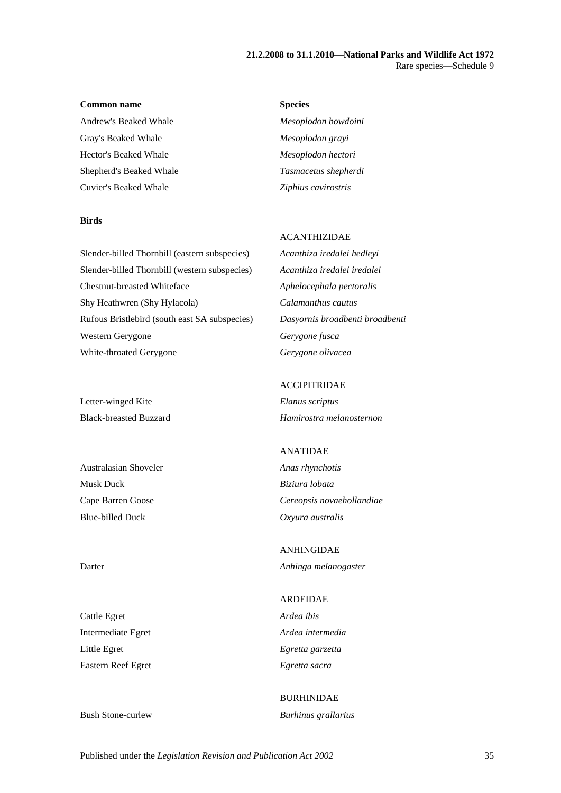### **Common name Species**

Andrew's Beaked Whale *Mesoplodon bowdoini* Gray's Beaked Whale *Mesoplodon grayi* Hector's Beaked Whale *Mesoplodon hectori* Shepherd's Beaked Whale *Tasmacetus shepherdi* Cuvier's Beaked Whale *Ziphius cavirostris*

### **Birds**

### ACANTHIZIDAE

Slender-billed Thornbill (eastern subspecies) *Acanthiza iredalei hedleyi* Slender-billed Thornbill (western subspecies) *Acanthiza iredalei iredalei* Chestnut-breasted Whiteface *Aphelocephala pectoralis* Shy Heathwren (Shy Hylacola) *Calamanthus cautus* Rufous Bristlebird (south east SA subspecies) *Dasyornis broadbenti broadbenti* Western Gerygone *Gerygone fusca* White-throated Gerygone *Gerygone olivacea*

Letter-winged Kite *Elanus scriptus*

Australasian Shoveler *Anas rhynchotis* Musk Duck *Biziura lobata* Blue-billed Duck *Oxyura australis*

Cattle Egret *Ardea ibis* Intermediate Egret *Ardea intermedia* Little Egret *Egretta garzetta* Eastern Reef Egret *Egretta sacra*

### ACCIPITRIDAE

Black-breasted Buzzard *Hamirostra melanosternon*

### ANATIDAE

Cape Barren Goose *Cereopsis novaehollandiae*

ANHINGIDAE Darter *Anhinga melanogaster*

## ARDEIDAE

## BURHINIDAE Bush Stone-curlew *Burhinus grallarius*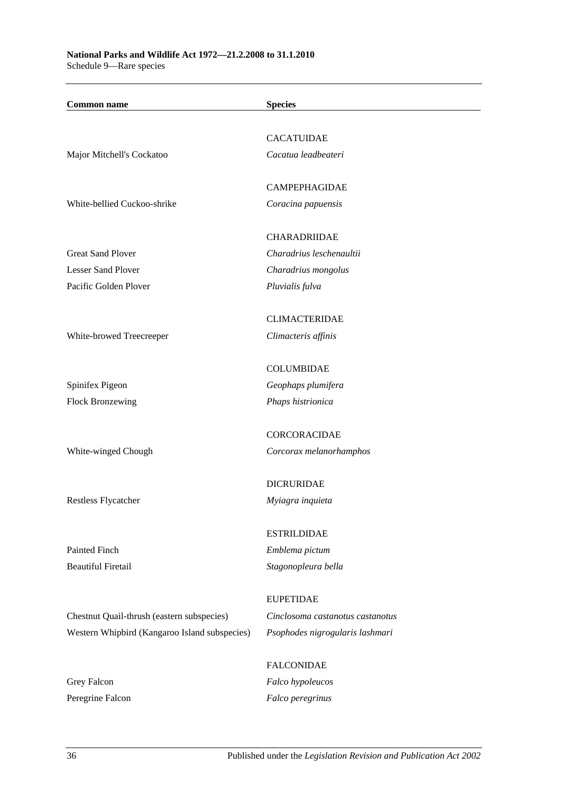**National Parks and Wildlife Act 1972—21.2.2008 to 31.1.2010** Schedule 9—Rare species

| <b>Common name</b>                                                                          | <b>Species</b>                                       |
|---------------------------------------------------------------------------------------------|------------------------------------------------------|
|                                                                                             |                                                      |
|                                                                                             | <b>CACATUIDAE</b>                                    |
| Major Mitchell's Cockatoo                                                                   | Cacatua leadbeateri                                  |
|                                                                                             |                                                      |
|                                                                                             | <b>CAMPEPHAGIDAE</b>                                 |
| White-bellied Cuckoo-shrike                                                                 | Coracina papuensis                                   |
|                                                                                             |                                                      |
|                                                                                             | <b>CHARADRIIDAE</b>                                  |
| <b>Great Sand Plover</b><br><b>Lesser Sand Plover</b>                                       | Charadrius leschenaultii                             |
| Pacific Golden Plover                                                                       | Charadrius mongolus<br>Pluvialis fulva               |
|                                                                                             |                                                      |
|                                                                                             | <b>CLIMACTERIDAE</b>                                 |
| White-browed Treecreeper                                                                    | Climacteris affinis                                  |
|                                                                                             |                                                      |
|                                                                                             | <b>COLUMBIDAE</b>                                    |
| Spinifex Pigeon                                                                             | Geophaps plumifera                                   |
| <b>Flock Bronzewing</b>                                                                     | Phaps histrionica                                    |
|                                                                                             |                                                      |
|                                                                                             | CORCORACIDAE                                         |
| White-winged Chough                                                                         | Corcorax melanorhamphos                              |
|                                                                                             | <b>DICRURIDAE</b>                                    |
| Restless Flycatcher                                                                         | Myiagra inquieta                                     |
|                                                                                             |                                                      |
|                                                                                             | <b>ESTRILDIDAE</b>                                   |
| Painted Finch                                                                               | Emblema pictum                                       |
| <b>Beautiful Firetail</b>                                                                   | Stagonopleura bella                                  |
|                                                                                             |                                                      |
|                                                                                             | <b>EUPETIDAE</b><br>Cinclosoma castanotus castanotus |
| Chestnut Quail-thrush (eastern subspecies)<br>Western Whipbird (Kangaroo Island subspecies) | Psophodes nigrogularis lashmari                      |
|                                                                                             |                                                      |
|                                                                                             | <b>FALCONIDAE</b>                                    |
| Grey Falcon                                                                                 | Falco hypoleucos                                     |
| Peregrine Falcon                                                                            | Falco peregrinus                                     |
|                                                                                             |                                                      |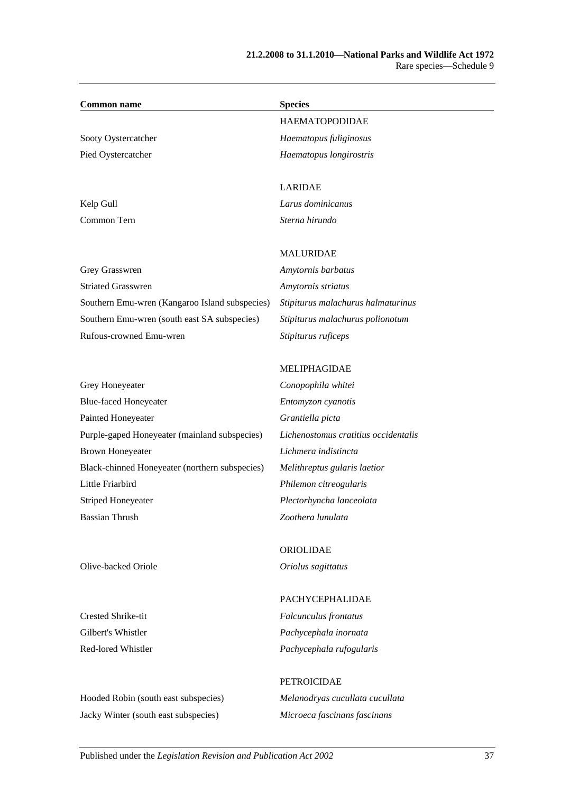| <b>Common name</b>                             | <b>Species</b>                     |
|------------------------------------------------|------------------------------------|
|                                                | <b>HAEMATOPODIDAE</b>              |
| Sooty Oystercatcher                            | Haematopus fuliginosus             |
| Pied Oystercatcher                             | Haematopus longirostris            |
|                                                |                                    |
|                                                | <b>LARIDAE</b>                     |
| Kelp Gull                                      | Larus dominicanus                  |
| Common Tern                                    | Sterna hirundo                     |
|                                                | <b>MALURIDAE</b>                   |
| Grey Grasswren                                 | Amytornis barbatus                 |
| <b>Striated Grasswren</b>                      | Amytornis striatus                 |
| Southern Emu-wren (Kangaroo Island subspecies) | Stipiturus malachurus halmaturinus |
| Southern Emu-wren (south east SA subspecies)   | Stipiturus malachurus polionotum   |
| Rufous-crowned Emu-wren                        | Stipiturus ruficeps                |

Grey Honeyeater *Conopophila whitei* Blue-faced Honeyeater *Entomyzon cyanotis* Painted Honeyeater *Grantiella picta* Purple-gaped Honeyeater (mainland subspecies) *Lichenostomus cratitius occidentalis* Brown Honeyeater *Lichmera indistincta* Black-chinned Honeyeater (northern subspecies) *Melithreptus gularis laetior* Little Friarbird *Philemon citreogularis* Striped Honeyeater *Plectorhyncha lanceolata* Bassian Thrush *Zoothera lunulata*

MELIPHAGIDAE

ORIOLIDAE Olive-backed Oriole *Oriolus sagittatus*

Crested Shrike-tit *Falcunculus frontatus*

Hooded Robin (south east subspecies) *Melanodryas cucullata cucullata* Jacky Winter (south east subspecies) *Microeca fascinans fascinans*

## PACHYCEPHALIDAE

Gilbert's Whistler *Pachycephala inornata* Red-lored Whistler *Pachycephala rufogularis*

## PETROICIDAE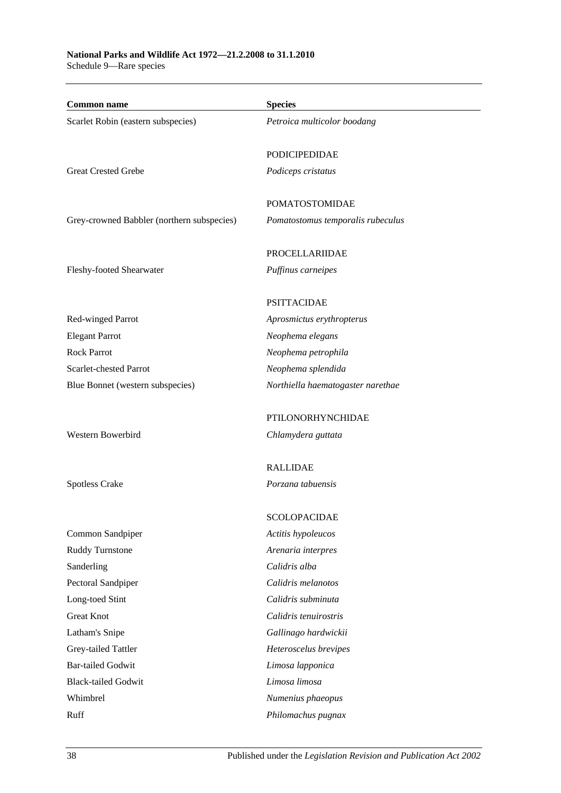## **National Parks and Wildlife Act 1972—21.2.2008 to 31.1.2010**

Schedule 9—Rare species

| <b>Common name</b>                         | <b>Species</b>                    |
|--------------------------------------------|-----------------------------------|
| Scarlet Robin (eastern subspecies)         | Petroica multicolor boodang       |
|                                            |                                   |
|                                            | <b>PODICIPEDIDAE</b>              |
| <b>Great Crested Grebe</b>                 | Podiceps cristatus                |
|                                            |                                   |
|                                            | <b>POMATOSTOMIDAE</b>             |
| Grey-crowned Babbler (northern subspecies) | Pomatostomus temporalis rubeculus |
|                                            | PROCELLARIIDAE                    |
| Fleshy-footed Shearwater                   | Puffinus carneipes                |
|                                            |                                   |
|                                            | <b>PSITTACIDAE</b>                |
| Red-winged Parrot                          | Aprosmictus erythropterus         |
| <b>Elegant Parrot</b>                      | Neophema elegans                  |
| <b>Rock Parrot</b>                         | Neophema petrophila               |
| Scarlet-chested Parrot                     | Neophema splendida                |
| Blue Bonnet (western subspecies)           | Northiella haematogaster narethae |
|                                            |                                   |
|                                            | PTILONORHYNCHIDAE                 |
| Western Bowerbird                          | Chlamydera guttata                |
|                                            | <b>RALLIDAE</b>                   |
| <b>Spotless Crake</b>                      | Porzana tabuensis                 |
|                                            |                                   |
|                                            | <b>SCOLOPACIDAE</b>               |
| Common Sandpiper                           | Actitis hypoleucos                |
| Ruddy Turnstone                            | Arenaria interpres                |
| Sanderling                                 | Calidris alba                     |
| Pectoral Sandpiper                         | Calidris melanotos                |
| Long-toed Stint                            | Calidris subminuta                |
| <b>Great Knot</b>                          | Calidris tenuirostris             |
| Latham's Snipe                             | Gallinago hardwickii              |
| Grey-tailed Tattler                        | Heteroscelus brevipes             |
| <b>Bar-tailed Godwit</b>                   | Limosa lapponica                  |
| <b>Black-tailed Godwit</b>                 | Limosa limosa                     |
| Whimbrel                                   | Numenius phaeopus                 |
| Ruff                                       | Philomachus pugnax                |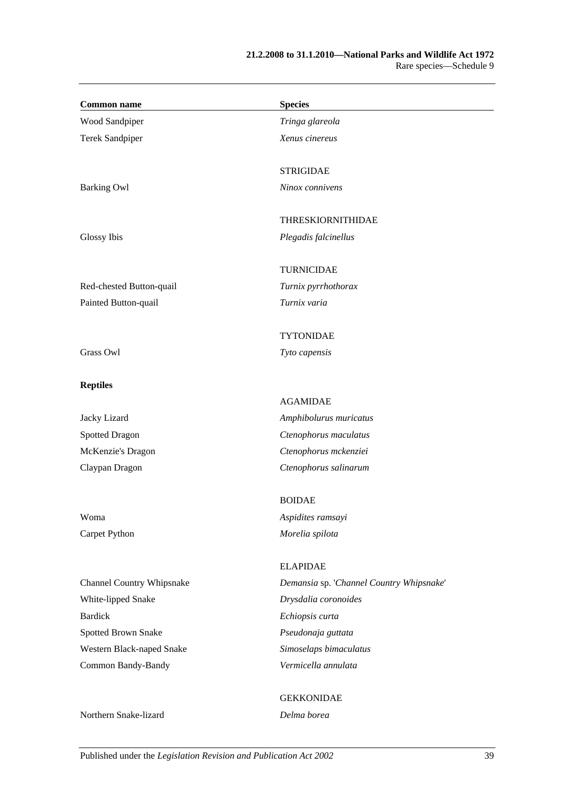| <b>Common name</b>        | <b>Species</b>                           |
|---------------------------|------------------------------------------|
| Wood Sandpiper            | Tringa glareola                          |
| Terek Sandpiper           | Xenus cinereus                           |
|                           | <b>STRIGIDAE</b>                         |
| <b>Barking Owl</b>        | Ninox connivens                          |
|                           | <b>THRESKIORNITHIDAE</b>                 |
| Glossy Ibis               | Plegadis falcinellus                     |
|                           | <b>TURNICIDAE</b>                        |
| Red-chested Button-quail  | Turnix pyrrhothorax                      |
| Painted Button-quail      | Turnix varia                             |
|                           | <b>TYTONIDAE</b>                         |
| Grass Owl                 | Tyto capensis                            |
| <b>Reptiles</b>           |                                          |
|                           | <b>AGAMIDAE</b>                          |
| Jacky Lizard              | Amphibolurus muricatus                   |
| <b>Spotted Dragon</b>     | Ctenophorus maculatus                    |
| McKenzie's Dragon         | Ctenophorus mckenziei                    |
| Claypan Dragon            | Ctenophorus salinarum                    |
|                           | <b>BOIDAE</b>                            |
| Woma                      | Aspidites ramsayi                        |
| Carpet Python             | Morelia spilota                          |
|                           | <b>ELAPIDAE</b>                          |
| Channel Country Whipsnake | Demansia sp. 'Channel Country Whipsnake' |
| White-lipped Snake        | Drysdalia coronoides                     |
| <b>Bardick</b>            | Echiopsis curta                          |
| Spotted Brown Snake       | Pseudonaja guttata                       |
| Western Black-naped Snake | Simoselaps bimaculatus                   |
| Common Bandy-Bandy        | Vermicella annulata                      |
|                           | <b>GEKKONIDAE</b>                        |
| Northern Snake-lizard     | Delma borea                              |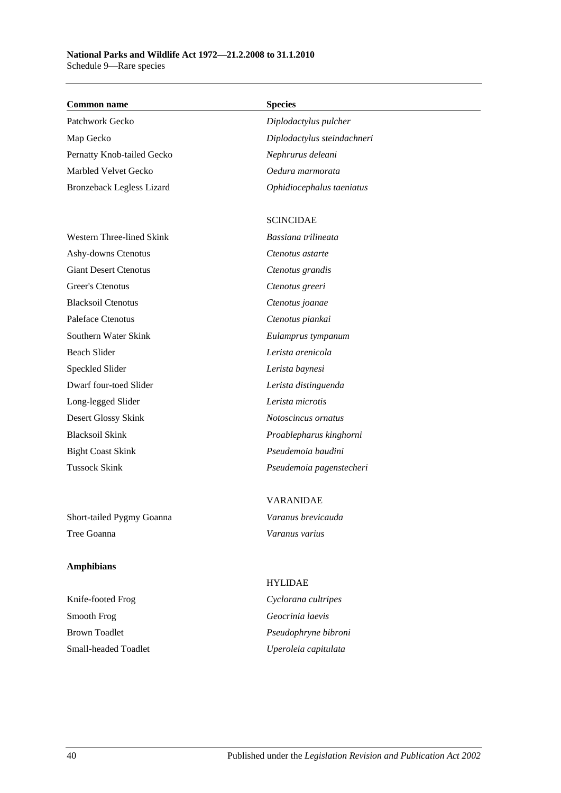### **National Parks and Wildlife Act 1972—21.2.2008 to 31.1.2010** Schedule 9—Rare species

### **Common name Species**

Patchwork Gecko *Diplodactylus pulcher* Map Gecko *Diplodactylus steindachneri* Pernatty Knob-tailed Gecko *Nephrurus deleani* Marbled Velvet Gecko *Oedura marmorata* Bronzeback Legless Lizard *Ophidiocephalus taeniatus*

Western Three-lined Skink *Bassiana trilineata* Ashy-downs Ctenotus *Ctenotus astarte* Giant Desert Ctenotus *Ctenotus grandis* Greer's Ctenotus *Ctenotus greeri* Blacksoil Ctenotus *Ctenotus joanae* Paleface Ctenotus *Ctenotus piankai* Southern Water Skink *Eulamprus tympanum* Beach Slider *Lerista arenicola* Speckled Slider *Lerista baynesi* Dwarf four-toed Slider *Lerista distinguenda* Long-legged Slider *Lerista microtis* Desert Glossy Skink *Notoscincus ornatus* Blacksoil Skink *Proablepharus kinghorni* Bight Coast Skink *Pseudemoia baudini*

Short-tailed Pygmy Goanna *Varanus brevicauda* Tree Goanna *Varanus varius*

### **Amphibians**

Knife-footed Frog *Cyclorana cultripes* Smooth Frog *Geocrinia laevis* Brown Toadlet *Pseudophryne bibroni* Small-headed Toadlet *Uperoleia capitulata*

### SCINCIDAE

Tussock Skink *Pseudemoia pagenstecheri*

# VARANIDAE

# HYLIDAE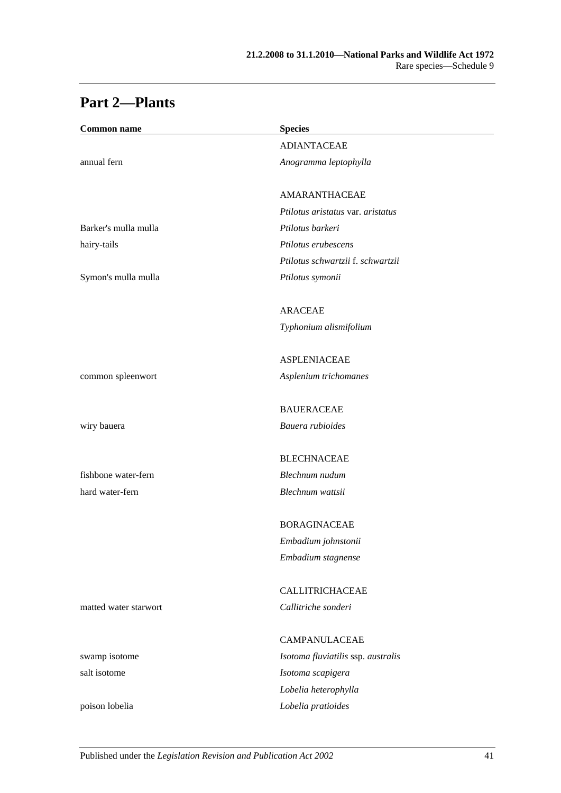| <b>Common name</b>    | <b>Species</b>                                |
|-----------------------|-----------------------------------------------|
|                       | <b>ADIANTACEAE</b>                            |
| annual fern           | Anogramma leptophylla                         |
|                       | AMARANTHACEAE                                 |
|                       | Ptilotus aristatus var. aristatus             |
| Barker's mulla mulla  | Ptilotus barkeri                              |
| hairy-tails           | Ptilotus erubescens                           |
|                       | Ptilotus schwartzii f. schwartzii             |
| Symon's mulla mulla   | Ptilotus symonii                              |
|                       | <b>ARACEAE</b>                                |
|                       | Typhonium alismifolium                        |
|                       | <b>ASPLENIACEAE</b>                           |
| common spleenwort     | Asplenium trichomanes                         |
|                       | <b>BAUERACEAE</b>                             |
| wiry bauera           | Bauera rubioides                              |
|                       | <b>BLECHNACEAE</b>                            |
| fishbone water-fern   | Blechnum nudum                                |
| hard water-fern       | Blechnum wattsii                              |
|                       | <b>BORAGINACEAE</b>                           |
|                       |                                               |
|                       | Embadium johnstonii<br>Embadium stagnense     |
|                       |                                               |
| matted water starwort | <b>CALLITRICHACEAE</b><br>Callitriche sonderi |
|                       |                                               |
|                       | CAMPANULACEAE                                 |
| swamp isotome         | Isotoma fluviatilis ssp. australis            |
| salt isotome          | Isotoma scapigera                             |
|                       | Lobelia heterophylla                          |
| poison lobelia        | Lobelia pratioides                            |

## **Part 2—Plants**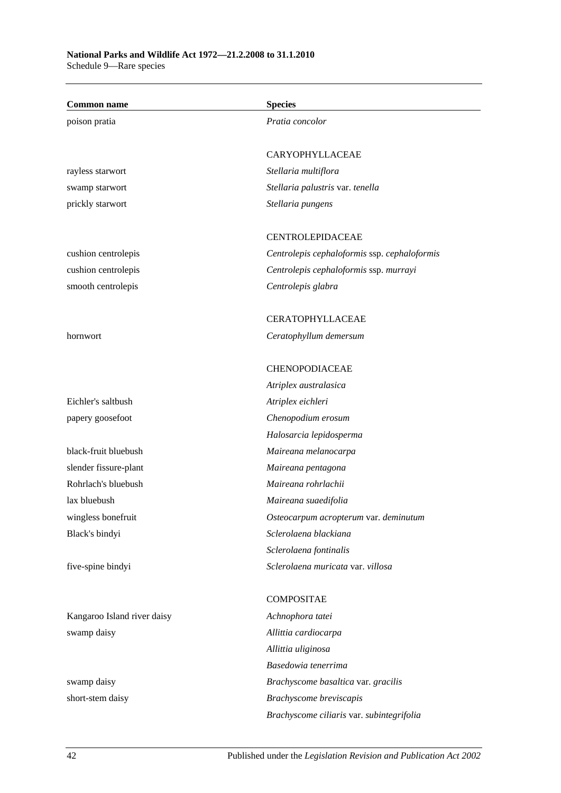| <b>Common name</b>          | <b>Species</b>                               |
|-----------------------------|----------------------------------------------|
| poison pratia               | Pratia concolor                              |
|                             |                                              |
|                             | CARYOPHYLLACEAE                              |
| rayless starwort            | Stellaria multiflora                         |
| swamp starwort              | Stellaria palustris var. tenella             |
| prickly starwort            | Stellaria pungens                            |
|                             |                                              |
|                             | <b>CENTROLEPIDACEAE</b>                      |
| cushion centrolepis         | Centrolepis cephaloformis ssp. cephaloformis |
| cushion centrolepis         | Centrolepis cephaloformis ssp. murrayi       |
| smooth centrolepis          | Centrolepis glabra                           |
|                             |                                              |
|                             | <b>CERATOPHYLLACEAE</b>                      |
| hornwort                    | Ceratophyllum demersum                       |
|                             |                                              |
|                             | CHENOPODIACEAE                               |
|                             | Atriplex australasica                        |
| Eichler's saltbush          | Atriplex eichleri                            |
| papery goosefoot            | Chenopodium erosum                           |
|                             | Halosarcia lepidosperma                      |
| black-fruit bluebush        | Maireana melanocarpa                         |
| slender fissure-plant       | Maireana pentagona                           |
| Rohrlach's bluebush         | Maireana rohrlachii                          |
| lax bluebush                | Maireana suaedifolia                         |
| wingless bonefruit          | Osteocarpum acropterum var. deminutum        |
| Black's bindyi              | Sclerolaena blackiana                        |
|                             | Sclerolaena fontinalis                       |
| five-spine bindyi           | Sclerolaena muricata var. villosa            |
|                             |                                              |
|                             | <b>COMPOSITAE</b>                            |
| Kangaroo Island river daisy | Achnophora tatei                             |
| swamp daisy                 | Allittia cardiocarpa                         |
|                             | Allittia uliginosa                           |
|                             | Basedowia tenerrima                          |
| swamp daisy                 | Brachyscome basaltica var. gracilis          |
| short-stem daisy            | Brachyscome breviscapis                      |

*Brachyscome ciliaris* var. *subintegrifolia*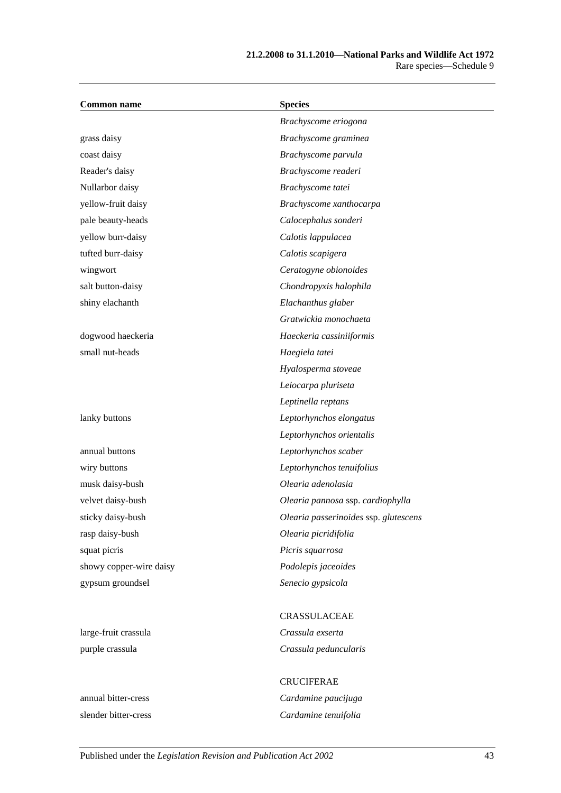| <b>Common name</b>      | <b>Species</b>                        |
|-------------------------|---------------------------------------|
|                         | Brachyscome eriogona                  |
| grass daisy             | Brachyscome graminea                  |
| coast daisy             | Brachyscome parvula                   |
| Reader's daisy          | Brachyscome readeri                   |
| Nullarbor daisy         | Brachyscome tatei                     |
| yellow-fruit daisy      | Brachyscome xanthocarpa               |
| pale beauty-heads       | Calocephalus sonderi                  |
| yellow burr-daisy       | Calotis lappulacea                    |
| tufted burr-daisy       | Calotis scapigera                     |
| wingwort                | Ceratogyne obionoides                 |
| salt button-daisy       | Chondropyxis halophila                |
| shiny elachanth         | Elachanthus glaber                    |
|                         | Gratwickia monochaeta                 |
| dogwood haeckeria       | Haeckeria cassiniiformis              |
| small nut-heads         | Haegiela tatei                        |
|                         | Hyalosperma stoveae                   |
|                         | Leiocarpa pluriseta                   |
|                         | Leptinella reptans                    |
| lanky buttons           | Leptorhynchos elongatus               |
|                         | Leptorhynchos orientalis              |
| annual buttons          | Leptorhynchos scaber                  |
| wiry buttons            | Leptorhynchos tenuifolius             |
| musk daisy-bush         | Olearia adenolasia                    |
| velvet daisy-bush       | Olearia pannosa ssp. cardiophylla     |
| sticky daisy-bush       | Olearia passerinoides ssp. glutescens |
| rasp daisy-bush         | Olearia picridifolia                  |
| squat picris            | Picris squarrosa                      |
| showy copper-wire daisy | Podolepis jaceoides                   |
| gypsum groundsel        | Senecio gypsicola                     |
|                         | CRASSULACEAE                          |
| large-fruit crassula    | Crassula exserta                      |
| purple crassula         | Crassula peduncularis                 |

slender bitter-cress *Cardamine tenuifolia*

## CRUCIFERAE annual bitter-cress *Cardamine paucijuga*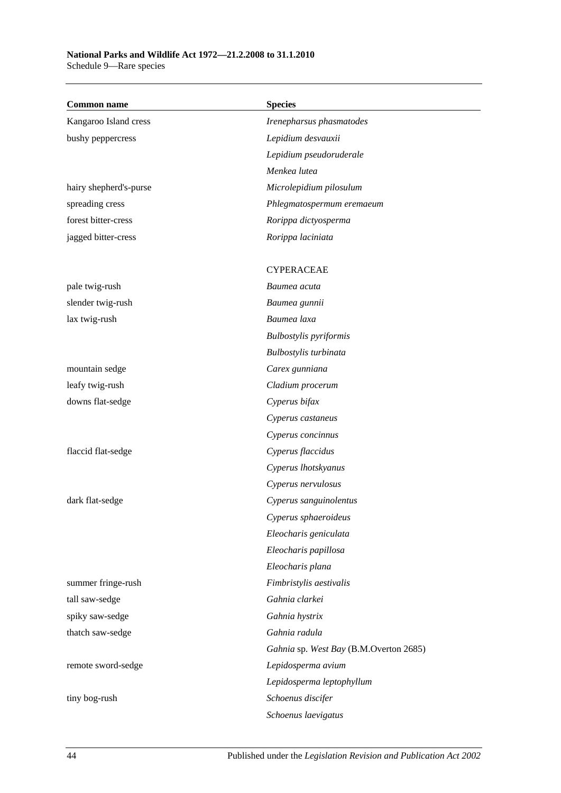## **National Parks and Wildlife Act 1972—21.2.2008 to 31.1.2010**

Schedule 9—Rare species

| <b>Common name</b>     | <b>Species</b>                         |
|------------------------|----------------------------------------|
| Kangaroo Island cress  | Irenepharsus phasmatodes               |
| bushy peppercress      | Lepidium desvauxii                     |
|                        | Lepidium pseudoruderale                |
|                        | Menkea lutea                           |
| hairy shepherd's-purse | Microlepidium pilosulum                |
| spreading cress        | Phlegmatospermum eremaeum              |
| forest bitter-cress    | Rorippa dictyosperma                   |
| jagged bitter-cress    | Rorippa laciniata                      |
|                        | <b>CYPERACEAE</b>                      |
| pale twig-rush         | Baumea acuta                           |
| slender twig-rush      | Baumea gunnii                          |
| lax twig-rush          | Baumea laxa                            |
|                        | <b>Bulbostylis</b> pyriformis          |
|                        | Bulbostylis turbinata                  |
| mountain sedge         | Carex gunniana                         |
| leafy twig-rush        | Cladium procerum                       |
| downs flat-sedge       | Cyperus bifax                          |
|                        | Cyperus castaneus                      |
|                        | Cyperus concinnus                      |
| flaccid flat-sedge     | Cyperus flaccidus                      |
|                        | Cyperus lhotskyanus                    |
|                        | Cyperus nervulosus                     |
| dark flat-sedge        | Cyperus sanguinolentus                 |
|                        | Cyperus sphaeroideus                   |
|                        | Eleocharis geniculata                  |
|                        | Eleocharis papillosa                   |
|                        | Eleocharis plana                       |
| summer fringe-rush     | Fimbristylis aestivalis                |
| tall saw-sedge         | Gahnia clarkei                         |
| spiky saw-sedge        | Gahnia hystrix                         |
| thatch saw-sedge       | Gahnia radula                          |
|                        | Gahnia sp. West Bay (B.M.Overton 2685) |
| remote sword-sedge     | Lepidosperma avium                     |
|                        | Lepidosperma leptophyllum              |
| tiny bog-rush          | Schoenus discifer                      |
|                        | Schoenus laevigatus                    |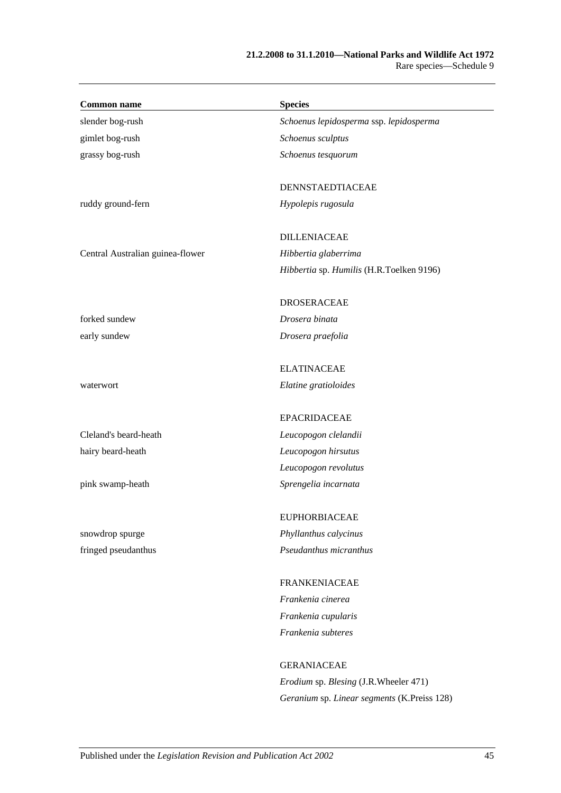| <b>Common name</b>               | <b>Species</b>                           |
|----------------------------------|------------------------------------------|
| slender bog-rush                 | Schoenus lepidosperma ssp. lepidosperma  |
| gimlet bog-rush                  | Schoenus sculptus                        |
| grassy bog-rush                  | Schoenus tesquorum                       |
|                                  | DENNSTAEDTIACEAE                         |
| ruddy ground-fern                | Hypolepis rugosula                       |
|                                  | <b>DILLENIACEAE</b>                      |
| Central Australian guinea-flower | Hibbertia glaberrima                     |
|                                  | Hibbertia sp. Humilis (H.R.Toelken 9196) |
|                                  | <b>DROSERACEAE</b>                       |
| forked sundew                    | Drosera binata                           |
| early sundew                     | Drosera praefolia                        |
|                                  | <b>ELATINACEAE</b>                       |
| waterwort                        | Elatine gratioloides                     |
|                                  | <b>EPACRIDACEAE</b>                      |
| Cleland's beard-heath            | Leucopogon clelandii                     |
| hairy beard-heath                | Leucopogon hirsutus                      |
|                                  | Leucopogon revolutus                     |
| pink swamp-heath                 | Sprengelia incarnata                     |
|                                  | <b>EUPHORBIACEAE</b>                     |
| snowdrop spurge                  | Phyllanthus calycinus                    |
| fringed pseudanthus              | Pseudanthus micranthus                   |
|                                  | <b>FRANKENIACEAE</b>                     |
|                                  | Frankenia cinerea                        |
|                                  | Frankenia cupularis                      |
|                                  | Frankenia subteres                       |
|                                  | <b>GERANIACEAE</b>                       |

*Erodium* sp. *Blesing* (J.R.Wheeler 471) *Geranium* sp. *Linear segments* (K.Preiss 128)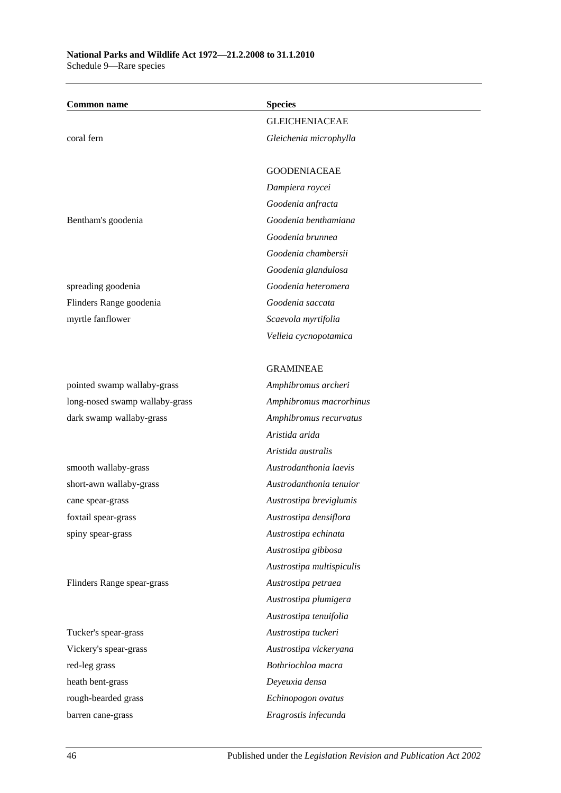| <b>GLEICHENIACEAE</b><br>coral fern<br>Gleichenia microphylla<br><b>GOODENIACEAE</b><br>Dampiera roycei<br>Goodenia anfracta<br>Goodenia benthamiana<br>Bentham's goodenia<br>Goodenia brunnea<br>Goodenia chambersii<br>Goodenia glandulosa<br>Goodenia heteromera<br>spreading goodenia<br>Goodenia saccata<br>Flinders Range goodenia<br>myrtle fanflower<br>Scaevola myrtifolia<br>Velleia cycnopotamica<br><b>GRAMINEAE</b><br>pointed swamp wallaby-grass<br>Amphibromus archeri<br>Amphibromus macrorhinus<br>long-nosed swamp wallaby-grass<br>dark swamp wallaby-grass<br>Amphibromus recurvatus<br>Aristida arida<br>Aristida australis<br>Austrodanthonia laevis<br>smooth wallaby-grass<br>Austrodanthonia tenuior<br>short-awn wallaby-grass<br>Austrostipa breviglumis<br>cane spear-grass<br>Austrostipa densiflora<br>foxtail spear-grass<br>Austrostipa echinata<br>spiny spear-grass<br>Austrostipa gibbosa<br>Austrostipa multispiculis<br>Flinders Range spear-grass<br>Austrostipa petraea<br>Austrostipa plumigera<br>Austrostipa tenuifolia<br>Tucker's spear-grass<br>Austrostipa tuckeri<br>Vickery's spear-grass<br>Austrostipa vickeryana<br>Bothriochloa macra<br>red-leg grass<br>heath bent-grass<br>Deyeuxia densa<br>Echinopogon ovatus<br>rough-bearded grass | <b>Common name</b> | <b>Species</b>       |  |
|------------------------------------------------------------------------------------------------------------------------------------------------------------------------------------------------------------------------------------------------------------------------------------------------------------------------------------------------------------------------------------------------------------------------------------------------------------------------------------------------------------------------------------------------------------------------------------------------------------------------------------------------------------------------------------------------------------------------------------------------------------------------------------------------------------------------------------------------------------------------------------------------------------------------------------------------------------------------------------------------------------------------------------------------------------------------------------------------------------------------------------------------------------------------------------------------------------------------------------------------------------------------------------------------|--------------------|----------------------|--|
|                                                                                                                                                                                                                                                                                                                                                                                                                                                                                                                                                                                                                                                                                                                                                                                                                                                                                                                                                                                                                                                                                                                                                                                                                                                                                                |                    |                      |  |
|                                                                                                                                                                                                                                                                                                                                                                                                                                                                                                                                                                                                                                                                                                                                                                                                                                                                                                                                                                                                                                                                                                                                                                                                                                                                                                |                    |                      |  |
|                                                                                                                                                                                                                                                                                                                                                                                                                                                                                                                                                                                                                                                                                                                                                                                                                                                                                                                                                                                                                                                                                                                                                                                                                                                                                                |                    |                      |  |
|                                                                                                                                                                                                                                                                                                                                                                                                                                                                                                                                                                                                                                                                                                                                                                                                                                                                                                                                                                                                                                                                                                                                                                                                                                                                                                |                    |                      |  |
|                                                                                                                                                                                                                                                                                                                                                                                                                                                                                                                                                                                                                                                                                                                                                                                                                                                                                                                                                                                                                                                                                                                                                                                                                                                                                                |                    |                      |  |
|                                                                                                                                                                                                                                                                                                                                                                                                                                                                                                                                                                                                                                                                                                                                                                                                                                                                                                                                                                                                                                                                                                                                                                                                                                                                                                |                    |                      |  |
|                                                                                                                                                                                                                                                                                                                                                                                                                                                                                                                                                                                                                                                                                                                                                                                                                                                                                                                                                                                                                                                                                                                                                                                                                                                                                                |                    |                      |  |
|                                                                                                                                                                                                                                                                                                                                                                                                                                                                                                                                                                                                                                                                                                                                                                                                                                                                                                                                                                                                                                                                                                                                                                                                                                                                                                |                    |                      |  |
|                                                                                                                                                                                                                                                                                                                                                                                                                                                                                                                                                                                                                                                                                                                                                                                                                                                                                                                                                                                                                                                                                                                                                                                                                                                                                                |                    |                      |  |
|                                                                                                                                                                                                                                                                                                                                                                                                                                                                                                                                                                                                                                                                                                                                                                                                                                                                                                                                                                                                                                                                                                                                                                                                                                                                                                |                    |                      |  |
|                                                                                                                                                                                                                                                                                                                                                                                                                                                                                                                                                                                                                                                                                                                                                                                                                                                                                                                                                                                                                                                                                                                                                                                                                                                                                                |                    |                      |  |
|                                                                                                                                                                                                                                                                                                                                                                                                                                                                                                                                                                                                                                                                                                                                                                                                                                                                                                                                                                                                                                                                                                                                                                                                                                                                                                |                    |                      |  |
|                                                                                                                                                                                                                                                                                                                                                                                                                                                                                                                                                                                                                                                                                                                                                                                                                                                                                                                                                                                                                                                                                                                                                                                                                                                                                                |                    |                      |  |
|                                                                                                                                                                                                                                                                                                                                                                                                                                                                                                                                                                                                                                                                                                                                                                                                                                                                                                                                                                                                                                                                                                                                                                                                                                                                                                |                    |                      |  |
|                                                                                                                                                                                                                                                                                                                                                                                                                                                                                                                                                                                                                                                                                                                                                                                                                                                                                                                                                                                                                                                                                                                                                                                                                                                                                                |                    |                      |  |
|                                                                                                                                                                                                                                                                                                                                                                                                                                                                                                                                                                                                                                                                                                                                                                                                                                                                                                                                                                                                                                                                                                                                                                                                                                                                                                |                    |                      |  |
|                                                                                                                                                                                                                                                                                                                                                                                                                                                                                                                                                                                                                                                                                                                                                                                                                                                                                                                                                                                                                                                                                                                                                                                                                                                                                                |                    |                      |  |
|                                                                                                                                                                                                                                                                                                                                                                                                                                                                                                                                                                                                                                                                                                                                                                                                                                                                                                                                                                                                                                                                                                                                                                                                                                                                                                |                    |                      |  |
|                                                                                                                                                                                                                                                                                                                                                                                                                                                                                                                                                                                                                                                                                                                                                                                                                                                                                                                                                                                                                                                                                                                                                                                                                                                                                                |                    |                      |  |
|                                                                                                                                                                                                                                                                                                                                                                                                                                                                                                                                                                                                                                                                                                                                                                                                                                                                                                                                                                                                                                                                                                                                                                                                                                                                                                |                    |                      |  |
|                                                                                                                                                                                                                                                                                                                                                                                                                                                                                                                                                                                                                                                                                                                                                                                                                                                                                                                                                                                                                                                                                                                                                                                                                                                                                                |                    |                      |  |
|                                                                                                                                                                                                                                                                                                                                                                                                                                                                                                                                                                                                                                                                                                                                                                                                                                                                                                                                                                                                                                                                                                                                                                                                                                                                                                |                    |                      |  |
|                                                                                                                                                                                                                                                                                                                                                                                                                                                                                                                                                                                                                                                                                                                                                                                                                                                                                                                                                                                                                                                                                                                                                                                                                                                                                                |                    |                      |  |
|                                                                                                                                                                                                                                                                                                                                                                                                                                                                                                                                                                                                                                                                                                                                                                                                                                                                                                                                                                                                                                                                                                                                                                                                                                                                                                |                    |                      |  |
|                                                                                                                                                                                                                                                                                                                                                                                                                                                                                                                                                                                                                                                                                                                                                                                                                                                                                                                                                                                                                                                                                                                                                                                                                                                                                                |                    |                      |  |
|                                                                                                                                                                                                                                                                                                                                                                                                                                                                                                                                                                                                                                                                                                                                                                                                                                                                                                                                                                                                                                                                                                                                                                                                                                                                                                |                    |                      |  |
|                                                                                                                                                                                                                                                                                                                                                                                                                                                                                                                                                                                                                                                                                                                                                                                                                                                                                                                                                                                                                                                                                                                                                                                                                                                                                                |                    |                      |  |
|                                                                                                                                                                                                                                                                                                                                                                                                                                                                                                                                                                                                                                                                                                                                                                                                                                                                                                                                                                                                                                                                                                                                                                                                                                                                                                |                    |                      |  |
|                                                                                                                                                                                                                                                                                                                                                                                                                                                                                                                                                                                                                                                                                                                                                                                                                                                                                                                                                                                                                                                                                                                                                                                                                                                                                                |                    |                      |  |
|                                                                                                                                                                                                                                                                                                                                                                                                                                                                                                                                                                                                                                                                                                                                                                                                                                                                                                                                                                                                                                                                                                                                                                                                                                                                                                |                    |                      |  |
|                                                                                                                                                                                                                                                                                                                                                                                                                                                                                                                                                                                                                                                                                                                                                                                                                                                                                                                                                                                                                                                                                                                                                                                                                                                                                                |                    |                      |  |
|                                                                                                                                                                                                                                                                                                                                                                                                                                                                                                                                                                                                                                                                                                                                                                                                                                                                                                                                                                                                                                                                                                                                                                                                                                                                                                |                    |                      |  |
|                                                                                                                                                                                                                                                                                                                                                                                                                                                                                                                                                                                                                                                                                                                                                                                                                                                                                                                                                                                                                                                                                                                                                                                                                                                                                                |                    |                      |  |
|                                                                                                                                                                                                                                                                                                                                                                                                                                                                                                                                                                                                                                                                                                                                                                                                                                                                                                                                                                                                                                                                                                                                                                                                                                                                                                |                    |                      |  |
|                                                                                                                                                                                                                                                                                                                                                                                                                                                                                                                                                                                                                                                                                                                                                                                                                                                                                                                                                                                                                                                                                                                                                                                                                                                                                                |                    |                      |  |
|                                                                                                                                                                                                                                                                                                                                                                                                                                                                                                                                                                                                                                                                                                                                                                                                                                                                                                                                                                                                                                                                                                                                                                                                                                                                                                | barren cane-grass  | Eragrostis infecunda |  |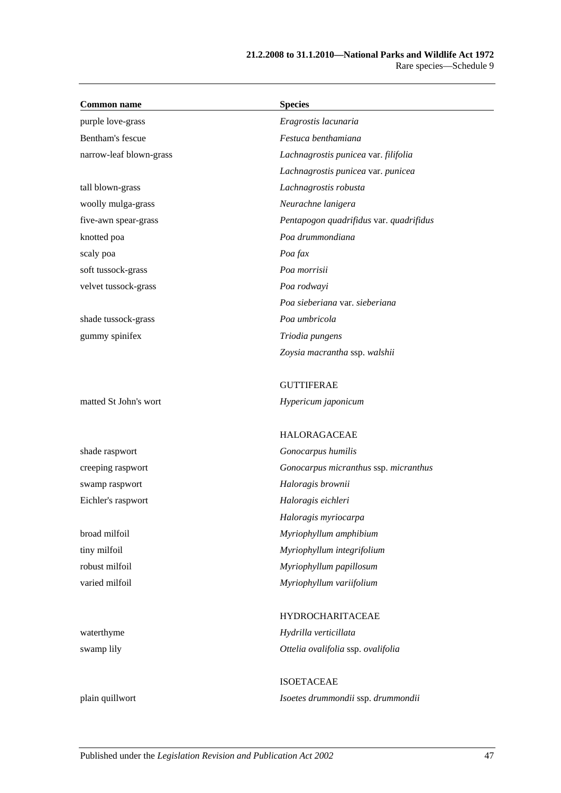| <b>Common name</b>      | <b>Species</b>                          |
|-------------------------|-----------------------------------------|
| purple love-grass       | Eragrostis lacunaria                    |
| Bentham's fescue        | Festuca benthamiana                     |
| narrow-leaf blown-grass | Lachnagrostis punicea var. filifolia    |
|                         | Lachnagrostis punicea var. punicea      |
| tall blown-grass        | Lachnagrostis robusta                   |
| woolly mulga-grass      | Neurachne lanigera                      |
| five-awn spear-grass    | Pentapogon quadrifidus var. quadrifidus |
| knotted poa             | Poa drummondiana                        |
| scaly poa               | Poa fax                                 |
| soft tussock-grass      | Poa morrisii                            |
| velvet tussock-grass    | Poa rodwayi                             |
|                         | Poa sieberiana var. sieberiana          |
| shade tussock-grass     | Poa umbricola                           |
| gummy spinifex          | Triodia pungens                         |
|                         | Zoysia macrantha ssp. walshii           |
|                         | <b>GUTTIFERAE</b>                       |
| matted St John's wort   | Hypericum japonicum                     |
|                         | <b>HALORAGACEAE</b>                     |
| shade raspwort          | Gonocarpus humilis                      |
| creeping raspwort       | Gonocarpus micranthus ssp. micranthus   |
| swamp raspwort          | Haloragis brownii                       |
| Eichler's raspwort      | Haloragis eichleri                      |
|                         | Haloragis myriocarpa                    |
| broad milfoil           | Myriophyllum amphibium                  |
| tiny milfoil            | Myriophyllum integrifolium              |
| robust milfoil          | Myriophyllum papillosum                 |
| varied milfoil          | Myriophyllum variifolium                |
|                         | <b>HYDROCHARITACEAE</b>                 |
| waterthyme              | Hydrilla verticillata                   |
| swamp lily              | Ottelia ovalifolia ssp. ovalifolia      |
|                         | <b>ISOETACEAE</b>                       |
| plain quillwort         | Isoetes drummondii ssp. drummondii      |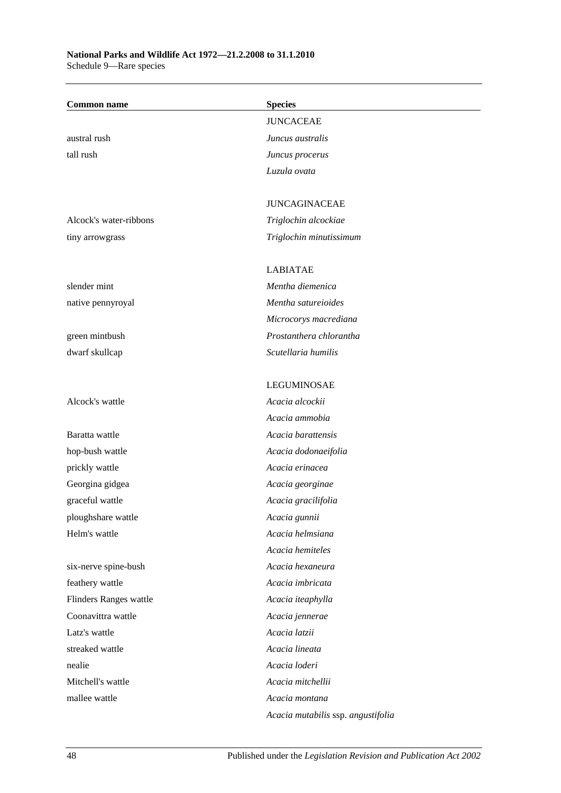### **National Parks and Wildlife Act 1972—21.2.2008 to 31.1.2010** Schedule 9—Rare species

| <b>Common name</b>     | <b>Species</b>                     |
|------------------------|------------------------------------|
|                        | <b>JUNCACEAE</b>                   |
| austral rush           | Juncus australis                   |
| tall rush              | Juncus procerus                    |
|                        | Luzula ovata                       |
|                        |                                    |
|                        | <b>JUNCAGINACEAE</b>               |
| Alcock's water-ribbons | Triglochin alcockiae               |
| tiny arrowgrass        | Triglochin minutissimum            |
|                        |                                    |
|                        | <b>LABIATAE</b>                    |
| slender mint           | Mentha diemenica                   |
| native pennyroyal      | Mentha satureioides                |
|                        | Microcorys macrediana              |
| green mintbush         | Prostanthera chlorantha            |
| dwarf skullcap         | Scutellaria humilis                |
|                        |                                    |
|                        | <b>LEGUMINOSAE</b>                 |
| Alcock's wattle        | Acacia alcockii                    |
|                        | Acacia ammobia                     |
| Baratta wattle         | Acacia barattensis                 |
| hop-bush wattle        | Acacia dodonaeifolia               |
| prickly wattle         | Acacia erinacea                    |
| Georgina gidgea        | Acacia georginae                   |
| graceful wattle        | Acacia gracilifolia                |
| ploughshare wattle     | Acacia gunnii                      |
| Helm's wattle          | Acacia helmsiana                   |
|                        | Acacia hemiteles                   |
| six-nerve spine-bush   | Acacia hexaneura                   |
| feathery wattle        | Acacia imbricata                   |
| Flinders Ranges wattle | Acacia iteaphylla                  |
| Coonavittra wattle     | Acacia jennerae                    |
| Latz's wattle          | Acacia latzii                      |
| streaked wattle        | Acacia lineata                     |
| nealie                 | Acacia loderi                      |
| Mitchell's wattle      | Acacia mitchellii                  |
| mallee wattle          | Acacia montana                     |
|                        | Acacia mutabilis ssp. angustifolia |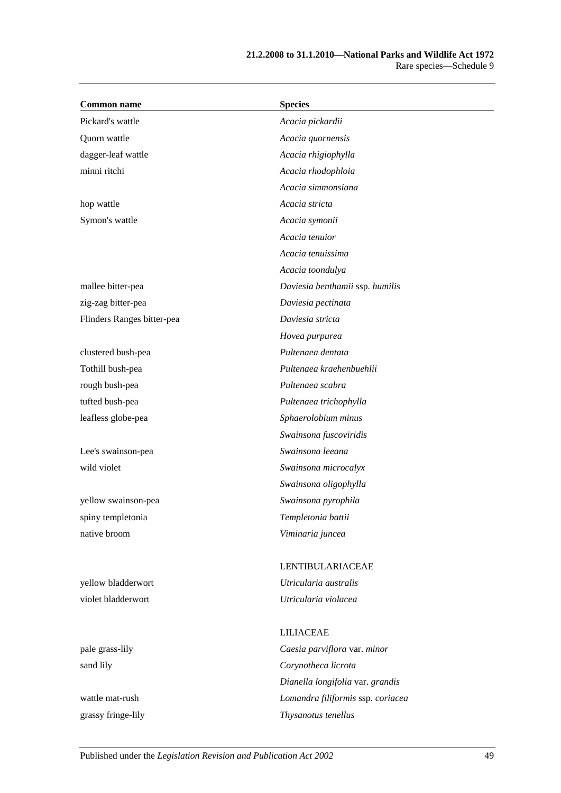| <b>Common name</b>         | <b>Species</b>                    |
|----------------------------|-----------------------------------|
| Pickard's wattle           | Acacia pickardii                  |
| Quorn wattle               | Acacia quornensis                 |
| dagger-leaf wattle         | Acacia rhigiophylla               |
| minni ritchi               | Acacia rhodophloia                |
|                            | Acacia simmonsiana                |
| hop wattle                 | Acacia stricta                    |
| Symon's wattle             | Acacia symonii                    |
|                            | Acacia tenuior                    |
|                            | Acacia tenuissima                 |
|                            | Acacia toondulya                  |
| mallee bitter-pea          | Daviesia benthamii ssp. humilis   |
| zig-zag bitter-pea         | Daviesia pectinata                |
| Flinders Ranges bitter-pea | Daviesia stricta                  |
|                            | Hovea purpurea                    |
| clustered bush-pea         | Pultenaea dentata                 |
| Tothill bush-pea           | Pultenaea kraehenbuehlii          |
| rough bush-pea             | Pultenaea scabra                  |
| tufted bush-pea            | Pultenaea trichophylla            |
| leafless globe-pea         | Sphaerolobium minus               |
|                            | Swainsona fuscoviridis            |
| Lee's swainson-pea         | Swainsona leeana                  |
| wild violet                | Swainsona microcalyx              |
|                            | Swainsona oligophylla             |
| yellow swainson-pea        | Swainsona pyrophila               |
| spiny templetonia          | Templetonia battii                |
| native broom               | Viminaria juncea                  |
|                            | LENTIBULARIACEAE                  |
| yellow bladderwort         | Utricularia australis             |
| violet bladderwort         | Utricularia violacea              |
|                            | <b>LILIACEAE</b>                  |
| pale grass-lily            | Caesia parviflora var. minor      |
| sand lily                  | Corynotheca licrota               |
|                            | Dianella longifolia var. grandis  |
| wattle mat-rush            | Lomandra filiformis ssp. coriacea |

grassy fringe-lily *Thysanotus tenellus*

Published under the *Legislation Revision and Publication Act 2002* 49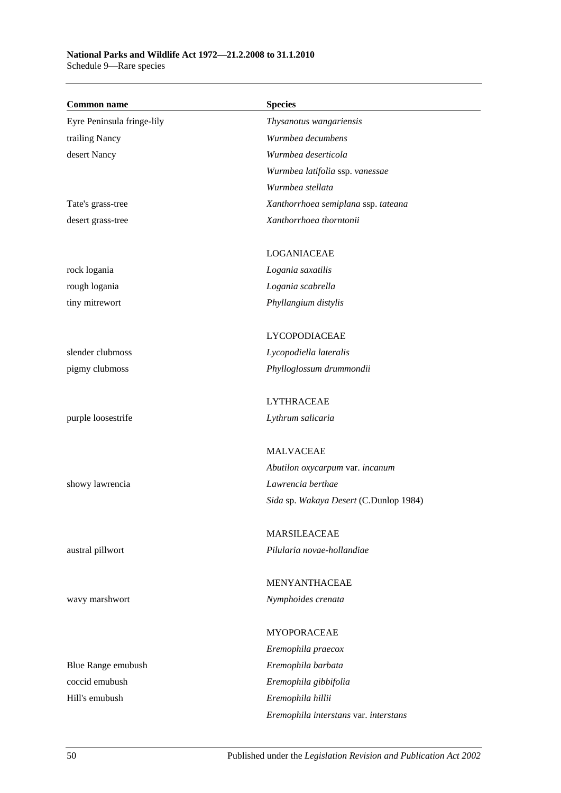## **National Parks and Wildlife Act 1972—21.2.2008 to 31.1.2010**

Schedule 9—Rare species

| <b>Common name</b>         | <b>Species</b>                         |
|----------------------------|----------------------------------------|
| Eyre Peninsula fringe-lily | Thysanotus wangariensis                |
| trailing Nancy             | Wurmbea decumbens                      |
| desert Nancy               | Wurmbea deserticola                    |
|                            | Wurmbea latifolia ssp. vanessae        |
|                            | Wurmbea stellata                       |
| Tate's grass-tree          | Xanthorrhoea semiplana ssp. tateana    |
| desert grass-tree          | Xanthorrhoea thorntonii                |
|                            |                                        |
|                            | <b>LOGANIACEAE</b>                     |
| rock logania               | Logania saxatilis                      |
| rough logania              | Logania scabrella                      |
| tiny mitrewort             | Phyllangium distylis                   |
|                            | LYCOPODIACEAE                          |
| slender clubmoss           | Lycopodiella lateralis                 |
| pigmy clubmoss             | Phylloglossum drummondii               |
|                            | <b>LYTHRACEAE</b>                      |
| purple loosestrife         | Lythrum salicaria                      |
|                            |                                        |
|                            | <b>MALVACEAE</b>                       |
|                            | Abutilon oxycarpum var. incanum        |
| showy lawrencia            | Lawrencia berthae                      |
|                            | Sida sp. Wakaya Desert (C.Dunlop 1984) |
|                            | MARSILEACEAE                           |
| austral pillwort           | Pilularia novae-hollandiae             |
|                            |                                        |
|                            | MENYANTHACEAE                          |
| wavy marshwort             | Nymphoides crenata                     |
|                            | <b>MYOPORACEAE</b>                     |
|                            | Eremophila praecox                     |
| Blue Range emubush         | Eremophila barbata                     |
| coccid emubush             | Eremophila gibbifolia                  |
| Hill's emubush             | Eremophila hillii                      |
|                            | Eremophila interstans var. interstans  |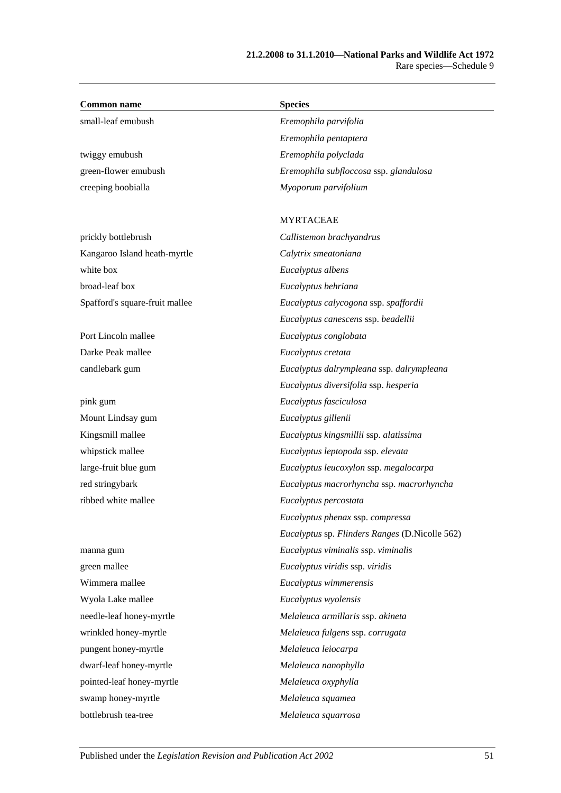| <b>Common name</b>             | <b>Species</b>                                 |
|--------------------------------|------------------------------------------------|
| small-leaf emubush             | Eremophila parvifolia                          |
|                                | Eremophila pentaptera                          |
| twiggy emubush                 | Eremophila polyclada                           |
| green-flower emubush           | Eremophila subfloccosa ssp. glandulosa         |
| creeping boobialla             | Myoporum parvifolium                           |
|                                | <b>MYRTACEAE</b>                               |
| prickly bottlebrush            | Callistemon brachyandrus                       |
| Kangaroo Island heath-myrtle   | Calytrix smeatoniana                           |
| white box                      | Eucalyptus albens                              |
| broad-leaf box                 | Eucalyptus behriana                            |
| Spafford's square-fruit mallee | Eucalyptus calycogona ssp. spaffordii          |
|                                | Eucalyptus canescens ssp. beadellii            |
| Port Lincoln mallee            | Eucalyptus conglobata                          |
| Darke Peak mallee              | Eucalyptus cretata                             |
| candlebark gum                 | Eucalyptus dalrympleana ssp. dalrympleana      |
|                                | Eucalyptus diversifolia ssp. hesperia          |
| pink gum                       | Eucalyptus fasciculosa                         |
| Mount Lindsay gum              | Eucalyptus gillenii                            |
| Kingsmill mallee               | Eucalyptus kingsmillii ssp. alatissima         |
| whipstick mallee               | Eucalyptus leptopoda ssp. elevata              |
| large-fruit blue gum           | Eucalyptus leucoxylon ssp. megalocarpa         |
| red stringybark                | Eucalyptus macrorhyncha ssp. macrorhyncha      |
| ribbed white mallee            | Eucalyptus percostata                          |
|                                | Eucalyptus phenax ssp. compressa               |
|                                | Eucalyptus sp. Flinders Ranges (D.Nicolle 562) |
| manna gum                      | Eucalyptus viminalis ssp. viminalis            |
| green mallee                   | Eucalyptus viridis ssp. viridis                |
| Wimmera mallee                 | Eucalyptus wimmerensis                         |
| Wyola Lake mallee              | Eucalyptus wyolensis                           |
| needle-leaf honey-myrtle       | Melaleuca armillaris ssp. akineta              |
| wrinkled honey-myrtle          | Melaleuca fulgens ssp. corrugata               |
| pungent honey-myrtle           | Melaleuca leiocarpa                            |
| dwarf-leaf honey-myrtle        | Melaleuca nanophylla                           |
| pointed-leaf honey-myrtle      | Melaleuca oxyphylla                            |
| swamp honey-myrtle             | Melaleuca squamea                              |
| bottlebrush tea-tree           | Melaleuca squarrosa                            |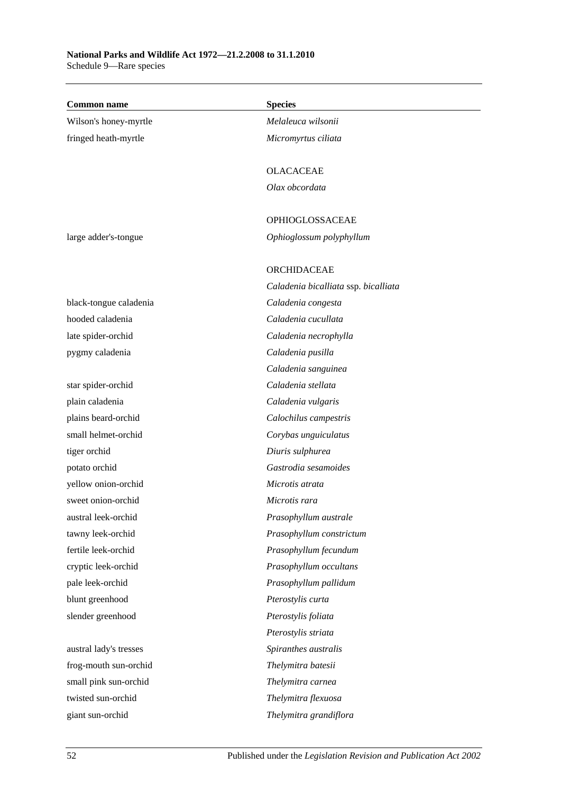### **National Parks and Wildlife Act 1972—21.2.2008 to 31.1.2010** Schedule 9—Rare species

| <b>Common name</b>     | <b>Species</b>                       |
|------------------------|--------------------------------------|
| Wilson's honey-myrtle  | Melaleuca wilsonii                   |
| fringed heath-myrtle   | Micromyrtus ciliata                  |
|                        |                                      |
|                        | <b>OLACACEAE</b>                     |
|                        | Olax obcordata                       |
|                        |                                      |
|                        | OPHIOGLOSSACEAE                      |
| large adder's-tongue   | Ophioglossum polyphyllum             |
|                        |                                      |
|                        | ORCHIDACEAE                          |
|                        | Caladenia bicalliata ssp. bicalliata |
| black-tongue caladenia | Caladenia congesta                   |
| hooded caladenia       | Caladenia cucullata                  |
| late spider-orchid     | Caladenia necrophylla                |
| pygmy caladenia        | Caladenia pusilla                    |
|                        | Caladenia sanguinea                  |
| star spider-orchid     | Caladenia stellata                   |
| plain caladenia        | Caladenia vulgaris                   |
| plains beard-orchid    | Calochilus campestris                |
| small helmet-orchid    | Corybas unguiculatus                 |
| tiger orchid           | Diuris sulphurea                     |
| potato orchid          | Gastrodia sesamoides                 |
| yellow onion-orchid    | Microtis atrata                      |
| sweet onion-orchid     | Microtis rara                        |
| austral leek-orchid    | Prasophyllum australe                |
| tawny leek-orchid      | Prasophyllum constrictum             |
| fertile leek-orchid    | Prasophyllum fecundum                |
| cryptic leek-orchid    | Prasophyllum occultans               |
| pale leek-orchid       | Prasophyllum pallidum                |
| blunt greenhood        | Pterostylis curta                    |
| slender greenhood      | Pterostylis foliata                  |
|                        | Pterostylis striata                  |
| austral lady's tresses | Spiranthes australis                 |
| frog-mouth sun-orchid  | Thelymitra batesii                   |
| small pink sun-orchid  | Thelymitra carnea                    |
| twisted sun-orchid     | Thelymitra flexuosa                  |
| giant sun-orchid       | Thelymitra grandiflora               |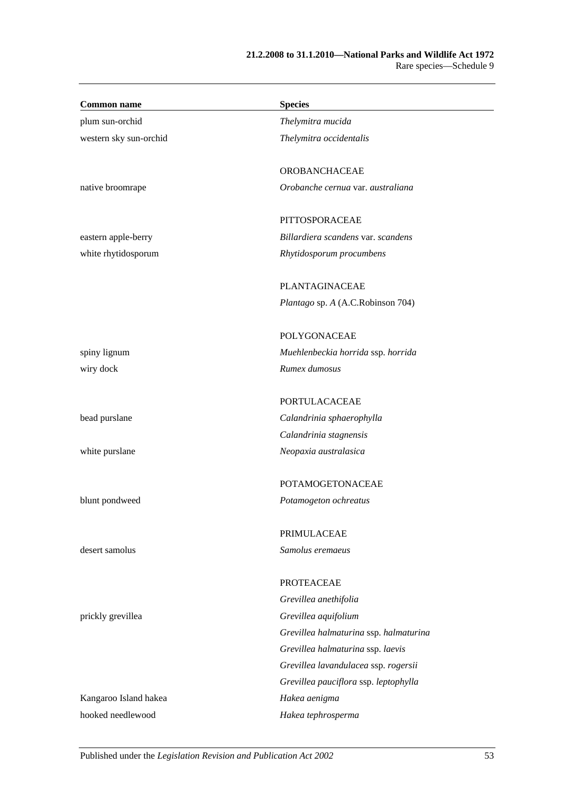| <b>Common name</b>     | <b>Species</b>                         |
|------------------------|----------------------------------------|
| plum sun-orchid        | Thelymitra mucida                      |
| western sky sun-orchid | Thelymitra occidentalis                |
|                        | OROBANCHACEAE                          |
| native broomrape       | Orobanche cernua var. australiana      |
|                        | PITTOSPORACEAE                         |
| eastern apple-berry    | Billardiera scandens var. scandens     |
| white rhytidosporum    | Rhytidosporum procumbens               |
|                        | PLANTAGINACEAE                         |
|                        | Plantago sp. A (A.C.Robinson 704)      |
|                        | <b>POLYGONACEAE</b>                    |
| spiny lignum           | Muehlenbeckia horrida ssp. horrida     |
| wiry dock              | Rumex dumosus                          |
|                        | <b>PORTULACACEAE</b>                   |
| bead purslane          | Calandrinia sphaerophylla              |
|                        | Calandrinia stagnensis                 |
| white purslane         | Neopaxia australasica                  |
|                        | <b>POTAMOGETONACEAE</b>                |
| blunt pondweed         | Potamogeton ochreatus                  |
|                        | PRIMULACEAE                            |
| desert samolus         | Samolus eremaeus                       |
|                        | <b>PROTEACEAE</b>                      |
|                        | Grevillea anethifolia                  |
| prickly grevillea      | Grevillea aquifolium                   |
|                        | Grevillea halmaturina ssp. halmaturina |
|                        | Grevillea halmaturina ssp. laevis      |
|                        | Grevillea lavandulacea ssp. rogersii   |
|                        | Grevillea pauciflora ssp. leptophylla  |
| Kangaroo Island hakea  | Hakea aenigma                          |
| hooked needlewood      | Hakea tephrosperma                     |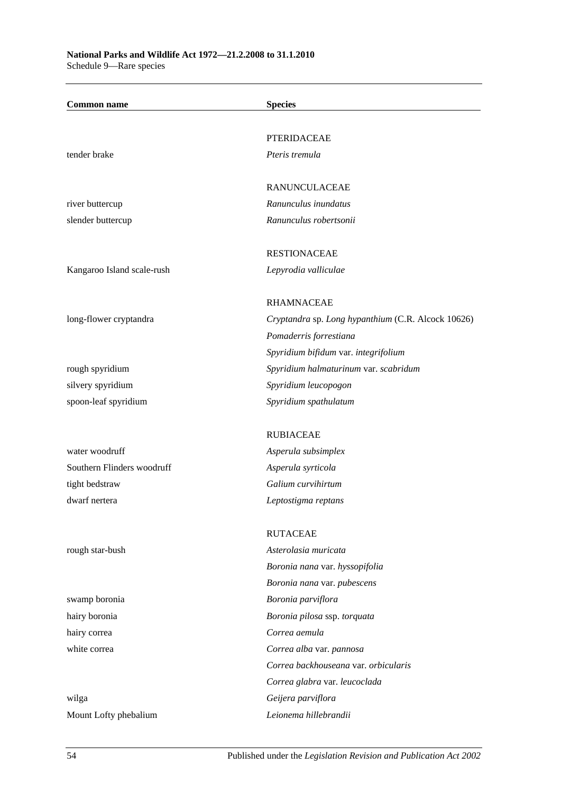| <b>Common name</b>         | <b>Species</b>                                     |
|----------------------------|----------------------------------------------------|
|                            |                                                    |
|                            | <b>PTERIDACEAE</b>                                 |
| tender brake               | Pteris tremula                                     |
|                            | RANUNCULACEAE                                      |
| river buttercup            | Ranunculus inundatus                               |
| slender buttercup          | Ranunculus robertsonii                             |
|                            | <b>RESTIONACEAE</b>                                |
| Kangaroo Island scale-rush | Lepyrodia valliculae                               |
|                            | <b>RHAMNACEAE</b>                                  |
| long-flower cryptandra     | Cryptandra sp. Long hypanthium (C.R. Alcock 10626) |
|                            | Pomaderris forrestiana                             |
|                            | Spyridium bifidum var. integrifolium               |
| rough spyridium            | Spyridium halmaturinum var. scabridum              |
| silvery spyridium          | Spyridium leucopogon                               |
| spoon-leaf spyridium       | Spyridium spathulatum                              |
|                            | <b>RUBIACEAE</b>                                   |
| water woodruff             | Asperula subsimplex                                |
| Southern Flinders woodruff | Asperula syrticola                                 |
| tight bedstraw             | Galium curvihirtum                                 |
| dwarf nertera              | Leptostigma reptans                                |
|                            | <b>RUTACEAE</b>                                    |
| rough star-bush            | Asterolasia muricata                               |
|                            | Boronia nana var. hyssopifolia                     |
|                            | Boronia nana var. pubescens                        |
| swamp boronia              | Boronia parviflora                                 |
| hairy boronia              | Boronia pilosa ssp. torquata                       |
| hairy correa               | Correa aemula                                      |
| white correa               | Correa alba var. pannosa                           |
|                            | Correa backhouseana var. orbicularis               |
|                            | Correa glabra var. leucoclada                      |
| wilga                      | Geijera parviflora                                 |
| Mount Lofty phebalium      | Leionema hillebrandii                              |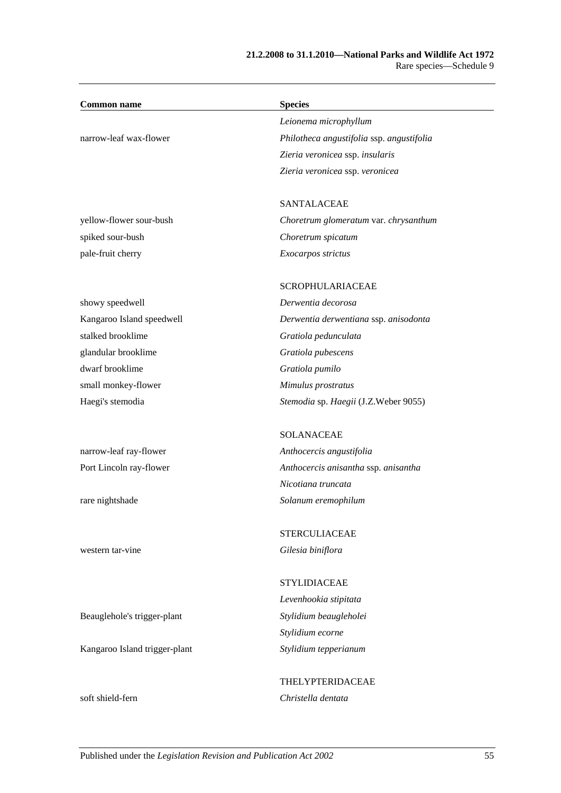| <b>Common name</b>            | <b>Species</b>                            |  |
|-------------------------------|-------------------------------------------|--|
|                               | Leionema microphyllum                     |  |
| narrow-leaf wax-flower        | Philotheca angustifolia ssp. angustifolia |  |
|                               | Zieria veronicea ssp. insularis           |  |
|                               | Zieria veronicea ssp. veronicea           |  |
|                               | <b>SANTALACEAE</b>                        |  |
| yellow-flower sour-bush       | Choretrum glomeratum var. chrysanthum     |  |
| spiked sour-bush              | Choretrum spicatum                        |  |
| pale-fruit cherry             | Exocarpos strictus                        |  |
|                               | <b>SCROPHULARIACEAE</b>                   |  |
| showy speedwell               | Derwentia decorosa                        |  |
| Kangaroo Island speedwell     | Derwentia derwentiana ssp. anisodonta     |  |
| stalked brooklime             | Gratiola pedunculata                      |  |
| glandular brooklime           | Gratiola pubescens                        |  |
| dwarf brooklime               | Gratiola pumilo                           |  |
| small monkey-flower           | Mimulus prostratus                        |  |
| Haegi's stemodia              | Stemodia sp. Haegii (J.Z.Weber 9055)      |  |
|                               | <b>SOLANACEAE</b>                         |  |
| narrow-leaf ray-flower        | Anthocercis angustifolia                  |  |
| Port Lincoln ray-flower       | Anthocercis anisantha ssp. anisantha      |  |
|                               | Nicotiana truncata                        |  |
| rare nightshade               | Solanum eremophilum                       |  |
|                               | <b>STERCULIACEAE</b>                      |  |
| western tar-vine              | Gilesia biniflora                         |  |
|                               | <b>STYLIDIACEAE</b>                       |  |
|                               | Levenhookia stipitata                     |  |
| Beauglehole's trigger-plant   | Stylidium beaugleholei                    |  |
|                               | Stylidium ecorne                          |  |
| Kangaroo Island trigger-plant | Stylidium tepperianum                     |  |
|                               | THELYPTERIDACEAE                          |  |
| soft shield-fern              | Christella dentata                        |  |
|                               |                                           |  |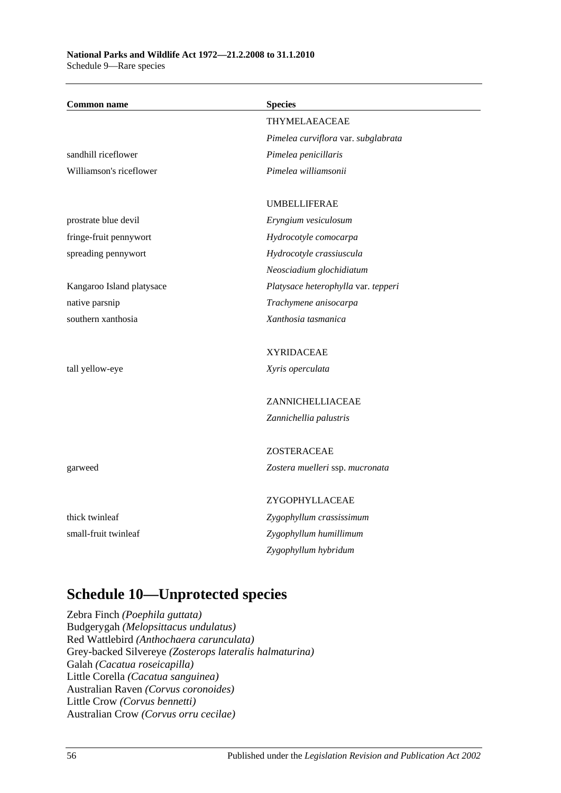| <b>Common name</b>        | <b>Species</b>                      |
|---------------------------|-------------------------------------|
|                           | THYMELAEACEAE                       |
|                           | Pimelea curviflora var. subglabrata |
| sandhill riceflower       | Pimelea penicillaris                |
| Williamson's riceflower   | Pimelea williamsonii                |
|                           |                                     |
|                           | <b>UMBELLIFERAE</b>                 |
| prostrate blue devil      | Eryngium vesiculosum                |
| fringe-fruit pennywort    | Hydrocotyle comocarpa               |
| spreading pennywort       | Hydrocotyle crassiuscula            |
|                           | Neosciadium glochidiatum            |
| Kangaroo Island platysace | Platysace heterophylla var. tepperi |
| native parsnip            | Trachymene anisocarpa               |
| southern xanthosia        | Xanthosia tasmanica                 |
|                           | <b>XYRIDACEAE</b>                   |
|                           |                                     |
| tall yellow-eye           | Xyris operculata                    |
|                           | ZANNICHELLIACEAE                    |
|                           | Zannichellia palustris              |
|                           | ZOSTERACEAE                         |
|                           |                                     |
| garweed                   | Zostera muelleri ssp. mucronata     |
|                           | ZYGOPHYLLACEAE                      |
| thick twinleaf            | Zygophyllum crassissimum            |
| small-fruit twinleaf      | Zygophyllum humillimum              |
|                           | Zygophyllum hybridum                |

## **Schedule 10—Unprotected species**

Zebra Finch *(Poephila guttata)* Budgerygah *(Melopsittacus undulatus)* Red Wattlebird *(Anthochaera carunculata)* Grey-backed Silvereye *(Zosterops lateralis halmaturina)* Galah *(Cacatua roseicapilla)* Little Corella *(Cacatua sanguinea)* Australian Raven *(Corvus coronoides)* Little Crow *(Corvus bennetti)* Australian Crow *(Corvus orru cecilae)*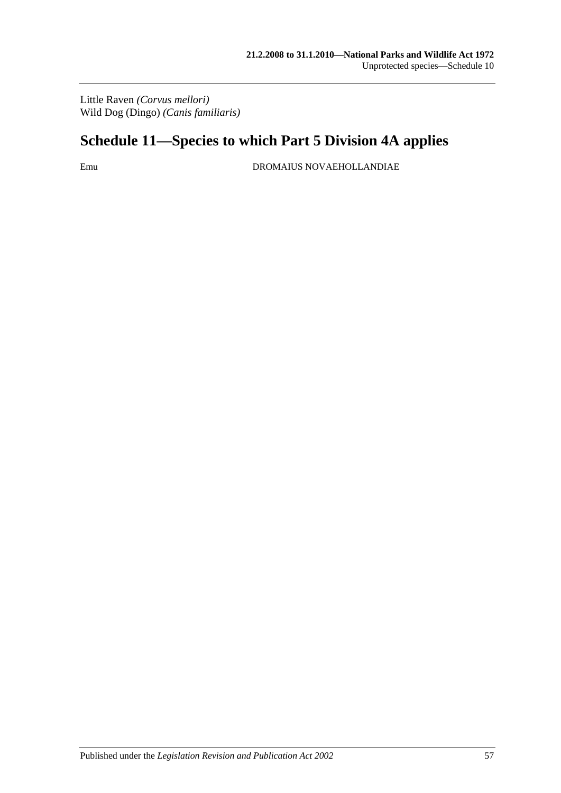Little Raven *(Corvus mellori)* Wild Dog (Dingo) *(Canis familiaris)*

## **Schedule 11—Species to which [Part 5 Division 4A](#page-59-0) applies**

Emu DROMAIUS NOVAEHOLLANDIAE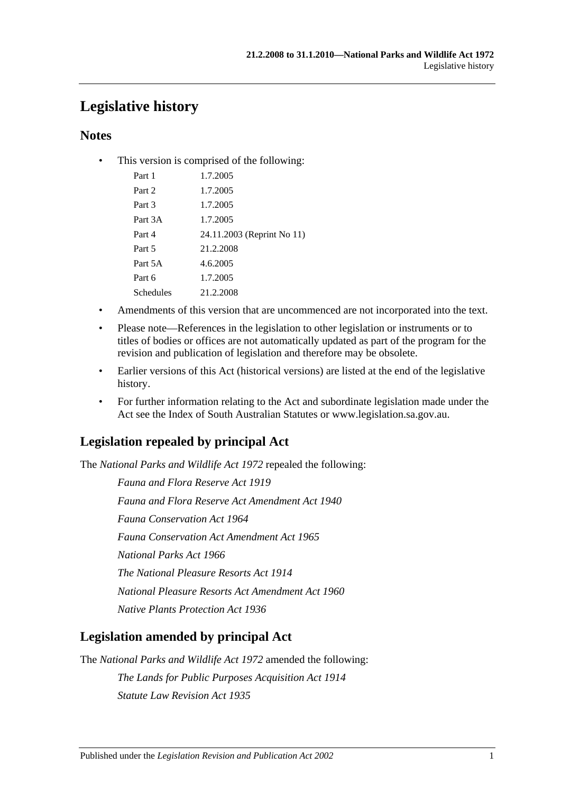## **Legislative history**

## **Notes**

• This version is comprised of the following:

| Part 1    | 1.7.2005                   |
|-----------|----------------------------|
| Part 2    | 1.7.2005                   |
| Part 3    | 1.7.2005                   |
| Part 3A   | 1.7.2005                   |
| Part 4    | 24.11.2003 (Reprint No 11) |
| Part 5    | 21.2.2008                  |
| Part 5A   | 4.6.2005                   |
| Part 6    | 1.7.2005                   |
| Schedules | 21.2.2008                  |
|           |                            |

- Amendments of this version that are uncommenced are not incorporated into the text.
- Please note—References in the legislation to other legislation or instruments or to titles of bodies or offices are not automatically updated as part of the program for the revision and publication of legislation and therefore may be obsolete.
- Earlier versions of this Act (historical versions) are listed at the end of the legislative history.
- For further information relating to the Act and subordinate legislation made under the Act see the Index of South Australian Statutes or www.legislation.sa.gov.au.

## **Legislation repealed by principal Act**

The *National Parks and Wildlife Act 1972* repealed the following:

*Fauna and Flora Reserve Act 1919 Fauna and Flora Reserve Act Amendment Act 1940 Fauna Conservation Act 1964 Fauna Conservation Act Amendment Act 1965 National Parks Act 1966 The National Pleasure Resorts Act 1914 National Pleasure Resorts Act Amendment Act 1960 Native Plants Protection Act 1936*

## **Legislation amended by principal Act**

The *National Parks and Wildlife Act 1972* amended the following:

*The Lands for Public Purposes Acquisition Act 1914 Statute Law Revision Act 1935*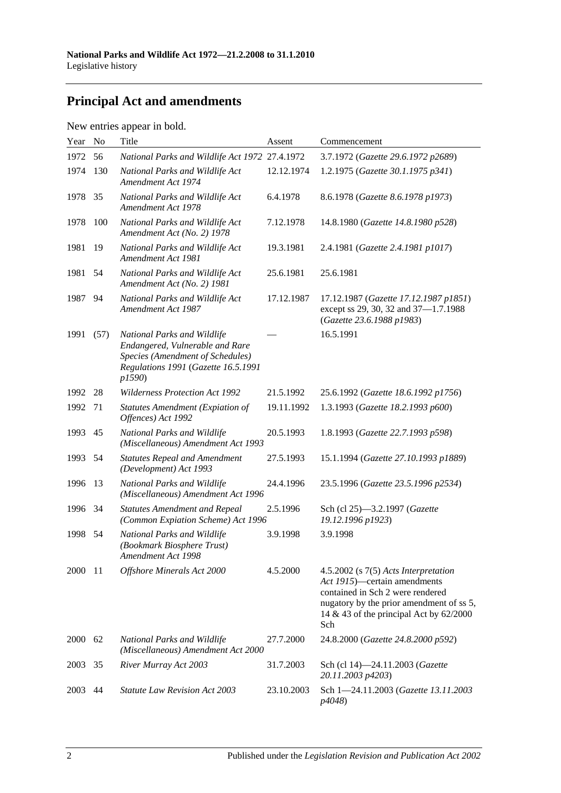## **Principal Act and amendments**

| New entries appear in bold. |  |  |
|-----------------------------|--|--|
|                             |  |  |

| Year | N <sub>o</sub> | Title                                                                                                                                              | Assent     | Commencement                                                                                                                                                                                                 |
|------|----------------|----------------------------------------------------------------------------------------------------------------------------------------------------|------------|--------------------------------------------------------------------------------------------------------------------------------------------------------------------------------------------------------------|
| 1972 | 56             | National Parks and Wildlife Act 1972 27.4.1972                                                                                                     |            | 3.7.1972 (Gazette 29.6.1972 p2689)                                                                                                                                                                           |
| 1974 | 130            | National Parks and Wildlife Act<br>Amendment Act 1974                                                                                              | 12.12.1974 | 1.2.1975 (Gazette 30.1.1975 p341)                                                                                                                                                                            |
| 1978 | 35             | National Parks and Wildlife Act<br>Amendment Act 1978                                                                                              | 6.4.1978   | 8.6.1978 (Gazette 8.6.1978 p1973)                                                                                                                                                                            |
| 1978 | 100            | National Parks and Wildlife Act<br>Amendment Act (No. 2) 1978                                                                                      | 7.12.1978  | 14.8.1980 (Gazette 14.8.1980 p528)                                                                                                                                                                           |
| 1981 | 19             | National Parks and Wildlife Act<br>Amendment Act 1981                                                                                              | 19.3.1981  | 2.4.1981 (Gazette 2.4.1981 p1017)                                                                                                                                                                            |
| 1981 | 54             | National Parks and Wildlife Act<br>Amendment Act (No. 2) 1981                                                                                      | 25.6.1981  | 25.6.1981                                                                                                                                                                                                    |
| 1987 | 94             | National Parks and Wildlife Act<br>Amendment Act 1987                                                                                              | 17.12.1987 | 17.12.1987 (Gazette 17.12.1987 p1851)<br>except ss 29, 30, 32 and 37-1.7.1988<br>(Gazette 23.6.1988 p1983)                                                                                                   |
| 1991 | (57)           | National Parks and Wildlife<br>Endangered, Vulnerable and Rare<br>Species (Amendment of Schedules)<br>Regulations 1991 (Gazette 16.5.1991<br>p1590 |            | 16.5.1991                                                                                                                                                                                                    |
| 1992 | 28             | <b>Wilderness Protection Act 1992</b>                                                                                                              | 21.5.1992  | 25.6.1992 (Gazette 18.6.1992 p1756)                                                                                                                                                                          |
| 1992 | 71             | <b>Statutes Amendment (Expiation of</b><br>Offences) Act 1992                                                                                      | 19.11.1992 | 1.3.1993 (Gazette 18.2.1993 p600)                                                                                                                                                                            |
| 1993 | 45             | National Parks and Wildlife<br>(Miscellaneous) Amendment Act 1993                                                                                  | 20.5.1993  | 1.8.1993 (Gazette 22.7.1993 p598)                                                                                                                                                                            |
| 1993 | 54             | <b>Statutes Repeal and Amendment</b><br>(Development) Act 1993                                                                                     | 27.5.1993  | 15.1.1994 (Gazette 27.10.1993 p1889)                                                                                                                                                                         |
| 1996 | 13             | National Parks and Wildlife<br>(Miscellaneous) Amendment Act 1996                                                                                  | 24.4.1996  | 23.5.1996 (Gazette 23.5.1996 p2534)                                                                                                                                                                          |
| 1996 | 34             | <b>Statutes Amendment and Repeal</b><br>(Common Expiation Scheme) Act 1996                                                                         | 2.5.1996   | Sch (cl 25)-3.2.1997 (Gazette<br>19.12.1996 p1923)                                                                                                                                                           |
| 1998 | 54             | National Parks and Wildlife<br>(Bookmark Biosphere Trust)<br>Amendment Act 1998                                                                    | 3.9.1998   | 3.9.1998                                                                                                                                                                                                     |
| 2000 | -11            | Offshore Minerals Act 2000                                                                                                                         | 4.5.2000   | $4.5.2002$ (s $7(5)$ Acts Interpretation<br>Act 1915)—certain amendments<br>contained in Sch 2 were rendered<br>nugatory by the prior amendment of ss 5,<br>14 & 43 of the principal Act by $62/2000$<br>Sch |
| 2000 | 62             | National Parks and Wildlife<br>(Miscellaneous) Amendment Act 2000                                                                                  | 27.7.2000  | 24.8.2000 (Gazette 24.8.2000 p592)                                                                                                                                                                           |
| 2003 | 35             | River Murray Act 2003                                                                                                                              | 31.7.2003  | Sch (cl 14)-24.11.2003 (Gazette<br>20.11.2003 p4203)                                                                                                                                                         |
| 2003 | 44             | <b>Statute Law Revision Act 2003</b>                                                                                                               | 23.10.2003 | Sch 1-24.11.2003 (Gazette 13.11.2003<br>p4048)                                                                                                                                                               |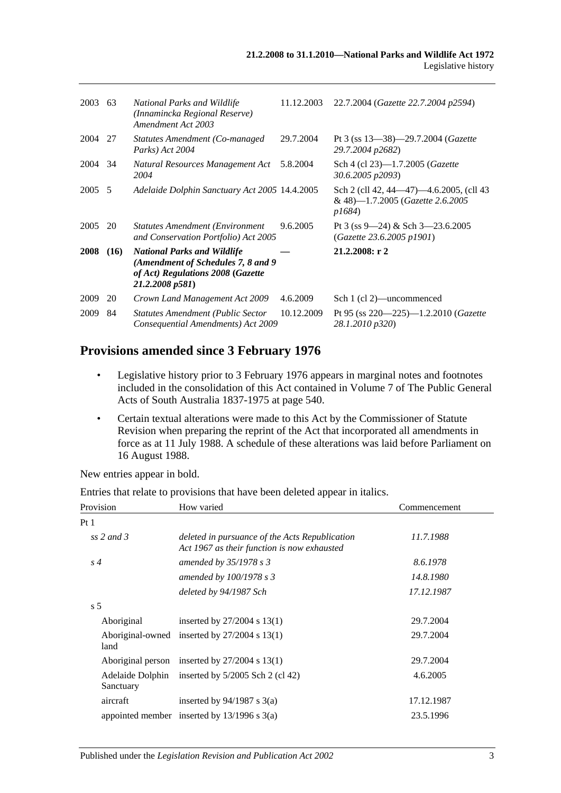| 2003   | - 63 | National Parks and Wildlife<br>(Innamincka Regional Reserve)<br>Amendment Act 2003                                                | 11.12.2003 | 22.7.2004 (Gazette 22.7.2004 p2594)                                                  |
|--------|------|-----------------------------------------------------------------------------------------------------------------------------------|------------|--------------------------------------------------------------------------------------|
| 2004   | 27   | Statutes Amendment (Co-managed)<br>Parks) Act 2004                                                                                | 29.7.2004  | Pt 3 (ss $13-38$ )-29.7.2004 (Gazette<br>29.7.2004 p2682)                            |
| 2004   | 34   | Natural Resources Management Act<br>2004                                                                                          | 5.8.2004   | Sch 4 (cl 23)-1.7.2005 ( <i>Gazette</i><br>30.6.2005 p2093)                          |
| 2005 5 |      | Adelaide Dolphin Sanctuary Act 2005 14.4.2005                                                                                     |            | Sch 2 (cll 42, 44–47)–4.6.2005, (cll 43<br>& 48)-1.7.2005 (Gazette 2.6.2005<br>p1684 |
| 2005   | 20   | <b>Statutes Amendment (Environment</b> )<br>and Conservation Portfolio) Act 2005                                                  | 9.6.2005   | Pt 3 (ss 9—24) & Sch 3—23.6.2005<br>(Gazette 23.6.2005 p1901)                        |
| 2008   | (16) | <b>National Parks and Wildlife</b><br>(Amendment of Schedules 7, 8 and 9)<br>of Act) Regulations 2008 (Gazette<br>21.2.2008 p581) |            | 21.2.2008: r2                                                                        |
| 2009   | 20   | Crown Land Management Act 2009                                                                                                    | 4.6.2009   | Sch 1 (cl 2)—uncommenced                                                             |
| 2009   | 84   | <b>Statutes Amendment (Public Sector</b><br>Consequential Amendments) Act 2009                                                    | 10.12.2009 | Pt 95 (ss $220-225$ )-1.2.2010 ( <i>Gazette</i><br>28.1.2010 p320)                   |

# **Provisions amended since 3 February 1976**

- Legislative history prior to 3 February 1976 appears in marginal notes and footnotes included in the consolidation of this Act contained in Volume 7 of The Public General Acts of South Australia 1837-1975 at page 540.
- Certain textual alterations were made to this Act by the Commissioner of Statute Revision when preparing the reprint of the Act that incorporated all amendments in force as at 11 July 1988. A schedule of these alterations was laid before Parliament on 16 August 1988.

New entries appear in bold.

| Entries that relate to provisions that have been deleted appear in italics. |  |  |  |  |  |
|-----------------------------------------------------------------------------|--|--|--|--|--|
|-----------------------------------------------------------------------------|--|--|--|--|--|

| Provision      | How varied                                                                                    | Commencement |
|----------------|-----------------------------------------------------------------------------------------------|--------------|
| Pt1            |                                                                                               |              |
| ss 2 and 3     | deleted in pursuance of the Acts Republication<br>Act 1967 as their function is now exhausted | 11.7.1988    |
| $s\,4$         | amended by $35/1978$ s 3                                                                      | 8.6.1978     |
|                | amended by $100/1978 s3$                                                                      | 14.8.1980    |
|                | deleted by 94/1987 Sch                                                                        | 17.12.1987   |
| s <sub>5</sub> |                                                                                               |              |
| Aboriginal     | inserted by $27/2004$ s 13(1)                                                                 | 29.7.2004    |
| land           | Aboriginal-owned inserted by $27/2004$ s 13(1)                                                | 29.7.2004    |
|                | Aboriginal person inserted by $27/2004$ s 13(1)                                               | 29.7.2004    |
| Sanctuary      | Adelaide Dolphin inserted by 5/2005 Sch 2 (cl 42)                                             | 4.6.2005     |
| aircraft       | inserted by $94/1987$ s 3(a)                                                                  | 17.12.1987   |
|                | appointed member inserted by $13/1996$ s $3(a)$                                               | 23.5.1996    |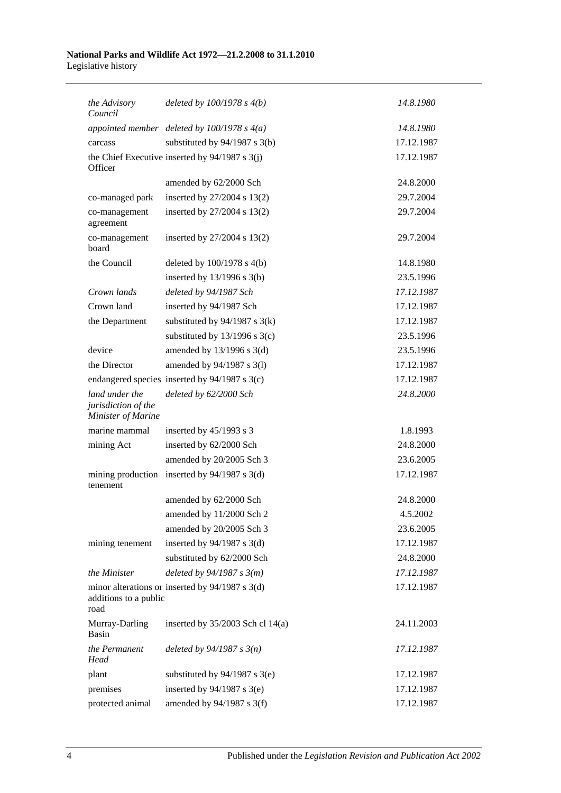#### **National Parks and Wildlife Act 1972—21.2.2008 to 31.1.2010** Legislative history

| the Advisory<br>Council                                     | deleted by $100/1978 s 4(b)$                      | 14.8.1980  |
|-------------------------------------------------------------|---------------------------------------------------|------------|
|                                                             | appointed member deleted by $100/1978$ s $4(a)$   | 14.8.1980  |
| carcass                                                     | substituted by $94/1987$ s 3(b)                   | 17.12.1987 |
| Officer                                                     | the Chief Executive inserted by 94/1987 s 3(j)    | 17.12.1987 |
|                                                             | amended by 62/2000 Sch                            | 24.8.2000  |
| co-managed park                                             | inserted by 27/2004 s 13(2)                       | 29.7.2004  |
| co-management<br>agreement                                  | inserted by $27/2004$ s 13(2)                     | 29.7.2004  |
| co-management<br>board                                      | inserted by $27/2004$ s $13(2)$                   | 29.7.2004  |
| the Council                                                 | deleted by $100/1978$ s $4(b)$                    | 14.8.1980  |
|                                                             | inserted by $13/1996$ s $3(b)$                    | 23.5.1996  |
| Crown lands                                                 | deleted by 94/1987 Sch                            | 17.12.1987 |
| Crown land                                                  | inserted by 94/1987 Sch                           | 17.12.1987 |
| the Department                                              | substituted by $94/1987$ s $3(k)$                 | 17.12.1987 |
|                                                             | substituted by $13/1996$ s $3(c)$                 | 23.5.1996  |
| device                                                      | amended by $13/1996$ s $3(d)$                     | 23.5.1996  |
| the Director                                                | amended by 94/1987 s 3(1)                         | 17.12.1987 |
|                                                             | endangered species inserted by 94/1987 s 3(c)     | 17.12.1987 |
| land under the<br>jurisdiction of the<br>Minister of Marine | deleted by 62/2000 Sch                            | 24.8.2000  |
| marine mammal                                               | inserted by $45/1993$ s 3                         | 1.8.1993   |
| mining Act                                                  | inserted by 62/2000 Sch                           | 24.8.2000  |
|                                                             | amended by 20/2005 Sch 3                          | 23.6.2005  |
| tenement                                                    | mining production inserted by $94/1987$ s 3(d)    | 17.12.1987 |
|                                                             | amended by 62/2000 Sch                            | 24.8.2000  |
|                                                             | amended by 11/2000 Sch 2                          | 4.5.2002   |
|                                                             | amended by 20/2005 Sch 3                          | 23.6.2005  |
| mining tenement                                             | inserted by $94/1987$ s 3(d)                      | 17.12.1987 |
|                                                             | substituted by 62/2000 Sch                        | 24.8.2000  |
| the Minister                                                | deleted by $94/1987 s 3(m)$                       | 17.12.1987 |
| additions to a public<br>road                               | minor alterations or inserted by $94/1987$ s 3(d) | 17.12.1987 |
| Murray-Darling<br>Basin                                     | inserted by $35/2003$ Sch cl 14(a)                | 24.11.2003 |
| the Permanent<br>Head                                       | deleted by $94/1987 s 3(n)$                       | 17.12.1987 |
| plant                                                       | substituted by $94/1987$ s 3(e)                   | 17.12.1987 |
| premises                                                    | inserted by $94/1987$ s $3(e)$                    | 17.12.1987 |
| protected animal                                            | amended by $94/1987$ s 3(f)                       | 17.12.1987 |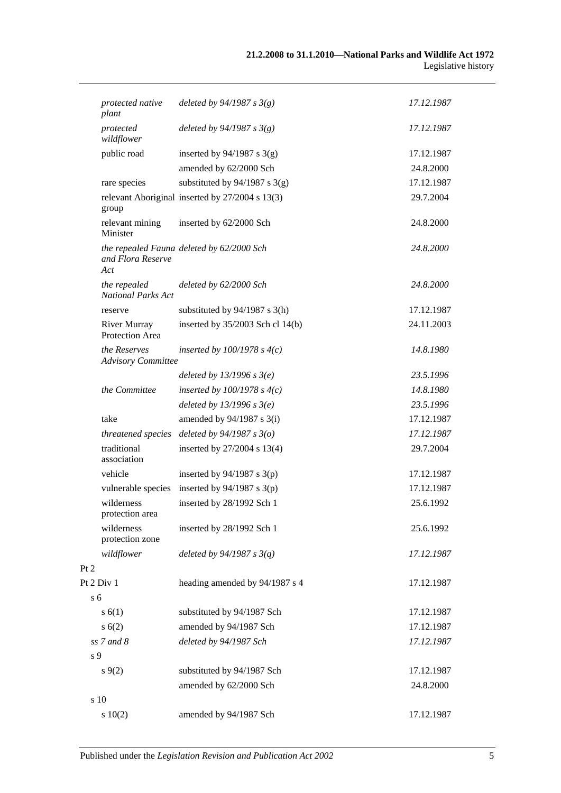|                | protected native<br>plant                 | deleted by $94/1987 s 3(g)$                     | 17.12.1987 |
|----------------|-------------------------------------------|-------------------------------------------------|------------|
|                | protected<br>wildflower                   | deleted by $94/1987 s 3(g)$                     | 17.12.1987 |
|                | public road                               | inserted by $94/1987$ s 3(g)                    | 17.12.1987 |
|                |                                           | amended by 62/2000 Sch                          | 24.8.2000  |
|                | rare species                              | substituted by $94/1987$ s 3(g)                 | 17.12.1987 |
|                | group                                     | relevant Aboriginal inserted by 27/2004 s 13(3) | 29.7.2004  |
|                | relevant mining<br>Minister               | inserted by 62/2000 Sch                         | 24.8.2000  |
|                | and Flora Reserve<br>Act                  | the repealed Fauna deleted by 62/2000 Sch       | 24.8.2000  |
|                | the repealed<br><b>National Parks Act</b> | deleted by 62/2000 Sch                          | 24.8.2000  |
|                | reserve                                   | substituted by $94/1987$ s 3(h)                 | 17.12.1987 |
|                | <b>River Murray</b><br>Protection Area    | inserted by 35/2003 Sch cl 14(b)                | 24.11.2003 |
|                | the Reserves<br><b>Advisory Committee</b> | inserted by $100/1978$ s $4(c)$                 | 14.8.1980  |
|                |                                           | deleted by $13/1996$ s $3(e)$                   | 23.5.1996  |
|                | the Committee                             | inserted by $100/1978$ s $4(c)$                 | 14.8.1980  |
|                |                                           | deleted by $13/1996 s 3(e)$                     | 23.5.1996  |
|                | take                                      | amended by $94/1987$ s 3(i)                     | 17.12.1987 |
|                | threatened species                        | deleted by $94/1987 s 3(o)$                     | 17.12.1987 |
|                | traditional<br>association                | inserted by 27/2004 s 13(4)                     | 29.7.2004  |
|                | vehicle                                   | inserted by $94/1987$ s 3(p)                    | 17.12.1987 |
|                | vulnerable species                        | inserted by $94/1987$ s 3(p)                    | 17.12.1987 |
|                | wilderness<br>protection area             | inserted by 28/1992 Sch 1                       | 25.6.1992  |
|                | wilderness<br>protection zone             | inserted by 28/1992 Sch 1                       | 25.6.1992  |
|                | wildflower                                | deleted by $94/1987 s 3(q)$                     | 17.12.1987 |
| Pt 2           |                                           |                                                 |            |
|                | Pt 2 Div 1                                | heading amended by 94/1987 s 4                  | 17.12.1987 |
| s <sub>6</sub> |                                           |                                                 |            |
|                | s(6(1))                                   | substituted by 94/1987 Sch                      | 17.12.1987 |
|                | s(6(2)                                    | amended by 94/1987 Sch                          | 17.12.1987 |
|                | $ss$ 7 and 8                              | deleted by 94/1987 Sch                          | 17.12.1987 |
| s 9            |                                           |                                                 |            |
|                | $s \, 9(2)$                               | substituted by 94/1987 Sch                      | 17.12.1987 |
|                |                                           | amended by 62/2000 Sch                          | 24.8.2000  |
|                | s 10                                      |                                                 |            |
|                | 10(2)                                     | amended by 94/1987 Sch                          | 17.12.1987 |

 $Pt$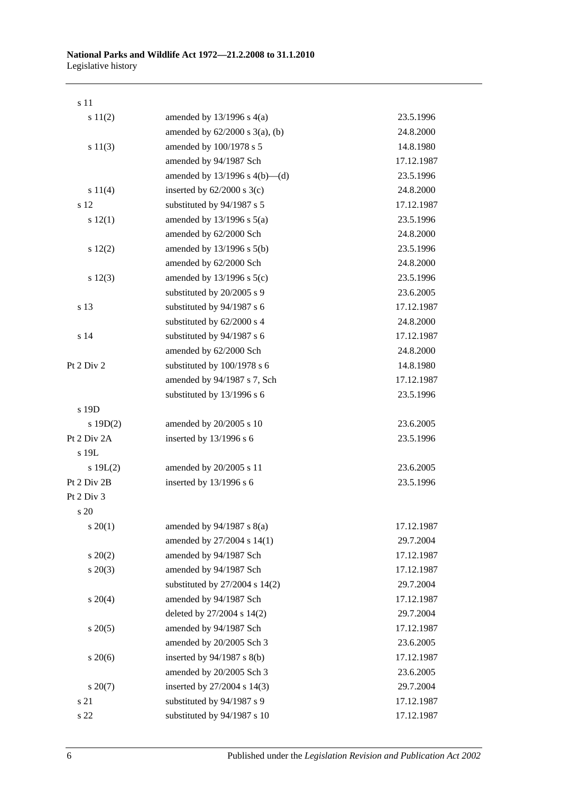| s 11         |                                     |            |
|--------------|-------------------------------------|------------|
| s 11(2)      | amended by $13/1996$ s $4(a)$       | 23.5.1996  |
|              | amended by $62/2000$ s $3(a)$ , (b) | 24.8.2000  |
| s 11(3)      | amended by 100/1978 s 5             | 14.8.1980  |
|              | amended by 94/1987 Sch              | 17.12.1987 |
|              | amended by $13/1996$ s $4(b)$ —(d)  | 23.5.1996  |
| s 11(4)      | inserted by $62/2000$ s $3(c)$      | 24.8.2000  |
| s 12         | substituted by 94/1987 s 5          | 17.12.1987 |
| s 12(1)      | amended by $13/1996$ s $5(a)$       | 23.5.1996  |
|              | amended by 62/2000 Sch              | 24.8.2000  |
| s 12(2)      | amended by $13/1996$ s $5(b)$       | 23.5.1996  |
|              | amended by 62/2000 Sch              | 24.8.2000  |
| s 12(3)      | amended by 13/1996 s 5(c)           | 23.5.1996  |
|              | substituted by 20/2005 s 9          | 23.6.2005  |
| s 13         | substituted by 94/1987 s 6          | 17.12.1987 |
|              | substituted by 62/2000 s 4          | 24.8.2000  |
| s 14         | substituted by 94/1987 s 6          | 17.12.1987 |
|              | amended by 62/2000 Sch              | 24.8.2000  |
| Pt 2 Div 2   | substituted by 100/1978 s 6         | 14.8.1980  |
|              | amended by 94/1987 s 7, Sch         | 17.12.1987 |
|              | substituted by 13/1996 s 6          | 23.5.1996  |
| s 19D        |                                     |            |
| s 19D(2)     | amended by 20/2005 s 10             | 23.6.2005  |
| Pt 2 Div 2A  | inserted by 13/1996 s 6             | 23.5.1996  |
| s 19L        |                                     |            |
| s $19L(2)$   | amended by 20/2005 s 11             | 23.6.2005  |
| Pt 2 Div 2B  | inserted by 13/1996 s 6             | 23.5.1996  |
| Pt 2 Div 3   |                                     |            |
| s 20         |                                     |            |
| $s \ 20(1)$  | amended by $94/1987$ s $8(a)$       | 17.12.1987 |
|              | amended by 27/2004 s 14(1)          | 29.7.2004  |
| $s \ 20(2)$  | amended by 94/1987 Sch              | 17.12.1987 |
| $s\ 20(3)$   | amended by 94/1987 Sch              | 17.12.1987 |
|              | substituted by 27/2004 s 14(2)      | 29.7.2004  |
| $s \ 20(4)$  | amended by 94/1987 Sch              | 17.12.1987 |
|              | deleted by 27/2004 s 14(2)          | 29.7.2004  |
| $s \, 20(5)$ | amended by 94/1987 Sch              | 17.12.1987 |
|              | amended by 20/2005 Sch 3            | 23.6.2005  |
| $s\,20(6)$   | inserted by 94/1987 s 8(b)          | 17.12.1987 |
|              | amended by 20/2005 Sch 3            | 23.6.2005  |
| $s\ 20(7)$   | inserted by 27/2004 s 14(3)         | 29.7.2004  |
| s 21         | substituted by 94/1987 s 9          | 17.12.1987 |
| s 22         | substituted by 94/1987 s 10         | 17.12.1987 |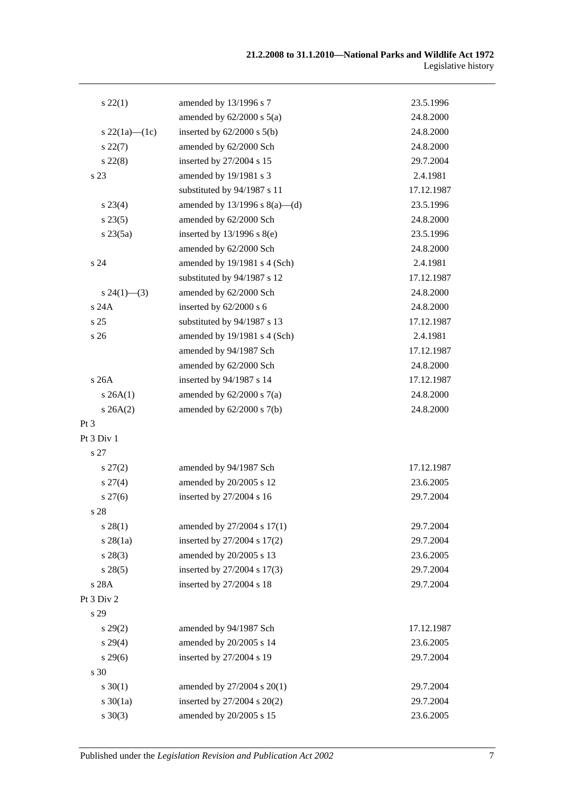| $s\,22(1)$          | amended by 13/1996 s 7             | 23.5.1996  |
|---------------------|------------------------------------|------------|
|                     | amended by $62/2000$ s $5(a)$      | 24.8.2000  |
| s $22(1a)$ — $(1c)$ | inserted by $62/2000$ s $5(b)$     | 24.8.2000  |
| $s\,22(7)$          | amended by 62/2000 Sch             | 24.8.2000  |
| $s\,22(8)$          | inserted by 27/2004 s 15           | 29.7.2004  |
| s 23                | amended by 19/1981 s 3             | 2.4.1981   |
|                     | substituted by 94/1987 s 11        | 17.12.1987 |
| $s\,23(4)$          | amended by $13/1996$ s $8(a)$ —(d) | 23.5.1996  |
| s 23(5)             | amended by 62/2000 Sch             | 24.8.2000  |
| $s\,23(5a)$         | inserted by $13/1996$ s $8(e)$     | 23.5.1996  |
|                     | amended by 62/2000 Sch             | 24.8.2000  |
| s <sub>24</sub>     | amended by 19/1981 s 4 (Sch)       | 2.4.1981   |
|                     | substituted by 94/1987 s 12        | 17.12.1987 |
| $s\,24(1)$ —(3)     | amended by 62/2000 Sch             | 24.8.2000  |
| s 24A               | inserted by 62/2000 s 6            | 24.8.2000  |
| s <sub>25</sub>     | substituted by 94/1987 s 13        | 17.12.1987 |
| s 26                | amended by 19/1981 s 4 (Sch)       | 2.4.1981   |
|                     | amended by 94/1987 Sch             | 17.12.1987 |
|                     | amended by 62/2000 Sch             | 24.8.2000  |
| s26A                | inserted by 94/1987 s 14           | 17.12.1987 |
| s 26A(1)            | amended by $62/2000$ s $7(a)$      | 24.8.2000  |
| $s \, 26A(2)$       | amended by $62/2000$ s $7(b)$      | 24.8.2000  |
| Pt 3                |                                    |            |
| Pt 3 Div 1          |                                    |            |
| s 27                |                                    |            |
| $s\,27(2)$          | amended by 94/1987 Sch             | 17.12.1987 |
| $s \, 27(4)$        | amended by 20/2005 s 12            | 23.6.2005  |
| $s \, 27(6)$        | inserted by 27/2004 s 16           | 29.7.2004  |
| s 28                |                                    |            |
| $s\,28(1)$          | amended by 27/2004 s 17(1)         | 29.7.2004  |
| $s \, 28(1a)$       | inserted by 27/2004 s 17(2)        | 29.7.2004  |
| $s\,28(3)$          | amended by 20/2005 s 13            | 23.6.2005  |
| s 28(5)             | inserted by 27/2004 s 17(3)        | 29.7.2004  |
| s 28A               | inserted by 27/2004 s 18           | 29.7.2004  |
| Pt 3 Div 2          |                                    |            |
| s 29                |                                    |            |
| s 29(2)             | amended by 94/1987 Sch             | 17.12.1987 |
| s 29(4)             | amended by 20/2005 s 14            | 23.6.2005  |
| $s\,29(6)$          | inserted by 27/2004 s 19           | 29.7.2004  |
| s 30                |                                    |            |
| $s \ 30(1)$         | amended by 27/2004 s 20(1)         | 29.7.2004  |
| $s \ 30(1a)$        | inserted by 27/2004 s 20(2)        | 29.7.2004  |
| $s \ 30(3)$         | amended by 20/2005 s 15            | 23.6.2005  |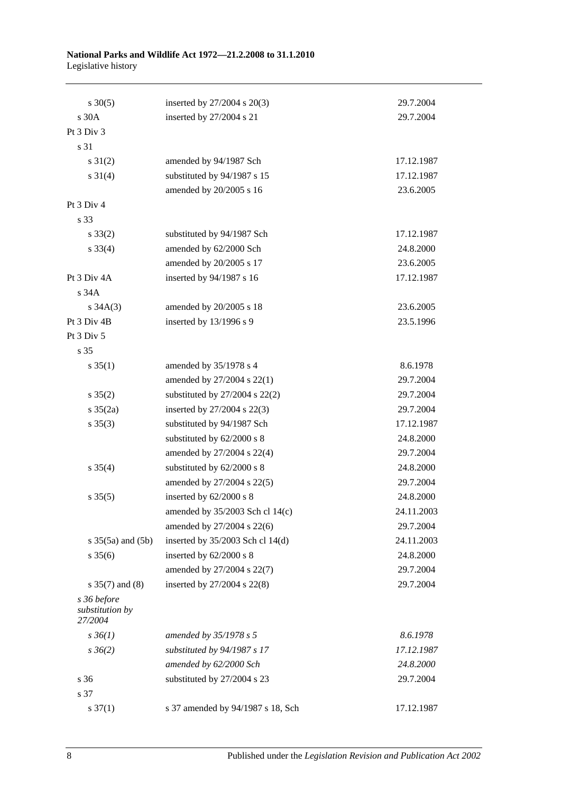| $s \ 30(5)$                               | inserted by 27/2004 s 20(3)        | 29.7.2004  |
|-------------------------------------------|------------------------------------|------------|
| s 30A                                     | inserted by 27/2004 s 21           | 29.7.2004  |
| Pt 3 Div 3                                |                                    |            |
| s 31                                      |                                    |            |
| $s \, 31(2)$                              | amended by 94/1987 Sch             | 17.12.1987 |
| $s \ 31(4)$                               | substituted by 94/1987 s 15        | 17.12.1987 |
|                                           | amended by 20/2005 s 16            | 23.6.2005  |
| Pt 3 Div 4                                |                                    |            |
| s 33                                      |                                    |            |
| $s \, 33(2)$                              | substituted by 94/1987 Sch         | 17.12.1987 |
| $s \, 33(4)$                              | amended by 62/2000 Sch             | 24.8.2000  |
|                                           | amended by 20/2005 s 17            | 23.6.2005  |
| Pt 3 Div 4A                               | inserted by 94/1987 s 16           | 17.12.1987 |
| s 34A                                     |                                    |            |
| $s \, 34A(3)$                             | amended by 20/2005 s 18            | 23.6.2005  |
| Pt 3 Div 4B                               | inserted by 13/1996 s 9            | 23.5.1996  |
| Pt 3 Div 5                                |                                    |            |
| s 35                                      |                                    |            |
| $s \; 35(1)$                              | amended by 35/1978 s 4             | 8.6.1978   |
|                                           | amended by 27/2004 s 22(1)         | 29.7.2004  |
| $s \; 35(2)$                              | substituted by $27/2004$ s $22(2)$ | 29.7.2004  |
| $s \frac{35(2a)}{2}$                      | inserted by 27/2004 s 22(3)        | 29.7.2004  |
| $s \; 35(3)$                              | substituted by 94/1987 Sch         | 17.12.1987 |
|                                           | substituted by 62/2000 s 8         | 24.8.2000  |
|                                           | amended by 27/2004 s 22(4)         | 29.7.2004  |
| $s \; 35(4)$                              | substituted by 62/2000 s 8         | 24.8.2000  |
|                                           | amended by 27/2004 s 22(5)         | 29.7.2004  |
| $s \, 35(5)$                              | inserted by 62/2000 s 8            | 24.8.2000  |
|                                           | amended by 35/2003 Sch cl 14(c)    | 24.11.2003 |
|                                           | amended by 27/2004 s 22(6)         | 29.7.2004  |
| $s \; 35(5a)$ and $(5b)$                  | inserted by $35/2003$ Sch cl 14(d) | 24.11.2003 |
| $s \; 35(6)$                              | inserted by 62/2000 s 8            | 24.8.2000  |
|                                           | amended by 27/2004 s 22(7)         | 29.7.2004  |
| $s \; 35(7)$ and (8)                      | inserted by 27/2004 s 22(8)        | 29.7.2004  |
| s 36 before<br>substitution by<br>27/2004 |                                    |            |
| $s \, 36(1)$                              | amended by 35/1978 s 5             | 8.6.1978   |
| $s \, 36(2)$                              | substituted by 94/1987 s 17        | 17.12.1987 |
|                                           | amended by 62/2000 Sch             | 24.8.2000  |
| s 36                                      | substituted by 27/2004 s 23        | 29.7.2004  |
| s 37                                      |                                    |            |
| $s \frac{37(1)}{2}$                       | s 37 amended by 94/1987 s 18, Sch  | 17.12.1987 |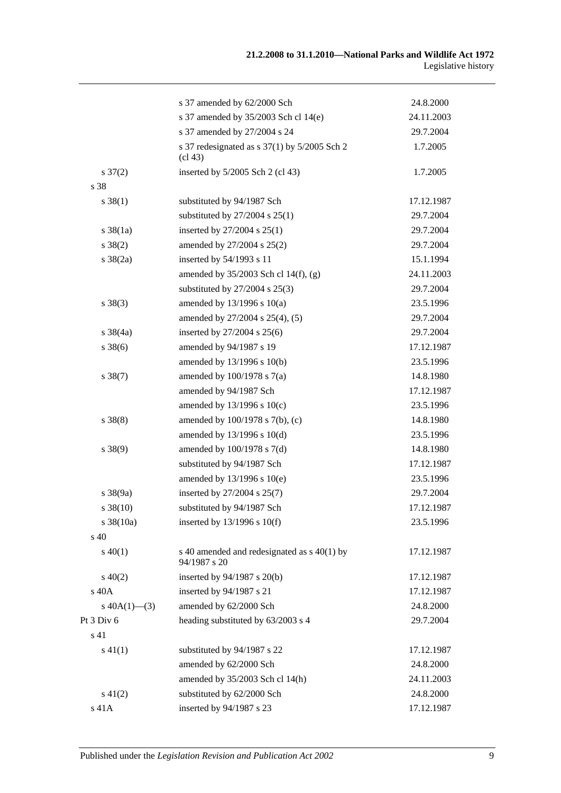|                       | s 37 amended by 62/2000 Sch                                                      | 24.8.2000  |
|-----------------------|----------------------------------------------------------------------------------|------------|
|                       | s 37 amended by 35/2003 Sch cl 14(e)                                             | 24.11.2003 |
|                       | s 37 amended by 27/2004 s 24                                                     | 29.7.2004  |
|                       | s 37 redesignated as s $37(1)$ by $5/2005$ Sch 2<br>$\left(\text{cl } 43\right)$ | 1.7.2005   |
| $s \frac{37(2)}{2}$   | inserted by 5/2005 Sch 2 (cl 43)                                                 | 1.7.2005   |
| s 38                  |                                                                                  |            |
| $s \ 38(1)$           | substituted by 94/1987 Sch                                                       | 17.12.1987 |
|                       | substituted by $27/2004$ s $25(1)$                                               | 29.7.2004  |
| $s \, 38(1a)$         | inserted by $27/2004$ s $25(1)$                                                  | 29.7.2004  |
| $s \ 38(2)$           | amended by 27/2004 s 25(2)                                                       | 29.7.2004  |
| $s \frac{38(2a)}{2}$  | inserted by 54/1993 s 11                                                         | 15.1.1994  |
|                       | amended by $35/2003$ Sch cl 14(f), (g)                                           | 24.11.2003 |
|                       | substituted by $27/2004$ s $25(3)$                                               | 29.7.2004  |
| $s \ 38(3)$           | amended by $13/1996$ s $10(a)$                                                   | 23.5.1996  |
|                       | amended by 27/2004 s 25(4), (5)                                                  | 29.7.2004  |
| $s \frac{38}{4a}$     | inserted by 27/2004 s 25(6)                                                      | 29.7.2004  |
| $s \, 38(6)$          | amended by 94/1987 s 19                                                          | 17.12.1987 |
|                       | amended by 13/1996 s 10(b)                                                       | 23.5.1996  |
| $s \ 38(7)$           | amended by 100/1978 s 7(a)                                                       | 14.8.1980  |
|                       | amended by 94/1987 Sch                                                           | 17.12.1987 |
|                       | amended by $13/1996$ s $10(c)$                                                   | 23.5.1996  |
| $s \ 38(8)$           | amended by 100/1978 s 7(b), (c)                                                  | 14.8.1980  |
|                       | amended by $13/1996$ s $10(d)$                                                   | 23.5.1996  |
| $s \ 38(9)$           | amended by 100/1978 s 7(d)                                                       | 14.8.1980  |
|                       | substituted by 94/1987 Sch                                                       | 17.12.1987 |
|                       | amended by 13/1996 s 10(e)                                                       | 23.5.1996  |
| $s \frac{38(9a)}{2}$  | inserted by 27/2004 s 25(7)                                                      | 29.7.2004  |
| $s \, 38(10)$         | substituted by 94/1987 Sch                                                       | 17.12.1987 |
| $s \frac{38(10a)}{2}$ | inserted by $13/1996$ s $10(f)$                                                  | 23.5.1996  |
| s 40                  |                                                                                  |            |
| $s\ 40(1)$            | s 40 amended and redesignated as s 40(1) by<br>94/1987 s 20                      | 17.12.1987 |
| $s\ 40(2)$            | inserted by 94/1987 s 20(b)                                                      | 17.12.1987 |
| s 40A                 | inserted by 94/1987 s 21                                                         | 17.12.1987 |
| s $40A(1)$ —(3)       | amended by 62/2000 Sch                                                           | 24.8.2000  |
| Pt 3 Div 6            | heading substituted by 63/2003 s 4                                               | 29.7.2004  |
| s 41                  |                                                                                  |            |
| $s\ 41(1)$            | substituted by 94/1987 s 22                                                      | 17.12.1987 |
|                       | amended by 62/2000 Sch                                                           | 24.8.2000  |
|                       | amended by 35/2003 Sch cl 14(h)                                                  | 24.11.2003 |
| $s\ 41(2)$            | substituted by 62/2000 Sch                                                       | 24.8.2000  |
| s 41A                 | inserted by 94/1987 s 23                                                         | 17.12.1987 |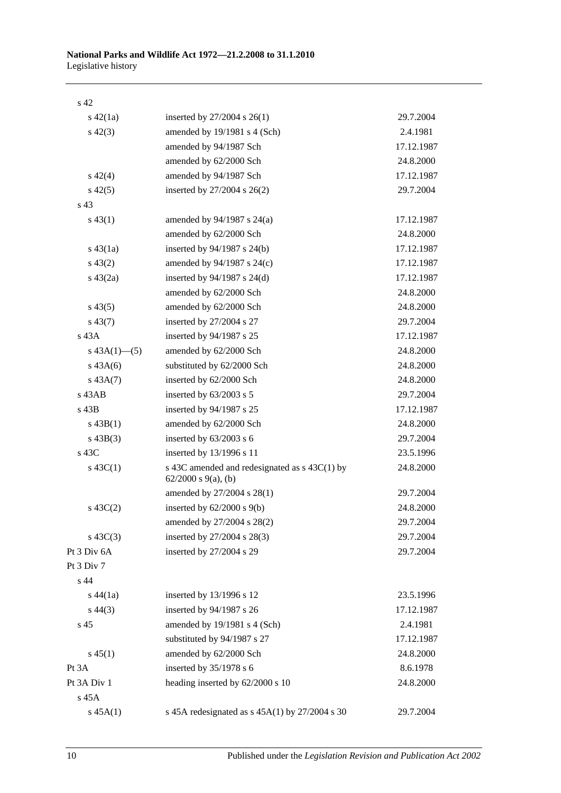| ۰.<br>۰. |
|----------|
|----------|

| $s\ 42(1a)$     | inserted by $27/2004$ s $26(1)$                                           | 29.7.2004  |
|-----------------|---------------------------------------------------------------------------|------------|
| $s\ 42(3)$      | amended by 19/1981 s 4 (Sch)                                              | 2.4.1981   |
|                 | amended by 94/1987 Sch                                                    | 17.12.1987 |
|                 | amended by 62/2000 Sch                                                    | 24.8.2000  |
| $s\ 42(4)$      | amended by 94/1987 Sch                                                    | 17.12.1987 |
| $s\ 42(5)$      | inserted by 27/2004 s 26(2)                                               | 29.7.2004  |
| s <sub>43</sub> |                                                                           |            |
| $s\,43(1)$      | amended by $94/1987$ s $24(a)$                                            | 17.12.1987 |
|                 | amended by 62/2000 Sch                                                    | 24.8.2000  |
| $s\,43(1a)$     | inserted by $94/1987$ s $24(b)$                                           | 17.12.1987 |
| $s\,43(2)$      | amended by 94/1987 s 24(c)                                                | 17.12.1987 |
| $s\,43(2a)$     | inserted by $94/1987$ s $24(d)$                                           | 17.12.1987 |
|                 | amended by 62/2000 Sch                                                    | 24.8.2000  |
| $s\,43(5)$      | amended by 62/2000 Sch                                                    | 24.8.2000  |
| $s\,43(7)$      | inserted by 27/2004 s 27                                                  | 29.7.2004  |
| $s$ 43A         | inserted by 94/1987 s 25                                                  | 17.12.1987 |
| s $43A(1)$ —(5) | amended by 62/2000 Sch                                                    | 24.8.2000  |
| $s\,43A(6)$     | substituted by 62/2000 Sch                                                | 24.8.2000  |
| $s\,43A(7)$     | inserted by 62/2000 Sch                                                   | 24.8.2000  |
| $s$ 43AB        | inserted by 63/2003 s 5                                                   | 29.7.2004  |
| s 43B           | inserted by 94/1987 s 25                                                  | 17.12.1987 |
| $s\,43B(1)$     | amended by 62/2000 Sch                                                    | 24.8.2000  |
| $s\ 43B(3)$     | inserted by $63/2003$ s 6                                                 | 29.7.2004  |
| s 43C           | inserted by 13/1996 s 11                                                  | 23.5.1996  |
| $s\,43C(1)$     | s 43C amended and redesignated as s 43C(1) by<br>$62/2000$ s $9(a)$ , (b) | 24.8.2000  |
|                 | amended by 27/2004 s 28(1)                                                | 29.7.2004  |
| $s\ 43C(2)$     | inserted by $62/2000$ s $9(b)$                                            | 24.8.2000  |
|                 | amended by 27/2004 s 28(2)                                                | 29.7.2004  |
| $s\ 43C(3)$     | inserted by 27/2004 s 28(3)                                               | 29.7.2004  |
| Pt 3 Div 6A     | inserted by 27/2004 s 29                                                  | 29.7.2004  |
| Pt 3 Div 7      |                                                                           |            |
| s 44            |                                                                           |            |
| $s\,44(1a)$     | inserted by 13/1996 s 12                                                  | 23.5.1996  |
| $s\,44(3)$      | inserted by 94/1987 s 26                                                  | 17.12.1987 |
| s <sub>45</sub> | amended by 19/1981 s 4 (Sch)                                              | 2.4.1981   |
|                 | substituted by 94/1987 s 27                                               | 17.12.1987 |
| $s\,45(1)$      | amended by 62/2000 Sch                                                    | 24.8.2000  |
| Pt 3A           | inserted by 35/1978 s 6                                                   | 8.6.1978   |
| Pt 3A Div 1     | heading inserted by 62/2000 s 10                                          | 24.8.2000  |
| s 45A           |                                                                           |            |
| $s\,45A(1)$     | s 45A redesignated as s 45A(1) by 27/2004 s 30                            | 29.7.2004  |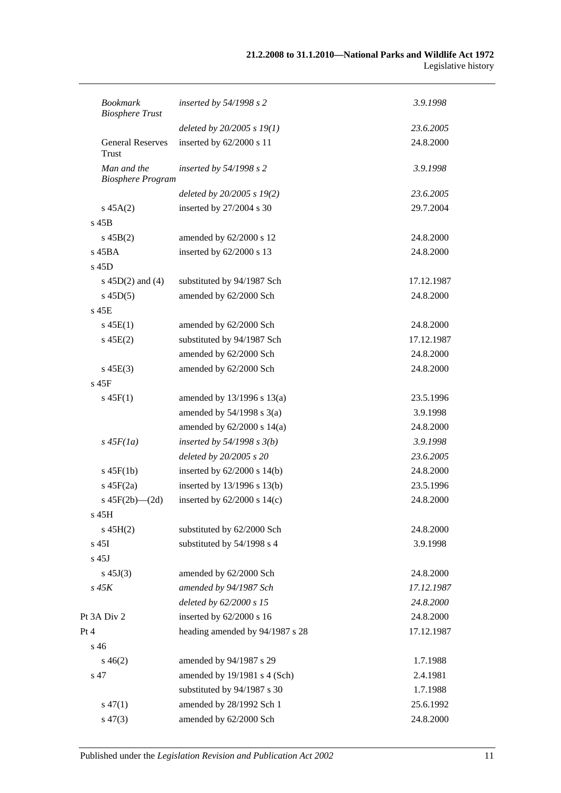| <b>Bookmark</b><br><b>Biosphere Trust</b> | inserted by $54/1998 s 2$       | 3.9.1998   |
|-------------------------------------------|---------------------------------|------------|
|                                           | deleted by $20/2005 s 19(1)$    | 23.6.2005  |
| <b>General Reserves</b><br>Trust          | inserted by 62/2000 s 11        | 24.8.2000  |
| Man and the<br><b>Biosphere Program</b>   | inserted by $54/1998 s 2$       | 3.9.1998   |
|                                           | deleted by 20/2005 s 19(2)      | 23.6.2005  |
| $s\,45A(2)$                               | inserted by 27/2004 s 30        | 29.7.2004  |
| $s$ 45B                                   |                                 |            |
| $s\,45B(2)$                               | amended by 62/2000 s 12         | 24.8.2000  |
| $s$ 45BA                                  | inserted by 62/2000 s 13        | 24.8.2000  |
| $s$ 45D                                   |                                 |            |
| s $45D(2)$ and $(4)$                      | substituted by 94/1987 Sch      | 17.12.1987 |
| $s\,45D(5)$                               | amended by 62/2000 Sch          | 24.8.2000  |
| $s$ 45 $E$                                |                                 |            |
| $s\,45E(1)$                               | amended by 62/2000 Sch          | 24.8.2000  |
| $s\,45E(2)$                               | substituted by 94/1987 Sch      | 17.12.1987 |
|                                           | amended by 62/2000 Sch          | 24.8.2000  |
| $s\,45E(3)$                               | amended by 62/2000 Sch          | 24.8.2000  |
| $s$ 45 $F$                                |                                 |            |
| $s\,45F(1)$                               | amended by $13/1996$ s $13(a)$  | 23.5.1996  |
|                                           | amended by $54/1998$ s $3(a)$   | 3.9.1998   |
|                                           | amended by $62/2000$ s $14(a)$  | 24.8.2000  |
| $s\,45F(1a)$                              | inserted by $54/1998$ s $3(b)$  | 3.9.1998   |
|                                           | deleted by 20/2005 s 20         | 23.6.2005  |
| $s\,45F(1b)$                              | inserted by $62/2000$ s $14(b)$ | 24.8.2000  |
| $s\ 45F(2a)$                              | inserted by 13/1996 s 13(b)     | 23.5.1996  |
| s $45F(2b)$ - $(2d)$                      | inserted by $62/2000$ s $14(c)$ | 24.8.2000  |
| s 45H                                     |                                 |            |
| $s\,45H(2)$                               | substituted by 62/2000 Sch      | 24.8.2000  |
| s 45I                                     | substituted by 54/1998 s 4      | 3.9.1998   |
| $s$ 45J                                   |                                 |            |
| $s\,45J(3)$                               | amended by 62/2000 Sch          | 24.8.2000  |
| $s$ 45 $K$                                | amended by 94/1987 Sch          | 17.12.1987 |
|                                           | deleted by 62/2000 s 15         | 24.8.2000  |
| Pt 3A Div 2                               | inserted by 62/2000 s 16        | 24.8.2000  |
| Pt 4                                      | heading amended by 94/1987 s 28 | 17.12.1987 |
| s 46                                      |                                 |            |
| $s\,46(2)$                                | amended by 94/1987 s 29         | 1.7.1988   |
| s 47                                      | amended by 19/1981 s 4 (Sch)    | 2.4.1981   |
|                                           | substituted by 94/1987 s 30     | 1.7.1988   |
| $s\,47(1)$                                | amended by 28/1992 Sch 1        | 25.6.1992  |
| $s\,47(3)$                                | amended by 62/2000 Sch          | 24.8.2000  |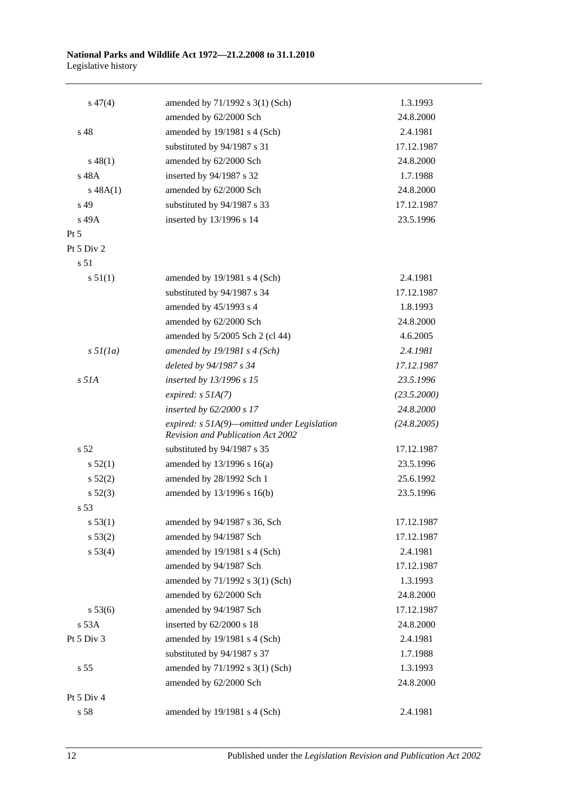### **National Parks and Wildlife Act 1972—21.2.2008 to 31.1.2010** Legislative history

| $s\,47(4)$        | amended by 71/1992 s 3(1) (Sch)                                                    | 1.3.1993    |
|-------------------|------------------------------------------------------------------------------------|-------------|
|                   | amended by 62/2000 Sch                                                             | 24.8.2000   |
| s <sub>48</sub>   | amended by 19/1981 s 4 (Sch)                                                       | 2.4.1981    |
|                   | substituted by 94/1987 s 31                                                        | 17.12.1987  |
| $s\,48(1)$        | amended by 62/2000 Sch                                                             | 24.8.2000   |
| s 48A             | inserted by 94/1987 s 32                                                           | 1.7.1988    |
| $s\,48A(1)$       | amended by 62/2000 Sch                                                             | 24.8.2000   |
| s 49              | substituted by 94/1987 s 33                                                        | 17.12.1987  |
| s 49A             | inserted by 13/1996 s 14                                                           | 23.5.1996   |
| Pt $5$            |                                                                                    |             |
| Pt 5 Div 2        |                                                                                    |             |
| s 51              |                                                                                    |             |
| s 51(1)           | amended by 19/1981 s 4 (Sch)                                                       | 2.4.1981    |
|                   | substituted by 94/1987 s 34                                                        | 17.12.1987  |
|                   | amended by 45/1993 s 4                                                             | 1.8.1993    |
|                   | amended by 62/2000 Sch                                                             | 24.8.2000   |
|                   | amended by 5/2005 Sch 2 (cl 44)                                                    | 4.6.2005    |
| $s \frac{5l}{la}$ | amended by $19/1981$ s 4 (Sch)                                                     | 2.4.1981    |
|                   | deleted by 94/1987 s 34                                                            | 17.12.1987  |
| $s$ 51A           | inserted by 13/1996 s 15                                                           | 23.5.1996   |
|                   | expired: $s$ 51A(7)                                                                | (23.5.2000) |
|                   | inserted by 62/2000 s 17                                                           | 24.8.2000   |
|                   | expired: $s$ 51A(9)—omitted under Legislation<br>Revision and Publication Act 2002 | (24.8.2005) |
| s <sub>52</sub>   | substituted by 94/1987 s 35                                                        | 17.12.1987  |
| s 52(1)           | amended by $13/1996$ s $16(a)$                                                     | 23.5.1996   |
| s 52(2)           | amended by 28/1992 Sch 1                                                           | 25.6.1992   |
| $s\ 52(3)$        | amended by 13/1996 s 16(b)                                                         | 23.5.1996   |
| s 53              |                                                                                    |             |
| s 53(1)           | amended by 94/1987 s 36, Sch                                                       | 17.12.1987  |
| s 53(2)           | amended by 94/1987 Sch                                                             | 17.12.1987  |
| s 53(4)           | amended by 19/1981 s 4 (Sch)                                                       | 2.4.1981    |
|                   | amended by 94/1987 Sch                                                             | 17.12.1987  |
|                   | amended by 71/1992 s 3(1) (Sch)                                                    | 1.3.1993    |
|                   | amended by 62/2000 Sch                                                             | 24.8.2000   |
| s 53(6)           | amended by 94/1987 Sch                                                             | 17.12.1987  |
| s 53A             | inserted by 62/2000 s 18                                                           | 24.8.2000   |
| Pt 5 Div 3        | amended by 19/1981 s 4 (Sch)                                                       | 2.4.1981    |
|                   | substituted by 94/1987 s 37                                                        | 1.7.1988    |
| s <sub>55</sub>   | amended by 71/1992 s 3(1) (Sch)                                                    | 1.3.1993    |
|                   | amended by 62/2000 Sch                                                             | 24.8.2000   |
| Pt 5 Div 4        |                                                                                    |             |
| s 58              | amended by 19/1981 s 4 (Sch)                                                       | 2.4.1981    |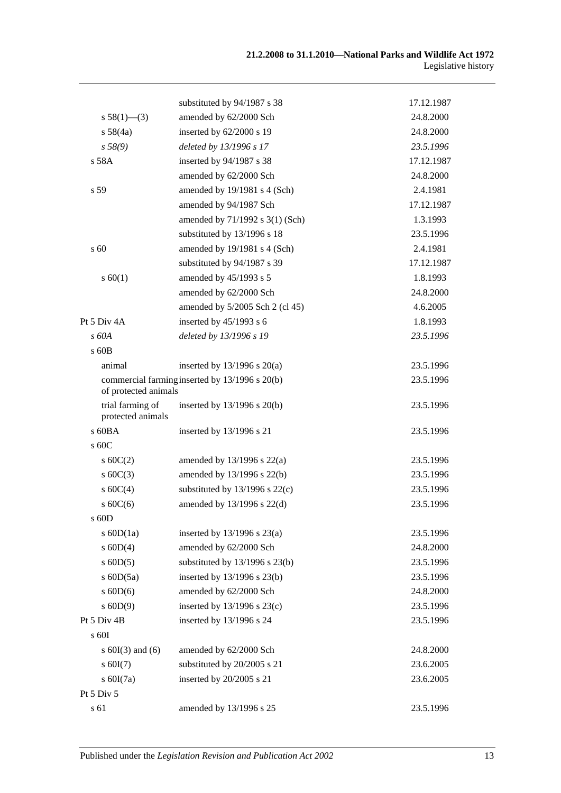|                                       | substituted by 94/1987 s 38                    | 17.12.1987 |
|---------------------------------------|------------------------------------------------|------------|
| s $58(1)$ —(3)                        | amended by 62/2000 Sch                         | 24.8.2000  |
| s 58(4a)                              | inserted by 62/2000 s 19                       | 24.8.2000  |
| s 58(9)                               | deleted by 13/1996 s 17                        | 23.5.1996  |
| s 58A                                 | inserted by 94/1987 s 38                       | 17.12.1987 |
|                                       | amended by 62/2000 Sch                         | 24.8.2000  |
| s 59                                  | amended by 19/1981 s 4 (Sch)                   | 2.4.1981   |
|                                       | amended by 94/1987 Sch                         | 17.12.1987 |
|                                       | amended by 71/1992 s 3(1) (Sch)                | 1.3.1993   |
|                                       | substituted by 13/1996 s 18                    | 23.5.1996  |
| $\mathrm{s}$ 60                       | amended by 19/1981 s 4 (Sch)                   | 2.4.1981   |
|                                       | substituted by 94/1987 s 39                    | 17.12.1987 |
| s 60(1)                               | amended by 45/1993 s 5                         | 1.8.1993   |
|                                       | amended by 62/2000 Sch                         | 24.8.2000  |
|                                       | amended by 5/2005 Sch 2 (cl 45)                | 4.6.2005   |
| Pt 5 Div 4A                           | inserted by $45/1993$ s 6                      | 1.8.1993   |
| $s$ 60A                               | deleted by 13/1996 s 19                        | 23.5.1996  |
| s 60B                                 |                                                |            |
| animal                                | inserted by $13/1996$ s $20(a)$                | 23.5.1996  |
| of protected animals                  | commercial farming inserted by 13/1996 s 20(b) | 23.5.1996  |
| trial farming of<br>protected animals | inserted by 13/1996 s 20(b)                    | 23.5.1996  |
| $s$ 60BA                              | inserted by 13/1996 s 21                       | 23.5.1996  |
| s 60C                                 |                                                |            |
| $s \ 60C(2)$                          | amended by $13/1996$ s $22(a)$                 | 23.5.1996  |
| s $60C(3)$                            | amended by 13/1996 s 22(b)                     | 23.5.1996  |
| s 60C(4)                              | substituted by $13/1996$ s $22(c)$             | 23.5.1996  |
| s60C(6)                               | amended by 13/1996 s 22(d)                     | 23.5.1996  |
| s 60D                                 |                                                |            |
| s $60D(1a)$                           | inserted by $13/1996$ s $23(a)$                | 23.5.1996  |
| $s$ 60D(4)                            | amended by 62/2000 Sch                         | 24.8.2000  |
| $s$ 60D(5)                            | substituted by $13/1996$ s $23(b)$             | 23.5.1996  |
| s $60D(5a)$                           | inserted by 13/1996 s 23(b)                    | 23.5.1996  |
| $s$ 60D(6)                            | amended by 62/2000 Sch                         | 24.8.2000  |
| $s$ 60D(9)                            | inserted by $13/1996$ s $23(c)$                | 23.5.1996  |
| Pt 5 Div 4B                           | inserted by 13/1996 s 24                       | 23.5.1996  |
| s 60I                                 |                                                |            |
| s $60I(3)$ and $(6)$                  | amended by 62/2000 Sch                         | 24.8.2000  |
| $s$ 60I(7)                            | substituted by 20/2005 s 21                    | 23.6.2005  |
| s $60I(7a)$                           | inserted by 20/2005 s 21                       | 23.6.2005  |
| Pt 5 Div 5                            |                                                |            |
| s 61                                  | amended by 13/1996 s 25                        | 23.5.1996  |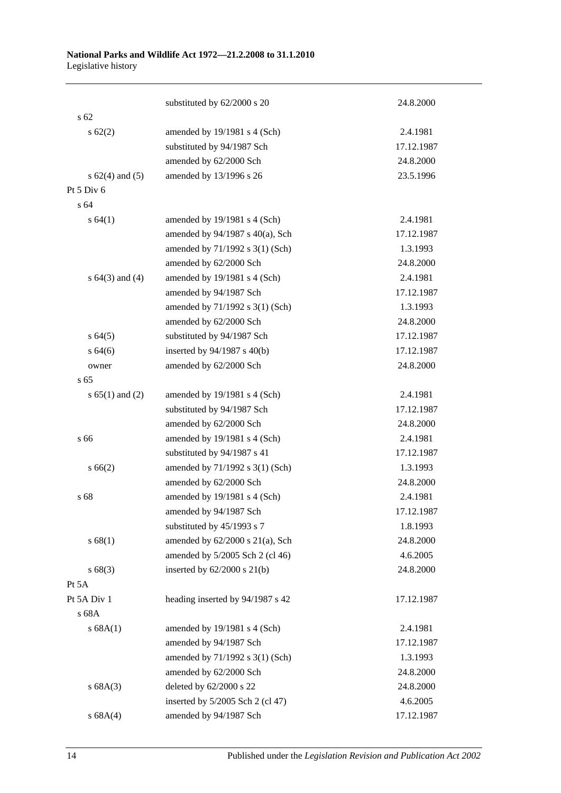### **National Parks and Wildlife Act 1972—21.2.2008 to 31.1.2010** Legislative history

|                     | substituted by 62/2000 s 20          | 24.8.2000  |
|---------------------|--------------------------------------|------------|
| s <sub>62</sub>     |                                      |            |
| $s \, 62(2)$        | amended by 19/1981 s 4 (Sch)         | 2.4.1981   |
|                     | substituted by 94/1987 Sch           | 17.12.1987 |
|                     | amended by 62/2000 Sch               | 24.8.2000  |
| s $62(4)$ and $(5)$ | amended by 13/1996 s 26              | 23.5.1996  |
| Pt $5$ Div $6$      |                                      |            |
| s <sub>64</sub>     |                                      |            |
| s 64(1)             | amended by 19/1981 s 4 (Sch)         | 2.4.1981   |
|                     | amended by 94/1987 s 40(a), Sch      | 17.12.1987 |
|                     | amended by 71/1992 s 3(1) (Sch)      | 1.3.1993   |
|                     | amended by 62/2000 Sch               | 24.8.2000  |
| s $64(3)$ and $(4)$ | amended by 19/1981 s 4 (Sch)         | 2.4.1981   |
|                     | amended by 94/1987 Sch               | 17.12.1987 |
|                     | amended by 71/1992 s 3(1) (Sch)      | 1.3.1993   |
|                     | amended by 62/2000 Sch               | 24.8.2000  |
| s 64(5)             | substituted by 94/1987 Sch           | 17.12.1987 |
| s 64(6)             | inserted by $94/1987$ s $40(b)$      | 17.12.1987 |
| owner               | amended by 62/2000 Sch               | 24.8.2000  |
| s 65                |                                      |            |
| s $65(1)$ and $(2)$ | amended by 19/1981 s 4 (Sch)         | 2.4.1981   |
|                     | substituted by 94/1987 Sch           | 17.12.1987 |
|                     | amended by 62/2000 Sch               | 24.8.2000  |
| s 66                | amended by 19/1981 s 4 (Sch)         | 2.4.1981   |
|                     | substituted by 94/1987 s 41          | 17.12.1987 |
| s 66(2)             | amended by 71/1992 s 3(1) (Sch)      | 1.3.1993   |
|                     | amended by 62/2000 Sch               | 24.8.2000  |
| s 68                | amended by 19/1981 s 4 (Sch)         | 2.4.1981   |
|                     | amended by 94/1987 Sch               | 17.12.1987 |
|                     | substituted by 45/1993 s 7           | 1.8.1993   |
| s 68(1)             | amended by $62/2000$ s $21(a)$ , Sch | 24.8.2000  |
|                     | amended by 5/2005 Sch 2 (cl 46)      | 4.6.2005   |
| s 68(3)             | inserted by $62/2000$ s $21(b)$      | 24.8.2000  |
| Pt 5A               |                                      |            |
| Pt 5A Div 1         | heading inserted by 94/1987 s 42     | 17.12.1987 |
| s 68A               |                                      |            |
| s 68A(1)            | amended by 19/1981 s 4 (Sch)         | 2.4.1981   |
|                     | amended by 94/1987 Sch               | 17.12.1987 |
|                     | amended by 71/1992 s 3(1) (Sch)      | 1.3.1993   |
|                     | amended by 62/2000 Sch               | 24.8.2000  |
| s 68A(3)            | deleted by 62/2000 s 22              | 24.8.2000  |
|                     | inserted by 5/2005 Sch 2 (cl 47)     | 4.6.2005   |
| s 68A(4)            | amended by 94/1987 Sch               | 17.12.1987 |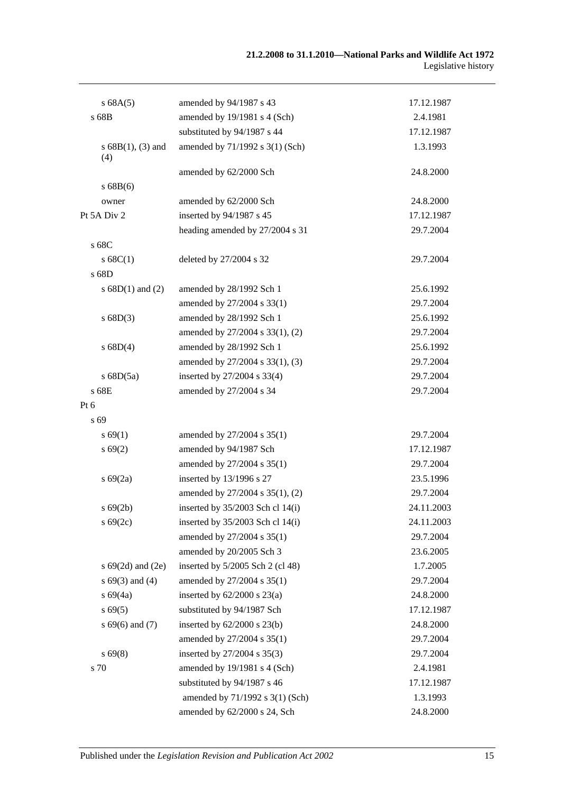| s 68A(5)                   | amended by 94/1987 s 43          | 17.12.1987 |
|----------------------------|----------------------------------|------------|
| s 68B                      | amended by 19/1981 s 4 (Sch)     | 2.4.1981   |
|                            | substituted by 94/1987 s 44      | 17.12.1987 |
| $s 68B(1), (3)$ and<br>(4) | amended by 71/1992 s 3(1) (Sch)  | 1.3.1993   |
|                            | amended by 62/2000 Sch           | 24.8.2000  |
| s68B(6)                    |                                  |            |
| owner                      | amended by 62/2000 Sch           | 24.8.2000  |
| Pt 5A Div 2                | inserted by 94/1987 s 45         | 17.12.1987 |
|                            | heading amended by 27/2004 s 31  | 29.7.2004  |
| s 68C                      |                                  |            |
| s 68C(1)                   | deleted by 27/2004 s 32          | 29.7.2004  |
| s 68D                      |                                  |            |
| s $68D(1)$ and $(2)$       | amended by 28/1992 Sch 1         | 25.6.1992  |
|                            | amended by 27/2004 s 33(1)       | 29.7.2004  |
| s 68D(3)                   | amended by 28/1992 Sch 1         | 25.6.1992  |
|                            | amended by 27/2004 s 33(1), (2)  | 29.7.2004  |
| s 68D(4)                   | amended by 28/1992 Sch 1         | 25.6.1992  |
|                            | amended by 27/2004 s 33(1), (3)  | 29.7.2004  |
| $s$ 68D(5a)                | inserted by 27/2004 s 33(4)      | 29.7.2004  |
| s 68E                      | amended by 27/2004 s 34          | 29.7.2004  |
| Pt 6                       |                                  |            |
| s 69                       |                                  |            |
| s 69(1)                    | amended by 27/2004 s 35(1)       | 29.7.2004  |
| s 69(2)                    | amended by 94/1987 Sch           | 17.12.1987 |
|                            | amended by 27/2004 s 35(1)       | 29.7.2004  |
| $s\ 69(2a)$                | inserted by 13/1996 s 27         | 23.5.1996  |
|                            | amended by 27/2004 s 35(1), (2)  | 29.7.2004  |
| $s\,69(2b)$                | inserted by 35/2003 Sch cl 14(i) | 24.11.2003 |
| $s\,69(2c)$                | inserted by 35/2003 Sch cl 14(i) | 24.11.2003 |
|                            | amended by 27/2004 s 35(1)       | 29.7.2004  |
|                            | amended by 20/2005 Sch 3         | 23.6.2005  |
| s $69(2d)$ and $(2e)$      | inserted by 5/2005 Sch 2 (cl 48) | 1.7.2005   |
| $s 69(3)$ and (4)          | amended by 27/2004 s 35(1)       | 29.7.2004  |
| $s\,69(4a)$                | inserted by $62/2000$ s $23(a)$  | 24.8.2000  |
| $s\,69(5)$                 | substituted by 94/1987 Sch       | 17.12.1987 |
| $s 69(6)$ and (7)          | inserted by $62/2000$ s $23(b)$  | 24.8.2000  |
|                            | amended by 27/2004 s 35(1)       | 29.7.2004  |
| $s\,69(8)$                 | inserted by 27/2004 s 35(3)      | 29.7.2004  |
| s 70                       | amended by 19/1981 s 4 (Sch)     | 2.4.1981   |
|                            | substituted by 94/1987 s 46      | 17.12.1987 |
|                            | amended by 71/1992 s 3(1) (Sch)  | 1.3.1993   |
|                            | amended by 62/2000 s 24, Sch     | 24.8.2000  |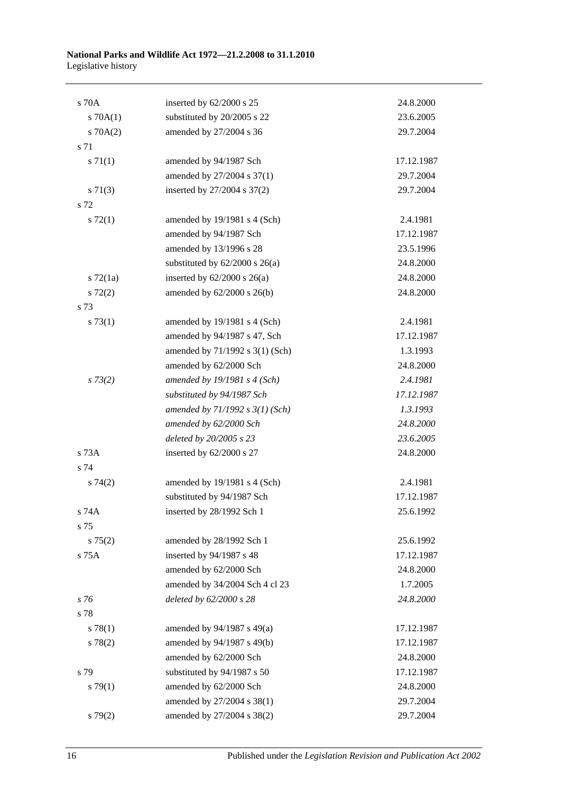| s 70A         | inserted by 62/2000 s 25           | 24.8.2000  |
|---------------|------------------------------------|------------|
| 570A(1)       | substituted by 20/2005 s 22        | 23.6.2005  |
| 570A(2)       | amended by 27/2004 s 36            | 29.7.2004  |
| s 71          |                                    |            |
| $s \, 71(1)$  | amended by 94/1987 Sch             | 17.12.1987 |
|               | amended by 27/2004 s 37(1)         | 29.7.2004  |
| $s \, 71(3)$  | inserted by 27/2004 s 37(2)        | 29.7.2004  |
| s 72          |                                    |            |
| $s \, 72(1)$  | amended by 19/1981 s 4 (Sch)       | 2.4.1981   |
|               | amended by 94/1987 Sch             | 17.12.1987 |
|               | amended by 13/1996 s 28            | 23.5.1996  |
|               | substituted by $62/2000$ s $26(a)$ | 24.8.2000  |
| $s$ 72 $(1a)$ | inserted by $62/2000$ s $26(a)$    | 24.8.2000  |
| $s\ 72(2)$    | amended by $62/2000$ s $26(b)$     | 24.8.2000  |
| s 73          |                                    |            |
| s 73(1)       | amended by 19/1981 s 4 (Sch)       | 2.4.1981   |
|               | amended by 94/1987 s 47, Sch       | 17.12.1987 |
|               | amended by 71/1992 s 3(1) (Sch)    | 1.3.1993   |
|               | amended by 62/2000 Sch             | 24.8.2000  |
| $s \, 73(2)$  | amended by $19/1981$ s 4 (Sch)     | 2.4.1981   |
|               | substituted by 94/1987 Sch         | 17.12.1987 |
|               | amended by $71/1992 s 3(1) (Sch)$  | 1.3.1993   |
|               | amended by 62/2000 Sch             | 24.8.2000  |
|               | deleted by 20/2005 s 23            | 23.6.2005  |
| s 73A         | inserted by 62/2000 s 27           | 24.8.2000  |
| s 74          |                                    |            |
| s74(2)        | amended by 19/1981 s 4 (Sch)       | 2.4.1981   |
|               | substituted by 94/1987 Sch         | 17.12.1987 |
| s 74A         | inserted by 28/1992 Sch 1          | 25.6.1992  |
| s 75          |                                    |            |
| $s \, 75(2)$  | amended by 28/1992 Sch 1           | 25.6.1992  |
| s 75A         | inserted by 94/1987 s 48           | 17.12.1987 |
|               | amended by 62/2000 Sch             | 24.8.2000  |
|               | amended by 34/2004 Sch 4 cl 23     | 1.7.2005   |
| s 76          | deleted by 62/2000 s 28            | 24.8.2000  |
| s 78          |                                    |            |
| s 78(1)       | amended by 94/1987 s 49(a)         | 17.12.1987 |
| s 78(2)       | amended by 94/1987 s 49(b)         | 17.12.1987 |
|               | amended by 62/2000 Sch             | 24.8.2000  |
| s 79          | substituted by 94/1987 s 50        | 17.12.1987 |
| $s \, 79(1)$  | amended by 62/2000 Sch             | 24.8.2000  |
|               | amended by 27/2004 s 38(1)         | 29.7.2004  |
| s79(2)        | amended by 27/2004 s 38(2)         | 29.7.2004  |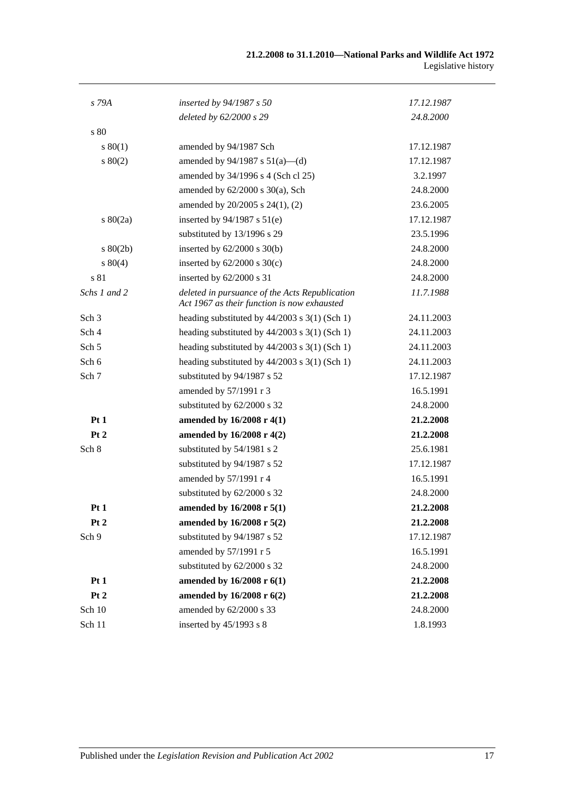| s 79A            | inserted by 94/1987 s 50                                                                      | 17.12.1987 |
|------------------|-----------------------------------------------------------------------------------------------|------------|
|                  | deleted by 62/2000 s 29                                                                       | 24.8.2000  |
| s 80             |                                                                                               |            |
| $s\,80(1)$       | amended by 94/1987 Sch                                                                        | 17.12.1987 |
| $s\ 80(2)$       | amended by $94/1987$ s $51(a)$ —(d)                                                           | 17.12.1987 |
|                  | amended by 34/1996 s 4 (Sch cl 25)                                                            | 3.2.1997   |
|                  | amended by $62/2000$ s $30(a)$ , Sch                                                          | 24.8.2000  |
|                  | amended by 20/2005 s 24(1), (2)                                                               | 23.6.2005  |
| $s\ 80(2a)$      | inserted by 94/1987 s 51(e)                                                                   | 17.12.1987 |
|                  | substituted by 13/1996 s 29                                                                   | 23.5.1996  |
| $s\ 80(2b)$      | inserted by $62/2000$ s $30(b)$                                                               | 24.8.2000  |
| $s\ 80(4)$       | inserted by $62/2000$ s $30(c)$                                                               | 24.8.2000  |
| s 81             | inserted by 62/2000 s 31                                                                      | 24.8.2000  |
| Schs 1 and 2     | deleted in pursuance of the Acts Republication<br>Act 1967 as their function is now exhausted | 11.7.1988  |
| Sch <sub>3</sub> | heading substituted by $44/2003$ s 3(1) (Sch 1)                                               | 24.11.2003 |
| Sch <sub>4</sub> | heading substituted by $44/2003$ s $3(1)$ (Sch 1)                                             | 24.11.2003 |
| Sch 5            | heading substituted by $44/2003$ s $3(1)$ (Sch 1)                                             | 24.11.2003 |
| Sch 6            | heading substituted by $44/2003$ s 3(1) (Sch 1)                                               | 24.11.2003 |
| Sch 7            | substituted by 94/1987 s 52                                                                   | 17.12.1987 |
|                  | amended by 57/1991 r 3                                                                        | 16.5.1991  |
|                  | substituted by 62/2000 s 32                                                                   | 24.8.2000  |
| Pt1              | amended by 16/2008 r 4(1)                                                                     | 21.2.2008  |
| Pt 2             | amended by $16/2008$ r $4(2)$                                                                 | 21.2.2008  |
| Sch 8            | substituted by 54/1981 s 2                                                                    | 25.6.1981  |
|                  | substituted by 94/1987 s 52                                                                   | 17.12.1987 |
|                  | amended by 57/1991 r 4                                                                        | 16.5.1991  |
|                  | substituted by 62/2000 s 32                                                                   | 24.8.2000  |
| Pt1              | amended by 16/2008 r 5(1)                                                                     | 21.2.2008  |
| Pt 2             | amended by 16/2008 r 5(2)                                                                     | 21.2.2008  |
| Sch 9            | substituted by 94/1987 s 52                                                                   | 17.12.1987 |
|                  | amended by 57/1991 r 5                                                                        | 16.5.1991  |
|                  | substituted by 62/2000 s 32                                                                   | 24.8.2000  |
| Pt1              | amended by 16/2008 r 6(1)                                                                     | 21.2.2008  |
| Pt <sub>2</sub>  | amended by 16/2008 r 6(2)                                                                     | 21.2.2008  |
| Sch 10           | amended by 62/2000 s 33                                                                       | 24.8.2000  |
| Sch 11           | inserted by 45/1993 s 8                                                                       | 1.8.1993   |